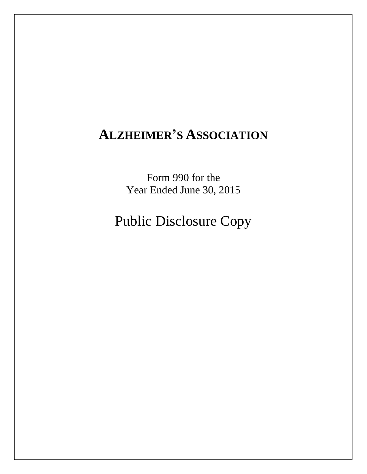# **ALZHEIMER'S ASSOCIATION**

Form 990 for the Year Ended June 30, 2015

Public Disclosure Copy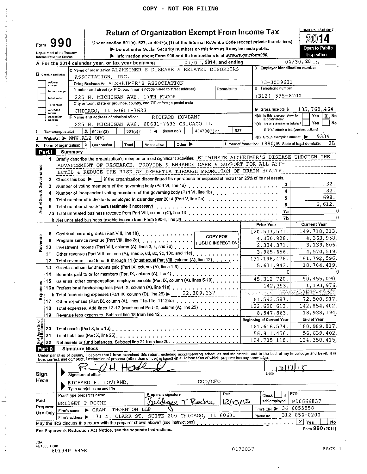## Return of Organization Exempt From Income Tax

Under section 501(c), 527, or 4947(a)(1) of the Internal Revenue Code (except private foundations) be made public.

|  |  | ► Do not enter Social Security numbers on this form as it may be made <b>p</b> |  |  |  |
|--|--|--------------------------------------------------------------------------------|--|--|--|
|  |  |                                                                                |  |  |  |



|                         |                          | Department of the freasury<br>Internal Revenue Service |                                      |                                                                                                                                                                            | Information about Form 990 and its instructions is at www.irs.gov/form990. |               |                            |                                     |    | Inspection                                                    |  |  |  |
|-------------------------|--------------------------|--------------------------------------------------------|--------------------------------------|----------------------------------------------------------------------------------------------------------------------------------------------------------------------------|----------------------------------------------------------------------------|---------------|----------------------------|-------------------------------------|----|---------------------------------------------------------------|--|--|--|
|                         |                          |                                                        |                                      | A For the 2014 calendar year, or tax year beginning                                                                                                                        |                                                                            |               | $07/01$ , 2014, and ending |                                     |    | 06/30, 2015                                                   |  |  |  |
|                         |                          |                                                        |                                      | C Name of organization ALZHEIMER'S DISEASE & RELATED DISORDERS                                                                                                             |                                                                            |               |                            |                                     |    | D Employer identification number                              |  |  |  |
|                         | $B$ Check if applicable: |                                                        |                                      | ASSOCIATION, INC.                                                                                                                                                          |                                                                            |               |                            |                                     |    |                                                               |  |  |  |
|                         | Address                  |                                                        |                                      | Doing Business As ALZHEIMER'S ASSOCIATION                                                                                                                                  |                                                                            |               |                            | 13-3039601                          |    |                                                               |  |  |  |
|                         | change                   |                                                        |                                      | Number and street (or P.O. box if mail is not delivered to street address)                                                                                                 |                                                                            |               | Room/suite                 | E Telephone number                  |    |                                                               |  |  |  |
|                         |                          | Name change                                            |                                      | 225 N. MICHIGAN AVE. 17TH FLOOR                                                                                                                                            |                                                                            |               |                            | $(312)$ 335-8700                    |    |                                                               |  |  |  |
|                         |                          | Initial return                                         |                                      | City or town, state or province, country, and ZIP or foreign postal code                                                                                                   |                                                                            |               |                            |                                     |    |                                                               |  |  |  |
|                         | <b>Terminated</b>        |                                                        |                                      |                                                                                                                                                                            | G Gross receipts \$                                                        |               | 185,768,464.               |                                     |    |                                                               |  |  |  |
|                         | Amended<br>retum         |                                                        |                                      | CHICAGO, IL 60601-7633                                                                                                                                                     |                                                                            |               |                            | H(a) Is this a group return for     |    | XINo<br>Yes                                                   |  |  |  |
|                         | Application<br>pending   |                                                        |                                      | F Name and address of principal officer:                                                                                                                                   | RICHARD HOVLAND                                                            |               |                            | subordinates?                       |    |                                                               |  |  |  |
|                         |                          |                                                        |                                      | 225 N. MICHIGAN AVE. 60601-7633 CHICAGO IL                                                                                                                                 |                                                                            |               |                            | H(b) Are all subordinates included? |    | Yes<br>No                                                     |  |  |  |
|                         |                          | Tax-exempt status:                                     |                                      | $X \big  501(c)(3)$<br>$501(c)$ (                                                                                                                                          | ) (insert no.)                                                             | 4947(a)(1) or | 527                        |                                     |    | If "No." attach a list. (see instructions)                    |  |  |  |
|                         |                          |                                                        |                                      | Website: $\triangleright$ WWW.ALZ.ORG                                                                                                                                      |                                                                            |               |                            | $H(c)$ Group exemption number       |    | 9334                                                          |  |  |  |
|                         |                          |                                                        |                                      | Form of organization:   X   Corporation<br>Trust                                                                                                                           | Other $\blacktriangleright$<br>Association                                 |               |                            |                                     |    | ΙL<br>L. Year of formation: $1980$ M State of legal domicile: |  |  |  |
|                         | Part I                   |                                                        | Summary                              |                                                                                                                                                                            |                                                                            |               |                            |                                     |    |                                                               |  |  |  |
|                         | 1                        |                                                        |                                      | Briefly describe the organization's mission or most significant activities: ELIMINATE ALZHEIMER'S DISEASE THROUGH THE                                                      |                                                                            |               |                            |                                     |    |                                                               |  |  |  |
|                         |                          |                                                        |                                      | ADVANCEMENT OF RESEARCH, PROVIDE & ENHANCE CARE & SUPPORT FOR ALL AFF-                                                                                                     |                                                                            |               |                            |                                     |    |                                                               |  |  |  |
|                         |                          |                                                        |                                      | ECTED & REDUCE THE RISK OF DEMENTIA THROUGH PROMOTION OF BRAIN HEALTH.                                                                                                     |                                                                            |               |                            |                                     |    |                                                               |  |  |  |
| Governance              | 2                        |                                                        |                                      | Check this box ▶     if the organization discontinued its operations or disposed of more than 25% of its net assets.                                                       |                                                                            |               |                            |                                     |    |                                                               |  |  |  |
|                         |                          |                                                        |                                      |                                                                                                                                                                            |                                                                            |               |                            |                                     | 3  | 32.                                                           |  |  |  |
|                         | з                        |                                                        |                                      | Number of independent voting members of the governing body (Part VI, line 1b).                                                                                             |                                                                            |               |                            |                                     | 4  | 32.                                                           |  |  |  |
| <b>Activities &amp;</b> | 4                        |                                                        |                                      |                                                                                                                                                                            |                                                                            |               |                            |                                     | 5  | 698.                                                          |  |  |  |
|                         | 5                        |                                                        |                                      | Total number of individuals employed in calendar year 2014 (Part V, line 2a).                                                                                              |                                                                            |               |                            |                                     | 6  | 6,612.                                                        |  |  |  |
|                         |                          |                                                        |                                      | Total number of volunteers (estimate if necessary)                                                                                                                         |                                                                            |               |                            |                                     |    |                                                               |  |  |  |
|                         |                          |                                                        |                                      |                                                                                                                                                                            |                                                                            |               |                            |                                     | 7а |                                                               |  |  |  |
|                         |                          |                                                        |                                      |                                                                                                                                                                            |                                                                            |               |                            |                                     | 7b |                                                               |  |  |  |
|                         |                          |                                                        |                                      |                                                                                                                                                                            |                                                                            |               |                            | <b>Prior Year</b>                   |    | <b>Current Year</b>                                           |  |  |  |
|                         | 8                        |                                                        |                                      |                                                                                                                                                                            |                                                                            |               | <b>COPY FOR</b>            | 120.547,521.                        |    | 149, 718, 313.                                                |  |  |  |
|                         | 9                        |                                                        |                                      | Program service revenue (Part VIII, line 2g)   PUBLIC INSPECTION                                                                                                           |                                                                            |               |                            | 4,350,928.                          |    | 4, 363, 958.                                                  |  |  |  |
| Revenue                 | 10                       |                                                        |                                      | Investment income (Part VIII, column (A), lines 3, 4, and $7d$ ) $\ldots$                                                                                                  |                                                                            |               |                            | 2,334,371.                          |    | 3, 139, 806.                                                  |  |  |  |
|                         | 11                       |                                                        |                                      | Other revenue (Part VIII, column (A), lines 5, 6d, 8c, 9c, 10c, and 11e). $\ldots$ ,                                                                                       |                                                                            |               |                            | 3,965,656.                          |    | 4,570,519.                                                    |  |  |  |
|                         | 12                       |                                                        |                                      | Total revenue - add lines 8 through 11 (must equal Part VIII, column (A), line 12).                                                                                        |                                                                            |               |                            | 131.198,476.                        |    | 161, 792, 596.                                                |  |  |  |
|                         | 13                       |                                                        |                                      | Grants and similar amounts paid (Part IX, column (A), lines 1-3)                                                                                                           |                                                                            |               |                            | 15,601,943.                         |    | 18,704,419.                                                   |  |  |  |
|                         | 14                       |                                                        |                                      | Benefits paid to or for members (Part IX, column (A), line 4) $\dots$ ,,,,,,,,,,,,,,,,,                                                                                    |                                                                            |               |                            |                                     | ΩI |                                                               |  |  |  |
|                         | 15                       |                                                        |                                      | Salaries, other compensation, employee benefits (Part IX, column (A), lines 5-10),                                                                                         |                                                                            |               |                            | 45, 312, 720.                       |    | 50,455,090.                                                   |  |  |  |
|                         |                          |                                                        |                                      | 16a Professional fundraising fees (Part IX, column (A), line 11e)                                                                                                          |                                                                            |               |                            | 142,353.                            |    | 1,193,976.                                                    |  |  |  |
| Expenses                |                          |                                                        |                                      | <b>b</b> Total fundraising expenses (Part IX, column (D), line 25) $\rightarrow$ ___22, 889, 337.                                                                          |                                                                            |               |                            |                                     |    | <b>MARINESSES TAN</b>                                         |  |  |  |
|                         |                          |                                                        |                                      |                                                                                                                                                                            |                                                                            |               |                            | 61, 593, 597.                       |    | 72,500,917.                                                   |  |  |  |
|                         | 17                       |                                                        |                                      | Other expenses (Part IX, column (A), lines 11a-11d, 11f-24e)                                                                                                               |                                                                            |               |                            | 122,650,613.                        |    | 142, 854, 402.                                                |  |  |  |
|                         | 18                       |                                                        |                                      | Total expenses. Add lines 13-17 (must equal Part IX, column (A), line 25)                                                                                                  |                                                                            |               |                            | 8.547,863.                          |    | 18, 938, 194.                                                 |  |  |  |
|                         | 19                       |                                                        |                                      |                                                                                                                                                                            |                                                                            |               |                            |                                     |    | <b>End of Year</b>                                            |  |  |  |
| 도위                      |                          |                                                        |                                      |                                                                                                                                                                            |                                                                            |               |                            | <b>Beginning of Current Year</b>    |    |                                                               |  |  |  |
| Net Assets o            | 20                       |                                                        |                                      | Total assets (Part X, line 16) $\ldots$ , $\ldots$ , $\ldots$ , $\ldots$ , $\ldots$                                                                                        |                                                                            |               |                            | 161, 616, 574.                      |    | 180, 989, 817.                                                |  |  |  |
|                         | 21                       |                                                        |                                      | Total liabilities (Part X, line 26) $\ldots$ , $\ldots$ , $\ldots$                                                                                                         |                                                                            |               |                            | 56, 911, 456.                       |    | 56, 639, 402.                                                 |  |  |  |
|                         |                          |                                                        |                                      | Net assets or fund balances. Subtract line 21 from line 20.                                                                                                                |                                                                            |               |                            | 104,705,118.                        |    | 124,350,415.                                                  |  |  |  |
|                         | Part II                  |                                                        |                                      | <b>Signature Block</b>                                                                                                                                                     |                                                                            |               |                            |                                     |    |                                                               |  |  |  |
|                         |                          |                                                        |                                      | Under penalties of perjury, I declare that I have examined this return, including accompanying schedules and statements, and to the best of my knowledge and belief, it is |                                                                            |               |                            |                                     |    |                                                               |  |  |  |
|                         |                          |                                                        |                                      | true, correct, and complete. Declaration of preparer (other than officer) is based on all information of which preparer has any knowledge.                                 |                                                                            |               |                            |                                     |    |                                                               |  |  |  |
|                         |                          |                                                        |                                      |                                                                                                                                                                            |                                                                            |               |                            |                                     |    |                                                               |  |  |  |
| Sign                    |                          |                                                        |                                      | Signature of officer                                                                                                                                                       |                                                                            |               |                            | Date                                |    |                                                               |  |  |  |
| Here                    |                          |                                                        |                                      | RICHARD H. HOVLAND,                                                                                                                                                        |                                                                            | COO/CFO       |                            |                                     |    |                                                               |  |  |  |
|                         |                          |                                                        |                                      | Type or print name and title                                                                                                                                               |                                                                            |               |                            |                                     |    |                                                               |  |  |  |
|                         |                          |                                                        |                                      | Print/Type preparer's name                                                                                                                                                 | Preparer's signature                                                       |               | Date                       | Check                               | if | PTIN                                                          |  |  |  |
| Paid                    |                          |                                                        |                                      |                                                                                                                                                                            |                                                                            |               | <u>12/15/15</u>            | self-employed                       |    | P00666837                                                     |  |  |  |
|                         | Preparer                 |                                                        |                                      | BRIDGET T ROCHE                                                                                                                                                            |                                                                            |               |                            |                                     |    | 36-6055558                                                    |  |  |  |
|                         | Use Only                 | Firm's name                                            |                                      | THORNTON LLP<br>GRANT                                                                                                                                                      |                                                                            |               |                            | Firm's EIN                          |    |                                                               |  |  |  |
|                         |                          |                                                        | Firm's address $\blacktriangleright$ | CLARK ST,<br>171 N.                                                                                                                                                        | SUITE 200 CHICAGO,                                                         |               | IL 60601                   | Phone no.                           |    | 312-856-0200                                                  |  |  |  |
|                         |                          |                                                        |                                      | May the IRS discuss this return with the preparer shown above? (see instructions)                                                                                          |                                                                            |               |                            |                                     |    | X Yes<br>No                                                   |  |  |  |
|                         |                          |                                                        |                                      | duction. Act Notice, see the senarate instructions.                                                                                                                        |                                                                            |               |                            |                                     |    | Form 990 (2014)                                               |  |  |  |

Form 990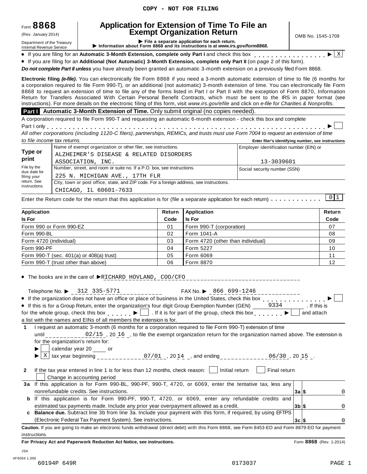# Form **8868**

# **Application for Extension of Time To File an Exempt Organization Return** (Rev. January 2014) OMB No. 1545-1709

Department of the Treasury<br>Department of the Treasury<br>Internal Revenue Service **CONFICE 1999 File a separate application for each return.**<br>Internal Revenue Service **CONFICE 1999 File a separate application for each return.** 

Internal Revenue Service **I** Purformation about 1 orm 6000 and its instructions is at www.ns.gov/ionnocoo.<br>• If you are filing for an Automatic 3-Month Extension, complete only Part I and check this box  $\frac{1}{\sqrt{2}}$ 

X

% If you are filing for an **Additional (Not Automatic) 3-Month Extension, complete only Part II** (on page 2 of this form).

*Do not complete Part II unless* you have already been granted an automatic 3-month extension on a previously filed Form 8868.

**Electronic filing** *(e-file)***.** You can electronically file Form 8868 if you need a 3-month automatic extension of time to file (6 months for a corporation required to file Form 990-T), or an additional (not automatic) 3-month extension of time. You can electronically file Form 8868 to request an extension of time to file any of the forms listed in Part I or Part II with the exception of Form 8870, Information Return for Transfers Associated With Certain Personal Benefit Contracts, which must be sent to the IRS in paper format (see instructions). For more details on the electronic filing of this form, visit *www.irs.gov/efile* and click on *e-file for Charities & Nonprofits*.

**Part I Automatic 3-Month Extension of Time.** Only submit original (no copies needed).

A corporation required to file Form 990-T and requesting an automatic 6-month extension - check this box and complete<br>Part I only<br>All ethnology and Contribution (Contribution Office) and the CDMOs and the Contribution Con

All other corporations (including 1120-C filers), partnerships, REMICs, and trusts must use Form 7004 to request an extension of time *to file income tax returns.* **Enter filer's identifying number, see instructions**

|                              | Name of exempt organization or other filer, see instructions.                            | Employer identification number (EIN) or |
|------------------------------|------------------------------------------------------------------------------------------|-----------------------------------------|
| Type or<br>print             | ALZHEIMER'S DISEASE & RELATED DISORDERS                                                  |                                         |
|                              | ASSOCIATION, INC.                                                                        | 13-3039601                              |
| File by the<br>due date for  | Number, street, and room or suite no. If a P.O. box, see instructions.                   | Social security number (SSN)            |
| filing your                  | 225 N. MICHIGAN AVE., 17TH FLR                                                           |                                         |
| return. See<br>instructions. | City, town or post office, state, and ZIP code. For a foreign address, see instructions. |                                         |
|                              | CHICAGO, IL 60601-7633                                                                   |                                         |

CHICAGO, IL 60601-7633<br>Enter the Return code for the return that this application is for (file a separate application for each return)  $\dots\dots\dots\ \, 0$  1

| Application                              | Return | Application                       | Return |
|------------------------------------------|--------|-----------------------------------|--------|
| <b>Is For</b>                            | Code   | <b>Is For</b>                     | Code   |
| Form 990 or Form 990-EZ                  | 01     | Form 990-T (corporation)          | 07     |
| Form 990-BL                              | 02     | Form 1041-A                       | 08     |
| Form 4720 (individual)                   | 03     | Form 4720 (other than individual) | 09     |
| Form 990-PF                              | 04     | Form 5227                         | 10     |
| Form 990-T (sec. 401(a) or 408(a) trust) | 05     | Form 6069                         | 11     |
| Form 990-T (trust other than above)      | 06     | <b>I</b> Form 8870                | 12     |

• The books are in the care of  $\blacktriangleright$ RICHARD HOVLAND, COO/CFO Telephone No.  $\triangleright$   $\frac{312}{235-5771}$  FAX No.  $\triangleright$   $\frac{866}{255}$ FAX No. > 866 699-1246

| Telephone No. $\triangleright$ 314 335-5771                                                                                                                                                                         | FAX NO. $\blacktriangleright$ 000 099-1440 |      |              |  |
|---------------------------------------------------------------------------------------------------------------------------------------------------------------------------------------------------------------------|--------------------------------------------|------|--------------|--|
| • If the organization does not have an office or place of business in the United States, check this box $\blacksquare$                                                                                              |                                            |      |              |  |
| • If this is for a Group Return, enter the organization's four digit Group Exemption Number (GEN)                                                                                                                   |                                            | 9334 | . If this is |  |
| for the whole group, check this box $\begin{array}{c} \bullet \quad \bullet \quad \end{array}$ If it is for part of the group, check this box $\begin{array}{c} \bullet \quad \bullet \quad \end{array}$ and attach |                                            |      |              |  |
|                                                                                                                                                                                                                     |                                            |      |              |  |

a list with the names and EINs of all members the extension is for.

**1** I request an automatic 3-month (6 months for a corporation required to file Form 990-T) extension of time until  $\frac{1}{2}$ ,  $\frac{20}{15}$ , 20  $\frac{16}{15}$ , to file the exempt organization return for the organization named above. The extension is for the organization's return for: I  $\vert x \vert$ calendar year 20 or  $\underline{x}$  sax year beginning \_\_\_\_\_\_\_\_\_\_\_\_07/01\_, 20  $\underline{14}$ \_, and ending \_\_\_\_\_\_\_\_\_\_\_06/30\_, 20  $\underline{15}$ \_.

**2** If the tax year entered in line 1 is for less than 12 months, check reason: | | Initial return | | Final return Change in accounting period

- **3a** If this application is for Form 990-BL, 990-PF, 990-T, 4720, or 6069, enter the tentative tax, less any nonrefundable credits. See instructions. **3a \$**
- **3b \$ b** If this application is for Form 990-PF, 990-T, 4720, or 6069, enter any refundable credits and estimated tax payments made. Include any prior year overpayment allowed as a credit. **c Balance due.** Subtract line 3b from line 3a. Include your payment with this form, if required, by using EFTPS
- **3c \$** (Electronic Federal Tax Payment System). See instructions.

**Caution.** If you are going to make an electronic funds withdrawal (direct debit) with this Form 8868, see Form 8453-EO and Form 8879-EO for payment instructions.

**For Privacy Act and Paperwork Reduction Act Notice, see instructions.** Form **8868** (Rev. 1-2014)

 $\Omega$ 

0

 $\Omega$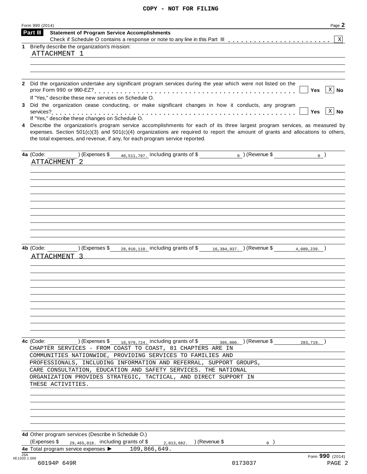| Form 990 (2014)<br>Part III             |                                                                                                                                                            |                             |                        | Page 2                      |
|-----------------------------------------|------------------------------------------------------------------------------------------------------------------------------------------------------------|-----------------------------|------------------------|-----------------------------|
|                                         | <b>Statement of Program Service Accomplishments</b>                                                                                                        |                             |                        | xl                          |
| 1.                                      | Briefly describe the organization's mission:                                                                                                               |                             |                        |                             |
| ATTACHMENT 1                            |                                                                                                                                                            |                             |                        |                             |
|                                         |                                                                                                                                                            |                             |                        |                             |
|                                         |                                                                                                                                                            |                             |                        |                             |
|                                         |                                                                                                                                                            |                             |                        |                             |
| $\mathbf{2}$                            | Did the organization undertake any significant program services during the year which were not listed on the                                               |                             |                        |                             |
|                                         |                                                                                                                                                            |                             |                        | $ X $ No<br><b>Yes</b>      |
| 3.                                      | If "Yes," describe these new services on Schedule O.<br>Did the organization cease conducting, or make significant changes in how it conducts, any program |                             |                        |                             |
|                                         |                                                                                                                                                            |                             |                        | $\vert$ X $\vert$ No<br>Yes |
|                                         | If "Yes," describe these changes on Schedule O.                                                                                                            |                             |                        |                             |
|                                         | Describe the organization's program service accomplishments for each of its three largest program services, as measured by                                 |                             |                        |                             |
|                                         | expenses. Section $501(c)(3)$ and $501(c)(4)$ organizations are required to report the amount of grants and allocations to others,                         |                             |                        |                             |
|                                         | the total expenses, and revenue, if any, for each program service reported.                                                                                |                             |                        |                             |
|                                         |                                                                                                                                                            |                             |                        |                             |
| 4a (Code:                               | $(1)$ (Expenses \$ $\frac{40,511,797}{2}$ including grants of \$ $\frac{1}{2}$ (Revenue \$                                                                 |                             |                        | $_0$ )                      |
| ATTACHMENT 2                            |                                                                                                                                                            |                             |                        |                             |
|                                         |                                                                                                                                                            |                             |                        |                             |
|                                         |                                                                                                                                                            |                             |                        |                             |
|                                         |                                                                                                                                                            |                             |                        |                             |
|                                         |                                                                                                                                                            |                             |                        |                             |
|                                         |                                                                                                                                                            |                             |                        |                             |
|                                         |                                                                                                                                                            |                             |                        |                             |
|                                         |                                                                                                                                                            |                             |                        |                             |
|                                         |                                                                                                                                                            |                             |                        |                             |
|                                         |                                                                                                                                                            |                             |                        |                             |
|                                         |                                                                                                                                                            |                             |                        |                             |
|                                         |                                                                                                                                                            |                             |                        |                             |
| 4b (Code:                               | (Expenses \$ $_{28,910,110}$ , including grants of \$ $_{16,384,937}$ , $_{16}$ (Revenue \$ $_{4,080,239}$ , )                                             |                             |                        |                             |
| ATTACHMENT 3                            |                                                                                                                                                            |                             |                        |                             |
|                                         |                                                                                                                                                            |                             |                        |                             |
|                                         |                                                                                                                                                            |                             |                        |                             |
|                                         |                                                                                                                                                            |                             |                        |                             |
|                                         |                                                                                                                                                            |                             |                        |                             |
|                                         |                                                                                                                                                            |                             |                        |                             |
|                                         |                                                                                                                                                            |                             |                        |                             |
|                                         |                                                                                                                                                            |                             |                        |                             |
|                                         |                                                                                                                                                            |                             |                        |                             |
|                                         |                                                                                                                                                            |                             |                        |                             |
|                                         |                                                                                                                                                            |                             |                        |                             |
|                                         |                                                                                                                                                            |                             |                        |                             |
|                                         |                                                                                                                                                            |                             |                        |                             |
|                                         | 10,979,724. including grants of \$<br>) (Expenses \$                                                                                                       |                             |                        |                             |
|                                         |                                                                                                                                                            |                             | 305,800. ) (Revenue \$ | 283,719.                    |
|                                         | CHAPTER SERVICES - FROM COAST TO COAST, 81 CHAPTERS ARE IN                                                                                                 |                             |                        |                             |
|                                         | COMMUNITIES NATIONWIDE, PROVIDING SERVICES TO FAMILIES AND                                                                                                 |                             |                        |                             |
|                                         |                                                                                                                                                            |                             |                        |                             |
|                                         | PROFESSIONALS, INCLUDING INFORMATION AND REFERRAL, SUPPORT GROUPS,                                                                                         |                             |                        |                             |
|                                         | CARE CONSULTATION, EDUCATION AND SAFETY SERVICES. THE NATIONAL                                                                                             |                             |                        |                             |
|                                         | ORGANIZATION PROVIDES STRATEGIC, TACTICAL, AND DIRECT SUPPORT IN                                                                                           |                             |                        |                             |
| THESE ACTIVITIES.                       |                                                                                                                                                            |                             |                        |                             |
|                                         |                                                                                                                                                            |                             |                        |                             |
|                                         |                                                                                                                                                            |                             |                        |                             |
|                                         |                                                                                                                                                            |                             |                        |                             |
|                                         |                                                                                                                                                            |                             |                        |                             |
|                                         |                                                                                                                                                            |                             |                        |                             |
|                                         |                                                                                                                                                            |                             |                        |                             |
|                                         | 4d Other program services (Describe in Schedule O.)                                                                                                        |                             |                        |                             |
| (Expenses \$                            | $_{29,465,018}$ , including grants of \$                                                                                                                   | ) (Revenue \$<br>2,013,682. | 0                      |                             |
|                                         | 4e Total program service expenses ><br>109,866,649.                                                                                                        |                             |                        |                             |
| 4c (Code:<br><b>JSA</b><br>4E1020 1.000 |                                                                                                                                                            |                             |                        | Form 990 (2014)             |
| 60194P 649R                             |                                                                                                                                                            |                             | 0173037                | PAGE 2                      |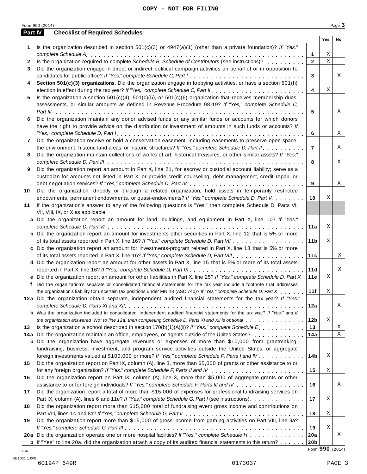|                | Form 990 (2014)                                                                                                                                                                                                                |                 |             | Page 3      |
|----------------|--------------------------------------------------------------------------------------------------------------------------------------------------------------------------------------------------------------------------------|-----------------|-------------|-------------|
| <b>Part IV</b> | <b>Checklist of Required Schedules</b>                                                                                                                                                                                         |                 |             |             |
|                |                                                                                                                                                                                                                                |                 | Yes         | No          |
| 1              | Is the organization described in section $501(c)(3)$ or $4947(a)(1)$ (other than a private foundation)? If "Yes,"                                                                                                              |                 |             |             |
|                |                                                                                                                                                                                                                                | 1               | Χ           |             |
| 2              | Is the organization required to complete Schedule B, Schedule of Contributors (see instructions)?                                                                                                                              | $\overline{2}$  | $\mathbf X$ |             |
| 3              | Did the organization engage in direct or indirect political campaign activities on behalf of or in opposition to                                                                                                               |                 |             |             |
|                |                                                                                                                                                                                                                                | 3               |             | Χ           |
| 4              | Section 501(c)(3) organizations. Did the organization engage in lobbying activities, or have a section 501(h)                                                                                                                  |                 |             |             |
|                |                                                                                                                                                                                                                                | 4               | Χ           |             |
| 5              | Is the organization a section $501(c)(4)$ , $501(c)(5)$ , or $501(c)(6)$ organization that receives membership dues,                                                                                                           |                 |             |             |
|                | assessments, or similar amounts as defined in Revenue Procedure 98-19? If "Yes," complete Schedule C,                                                                                                                          |                 |             |             |
|                |                                                                                                                                                                                                                                | 5               |             | X           |
| 6              | Did the organization maintain any donor advised funds or any similar funds or accounts for which donors                                                                                                                        |                 |             |             |
|                | have the right to provide advice on the distribution or investment of amounts in such funds or accounts? If                                                                                                                    |                 |             |             |
|                |                                                                                                                                                                                                                                | 6               |             | Χ           |
| 7              | Did the organization receive or hold a conservation easement, including easements to preserve open space,                                                                                                                      |                 |             |             |
|                | the environment, historic land areas, or historic structures? If "Yes," complete Schedule D, Part II.                                                                                                                          | $\overline{7}$  |             | Χ           |
| 8              | Did the organization maintain collections of works of art, historical treasures, or other similar assets? If "Yes,"                                                                                                            |                 |             |             |
|                |                                                                                                                                                                                                                                | 8               |             | Χ           |
| 9              | Did the organization report an amount in Part X, line 21, for escrow or custodial account liability; serve as a                                                                                                                |                 |             |             |
|                | custodian for amounts not listed in Part X; or provide credit counseling, debt management, credit repair, or                                                                                                                   |                 |             |             |
|                |                                                                                                                                                                                                                                | 9               |             | Χ           |
| 10             | Did the organization, directly or through a related organization, hold assets in temporarily restricted                                                                                                                        |                 |             |             |
|                | endowments, permanent endowments, or quasi-endowments? If "Yes," complete Schedule D, Part V.                                                                                                                                  | 10              | Χ           |             |
| 11             | If the organization's answer to any of the following questions is "Yes," then complete Schedule D, Parts VI,                                                                                                                   |                 |             |             |
|                | VII, VIII, IX, or X as applicable.                                                                                                                                                                                             |                 |             |             |
|                | a Did the organization report an amount for land, buildings, and equipment in Part X, line 10? If "Yes,"                                                                                                                       |                 | Χ           |             |
|                | <b>b</b> Did the organization report an amount for investments-other securities in Part X, line 12 that is 5% or more                                                                                                          | 11a             |             |             |
|                |                                                                                                                                                                                                                                | 11 <sub>b</sub> | Χ           |             |
|                | c Did the organization report an amount for investments-program related in Part X, line 13 that is 5% or more                                                                                                                  |                 |             |             |
|                |                                                                                                                                                                                                                                | 11c             |             | Χ           |
|                | d Did the organization report an amount for other assets in Part X, line 15 that is 5% or more of its total assets                                                                                                             |                 |             |             |
|                | reported in Part X, line 16? If "Yes," complete Schedule D, Part IX.                                                                                                                                                           | 11d             |             | Χ           |
|                | e Did the organization report an amount for other liabilities in Part X, line 25? If "Yes," complete Schedule D, Part X                                                                                                        | 11e             | Χ           |             |
|                | f Did the organization's separate or consolidated financial statements for the tax year include a footnote that addresses                                                                                                      |                 |             |             |
|                | the organization's liability for uncertain tax positions under FIN 48 (ASC 740)? If "Yes," complete Schedule D, Part X                                                                                                         | 11f             | Χ           |             |
|                | 12a Did the organization obtain separate, independent audited financial statements for the tax year? If "Yes,"                                                                                                                 |                 |             |             |
|                |                                                                                                                                                                                                                                | 12a             |             | Χ           |
|                | <b>b</b> Was the organization included in consolidated, independent audited financial statements for the tax year? If "Yes," and if                                                                                            |                 |             |             |
|                | the organization answered "No" to line 12a, then completing Schedule D, Parts XI and XII is optional entertainment of the term is a set of the organization answered "No" to line 12a, then completing Schedule D, Parts XI an | 12 <sub>b</sub> | X           |             |
| 13             | Is the organization a school described in section $170(b)(1)(A)(ii)?$ If "Yes," complete Schedule E.                                                                                                                           | 13              |             | Χ           |
|                | 14a Did the organization maintain an office, employees, or agents outside of the United States?                                                                                                                                | 14a             |             | $\mathbf X$ |
|                | <b>b</b> Did the organization have aggregate revenues or expenses of more than \$10,000 from grantmaking,                                                                                                                      |                 |             |             |
|                | fundraising, business, investment, and program service activities outside the United States, or aggregate                                                                                                                      |                 |             |             |
|                | foreign investments valued at \$100,000 or more? If "Yes," complete Schedule F, Parts I and IV                                                                                                                                 | 14 <sub>b</sub> | X           |             |
| 15             | Did the organization report on Part IX, column (A), line 3, more than \$5,000 of grants or other assistance to or                                                                                                              |                 |             |             |
|                |                                                                                                                                                                                                                                | 15              | X           |             |
| 16             | Did the organization report on Part IX, column (A), line 3, more than \$5,000 of aggregate grants or other                                                                                                                     |                 |             |             |
|                | assistance to or for foreign individuals? If "Yes," complete Schedule F, Parts III and IV                                                                                                                                      | 16              |             | Χ           |
| 17             | Did the organization report a total of more than \$15,000 of expenses for professional fundraising services on                                                                                                                 |                 |             |             |
|                | Part IX, column (A), lines 6 and 11e? If "Yes," complete Schedule G, Part I (see instructions)                                                                                                                                 | 17              | X           |             |
| 18             | Did the organization report more than \$15,000 total of fundraising event gross income and contributions on                                                                                                                    |                 |             |             |
|                |                                                                                                                                                                                                                                | 18              | X           |             |
| 19             | Did the organization report more than \$15,000 of gross income from gaming activities on Part VIII, line 9a?                                                                                                                   |                 |             |             |
|                |                                                                                                                                                                                                                                | 19              | Χ           |             |
|                | 20a Did the organization operate one or more hospital facilities? If "Yes," complete Schedule H                                                                                                                                | 20a             |             | Χ           |
|                | <b>b</b> If "Yes" to line 20a, did the organization attach a copy of its audited financial statements to this return?                                                                                                          | 20 <sub>b</sub> |             |             |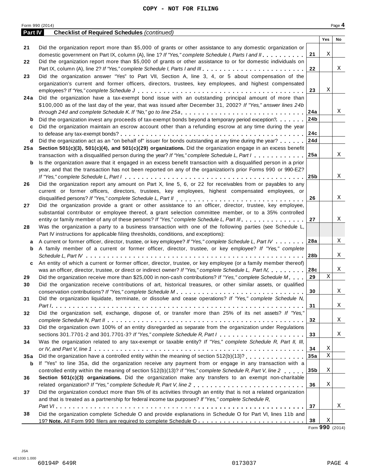|         | Form 990 (2014)                                                                                                                                                               |            |             | Page 4 |
|---------|-------------------------------------------------------------------------------------------------------------------------------------------------------------------------------|------------|-------------|--------|
| Part IV | <b>Checklist of Required Schedules (continued)</b>                                                                                                                            |            |             |        |
|         |                                                                                                                                                                               |            | Yes         | No     |
| 21      | Did the organization report more than \$5,000 of grants or other assistance to any domestic organization or                                                                   |            |             |        |
|         | domestic government on Part IX, column (A), line 1? If "Yes," complete Schedule I, Parts I and II.                                                                            | 21         | Χ           |        |
| 22      | Did the organization report more than \$5,000 of grants or other assistance to or for domestic individuals on                                                                 |            |             |        |
|         | Part IX, column (A), line 2? If "Yes," complete Schedule I, Parts I and III                                                                                                   | 22         |             | Χ      |
| 23      | Did the organization answer "Yes" to Part VII, Section A, line 3, 4, or 5 about compensation of the                                                                           |            |             |        |
|         | organization's current and former officers, directors, trustees, key employees, and highest compensated                                                                       |            |             |        |
|         |                                                                                                                                                                               | 23         | Χ           |        |
| 24 a    | Did the organization have a tax-exempt bond issue with an outstanding principal amount of more than                                                                           |            |             |        |
|         | \$100,000 as of the last day of the year, that was issued after December 31, 2002? If "Yes," answer lines 24b                                                                 |            |             |        |
|         | through 24d and complete Schedule K. If "No," go to line 25a $\ldots$ ,                                                                                                       | 24a        |             | Χ      |
|         | Did the organization invest any proceeds of tax-exempt bonds beyond a temporary period exception?                                                                             | 24b        |             |        |
|         | Did the organization maintain an escrow account other than a refunding escrow at any time during the year                                                                     |            |             |        |
| c       |                                                                                                                                                                               |            |             |        |
|         |                                                                                                                                                                               | 24с<br>24d |             |        |
| d       | Did the organization act as an "on behalf of" issuer for bonds outstanding at any time during the year?                                                                       |            |             |        |
| 25 a    | Section 501(c)(3), 501(c)(4), and 501(c)(29) organizations. Did the organization engage in an excess benefit                                                                  |            |             |        |
|         | transaction with a disqualified person during the year? If "Yes," complete Schedule L, Part I                                                                                 | ∣25a       |             | X      |
| b       | Is the organization aware that it engaged in an excess benefit transaction with a disqualified person in a prior                                                              |            |             |        |
|         | year, and that the transaction has not been reported on any of the organization's prior Forms 990 or 990-EZ?                                                                  |            |             |        |
|         |                                                                                                                                                                               | 25b        |             | Χ      |
| 26      | Did the organization report any amount on Part X, line 5, 6, or 22 for receivables from or payables to any                                                                    |            |             |        |
|         | current or former officers, directors, trustees, key employees, highest compensated employees, or                                                                             |            |             |        |
|         |                                                                                                                                                                               | 26         |             | X      |
| 27      | Did the organization provide a grant or other assistance to an officer, director, trustee, key employee,                                                                      |            |             |        |
|         | substantial contributor or employee thereof, a grant selection committee member, or to a 35% controlled                                                                       |            |             |        |
|         | entity or family member of any of these persons? If "Yes," complete Schedule L, Part III.                                                                                     | 27         |             | Χ      |
| 28      | Was the organization a party to a business transaction with one of the following parties (see Schedule L,                                                                     |            |             |        |
|         | Part IV instructions for applicable filing thresholds, conditions, and exceptions):                                                                                           |            |             |        |
| а       | A current or former officer, director, trustee, or key employee? If "Yes," complete Schedule L, Part IV                                                                       | 28a        |             | X      |
| b       | A family member of a current or former officer, director, trustee, or key employee? If "Yes," complete                                                                        |            |             |        |
|         |                                                                                                                                                                               | 28b        |             | Χ      |
| c       | An entity of which a current or former officer, director, trustee, or key employee (or a family member thereof)                                                               |            |             |        |
|         | was an officer, director, trustee, or direct or indirect owner? If "Yes," complete Schedule L, Part IV                                                                        | 28c        |             | Χ      |
| 29      | Did the organization receive more than \$25,000 in non-cash contributions? If "Yes," complete Schedule M.                                                                     | 29         | $\mathbf X$ |        |
| 30      | Did the organization receive contributions of art, historical treasures, or other similar assets, or qualified                                                                |            |             |        |
|         |                                                                                                                                                                               | 30         |             | Χ      |
|         | Did the organization liquidate, terminate, or dissolve and cease operations? If "Yes," complete Schedule N,                                                                   |            |             |        |
| 31      |                                                                                                                                                                               | 31         |             | Χ      |
|         | Did the organization sell, exchange, dispose of, or transfer more than 25% of its net assets? If "Yes,"                                                                       |            |             |        |
| 32      |                                                                                                                                                                               |            |             | Χ      |
|         |                                                                                                                                                                               | 32         |             |        |
| 33      | Did the organization own 100% of an entity disregarded as separate from the organization under Regulations                                                                    |            |             |        |
|         | sections 301.7701-2 and 301.7701-3? If "Yes," complete Schedule R, Part $l_1, \ldots, l_l, l_l, \ldots, l_l, l_l, \ldots, l_l, l_l$                                           | 33         |             | Χ      |
| 34      | Was the organization related to any tax-exempt or taxable entity? If "Yes," complete Schedule R, Part II, III,                                                                |            |             |        |
|         | or IV, and Part V, line 1 $\dots$ , $\dots$ , $\dots$ , $\dots$ , $\dots$ , $\dots$ , $\dots$ , $\dots$ , $\dots$ , $\dots$ , $\dots$ , $\dots$ , $\dots$ , $\dots$ , $\dots$ | 34         | Χ           |        |
| 35a     | Did the organization have a controlled entity within the meaning of section 512(b)(13)?                                                                                       | 35a        | $\mathbf X$ |        |
| b       | If "Yes" to line 35a, did the organization receive any payment from or engage in any transaction with a                                                                       |            |             |        |
|         | controlled entity within the meaning of section 512(b)(13)? If "Yes," complete Schedule R, Part V, line 2                                                                     | 35b        | Χ           |        |
| 36      | Section 501(c)(3) organizations. Did the organization make any transfers to an exempt non-charitable                                                                          |            |             |        |
|         |                                                                                                                                                                               | 36         | Χ           |        |
| 37      | Did the organization conduct more than 5% of its activities through an entity that is not a related organization                                                              |            |             |        |
|         | and that is treated as a partnership for federal income tax purposes? If "Yes," complete Schedule R,                                                                          |            |             |        |
|         |                                                                                                                                                                               | 37         |             | Χ      |
| 38      | Did the organization complete Schedule O and provide explanations in Schedule O for Part VI, lines 11b and                                                                    |            |             |        |
|         |                                                                                                                                                                               | 38         | Χ           |        |
|         |                                                                                                                                                                               |            |             |        |

Form **990** (2014)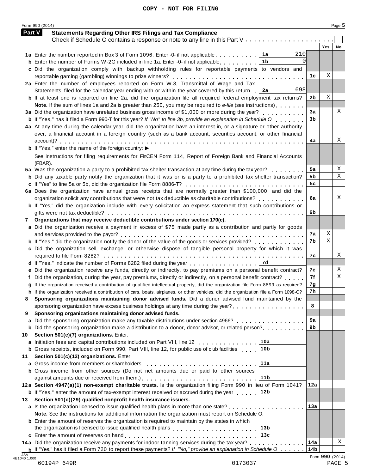|    | Part V<br><b>Statements Regarding Other IRS Filings and Tax Compliance</b><br>Check if Schedule O contains a response or note to any line in this Part V |                 |            |    |
|----|----------------------------------------------------------------------------------------------------------------------------------------------------------|-----------------|------------|----|
|    |                                                                                                                                                          |                 | <b>Yes</b> | No |
|    | 210<br>1a Enter the number reported in Box 3 of Form 1096. Enter -0- if not applicable<br>1a                                                             |                 |            |    |
|    | $\Omega$<br>1b<br><b>b</b> Enter the number of Forms W-2G included in line 1a. Enter -0- if not applicable.                                              |                 |            |    |
|    | c Did the organization comply with backup withholding rules for reportable payments to vendors and                                                       |                 |            |    |
|    |                                                                                                                                                          | 1c              | Χ          |    |
|    | 2a Enter the number of employees reported on Form W-3, Transmittal of Wage and Tax                                                                       |                 |            |    |
|    | 698<br>Statements, filed for the calendar year ending with or within the year covered by this return<br>2a                                               |                 |            |    |
|    | <b>b</b> If at least one is reported on line 2a, did the organization file all required federal employment tax returns?                                  | 2b              | Χ          |    |
|    | Note. If the sum of lines 1a and 2a is greater than 250, you may be required to e-file (see instructions)                                                |                 |            |    |
|    | 3a Did the organization have unrelated business gross income of \$1,000 or more during the year?                                                         | 3a              |            | X  |
|    | <b>b</b> If "Yes," has it filed a Form 990-T for this year? If "No" to line 3b, provide an explanation in Schedule O                                     | 3 <sub>b</sub>  |            |    |
|    | 4a At any time during the calendar year, did the organization have an interest in, or a signature or other authority                                     |                 |            |    |
|    | over, a financial account in a foreign country (such as a bank account, securities account, or other financial                                           |                 |            |    |
|    |                                                                                                                                                          | 4a              |            | Χ  |
|    |                                                                                                                                                          |                 |            |    |
|    | See instructions for filing requirements for FinCEN Form 114, Report of Foreign Bank and Financial Accounts                                              |                 |            |    |
|    | (FBAR).                                                                                                                                                  |                 |            |    |
|    | 5a Was the organization a party to a prohibited tax shelter transaction at any time during the tax year?                                                 | 5a              |            | Χ  |
|    | <b>b</b> Did any taxable party notify the organization that it was or is a party to a prohibited tax shelter transaction?                                | 5b              |            | Χ  |
|    |                                                                                                                                                          | 5c              |            |    |
|    | 6a Does the organization have annual gross receipts that are normally greater than \$100,000, and did the                                                |                 |            |    |
|    | organization solicit any contributions that were not tax deductible as charitable contributions?                                                         | 6a              |            | Χ  |
|    | b If "Yes," did the organization include with every solicitation an express statement that such contributions or                                         |                 |            |    |
|    |                                                                                                                                                          | 6b              |            |    |
| 7  | Organizations that may receive deductible contributions under section 170(c).                                                                            |                 |            |    |
|    | a Did the organization receive a payment in excess of \$75 made partly as a contribution and partly for goods                                            |                 |            |    |
|    |                                                                                                                                                          | 7а              | Χ          |    |
|    | <b>b</b> If "Yes," did the organization notify the donor of the value of the goods or services provided?                                                 | 7b              | X          |    |
|    | c Did the organization sell, exchange, or otherwise dispose of tangible personal property for which it was                                               |                 |            |    |
|    |                                                                                                                                                          | 7c              |            | X  |
|    | 7d<br>d If "Yes," indicate the number of Forms 8282 filed during the year                                                                                |                 |            |    |
|    | e Did the organization receive any funds, directly or indirectly, to pay premiums on a personal benefit contract?                                        | 7е              |            | Χ  |
|    | Did the organization, during the year, pay premiums, directly or indirectly, on a personal benefit contract?                                             | 7f              |            | Χ  |
|    | g If the organization received a contribution of qualified intellectual property, did the organization file Form 8899 as required?                       | 7g              |            |    |
|    | h If the organization received a contribution of cars, boats, airplanes, or other vehicles, did the organization file a Form 1098-C?                     | 7h              |            |    |
| 8  | Sponsoring organizations maintaining donor advised funds. Did a donor advised fund maintained by the                                                     |                 |            |    |
|    | sponsoring organization have excess business holdings at any time during the year?                                                                       | 8               |            |    |
| 9  | Sponsoring organizations maintaining donor advised funds.                                                                                                |                 |            |    |
|    | a Did the sponsoring organization make any taxable distributions under section 4966?                                                                     | 9a              |            |    |
|    | <b>b</b> Did the sponsoring organization make a distribution to a donor, donor advisor, or related person?                                               | 9b              |            |    |
| 10 | Section 501(c)(7) organizations. Enter:                                                                                                                  |                 |            |    |
|    | 10a<br>a Initiation fees and capital contributions included on Part VIII, line 12                                                                        |                 |            |    |
|    | <b>b</b> Gross receipts, included on Form 990, Part VIII, line 12, for public use of club facilities<br>10b                                              |                 |            |    |
| 11 | Section 501(c)(12) organizations. Enter:                                                                                                                 |                 |            |    |
|    | 11a                                                                                                                                                      |                 |            |    |
|    | <b>b</b> Gross income from other sources (Do not net amounts due or paid to other sources                                                                |                 |            |    |
|    | 11b                                                                                                                                                      |                 |            |    |
|    | 12a Section 4947(a)(1) non-exempt charitable trusts. Is the organization filing Form 990 in lieu of Form 1041?                                           | 12a             |            |    |
|    | <b>b</b> If "Yes," enter the amount of tax-exempt interest received or accrued during the year 12b                                                       |                 |            |    |
| 13 | Section 501(c)(29) qualified nonprofit health insurance issuers.                                                                                         |                 |            |    |
|    | a Is the organization licensed to issue qualified health plans in more than one state?                                                                   | 13а             |            |    |
|    | Note. See the instructions for additional information the organization must report on Schedule O.                                                        |                 |            |    |
|    | <b>b</b> Enter the amount of reserves the organization is required to maintain by the states in which                                                    |                 |            |    |
|    | the organization is licensed to issue qualified health plans entitled by entering the organization is licensed                                           |                 |            |    |
|    | 13c                                                                                                                                                      |                 |            |    |
|    | 14a Did the organization receive any payments for indoor tanning services during the tax year?                                                           | 14a             |            | X  |
|    | <b>b</b> If "Yes," has it filed a Form 720 to report these payments? If "No," provide an explanation in Schedule $0 \ldots \ldots$                       | 14 <sub>b</sub> |            |    |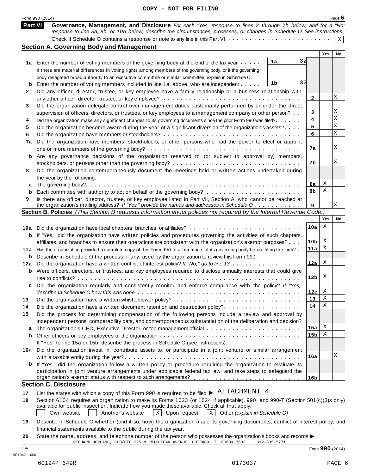|                     | Form 990 (2014)                                                                                                                                                                                                                                           |                 |     | Page $6$    |
|---------------------|-----------------------------------------------------------------------------------------------------------------------------------------------------------------------------------------------------------------------------------------------------------|-----------------|-----|-------------|
|                     | Governance, Management, and Disclosure For each "Yes" response to lines 2 through 7b below, and for a "No"<br><b>Part VI</b><br>response to line 8a, 8b, or 10b below, describe the circumstances, processes, or changes in Schedule O. See instructions. |                 |     |             |
|                     |                                                                                                                                                                                                                                                           |                 |     | $\mathbf x$ |
|                     | <b>Section A. Governing Body and Management</b>                                                                                                                                                                                                           |                 |     |             |
|                     |                                                                                                                                                                                                                                                           |                 | Yes | No          |
|                     | 32<br>1a<br>1a Enter the number of voting members of the governing body at the end of the tax year                                                                                                                                                        |                 |     |             |
|                     | If there are material differences in voting rights among members of the governing body, or if the governing                                                                                                                                               |                 |     |             |
|                     | body delegated broad authority to an executive committee or similar committee, explain in Schedule O.                                                                                                                                                     |                 |     |             |
|                     | 32<br>1b<br>Enter the number of voting members included in line 1a, above, who are independent                                                                                                                                                            |                 |     |             |
| 2                   | Did any officer, director, trustee, or key employee have a family relationship or a business relationship with                                                                                                                                            |                 |     |             |
|                     |                                                                                                                                                                                                                                                           | 2               |     | Χ           |
| 3                   | Did the organization delegate control over management duties customarily performed by or under the direct                                                                                                                                                 |                 |     |             |
|                     | supervision of officers, directors, or trustees, or key employees to a management company or other person?                                                                                                                                                | 3               |     | Χ           |
| 4                   | Did the organization make any significant changes to its governing documents since the prior Form 990 was filed?                                                                                                                                          | 4               |     | $\mathbf X$ |
| 5                   | Did the organization become aware during the year of a significant diversion of the organization's assets?                                                                                                                                                | 5               |     | $\mathbf X$ |
| 6                   |                                                                                                                                                                                                                                                           | 6               |     | $\mathbf X$ |
| 7a                  | Did the organization have members, stockholders, or other persons who had the power to elect or appoint                                                                                                                                                   |                 |     |             |
|                     |                                                                                                                                                                                                                                                           | 7a              |     | Χ           |
|                     | Are any governance decisions of the organization reserved to (or subject to approval by) members,                                                                                                                                                         |                 |     |             |
| b                   |                                                                                                                                                                                                                                                           | 7b              |     | Χ           |
| 8                   | Did the organization contemporaneously document the meetings held or written actions undertaken during                                                                                                                                                    |                 |     |             |
|                     |                                                                                                                                                                                                                                                           |                 |     |             |
|                     | the year by the following:                                                                                                                                                                                                                                | 8a              | Χ   |             |
| a                   |                                                                                                                                                                                                                                                           | 8b              | Χ   |             |
| b                   |                                                                                                                                                                                                                                                           |                 |     |             |
| 9                   | Is there any officer, director, trustee, or key employee listed in Part VII, Section A, who cannot be reached at<br>the organization's mailing address? If "Yes," provide the names and addresses in Schedule O.                                          | 9               |     | Χ           |
|                     | Section B. Policies (This Section B requests information about policies not required by the Internal Revenue Code.)                                                                                                                                       |                 |     |             |
|                     |                                                                                                                                                                                                                                                           |                 | Yes | No          |
|                     |                                                                                                                                                                                                                                                           | 10a             | Χ   |             |
|                     | 10a Did the organization have local chapters, branches, or affiliates?                                                                                                                                                                                    |                 |     |             |
| b                   | If "Yes," did the organization have written policies and procedures governing the activities of such chapters,                                                                                                                                            | 10 <sub>b</sub> | X   |             |
|                     | affiliates, and branches to ensure their operations are consistent with the organization's exempt purposes?                                                                                                                                               | 11a             | х   |             |
| 11 a                | Has the organization provided a complete copy of this Form 990 to all members of its governing body before filing the form?                                                                                                                               |                 |     |             |
| b                   | Describe in Schedule O the process, if any, used by the organization to review this Form 990.                                                                                                                                                             | 12a             | X   |             |
| 12a                 | Did the organization have a written conflict of interest policy? If "No," go to line 13                                                                                                                                                                   |                 |     |             |
| b                   |                                                                                                                                                                                                                                                           |                 |     |             |
|                     | Were officers, directors, or trustees, and key employees required to disclose annually interests that could give                                                                                                                                          |                 |     |             |
|                     |                                                                                                                                                                                                                                                           | 12 <sub>b</sub> | X   |             |
|                     | Did the organization regularly and consistently monitor and enforce compliance with the policy? If "Yes,"                                                                                                                                                 |                 |     |             |
|                     |                                                                                                                                                                                                                                                           | 12c             | Х   |             |
|                     | Did the organization have a written whistleblower policy?                                                                                                                                                                                                 | 13              | Χ   |             |
|                     | Did the organization have a written document retention and destruction policy?                                                                                                                                                                            | 14              | х   |             |
|                     | Did the process for determining compensation of the following persons include a review and approval by                                                                                                                                                    |                 |     |             |
|                     | independent persons, comparability data, and contemporaneous substantiation of the deliberation and decision?                                                                                                                                             |                 |     |             |
|                     |                                                                                                                                                                                                                                                           | 15a             | X   |             |
|                     |                                                                                                                                                                                                                                                           | 15 <sub>b</sub> | X   |             |
|                     | If "Yes" to line 15a or 15b, describe the process in Schedule O (see instructions).                                                                                                                                                                       |                 |     |             |
|                     | 16a Did the organization invest in, contribute assets to, or participate in a joint venture or similar arrangement                                                                                                                                        |                 |     |             |
| b                   |                                                                                                                                                                                                                                                           | 16a             |     | Χ           |
| 13<br>14<br>15<br>a | <b>b</b> If "Yes," did the organization follow a written policy or procedure requiring the organization to evaluate its                                                                                                                                   |                 |     |             |
|                     | participation in joint venture arrangements under applicable federal tax law, and take steps to safeguard the                                                                                                                                             |                 |     |             |
|                     | organization's exempt status with respect to such arrangements?                                                                                                                                                                                           | 16b             |     |             |
|                     | <b>Section C. Disclosure</b>                                                                                                                                                                                                                              |                 |     |             |
| 17                  | List the states with which a copy of this Form 990 is required to be filed $\blacktriangleright$ $\frac{\text{ATTACHMENT}}{\text{2.1}}$ 4                                                                                                                 |                 |     |             |

available for public inspection. Indicate how you made these available. Check all that apply.

Own website  $\Box$  Another's website  $\Box$  Upon request  $\Box$  Other *(explain in Schedule O)* 

- **19** Describe in Schedule O whether (and if so, how) the organization made its governing documents, conflict of interest policy, and financial statements available to the public during the tax year.
- **20** State the name, address, and telephone number of the person who possesses the organization's books and records: $\blacktriangleright$ <br>RICHARD HOVLAND, COO/CFO 225 N. MICHIGAN AVENUE, CHICAGO, IL 60601-7633 312-335-5771 JSA Form **990** (2014) RICHARD HOVLAND, COO/CFO 225 N. MICHIGAN AVENUE, CHICAGO, IL 60601-7633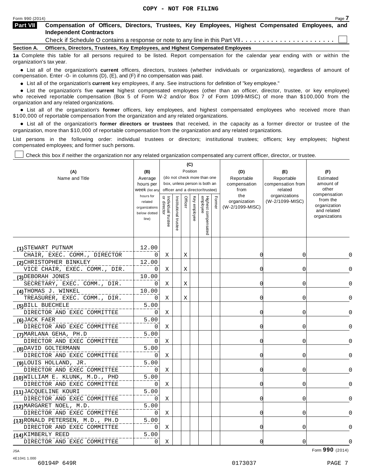| _<br>Form 990 (2014) | Page |  |
|----------------------|------|--|
|                      |      |  |

**Compensation of Officers, Directors, Trustees, Key Employees, Highest Compensated Employees, and Independent Contractors Part VII**

Check if Schedule O contains a response or note to any line in this Part VII  $\dots \dots \dots \dots \dots \dots \dots$ 

**Section A. Officers, Directors, Trustees, Key Employees, and Highest Compensated Employees**

**1a** Complete this table for all persons required to be listed. Report compensation for the calendar year ending with or within the organization's tax year.

anization's lax year.<br>● List all of the organization's **current** officers, directors, trustees (whether individuals or organizations), regardless of amount of<br>nnensation Enter -0- in columns (D) (E) and (E) if no compensa compensation. Enter -0- in columns (D), (E), and (F) if no compensation was paid.

■ List all of the organization's **current** key employees, if any. See instructions for definition of "key employee."<br>■ List the experientials five event highert expressed employees (other than an efficer director of

**Example in the organization's current** key employees, if any. See instructions for definition of key employee.<br>• List the organization's five **current** highest compensated employees (other than an officer, director, trust who received reportable compensation (Box 5 of Form W-2 and/or Box 7 of Form 1099-MISC) of more than \$100,000 from the

organization and any related organizations.<br>• List all of the organization's **former** officers, key employees, and highest compensated employees who received more than<br>\$1.00.000 of reportable componention from the erganiza \$100,000 of reportable compensation from the organization and any related organizations.

% List all of the organization's **former directors or trustees** that received, in the capacity as a former director or trustee of the organization, more than \$10,000 of reportable compensation from the organization and any related organizations.

List persons in the following order: individual trustees or directors; institutional trustees; officers; key employees; highest compensated employees; and former such persons.

Check this box if neither the organization nor any related organization compensated any current officer, director, or trustee.

| (A)<br>Name and Title            | (B)<br>Average<br>hours per<br>Week (list any<br>hours for<br>related<br>organizations<br>below dotted<br>line) | Individual trustee<br>  or director | Institutional trustee | Officer | (C)<br>Position<br>Key employee | (do not check more than one<br>box, unless person is both an<br>officer and a director/trustee)<br>Highest compensated<br>employee | Former | (D)<br>Reportable<br>compensation<br>from<br>the<br>organization<br>(W-2/1099-MISC) | (E)<br>Reportable<br>compensation from<br>related<br>organizations<br>(W-2/1099-MISC) | (F)<br>Estimated<br>amount of<br>other<br>compensation<br>from the<br>organization<br>and related<br>organizations |  |
|----------------------------------|-----------------------------------------------------------------------------------------------------------------|-------------------------------------|-----------------------|---------|---------------------------------|------------------------------------------------------------------------------------------------------------------------------------|--------|-------------------------------------------------------------------------------------|---------------------------------------------------------------------------------------|--------------------------------------------------------------------------------------------------------------------|--|
| (1)STEWART PUTNAM                | 12.00                                                                                                           |                                     |                       |         |                                 |                                                                                                                                    |        |                                                                                     |                                                                                       |                                                                                                                    |  |
| CHAIR, EXEC. COMM., DIRECTOR     | 0                                                                                                               | Χ                                   |                       | Χ       |                                 |                                                                                                                                    |        | O                                                                                   | 0                                                                                     | O                                                                                                                  |  |
| (2) CHRISTOPHER BINKLEY          | 12.00                                                                                                           |                                     |                       |         |                                 |                                                                                                                                    |        |                                                                                     |                                                                                       |                                                                                                                    |  |
| VICE CHAIR, EXEC. COMM., DIR.    | $\Omega$                                                                                                        | X                                   |                       | X       |                                 |                                                                                                                                    |        | C                                                                                   | 0                                                                                     |                                                                                                                    |  |
| (3) DEBORAH JONES                | 10.00                                                                                                           |                                     |                       |         |                                 |                                                                                                                                    |        |                                                                                     |                                                                                       |                                                                                                                    |  |
| SECRETARY, EXEC. COMM., DIR.     | 0                                                                                                               | Χ                                   |                       | Χ       |                                 |                                                                                                                                    |        | O                                                                                   | 0                                                                                     | O                                                                                                                  |  |
| (4) THOMAS J. WINKEL             | 10.00                                                                                                           |                                     |                       |         |                                 |                                                                                                                                    |        |                                                                                     |                                                                                       |                                                                                                                    |  |
| TREASURER, EXEC. COMM., DIR.     | 0                                                                                                               | Χ                                   |                       | Χ       |                                 |                                                                                                                                    |        | 0                                                                                   | 0                                                                                     | 0                                                                                                                  |  |
| (5) BILL BUECHELE                | 5.00                                                                                                            |                                     |                       |         |                                 |                                                                                                                                    |        |                                                                                     |                                                                                       |                                                                                                                    |  |
| DIRECTOR AND EXEC COMMITTEE      | 0                                                                                                               | Χ                                   |                       |         |                                 |                                                                                                                                    |        | O                                                                                   | 0                                                                                     | $\Omega$                                                                                                           |  |
| (6) JACK FAER                    | 5.00                                                                                                            |                                     |                       |         |                                 |                                                                                                                                    |        |                                                                                     |                                                                                       |                                                                                                                    |  |
| DIRECTOR AND EXEC COMMITTEE      | $\Omega$                                                                                                        | Χ                                   |                       |         |                                 |                                                                                                                                    |        | O                                                                                   | 0                                                                                     | O                                                                                                                  |  |
| (7) MARLANA GEHA, PH.D           | 5.00                                                                                                            |                                     |                       |         |                                 |                                                                                                                                    |        |                                                                                     |                                                                                       |                                                                                                                    |  |
| DIRECTOR AND EXEC COMMITTEE      | $\Omega$                                                                                                        | Χ                                   |                       |         |                                 |                                                                                                                                    |        | O                                                                                   | 0                                                                                     |                                                                                                                    |  |
| (8) DAVID GOLTERMANN             | 5.00                                                                                                            |                                     |                       |         |                                 |                                                                                                                                    |        |                                                                                     |                                                                                       |                                                                                                                    |  |
| DIRECTOR AND EXEC COMMITTEE      | 0                                                                                                               | Χ                                   |                       |         |                                 |                                                                                                                                    |        | O                                                                                   | 0                                                                                     |                                                                                                                    |  |
| (9)LOUIS HOLLAND, JR.            | 5.00                                                                                                            |                                     |                       |         |                                 |                                                                                                                                    |        |                                                                                     |                                                                                       |                                                                                                                    |  |
| DIRECTOR AND EXEC COMMITTEE      | 0                                                                                                               | Χ                                   |                       |         |                                 |                                                                                                                                    |        | O                                                                                   | 0                                                                                     |                                                                                                                    |  |
| (10) WILLIAM E. KLUNK, M.D., PHD | 5.00                                                                                                            |                                     |                       |         |                                 |                                                                                                                                    |        |                                                                                     |                                                                                       |                                                                                                                    |  |
| DIRECTOR AND EXEC COMMITTEE      | $\Omega$                                                                                                        | Χ                                   |                       |         |                                 |                                                                                                                                    |        | $\cap$                                                                              | $\Omega$                                                                              | $\Omega$                                                                                                           |  |
| (11) JACQUELINE KOURI            | 5.00                                                                                                            |                                     |                       |         |                                 |                                                                                                                                    |        |                                                                                     |                                                                                       |                                                                                                                    |  |
| DIRECTOR AND EXEC COMMITTEE      | 0                                                                                                               | X                                   |                       |         |                                 |                                                                                                                                    |        | 0                                                                                   | $\Omega$                                                                              | O                                                                                                                  |  |
| (12) MARGARET NOEL, M.D.         | 5.00                                                                                                            |                                     |                       |         |                                 |                                                                                                                                    |        |                                                                                     |                                                                                       |                                                                                                                    |  |
| DIRECTOR AND EXEC COMMITTEE      | 0                                                                                                               | Χ                                   |                       |         |                                 |                                                                                                                                    |        | O                                                                                   | 0                                                                                     |                                                                                                                    |  |
| (13) RONALD PETERSEN, M.D., PH.D | 5.00                                                                                                            |                                     |                       |         |                                 |                                                                                                                                    |        |                                                                                     |                                                                                       |                                                                                                                    |  |
| DIRECTOR AND EXEC COMMITTEE      | 0                                                                                                               | Χ                                   |                       |         |                                 |                                                                                                                                    |        | O                                                                                   | 0                                                                                     | 0                                                                                                                  |  |
| (14) KIMBERLY REED               | 5.00                                                                                                            |                                     |                       |         |                                 |                                                                                                                                    |        |                                                                                     |                                                                                       |                                                                                                                    |  |
| DIRECTOR AND EXEC COMMITTEE      | 0                                                                                                               | Χ                                   |                       |         |                                 |                                                                                                                                    |        | 0                                                                                   | 0                                                                                     | 0                                                                                                                  |  |

Form **990** (2014) JSA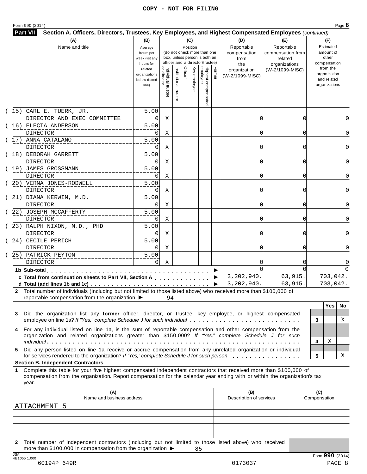| (A)<br>(B)<br>(C)<br>(D)<br>(E)<br>(F)<br>Reportable<br>Reportable<br>Name and title<br>Position<br>Estimated<br>Average<br>(do not check more than one<br>amount of<br>compensation<br>compensation from<br>hours per<br>box, unless person is both an<br>other<br>week (list any<br>from<br>related<br>officer and a director/trustee)<br>compensation<br>hours for<br>organizations<br>the<br>  Individual trustee<br>  or director<br>Highest compensated<br>employee<br>Institutional truste<br>Officer<br>Key employee<br>Former<br>from the<br>related<br>(W-2/1099-MISC)<br>organization<br>organization<br>organizations<br>(W-2/1099-MISC)<br>and related<br>below dotted<br>organizations<br>line)<br>5.00<br>DIRECTOR AND EXEC COMMITTEE<br>0<br>Χ<br>0<br>O<br>5.00<br><b>DIRECTOR</b><br>0<br>Χ<br>0<br>O<br>5.00<br><b>DIRECTOR</b><br>0<br>Χ<br>0<br>5.00<br><b>DIRECTOR</b><br>0<br>Χ<br>0<br>Ω<br>5.00<br>(19) JAMES GROSSMANN<br><b>DIRECTOR</b><br>0<br>Χ<br>0<br>O<br>5.00<br>20) VERNA JONES-RODWELL<br>DIRECTOR<br>$\Omega$<br>Χ<br>0<br>5.00<br>(21) DIANA KERWIN, M.D.<br><b>DIRECTOR</b><br>$\Omega$<br>Χ<br>0<br>(22) JOSEPH MCCAFFERTY<br>5.00<br>DIRECTOR<br>0<br>Χ<br>0<br>Ω<br>(23) RALPH NIXON, M.D., PHD<br>5.00<br><b>DIRECTOR</b><br>$\Omega$<br>Χ<br>0<br>O<br>24) CECILE PERICH<br>5.00<br><b>DIRECTOR</b><br>0<br>Χ<br>0<br>25) PATRICK PEYTON<br>5.00<br><b>DIRECTOR</b><br>0<br>X<br>1b Sub-total<br>3,202,940.<br>703,042.<br>63,915.<br>c Total from continuation sheets to Part VII, Section A<br>703,042.<br>3,202,940.<br>63,915.<br>▶<br>2 Total number of individuals (including but not limited to those listed above) who received more than \$100,000 of<br>reportable compensation from the organization $\blacktriangleright$<br>94<br>Yes<br>No.<br>Did the organization list any former officer, director, or trustee, key employee, or highest compensated<br>3<br>employee on line 1a? If "Yes," complete Schedule J for such individual<br>Χ<br>3<br>For any individual listed on line 1a, is the sum of reportable compensation and other compensation from the<br>organization and related organizations greater than \$150,000? If "Yes," complete Schedule J for such<br>Χ<br>4<br>Did any person listed on line 1a receive or accrue compensation from any unrelated organization or individual<br>for services rendered to the organization? If "Yes," complete Schedule J for such person<br>Χ<br>5<br><b>Section B. Independent Contractors</b><br>Complete this table for your five highest compensated independent contractors that received more than \$100,000 of<br>compensation from the organization. Report compensation for the calendar year ending with or within the organization's tax<br>year.<br>(A)<br>(B)<br>(C)<br>Name and business address<br>Description of services<br>Compensation<br>ATTACHMENT 5 | <b>Part VII</b><br>Section A. Officers, Directors, Trustees, Key Employees, and Highest Compensated Employees (continued) |  |  |  |  |  |          |
|--------------------------------------------------------------------------------------------------------------------------------------------------------------------------------------------------------------------------------------------------------------------------------------------------------------------------------------------------------------------------------------------------------------------------------------------------------------------------------------------------------------------------------------------------------------------------------------------------------------------------------------------------------------------------------------------------------------------------------------------------------------------------------------------------------------------------------------------------------------------------------------------------------------------------------------------------------------------------------------------------------------------------------------------------------------------------------------------------------------------------------------------------------------------------------------------------------------------------------------------------------------------------------------------------------------------------------------------------------------------------------------------------------------------------------------------------------------------------------------------------------------------------------------------------------------------------------------------------------------------------------------------------------------------------------------------------------------------------------------------------------------------------------------------------------------------------------------------------------------------------------------------------------------------------------------------------------------------------------------------------------------------------------------------------------------------------------------------------------------------------------------------------------------------------------------------------------------------------------------------------------------------------------------------------------------------------------------------------------------------------------------------------------------------------------------------------------------------------------------------------------------------------------------------------------------------------------------------------------------------------------------------------------------------------------------------------------------------------------------------------------------------------------------------------------------------------------------------------------------------------------------------|---------------------------------------------------------------------------------------------------------------------------|--|--|--|--|--|----------|
|                                                                                                                                                                                                                                                                                                                                                                                                                                                                                                                                                                                                                                                                                                                                                                                                                                                                                                                                                                                                                                                                                                                                                                                                                                                                                                                                                                                                                                                                                                                                                                                                                                                                                                                                                                                                                                                                                                                                                                                                                                                                                                                                                                                                                                                                                                                                                                                                                                                                                                                                                                                                                                                                                                                                                                                                                                                                                            |                                                                                                                           |  |  |  |  |  |          |
|                                                                                                                                                                                                                                                                                                                                                                                                                                                                                                                                                                                                                                                                                                                                                                                                                                                                                                                                                                                                                                                                                                                                                                                                                                                                                                                                                                                                                                                                                                                                                                                                                                                                                                                                                                                                                                                                                                                                                                                                                                                                                                                                                                                                                                                                                                                                                                                                                                                                                                                                                                                                                                                                                                                                                                                                                                                                                            |                                                                                                                           |  |  |  |  |  |          |
|                                                                                                                                                                                                                                                                                                                                                                                                                                                                                                                                                                                                                                                                                                                                                                                                                                                                                                                                                                                                                                                                                                                                                                                                                                                                                                                                                                                                                                                                                                                                                                                                                                                                                                                                                                                                                                                                                                                                                                                                                                                                                                                                                                                                                                                                                                                                                                                                                                                                                                                                                                                                                                                                                                                                                                                                                                                                                            |                                                                                                                           |  |  |  |  |  |          |
|                                                                                                                                                                                                                                                                                                                                                                                                                                                                                                                                                                                                                                                                                                                                                                                                                                                                                                                                                                                                                                                                                                                                                                                                                                                                                                                                                                                                                                                                                                                                                                                                                                                                                                                                                                                                                                                                                                                                                                                                                                                                                                                                                                                                                                                                                                                                                                                                                                                                                                                                                                                                                                                                                                                                                                                                                                                                                            | (15) CARL E. TUERK, JR.                                                                                                   |  |  |  |  |  |          |
|                                                                                                                                                                                                                                                                                                                                                                                                                                                                                                                                                                                                                                                                                                                                                                                                                                                                                                                                                                                                                                                                                                                                                                                                                                                                                                                                                                                                                                                                                                                                                                                                                                                                                                                                                                                                                                                                                                                                                                                                                                                                                                                                                                                                                                                                                                                                                                                                                                                                                                                                                                                                                                                                                                                                                                                                                                                                                            |                                                                                                                           |  |  |  |  |  |          |
|                                                                                                                                                                                                                                                                                                                                                                                                                                                                                                                                                                                                                                                                                                                                                                                                                                                                                                                                                                                                                                                                                                                                                                                                                                                                                                                                                                                                                                                                                                                                                                                                                                                                                                                                                                                                                                                                                                                                                                                                                                                                                                                                                                                                                                                                                                                                                                                                                                                                                                                                                                                                                                                                                                                                                                                                                                                                                            | (16) ELECTA ANDERSON                                                                                                      |  |  |  |  |  |          |
|                                                                                                                                                                                                                                                                                                                                                                                                                                                                                                                                                                                                                                                                                                                                                                                                                                                                                                                                                                                                                                                                                                                                                                                                                                                                                                                                                                                                                                                                                                                                                                                                                                                                                                                                                                                                                                                                                                                                                                                                                                                                                                                                                                                                                                                                                                                                                                                                                                                                                                                                                                                                                                                                                                                                                                                                                                                                                            |                                                                                                                           |  |  |  |  |  |          |
|                                                                                                                                                                                                                                                                                                                                                                                                                                                                                                                                                                                                                                                                                                                                                                                                                                                                                                                                                                                                                                                                                                                                                                                                                                                                                                                                                                                                                                                                                                                                                                                                                                                                                                                                                                                                                                                                                                                                                                                                                                                                                                                                                                                                                                                                                                                                                                                                                                                                                                                                                                                                                                                                                                                                                                                                                                                                                            | (17) ANNA CATALANO                                                                                                        |  |  |  |  |  |          |
|                                                                                                                                                                                                                                                                                                                                                                                                                                                                                                                                                                                                                                                                                                                                                                                                                                                                                                                                                                                                                                                                                                                                                                                                                                                                                                                                                                                                                                                                                                                                                                                                                                                                                                                                                                                                                                                                                                                                                                                                                                                                                                                                                                                                                                                                                                                                                                                                                                                                                                                                                                                                                                                                                                                                                                                                                                                                                            |                                                                                                                           |  |  |  |  |  |          |
|                                                                                                                                                                                                                                                                                                                                                                                                                                                                                                                                                                                                                                                                                                                                                                                                                                                                                                                                                                                                                                                                                                                                                                                                                                                                                                                                                                                                                                                                                                                                                                                                                                                                                                                                                                                                                                                                                                                                                                                                                                                                                                                                                                                                                                                                                                                                                                                                                                                                                                                                                                                                                                                                                                                                                                                                                                                                                            | (18) DEBORAH GARRETT                                                                                                      |  |  |  |  |  |          |
|                                                                                                                                                                                                                                                                                                                                                                                                                                                                                                                                                                                                                                                                                                                                                                                                                                                                                                                                                                                                                                                                                                                                                                                                                                                                                                                                                                                                                                                                                                                                                                                                                                                                                                                                                                                                                                                                                                                                                                                                                                                                                                                                                                                                                                                                                                                                                                                                                                                                                                                                                                                                                                                                                                                                                                                                                                                                                            |                                                                                                                           |  |  |  |  |  |          |
|                                                                                                                                                                                                                                                                                                                                                                                                                                                                                                                                                                                                                                                                                                                                                                                                                                                                                                                                                                                                                                                                                                                                                                                                                                                                                                                                                                                                                                                                                                                                                                                                                                                                                                                                                                                                                                                                                                                                                                                                                                                                                                                                                                                                                                                                                                                                                                                                                                                                                                                                                                                                                                                                                                                                                                                                                                                                                            |                                                                                                                           |  |  |  |  |  |          |
|                                                                                                                                                                                                                                                                                                                                                                                                                                                                                                                                                                                                                                                                                                                                                                                                                                                                                                                                                                                                                                                                                                                                                                                                                                                                                                                                                                                                                                                                                                                                                                                                                                                                                                                                                                                                                                                                                                                                                                                                                                                                                                                                                                                                                                                                                                                                                                                                                                                                                                                                                                                                                                                                                                                                                                                                                                                                                            |                                                                                                                           |  |  |  |  |  |          |
|                                                                                                                                                                                                                                                                                                                                                                                                                                                                                                                                                                                                                                                                                                                                                                                                                                                                                                                                                                                                                                                                                                                                                                                                                                                                                                                                                                                                                                                                                                                                                                                                                                                                                                                                                                                                                                                                                                                                                                                                                                                                                                                                                                                                                                                                                                                                                                                                                                                                                                                                                                                                                                                                                                                                                                                                                                                                                            |                                                                                                                           |  |  |  |  |  |          |
|                                                                                                                                                                                                                                                                                                                                                                                                                                                                                                                                                                                                                                                                                                                                                                                                                                                                                                                                                                                                                                                                                                                                                                                                                                                                                                                                                                                                                                                                                                                                                                                                                                                                                                                                                                                                                                                                                                                                                                                                                                                                                                                                                                                                                                                                                                                                                                                                                                                                                                                                                                                                                                                                                                                                                                                                                                                                                            |                                                                                                                           |  |  |  |  |  |          |
|                                                                                                                                                                                                                                                                                                                                                                                                                                                                                                                                                                                                                                                                                                                                                                                                                                                                                                                                                                                                                                                                                                                                                                                                                                                                                                                                                                                                                                                                                                                                                                                                                                                                                                                                                                                                                                                                                                                                                                                                                                                                                                                                                                                                                                                                                                                                                                                                                                                                                                                                                                                                                                                                                                                                                                                                                                                                                            |                                                                                                                           |  |  |  |  |  |          |
|                                                                                                                                                                                                                                                                                                                                                                                                                                                                                                                                                                                                                                                                                                                                                                                                                                                                                                                                                                                                                                                                                                                                                                                                                                                                                                                                                                                                                                                                                                                                                                                                                                                                                                                                                                                                                                                                                                                                                                                                                                                                                                                                                                                                                                                                                                                                                                                                                                                                                                                                                                                                                                                                                                                                                                                                                                                                                            |                                                                                                                           |  |  |  |  |  |          |
|                                                                                                                                                                                                                                                                                                                                                                                                                                                                                                                                                                                                                                                                                                                                                                                                                                                                                                                                                                                                                                                                                                                                                                                                                                                                                                                                                                                                                                                                                                                                                                                                                                                                                                                                                                                                                                                                                                                                                                                                                                                                                                                                                                                                                                                                                                                                                                                                                                                                                                                                                                                                                                                                                                                                                                                                                                                                                            |                                                                                                                           |  |  |  |  |  |          |
|                                                                                                                                                                                                                                                                                                                                                                                                                                                                                                                                                                                                                                                                                                                                                                                                                                                                                                                                                                                                                                                                                                                                                                                                                                                                                                                                                                                                                                                                                                                                                                                                                                                                                                                                                                                                                                                                                                                                                                                                                                                                                                                                                                                                                                                                                                                                                                                                                                                                                                                                                                                                                                                                                                                                                                                                                                                                                            |                                                                                                                           |  |  |  |  |  |          |
|                                                                                                                                                                                                                                                                                                                                                                                                                                                                                                                                                                                                                                                                                                                                                                                                                                                                                                                                                                                                                                                                                                                                                                                                                                                                                                                                                                                                                                                                                                                                                                                                                                                                                                                                                                                                                                                                                                                                                                                                                                                                                                                                                                                                                                                                                                                                                                                                                                                                                                                                                                                                                                                                                                                                                                                                                                                                                            |                                                                                                                           |  |  |  |  |  |          |
|                                                                                                                                                                                                                                                                                                                                                                                                                                                                                                                                                                                                                                                                                                                                                                                                                                                                                                                                                                                                                                                                                                                                                                                                                                                                                                                                                                                                                                                                                                                                                                                                                                                                                                                                                                                                                                                                                                                                                                                                                                                                                                                                                                                                                                                                                                                                                                                                                                                                                                                                                                                                                                                                                                                                                                                                                                                                                            |                                                                                                                           |  |  |  |  |  |          |
|                                                                                                                                                                                                                                                                                                                                                                                                                                                                                                                                                                                                                                                                                                                                                                                                                                                                                                                                                                                                                                                                                                                                                                                                                                                                                                                                                                                                                                                                                                                                                                                                                                                                                                                                                                                                                                                                                                                                                                                                                                                                                                                                                                                                                                                                                                                                                                                                                                                                                                                                                                                                                                                                                                                                                                                                                                                                                            |                                                                                                                           |  |  |  |  |  |          |
|                                                                                                                                                                                                                                                                                                                                                                                                                                                                                                                                                                                                                                                                                                                                                                                                                                                                                                                                                                                                                                                                                                                                                                                                                                                                                                                                                                                                                                                                                                                                                                                                                                                                                                                                                                                                                                                                                                                                                                                                                                                                                                                                                                                                                                                                                                                                                                                                                                                                                                                                                                                                                                                                                                                                                                                                                                                                                            |                                                                                                                           |  |  |  |  |  |          |
|                                                                                                                                                                                                                                                                                                                                                                                                                                                                                                                                                                                                                                                                                                                                                                                                                                                                                                                                                                                                                                                                                                                                                                                                                                                                                                                                                                                                                                                                                                                                                                                                                                                                                                                                                                                                                                                                                                                                                                                                                                                                                                                                                                                                                                                                                                                                                                                                                                                                                                                                                                                                                                                                                                                                                                                                                                                                                            |                                                                                                                           |  |  |  |  |  |          |
|                                                                                                                                                                                                                                                                                                                                                                                                                                                                                                                                                                                                                                                                                                                                                                                                                                                                                                                                                                                                                                                                                                                                                                                                                                                                                                                                                                                                                                                                                                                                                                                                                                                                                                                                                                                                                                                                                                                                                                                                                                                                                                                                                                                                                                                                                                                                                                                                                                                                                                                                                                                                                                                                                                                                                                                                                                                                                            |                                                                                                                           |  |  |  |  |  |          |
|                                                                                                                                                                                                                                                                                                                                                                                                                                                                                                                                                                                                                                                                                                                                                                                                                                                                                                                                                                                                                                                                                                                                                                                                                                                                                                                                                                                                                                                                                                                                                                                                                                                                                                                                                                                                                                                                                                                                                                                                                                                                                                                                                                                                                                                                                                                                                                                                                                                                                                                                                                                                                                                                                                                                                                                                                                                                                            |                                                                                                                           |  |  |  |  |  |          |
|                                                                                                                                                                                                                                                                                                                                                                                                                                                                                                                                                                                                                                                                                                                                                                                                                                                                                                                                                                                                                                                                                                                                                                                                                                                                                                                                                                                                                                                                                                                                                                                                                                                                                                                                                                                                                                                                                                                                                                                                                                                                                                                                                                                                                                                                                                                                                                                                                                                                                                                                                                                                                                                                                                                                                                                                                                                                                            |                                                                                                                           |  |  |  |  |  | $\Omega$ |
|                                                                                                                                                                                                                                                                                                                                                                                                                                                                                                                                                                                                                                                                                                                                                                                                                                                                                                                                                                                                                                                                                                                                                                                                                                                                                                                                                                                                                                                                                                                                                                                                                                                                                                                                                                                                                                                                                                                                                                                                                                                                                                                                                                                                                                                                                                                                                                                                                                                                                                                                                                                                                                                                                                                                                                                                                                                                                            |                                                                                                                           |  |  |  |  |  |          |
|                                                                                                                                                                                                                                                                                                                                                                                                                                                                                                                                                                                                                                                                                                                                                                                                                                                                                                                                                                                                                                                                                                                                                                                                                                                                                                                                                                                                                                                                                                                                                                                                                                                                                                                                                                                                                                                                                                                                                                                                                                                                                                                                                                                                                                                                                                                                                                                                                                                                                                                                                                                                                                                                                                                                                                                                                                                                                            |                                                                                                                           |  |  |  |  |  |          |
|                                                                                                                                                                                                                                                                                                                                                                                                                                                                                                                                                                                                                                                                                                                                                                                                                                                                                                                                                                                                                                                                                                                                                                                                                                                                                                                                                                                                                                                                                                                                                                                                                                                                                                                                                                                                                                                                                                                                                                                                                                                                                                                                                                                                                                                                                                                                                                                                                                                                                                                                                                                                                                                                                                                                                                                                                                                                                            |                                                                                                                           |  |  |  |  |  |          |
|                                                                                                                                                                                                                                                                                                                                                                                                                                                                                                                                                                                                                                                                                                                                                                                                                                                                                                                                                                                                                                                                                                                                                                                                                                                                                                                                                                                                                                                                                                                                                                                                                                                                                                                                                                                                                                                                                                                                                                                                                                                                                                                                                                                                                                                                                                                                                                                                                                                                                                                                                                                                                                                                                                                                                                                                                                                                                            |                                                                                                                           |  |  |  |  |  |          |
|                                                                                                                                                                                                                                                                                                                                                                                                                                                                                                                                                                                                                                                                                                                                                                                                                                                                                                                                                                                                                                                                                                                                                                                                                                                                                                                                                                                                                                                                                                                                                                                                                                                                                                                                                                                                                                                                                                                                                                                                                                                                                                                                                                                                                                                                                                                                                                                                                                                                                                                                                                                                                                                                                                                                                                                                                                                                                            |                                                                                                                           |  |  |  |  |  |          |
|                                                                                                                                                                                                                                                                                                                                                                                                                                                                                                                                                                                                                                                                                                                                                                                                                                                                                                                                                                                                                                                                                                                                                                                                                                                                                                                                                                                                                                                                                                                                                                                                                                                                                                                                                                                                                                                                                                                                                                                                                                                                                                                                                                                                                                                                                                                                                                                                                                                                                                                                                                                                                                                                                                                                                                                                                                                                                            |                                                                                                                           |  |  |  |  |  |          |
|                                                                                                                                                                                                                                                                                                                                                                                                                                                                                                                                                                                                                                                                                                                                                                                                                                                                                                                                                                                                                                                                                                                                                                                                                                                                                                                                                                                                                                                                                                                                                                                                                                                                                                                                                                                                                                                                                                                                                                                                                                                                                                                                                                                                                                                                                                                                                                                                                                                                                                                                                                                                                                                                                                                                                                                                                                                                                            |                                                                                                                           |  |  |  |  |  |          |
|                                                                                                                                                                                                                                                                                                                                                                                                                                                                                                                                                                                                                                                                                                                                                                                                                                                                                                                                                                                                                                                                                                                                                                                                                                                                                                                                                                                                                                                                                                                                                                                                                                                                                                                                                                                                                                                                                                                                                                                                                                                                                                                                                                                                                                                                                                                                                                                                                                                                                                                                                                                                                                                                                                                                                                                                                                                                                            | 4                                                                                                                         |  |  |  |  |  |          |
|                                                                                                                                                                                                                                                                                                                                                                                                                                                                                                                                                                                                                                                                                                                                                                                                                                                                                                                                                                                                                                                                                                                                                                                                                                                                                                                                                                                                                                                                                                                                                                                                                                                                                                                                                                                                                                                                                                                                                                                                                                                                                                                                                                                                                                                                                                                                                                                                                                                                                                                                                                                                                                                                                                                                                                                                                                                                                            |                                                                                                                           |  |  |  |  |  |          |
|                                                                                                                                                                                                                                                                                                                                                                                                                                                                                                                                                                                                                                                                                                                                                                                                                                                                                                                                                                                                                                                                                                                                                                                                                                                                                                                                                                                                                                                                                                                                                                                                                                                                                                                                                                                                                                                                                                                                                                                                                                                                                                                                                                                                                                                                                                                                                                                                                                                                                                                                                                                                                                                                                                                                                                                                                                                                                            |                                                                                                                           |  |  |  |  |  |          |
|                                                                                                                                                                                                                                                                                                                                                                                                                                                                                                                                                                                                                                                                                                                                                                                                                                                                                                                                                                                                                                                                                                                                                                                                                                                                                                                                                                                                                                                                                                                                                                                                                                                                                                                                                                                                                                                                                                                                                                                                                                                                                                                                                                                                                                                                                                                                                                                                                                                                                                                                                                                                                                                                                                                                                                                                                                                                                            | 5.                                                                                                                        |  |  |  |  |  |          |
|                                                                                                                                                                                                                                                                                                                                                                                                                                                                                                                                                                                                                                                                                                                                                                                                                                                                                                                                                                                                                                                                                                                                                                                                                                                                                                                                                                                                                                                                                                                                                                                                                                                                                                                                                                                                                                                                                                                                                                                                                                                                                                                                                                                                                                                                                                                                                                                                                                                                                                                                                                                                                                                                                                                                                                                                                                                                                            |                                                                                                                           |  |  |  |  |  |          |
|                                                                                                                                                                                                                                                                                                                                                                                                                                                                                                                                                                                                                                                                                                                                                                                                                                                                                                                                                                                                                                                                                                                                                                                                                                                                                                                                                                                                                                                                                                                                                                                                                                                                                                                                                                                                                                                                                                                                                                                                                                                                                                                                                                                                                                                                                                                                                                                                                                                                                                                                                                                                                                                                                                                                                                                                                                                                                            | 1                                                                                                                         |  |  |  |  |  |          |
|                                                                                                                                                                                                                                                                                                                                                                                                                                                                                                                                                                                                                                                                                                                                                                                                                                                                                                                                                                                                                                                                                                                                                                                                                                                                                                                                                                                                                                                                                                                                                                                                                                                                                                                                                                                                                                                                                                                                                                                                                                                                                                                                                                                                                                                                                                                                                                                                                                                                                                                                                                                                                                                                                                                                                                                                                                                                                            |                                                                                                                           |  |  |  |  |  |          |
|                                                                                                                                                                                                                                                                                                                                                                                                                                                                                                                                                                                                                                                                                                                                                                                                                                                                                                                                                                                                                                                                                                                                                                                                                                                                                                                                                                                                                                                                                                                                                                                                                                                                                                                                                                                                                                                                                                                                                                                                                                                                                                                                                                                                                                                                                                                                                                                                                                                                                                                                                                                                                                                                                                                                                                                                                                                                                            |                                                                                                                           |  |  |  |  |  |          |
|                                                                                                                                                                                                                                                                                                                                                                                                                                                                                                                                                                                                                                                                                                                                                                                                                                                                                                                                                                                                                                                                                                                                                                                                                                                                                                                                                                                                                                                                                                                                                                                                                                                                                                                                                                                                                                                                                                                                                                                                                                                                                                                                                                                                                                                                                                                                                                                                                                                                                                                                                                                                                                                                                                                                                                                                                                                                                            |                                                                                                                           |  |  |  |  |  |          |

**2** Total number of independent contractors (including but not limited to those listed above) who received<br>more than \$100,000 in compensation from the organization  $\triangleright$  85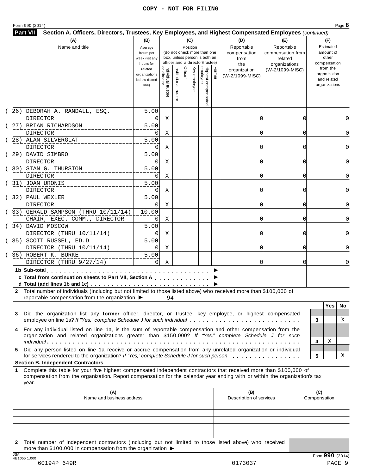|                                                                                                                                                                                                                                                                                                        |                                                                |                                   |                       |                 |                                                                                    |        |                                           | Section A. Officers, Directors, Trustees, Key Employees, and Highest Compensated Employees (continued) |                                                                          |
|--------------------------------------------------------------------------------------------------------------------------------------------------------------------------------------------------------------------------------------------------------------------------------------------------------|----------------------------------------------------------------|-----------------------------------|-----------------------|-----------------|------------------------------------------------------------------------------------|--------|-------------------------------------------|--------------------------------------------------------------------------------------------------------|--------------------------------------------------------------------------|
| (A)<br>Name and title                                                                                                                                                                                                                                                                                  | (B)<br>Average<br>hours per<br>week (list any                  |                                   |                       | (C)<br>Position | (do not check more than one<br>box, unless person is both an                       |        | (D)<br>Reportable<br>compensation<br>from | (E)<br>Reportable<br>compensation from<br>related                                                      | (F)<br>Estimated<br>amount of<br>other                                   |
|                                                                                                                                                                                                                                                                                                        | hours for<br>related<br>organizations<br>below dotted<br>line) | Individual trustee<br>or director | Institutional trustee | Officer         | officer and a director/trustee)<br>Highest compensated<br>employee<br>Key employee | Former | the<br>organization<br>(W-2/1099-MISC)    | organizations<br>(W-2/1099-MISC)                                                                       | compensation<br>from the<br>organization<br>and related<br>organizations |
| 26) DEBORAH A. RANDALL, ESQ.<br><b>DIRECTOR</b>                                                                                                                                                                                                                                                        | 5.00<br>0                                                      | Χ                                 |                       |                 |                                                                                    |        | 0                                         | O                                                                                                      |                                                                          |
| 27) BRIAN RICHARDSON<br><b>DIRECTOR</b>                                                                                                                                                                                                                                                                | 5.00<br>0                                                      | Χ                                 |                       |                 |                                                                                    |        | 0                                         | O                                                                                                      |                                                                          |
| 28) ALAN SILVERGLAT<br><b>DIRECTOR</b>                                                                                                                                                                                                                                                                 | 5.00<br>0                                                      | Χ                                 |                       |                 |                                                                                    |        | 0                                         |                                                                                                        |                                                                          |
| 29) DAVID SIMBRO<br><b>DIRECTOR</b>                                                                                                                                                                                                                                                                    | 5.00<br>0                                                      | Χ                                 |                       |                 |                                                                                    |        | 0                                         | Ω                                                                                                      |                                                                          |
| 30) STAN G. THURSTON<br><b>DIRECTOR</b>                                                                                                                                                                                                                                                                | 5.00<br>0                                                      | Χ                                 |                       |                 |                                                                                    |        | 0                                         | O                                                                                                      |                                                                          |
| 31) JOAN URONIS<br><b>DIRECTOR</b>                                                                                                                                                                                                                                                                     | 5.00<br>0                                                      | Χ                                 |                       |                 |                                                                                    |        | 0                                         |                                                                                                        |                                                                          |
| 32) PAUL WEXLER<br><b>DIRECTOR</b>                                                                                                                                                                                                                                                                     | 5.00<br>$\Omega$                                               | Χ                                 |                       |                 |                                                                                    |        | 0                                         |                                                                                                        |                                                                          |
| 33) GERALD SAMPSON (THRU 10/11/14)<br>CHAIR, EXEC. COMM., DIRECTOR                                                                                                                                                                                                                                     | 10.00<br>0                                                     | Χ                                 |                       |                 |                                                                                    |        | 0                                         | Ω                                                                                                      |                                                                          |
| 34) DAVID MOSCOW<br>DIRECTOR (THRU 10/11/14)                                                                                                                                                                                                                                                           | 5.00<br>0                                                      | Χ                                 |                       |                 |                                                                                    |        | 0                                         | O                                                                                                      |                                                                          |
| 35) SCOTT RUSSEL, ED.D<br>DIRECTOR (THRU 10/11/14)                                                                                                                                                                                                                                                     | 5.00<br>0                                                      | Χ                                 |                       |                 |                                                                                    |        | 0                                         |                                                                                                        |                                                                          |
| 36) ROBERT K. BURKE<br>DIRECTOR (THRU 9/27/14)                                                                                                                                                                                                                                                         | 5.00<br>$\Omega$                                               | X                                 |                       |                 |                                                                                    |        | 0                                         |                                                                                                        |                                                                          |
| 1b Sub-total<br>c Total from continuation sheets to Part VII. Section A<br>2 Total number of individuals (including but not limited to those listed above) who received more than \$100,000 of<br>reportable compensation from the organization $\blacktriangleright$                                  |                                                                | 94                                |                       |                 |                                                                                    |        |                                           |                                                                                                        |                                                                          |
| Did the organization list any former officer, director, or trustee, key employee, or highest compensated<br>3<br>employee on line 1a? If "Yes," complete Schedule J for such individual                                                                                                                |                                                                |                                   |                       |                 |                                                                                    |        |                                           |                                                                                                        | Yes<br>No.<br>Χ<br>3                                                     |
| For any individual listed on line 1a, is the sum of reportable compensation and other compensation from the<br>4<br>organization and related organizations greater than \$150,000? If "Yes," complete Schedule J for such                                                                              |                                                                |                                   |                       |                 |                                                                                    |        |                                           |                                                                                                        | Χ<br>4                                                                   |
| Did any person listed on line 1a receive or accrue compensation from any unrelated organization or individual<br>5.<br>for services rendered to the organization? If "Yes," complete Schedule J for such person                                                                                        |                                                                |                                   |                       |                 |                                                                                    |        |                                           |                                                                                                        | Χ<br>5                                                                   |
|                                                                                                                                                                                                                                                                                                        |                                                                |                                   |                       |                 |                                                                                    |        |                                           |                                                                                                        |                                                                          |
| <b>Section B. Independent Contractors</b><br>Complete this table for your five highest compensated independent contractors that received more than \$100,000 of<br>compensation from the organization. Report compensation for the calendar year ending with or within the organization's tax<br>year. |                                                                |                                   |                       |                 |                                                                                    |        |                                           |                                                                                                        |                                                                          |

**2** Total number of independent contractors (including but not limited to those listed above) who received more than \$100,000 in compensation from the organization  $\blacktriangleright$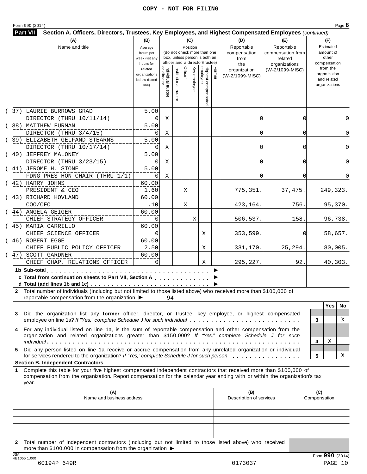|    | <b>Part VII</b><br>Section A. Officers, Directors, Trustees, Key Employees, and Highest Compensated Employees (continued)                                                                                                                                                                                                                                                                                                               |                                                                |                                     |                       |          |              |                                                                    |        |                                        |                                            |                                                                          |
|----|-----------------------------------------------------------------------------------------------------------------------------------------------------------------------------------------------------------------------------------------------------------------------------------------------------------------------------------------------------------------------------------------------------------------------------------------|----------------------------------------------------------------|-------------------------------------|-----------------------|----------|--------------|--------------------------------------------------------------------|--------|----------------------------------------|--------------------------------------------|--------------------------------------------------------------------------|
|    | (A)                                                                                                                                                                                                                                                                                                                                                                                                                                     | (B)                                                            |                                     |                       | (C)      |              |                                                                    |        | (D)                                    | (E)                                        | (F)                                                                      |
|    | Name and title                                                                                                                                                                                                                                                                                                                                                                                                                          | Average<br>hours per<br>week (list any                         |                                     |                       | Position |              | (do not check more than one<br>box, unless person is both an       |        | Reportable<br>compensation<br>from     | Reportable<br>compensation from<br>related | Estimated<br>amount of<br>other                                          |
|    |                                                                                                                                                                                                                                                                                                                                                                                                                                         | hours for<br>related<br>organizations<br>below dotted<br>line) | Individual trustee<br>  or director | Institutional trustee | Officer  | Key employee | officer and a director/trustee)<br>Highest compensated<br>employee | Former | the<br>organization<br>(W-2/1099-MISC) | organizations<br>(W-2/1099-MISC)           | compensation<br>from the<br>organization<br>and related<br>organizations |
|    | 37) LAURIE BURROWS GRAD<br>DIRECTOR (THRU 10/11/14)                                                                                                                                                                                                                                                                                                                                                                                     | 5.00<br>0                                                      | Χ                                   |                       |          |              |                                                                    |        | 0                                      |                                            | 0<br>0                                                                   |
|    | 38) MATTHEW FURMAN<br>DIRECTOR (THRU 3/4/15)                                                                                                                                                                                                                                                                                                                                                                                            | 5.00<br>0                                                      | Χ                                   |                       |          |              |                                                                    |        | 0                                      |                                            | 0<br>0                                                                   |
|    | 39) ELIZABETH GELFAND STEARNS<br>DIRECTOR (THRU 10/17/14)                                                                                                                                                                                                                                                                                                                                                                               | 5.00<br>0                                                      | Χ                                   |                       |          |              |                                                                    |        | 0                                      |                                            | 0<br>0                                                                   |
|    | (40) JEFFREY MALONEY<br>DIRECTOR (THRU 3/23/15)                                                                                                                                                                                                                                                                                                                                                                                         | 5.00<br>0                                                      | Χ                                   |                       |          |              |                                                                    |        | 0                                      |                                            | 0<br>0                                                                   |
|    | (41) JEROME H. STONE<br>FDNG PRES HON CHAIR (THRU 1/1)                                                                                                                                                                                                                                                                                                                                                                                  | 5.00<br>0                                                      | Χ                                   |                       |          |              |                                                                    |        | $\Omega$                               |                                            | 0<br>0                                                                   |
|    | ( 42) HARRY JOHNS<br>PRESIDENT & CEO                                                                                                                                                                                                                                                                                                                                                                                                    | 60.00<br>1.60                                                  |                                     |                       | Χ        |              |                                                                    |        | 775,351.                               | 37, 475.                                   | 249, 323.                                                                |
|    | (43) RICHARD HOVLAND<br>COO/CFO                                                                                                                                                                                                                                                                                                                                                                                                         | 60.00<br>.10                                                   |                                     |                       | Χ        |              |                                                                    |        | 423,164.                               | 756.                                       | 95,370.                                                                  |
|    | (44) ANGELA GEIGER<br>CHIEF STRATEGY OFFICER                                                                                                                                                                                                                                                                                                                                                                                            | 60.00<br>0                                                     |                                     |                       |          | Χ            |                                                                    |        | 506,537.                               | 158.                                       | 96,738.                                                                  |
|    | 45) MARIA CARRILLO<br>CHIEF SCIENCE OFFICER                                                                                                                                                                                                                                                                                                                                                                                             | 60.00<br>$\Omega$                                              |                                     |                       |          |              | Χ                                                                  |        | 353,599.                               |                                            | 58,657.<br><sup>0</sup>                                                  |
|    | 46) ROBERT EGGE<br>CHIEF PUBLIC POLICY OFFICER                                                                                                                                                                                                                                                                                                                                                                                          | 60.00<br>2.50                                                  |                                     |                       |          |              | Χ                                                                  |        | 331,170.                               | 25,294.                                    | 80,005.                                                                  |
|    | (47) SCOTT GARDNER<br>CHIEF CHAP. RELATIONS OFFICER                                                                                                                                                                                                                                                                                                                                                                                     | 60.00<br>$\Omega$                                              |                                     |                       |          |              | Χ                                                                  |        | 295,227.                               | 92.                                        | 40,303.                                                                  |
|    | 1b Sub-total<br>a construction of the con-<br>c Total from continuation sheets to Part VII, Section A<br>d Total (add lines 1b and 1c) $\cdots$ $\cdots$ $\cdots$ $\cdots$ $\cdots$ $\cdots$ $\cdots$ $\cdots$ $\cdots$ $\cdots$ $\cdots$<br>2 Total number of individuals (including but not limited to those listed above) who received more than \$100,000 of<br>reportable compensation from the organization $\blacktriangleright$ |                                                                | 94                                  |                       |          |              |                                                                    |        |                                        |                                            |                                                                          |
| 3  | Did the organization list any former officer, director, or trustee, key employee, or highest compensated<br>employee on line 1a? If "Yes," complete Schedule J for such individual                                                                                                                                                                                                                                                      |                                                                |                                     |                       |          |              |                                                                    |        |                                        |                                            | Yes<br>No.<br>Χ<br>3                                                     |
| 4  | For any individual listed on line 1a, is the sum of reportable compensation and other compensation from the<br>organization and related organizations greater than \$150,000? If "Yes," complete Schedule J for such                                                                                                                                                                                                                    |                                                                |                                     |                       |          |              |                                                                    |        |                                        |                                            | Χ<br>4                                                                   |
| 5. | Did any person listed on line 1a receive or accrue compensation from any unrelated organization or individual<br>for services rendered to the organization? If "Yes," complete Schedule J for such person                                                                                                                                                                                                                               |                                                                |                                     |                       |          |              |                                                                    |        |                                        |                                            | Χ<br>5                                                                   |
|    | <b>Section B. Independent Contractors</b>                                                                                                                                                                                                                                                                                                                                                                                               |                                                                |                                     |                       |          |              |                                                                    |        |                                        |                                            |                                                                          |
|    | Complete this table for your five highest compensated independent contractors that received more than \$100,000 of<br>compensation from the organization. Report compensation for the calendar year ending with or within the organization's tax                                                                                                                                                                                        |                                                                |                                     |                       |          |              |                                                                    |        |                                        |                                            |                                                                          |
| 1  | year.                                                                                                                                                                                                                                                                                                                                                                                                                                   |                                                                |                                     |                       |          |              |                                                                    |        |                                        |                                            |                                                                          |

**2** Total number of independent contractors (including but not limited to those listed above) who received more than \$100,000 in compensation from the organization  $\blacktriangleright$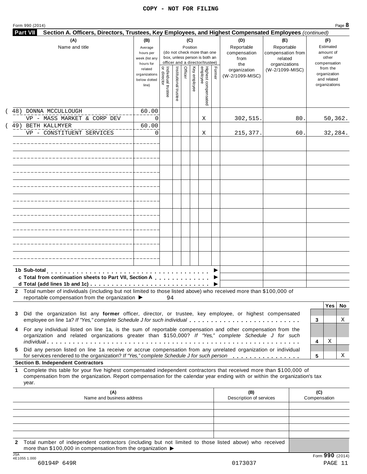|  |  | Form 990 (2014) |  |
|--|--|-----------------|--|
|--|--|-----------------|--|

| (A)<br>Name and title                                                                                                                                                                                                                                           | (B)<br>Average<br>hours per<br>week (list any<br>hours for |                                     |                       |         | (C)<br>Position | (do not check more than one<br>box, unless person is both an<br>officer and a director/trustee) |        | (D)<br>Reportable<br>compensation<br>from<br>the | (E)<br>Reportable<br>compensation from<br>related<br>organizations | (F)<br>Estimated<br>amount of<br>other<br>compensation   |     |
|-----------------------------------------------------------------------------------------------------------------------------------------------------------------------------------------------------------------------------------------------------------------|------------------------------------------------------------|-------------------------------------|-----------------------|---------|-----------------|-------------------------------------------------------------------------------------------------|--------|--------------------------------------------------|--------------------------------------------------------------------|----------------------------------------------------------|-----|
|                                                                                                                                                                                                                                                                 | related<br>organizations<br>below dotted<br>line)          | Individual trustee<br>  or director | Institutional trustee | Officer | Key employee    | Highest compensated<br>employee                                                                 | Former | organization<br>(W-2/1099-MISC)                  | (W-2/1099-MISC)                                                    | from the<br>organization<br>and related<br>organizations |     |
| 48) DONNA MCCULLOUGH                                                                                                                                                                                                                                            | 60.00                                                      |                                     |                       |         |                 |                                                                                                 |        |                                                  |                                                                    |                                                          |     |
| VP - MASS MARKET & CORP DEV<br>49) BETH KALLMYER                                                                                                                                                                                                                | $\Omega$<br>60.00                                          |                                     |                       |         |                 | Χ                                                                                               |        | 302,515.                                         | 80.                                                                | 50,362.                                                  |     |
| VP - CONSTITUENT SERVICES                                                                                                                                                                                                                                       | 0                                                          |                                     |                       |         |                 | Χ                                                                                               |        | 215,377.                                         | 60.                                                                | 32,284.                                                  |     |
|                                                                                                                                                                                                                                                                 |                                                            |                                     |                       |         |                 |                                                                                                 |        |                                                  |                                                                    |                                                          |     |
|                                                                                                                                                                                                                                                                 |                                                            |                                     |                       |         |                 |                                                                                                 |        |                                                  |                                                                    |                                                          |     |
|                                                                                                                                                                                                                                                                 |                                                            |                                     |                       |         |                 |                                                                                                 |        |                                                  |                                                                    |                                                          |     |
|                                                                                                                                                                                                                                                                 |                                                            |                                     |                       |         |                 |                                                                                                 |        |                                                  |                                                                    |                                                          |     |
|                                                                                                                                                                                                                                                                 |                                                            |                                     |                       |         |                 |                                                                                                 |        |                                                  |                                                                    |                                                          |     |
|                                                                                                                                                                                                                                                                 |                                                            |                                     |                       |         |                 |                                                                                                 |        |                                                  |                                                                    |                                                          |     |
|                                                                                                                                                                                                                                                                 |                                                            |                                     |                       |         |                 |                                                                                                 |        |                                                  |                                                                    |                                                          |     |
|                                                                                                                                                                                                                                                                 |                                                            |                                     |                       |         |                 |                                                                                                 |        |                                                  |                                                                    |                                                          |     |
| 1b Sub-total<br>c Total from continuation sheets to Part VII, Section A                                                                                                                                                                                         |                                                            |                                     |                       |         |                 |                                                                                                 |        |                                                  |                                                                    |                                                          |     |
| 2 Total number of individuals (including but not limited to those listed above) who received more than \$100,000 of<br>reportable compensation from the organization ▶                                                                                          |                                                            | 94                                  |                       |         |                 |                                                                                                 |        |                                                  |                                                                    |                                                          |     |
| Did the organization list any former officer, director, or trustee, key employee, or highest compensated<br>3                                                                                                                                                   |                                                            |                                     |                       |         |                 |                                                                                                 |        |                                                  |                                                                    | <b>Yes</b>                                               | No. |
| employee on line 1a? If "Yes," complete Schedule J for such individual                                                                                                                                                                                          |                                                            |                                     |                       |         |                 |                                                                                                 |        |                                                  |                                                                    | 3                                                        | Χ   |
| For any individual listed on line 1a, is the sum of reportable compensation and other compensation from the<br>4<br>organization and related organizations greater than \$150,000? If "Yes," complete Schedule J for such                                       |                                                            |                                     |                       |         |                 |                                                                                                 |        |                                                  |                                                                    |                                                          |     |
| Did any person listed on line 1a receive or accrue compensation from any unrelated organization or individual<br>5.<br>for services rendered to the organization? If "Yes," complete Schedule J for such person                                                 |                                                            |                                     |                       |         |                 |                                                                                                 |        |                                                  |                                                                    | Χ<br>4<br>5                                              | Χ   |
| <b>Section B. Independent Contractors</b>                                                                                                                                                                                                                       |                                                            |                                     |                       |         |                 |                                                                                                 |        |                                                  |                                                                    |                                                          |     |
| Complete this table for your five highest compensated independent contractors that received more than \$100,000 of<br>1.<br>compensation from the organization. Report compensation for the calendar year ending with or within the organization's tax<br>year. |                                                            |                                     |                       |         |                 |                                                                                                 |        |                                                  |                                                                    |                                                          |     |
| (A)<br>Name and business address                                                                                                                                                                                                                                |                                                            |                                     |                       |         |                 |                                                                                                 |        | (B)<br>Description of services                   |                                                                    | (C)<br>Compensation                                      |     |
|                                                                                                                                                                                                                                                                 |                                                            |                                     |                       |         |                 |                                                                                                 |        |                                                  |                                                                    |                                                          |     |
|                                                                                                                                                                                                                                                                 |                                                            |                                     |                       |         |                 |                                                                                                 |        |                                                  |                                                                    |                                                          |     |

**2** Total number of independent contractors (including but not limited to those listed above) who received more than \$100,000 in compensation from the organization  $\blacktriangleright$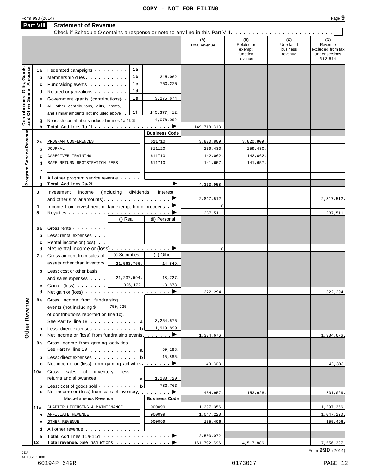|                                                                  | <b>Part VIII</b>                                | <b>Statement of Revenue</b>                                                                                                                                                                                                                                                                                                     |                                   |                                                                      |                                               |                                                    |                                         |                                                                  |
|------------------------------------------------------------------|-------------------------------------------------|---------------------------------------------------------------------------------------------------------------------------------------------------------------------------------------------------------------------------------------------------------------------------------------------------------------------------------|-----------------------------------|----------------------------------------------------------------------|-----------------------------------------------|----------------------------------------------------|-----------------------------------------|------------------------------------------------------------------|
|                                                                  |                                                 |                                                                                                                                                                                                                                                                                                                                 |                                   |                                                                      | (A)<br>Total revenue                          | (B)<br>Related or<br>exempt<br>function<br>revenue | (C)<br>Unrelated<br>business<br>revenue | (D)<br>Revenue<br>excluded from tax<br>under sections<br>512-514 |
| <b>Contributions, Gifts, Grants</b><br>and Other Similar Amounts | 1а<br>$\mathbf b$<br>c<br>d<br>е<br>f<br>g<br>h | Federated campaigns<br>Membership dues <b>All Accords</b> Membership dues<br>Fundraising events <b>Fundraising</b><br>Related organizations<br>Government grants (contributions)<br>All other contributions, gifts, grants,<br>and similar amounts not included above<br>Noncash contributions included in lines 1a-1f: \$      | 1a<br>1 b<br>1c<br>1d<br>1е<br>1f | 315,002.<br>750,225.<br>3, 275, 674.<br>145, 377, 412.<br>4,076,092. | 149, 718, 313                                 |                                                    |                                         |                                                                  |
|                                                                  |                                                 |                                                                                                                                                                                                                                                                                                                                 |                                   | <b>Business Code</b>                                                 |                                               |                                                    |                                         |                                                                  |
| Program Service Revenue                                          | 2a<br>b<br>c<br>d                               | PROGRAM CONFERENCES<br><b>JOURNAL</b><br>CAREGIVER TRAINING<br>SAFE RETURN REGISTRATION FEES                                                                                                                                                                                                                                    |                                   | 611710<br>511120<br>611710<br>611710                                 | 3,820,809<br>259,430.<br>142,062.<br>141,657. | 3,820,809<br>259,430.<br>142,062.<br>141,657       |                                         |                                                                  |
|                                                                  | е<br>f<br>g                                     | All other program service revenue                                                                                                                                                                                                                                                                                               |                                   |                                                                      | 4,363,958                                     |                                                    |                                         |                                                                  |
|                                                                  | 3<br>4                                          | Investment<br>income<br>and other similar amounts).<br>Income from investment of tax-exempt bond proceeds $\blacksquare$                                                                                                                                                                                                        | (including<br>dividends,          | interest,                                                            | 2,817,512<br>$\overline{0}$                   |                                                    |                                         | 2,817,512.                                                       |
|                                                                  | 5<br>6a<br>$\mathbf b$                          | Gross rents<br>Less: rental expenses                                                                                                                                                                                                                                                                                            | (i) Real                          | (ii) Personal                                                        | 237,511                                       |                                                    |                                         | 237,511.                                                         |
|                                                                  | c<br>d<br>7a                                    | Rental income or (loss)<br>Net rental income or (loss) ▶<br>Gross amount from sales of<br>assets other than inventory                                                                                                                                                                                                           | (i) Securities<br>21, 563, 766.   | (ii) Other<br>14,849.                                                | $\mathbf 0$                                   |                                                    |                                         |                                                                  |
|                                                                  | b<br>c<br>d                                     | Less: cost or other basis<br>and sales expenses<br>Gain or (loss)                                                                                                                                                                                                                                                               | 21, 237, 594.<br>326,172.         | 18,727.<br>$-3,878$                                                  | 322,294.                                      |                                                    |                                         | 322,294.                                                         |
| Other Revenue                                                    | b                                               | 8a Gross income from fundraising<br>events (not including $\frac{25}{2}$ $\frac{750}{225}$<br>of contributions reported on line 1c).<br>See Part IV, line 18 a<br>Less: direct expenses b                                                                                                                                       |                                   | 3, 254, 575.<br>1,919,899.                                           |                                               |                                                    |                                         |                                                                  |
|                                                                  | с<br>9а                                         | Net income or (loss) from fundraising events $\ldots$<br>Gross income from gaming activities.<br>See Part IV, line 19 and the line of the line of the line of the line of the line of the line of the line of the line of the line of the line of the line of the line of the line of the line of the line of the line of the l |                                   | 59,188.                                                              | 1,334,676.                                    |                                                    |                                         | 1,334,676.                                                       |
|                                                                  | b<br>c                                          | Less: direct expenses b<br>Net income or (loss) from gaming activities $\ldots$ , $\blacktriangleright$                                                                                                                                                                                                                         |                                   | 15,885.                                                              | 43,303.                                       |                                                    |                                         | 43,303.                                                          |
|                                                                  | 10a                                             | sales of inventory, less<br>Gross<br>returns and allowances and allowances                                                                                                                                                                                                                                                      |                                   | 1,238,720.                                                           |                                               |                                                    |                                         |                                                                  |
|                                                                  | b                                               | Less: cost of goods sold b<br>c Net income or (loss) from sales of inventory                                                                                                                                                                                                                                                    |                                   | 783,763.                                                             | 454,957.                                      | 153,928.                                           |                                         | 301,029.                                                         |
|                                                                  |                                                 | Miscellaneous Revenue                                                                                                                                                                                                                                                                                                           |                                   | <b>Business Code</b>                                                 |                                               |                                                    |                                         |                                                                  |
|                                                                  | 11a                                             | CHAPTER LICENSING & MAINTENANCE                                                                                                                                                                                                                                                                                                 |                                   | 900099                                                               | 1,297,356.                                    |                                                    |                                         | 1,297,356.                                                       |
|                                                                  | b                                               | AFFILIATE REVENUE                                                                                                                                                                                                                                                                                                               |                                   | 900099                                                               | 1,047,220.                                    |                                                    |                                         | 1,047,220.                                                       |
|                                                                  | C                                               | OTHER REVENUE                                                                                                                                                                                                                                                                                                                   |                                   | 900099                                                               | 155,496.                                      |                                                    |                                         | 155, 496.                                                        |
|                                                                  | d                                               | All other revenue entitled to the state of the state of the state of the state of the state of the state of the                                                                                                                                                                                                                 |                                   |                                                                      | 2,500,072.                                    |                                                    |                                         |                                                                  |
|                                                                  | е<br>12                                         |                                                                                                                                                                                                                                                                                                                                 |                                   |                                                                      | 161,792,596.                                  | 4,517,886.                                         |                                         | 7,556,397.                                                       |
|                                                                  |                                                 |                                                                                                                                                                                                                                                                                                                                 |                                   |                                                                      |                                               |                                                    |                                         |                                                                  |

 $\,$  JSA  $\,$  Form  $\,990$  (2014)  $\,$ 4E1051 1.000 60194P 649R 0173037 PAGE 12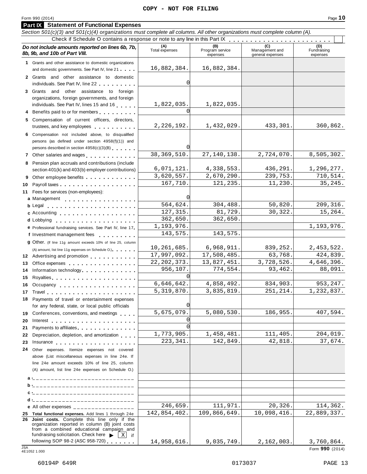### Form <sup>990</sup> (2014) Page **10**

**Part IX Statement of Functional Expenses**

### Section 501(c)(3) and 501(c)(4) organizations must complete all columns. All other organizations must complete column (A). Check if Schedule O contains a response or note to any line in this Part  $\begin{array}{c|c|c|c|c} \hline \textbf{(h)} & \textbf{(c)} & \textbf{(d)} & \textbf{(e)} & \textbf{(f)} & \textbf{(h)} & \textbf{(i)} & \textbf{(j)} & \textbf{(k)} \\ \hline \textbf{(i)} & \textbf{(j)} & \textbf{(k)} & \textbf{(k)} & \textbf{(k)} & \textbf{(k)} & \textbf{(k)} & \textbf{(k)} & \textbf{(k)} &$ *Do no* **(A) (B) (C) (D)** *t include amounts reported on lines 6b, 7b,* **8b, 9b, and 10b of Part VIII.** The contract position of **Part VIII.** The contract Program services Program services expenses Management and general expenses Fundraising expenses **1** Grants and other assistance to domestic organizations and domestic governments. See Part IV, line 21 m m m **2** Grants and other assistance to domestic individuals. See Part IV, line 22 **3** Grants and other assistance to foreign organizations, foreign governments, and foreign individuals. See Part IV, lines <sup>15</sup> and <sup>16</sup> <sup>m</sup> <sup>m</sup> <sup>m</sup> <sup>m</sup> <sup>m</sup> **<sup>4</sup>** Benefits paid to or for members <sup>m</sup> <sup>m</sup> <sup>m</sup> <sup>m</sup> <sup>m</sup> <sup>m</sup> <sup>m</sup> <sup>m</sup> <sup>m</sup> **5** Compensation of current officers, directors, trustees, and key employees m m m m m m m m m m **6** Compensation not included above, to disqualified persons (as defined under section 4958(f)(1)) and persons described in section 4958(c)(3)(B) 7 Other salaries and wages **manual manual metallicity 8** Pension plan accruals and contributions (include section 401(k) and 403(b) employer contributions) **9** Section 401(k) and 403(b) employer contributions<br>9 Other employee benefits 9 Other employee benefits **10** Payroll taxes **10** Fees for services (non-employees): **11** Fees for services (non-employees):<br>**a** Management ..................<br>**b** Legal ......................... Legal m m m m m m m m m m m m m m m m m m m m m Accounting m m m m m m m m m m m m m m m m m m Lobbying **cd** m m m m m m m m m m m m m m m m m m m A) amount, list line 11g expenses on Schedule O.<br>**12** Advertising and promotion **manual 13** Office expenses **13** Office expenses<br>**14** Information technology **manual manual metal of the metal of the metal of the metal of 15** Royalties m m m m m m m m m m m m m m m m m m m m **16** Occupancy m m m m m m m m m m m m m m m m m m **16** Occupancy ...................<br>17 Travel..................... **18** Payments of travel or entertainment expenses for any federal, state, or local public officials<br>**19** Conferences, conventions, and meetings **19** Conferences, conventions, and meetings **endorship.**<br>20 Interest **manual meeting 21** Payments to affiliates m m m m m m m m m m m m m m 21 Payments to affiliates<br>22 Depreciation, depletion, and amortization <sub>1</sub> . . . **22** Depreciation, depletion, and amortization **manufation**<br>23 Insurance 24 Other expenses. Itemize expenses not covered | **d** Lobbying **e**<br> **e** Professional fundraising services. See Part IV, line 17 **P** Professional fundraising services. See Part IV, line 17<br>**f** Investment management fees **g** Other. (If line 11g amount exceeds 10% of line 25, column  $(A)$  amount, list line 11g expenses on Schedule O.) manus manus m m m m m m m m m m m m m m m m for any federal, state, or local public officials above (List miscellaneous expenses in line 24e. If line 24e amount exceeds 10% of line 25, column (A) amount, list line 24e expenses on Schedule O.) **ab** . c <u>.</u><br>d <u>.</u> **e** All other expenses \_\_\_\_\_\_\_\_\_\_\_\_\_ **25 Total functional expenses.** Add lines 1 through 24e **26 Joint costs.** Complete this line only if the organization reported in column (B) joint costs from a combined educational campaign and from a combined educational campaign and<br>fundraising solicitation. Check here  $\blacktriangleright \boxed{\text{X}}$  if<br>following SOP 98-2 (ASC 958-720) fundraising solicitation. Check here ▶ <u>| X</u>] if <br>following SOP 98-2 (ASC 958-720) . . . . . . . | 14, 958, 616 . 9, 035, 749 . 2, 162, 003 . 3, 760, 864 .<br>4E1052 1.000 **Form 990** (2014) 16,882,384. 16,882,384.  $\mathcal{C}$ 1,822,035. 1,822,035  $\sqrt{ }$ 2,226,192. 1,432,029. 433,301. 360,862. 0 38,369,510. 27,140,138. 2,724,070. 8,505,302. 6,071,121. 4,338,553. 436,291. 1,296,277. 3,620,557. 2,670,290. 239,753. 710,514. 167,710. 121,235. 11,230. 35,245. 0 564,624. 304,488. 50,820. 209,316. 127,315. 81,729. 30,322. 15,264. 362,650. 362,650. 1,193,976. 1,193,976. 143,575. 143,575. 10,261,685. 6,968,911. 839,252. 2,453,522.  $17,997,092.$   $17,508,485.$  63,768. 424,839. 22,202,373. 13,827,451. 3,728,526. 4,646,396. 956,107. 774,554. 93,462. 88,091. 0  $6,646,642.$   $4,858,492.$   $834,903.$  953,247. 5,319,870. 3,835,819. 251,214. 1,232,837. 0 5,675,079. 5,080,530. 186,955. 407,594.  $\sqrt{ }$ 0 1,773,905. 1,458,481. 111,405. 204,019. 223,341. 142,849. 42,818. 37,674. . . 246,659. 111,971. 20,326. 114,362. 142,854,402. 109,866,649. 10,098,416. 22,889,337. 14,958,616. 9,035,749. 2,162,003. 3,760,864.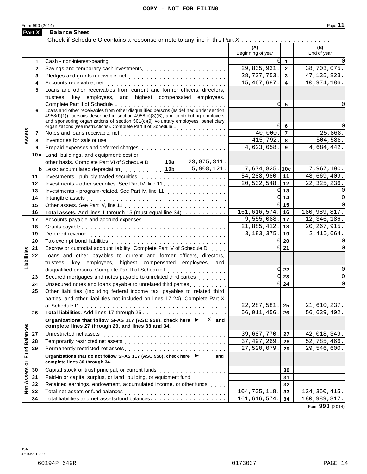Form <sup>990</sup> (2014) Page **11**

|                      | Part X       | <b>Balance Sheet</b>                                                                                                                                                                                                                                                                                 |                          |                |                    |
|----------------------|--------------|------------------------------------------------------------------------------------------------------------------------------------------------------------------------------------------------------------------------------------------------------------------------------------------------------|--------------------------|----------------|--------------------|
|                      |              |                                                                                                                                                                                                                                                                                                      |                          |                |                    |
|                      |              |                                                                                                                                                                                                                                                                                                      | (A)<br>Beginning of year |                | (B)<br>End of year |
|                      | 1            | Cash - non-interest-bearing                                                                                                                                                                                                                                                                          | 0l                       | $\mathbf{1}$   | $\Omega$           |
|                      | $\mathbf{2}$ |                                                                                                                                                                                                                                                                                                      | 29,835,931.              | $\overline{2}$ | 38,703,075.        |
|                      | 3            |                                                                                                                                                                                                                                                                                                      | 28, 737, 753.            | 3              | 47, 135, 823.      |
|                      | 4            |                                                                                                                                                                                                                                                                                                      | 15,467,687.              | 4              | 10,974,186.        |
|                      | 5            | Loans and other receivables from current and former officers, directors,                                                                                                                                                                                                                             |                          |                |                    |
|                      |              | trustees, key employees, and highest compensated employees.                                                                                                                                                                                                                                          |                          |                |                    |
|                      |              |                                                                                                                                                                                                                                                                                                      | 0                        | 5              | 0                  |
|                      | 6            | Complete Part II of Schedule L<br>Loans and other receivables from other disqualified persons (as defined under section<br>4958(f)(1)), persons described in section 4958(c)(3)(B), and contributing employers<br>and sponsoring organizations of section 501(c)(9) voluntary employees' beneficiary |                          |                |                    |
|                      |              | organizations (see instructions). Complete Part II of Schedule Letter Part 1                                                                                                                                                                                                                         | 0l                       | 6              | 0                  |
| Assets               | 7            |                                                                                                                                                                                                                                                                                                      | 40,000.                  | $\overline{7}$ | 25,868.            |
|                      | 8            | Inventories for sale or use enterprise response to the set of the set of the set of the set of the set of the set of the set of the set of the set of the set of the set of the set of the set of the set of the set of the se                                                                       | 415,792.                 | 8              | 504,588.           |
|                      | 9            |                                                                                                                                                                                                                                                                                                      | 4,623,058.               | 9              | 4,684,442.         |
|                      |              | 10a Land, buildings, and equipment: cost or                                                                                                                                                                                                                                                          |                          |                |                    |
|                      |              | 23,875,311.<br>other basis. Complete Part VI of Schedule D<br> 10a                                                                                                                                                                                                                                   |                          |                |                    |
|                      |              | 15,908,121.<br><b>b</b> Less: accumulated depreciation     10b                                                                                                                                                                                                                                       | $7,674,825.$ 10c         |                | 7,967,190.         |
|                      | 11           | Investments - publicly traded securities                                                                                                                                                                                                                                                             | 54, 288, 980.            | 11             | 48,669,409.        |
|                      | 12           | Investments - other securities. See Part IV, line 11                                                                                                                                                                                                                                                 | 20,532,548.              | 12             | 22, 325, 236.      |
|                      | 13           | Investments - program-related. See Part IV, line 11                                                                                                                                                                                                                                                  | 0                        | 13             | $\Omega$           |
|                      | 14           |                                                                                                                                                                                                                                                                                                      | 0l                       | 14             | $\mathbf 0$        |
|                      | 15           |                                                                                                                                                                                                                                                                                                      | 0l                       | 15             | $\Omega$           |
|                      | 16           | Total assets. Add lines 1 through 15 (must equal line 34)                                                                                                                                                                                                                                            | 161, 616, 574.           | 16             | 180,989,817.       |
|                      | 17           | Accounts payable and accrued expenses entitled and accrued with the set of the set of the set of the set of the                                                                                                                                                                                      | 9,555,088.               | 17             | 12,346,186.        |
|                      | 18           |                                                                                                                                                                                                                                                                                                      | 21,885,412.              | 18             | 20, 267, 915.      |
|                      | 19           | Deferred revenue                                                                                                                                                                                                                                                                                     | 3, 183, 375.             | 19             | 2, 415, 064.       |
|                      | 20           | Tax-exempt bond liabilities                                                                                                                                                                                                                                                                          | 0                        | 20             | $\Omega$           |
| Liabilities          | 21           | Escrow or custodial account liability. Complete Part IV of Schedule D.                                                                                                                                                                                                                               | 0l                       | 21             | 0                  |
|                      | 22           | Loans and other payables to current and former officers, directors,                                                                                                                                                                                                                                  |                          |                |                    |
|                      |              | trustees, key employees, highest compensated employees, and                                                                                                                                                                                                                                          |                          |                |                    |
|                      |              | disqualified persons. Complete Part II of Schedule L                                                                                                                                                                                                                                                 | 01                       | 22             | 0                  |
|                      | 23           | Secured mortgages and notes payable to unrelated third parties                                                                                                                                                                                                                                       |                          | 23             | $\mathbf 0$        |
|                      | 24           | Unsecured notes and loans payable to unrelated third parties [1, 1, 1, 1, 1, 1]                                                                                                                                                                                                                      | 0l                       | 24             | $\mathbf 0$        |
|                      | 25           | Other liabilities (including federal income tax, payables to related third                                                                                                                                                                                                                           |                          |                |                    |
|                      |              | parties, and other liabilities not included on lines 17-24). Complete Part X                                                                                                                                                                                                                         |                          |                |                    |
|                      |              | of Schedule D                                                                                                                                                                                                                                                                                        | 22, 287, 581.            | 25             | 21,610,237.        |
|                      | 26           |                                                                                                                                                                                                                                                                                                      | 56, 911, 456.            | 26             | 56,639,402.        |
| <b>Fund Balances</b> |              | $\overline{X}$ and<br>Organizations that follow SFAS 117 (ASC 958), check here ▶<br>complete lines 27 through 29, and lines 33 and 34.                                                                                                                                                               |                          |                |                    |
|                      | 27           | Unrestricted net assets                                                                                                                                                                                                                                                                              | 39,687,770.              | 27             | 42,018,349.        |
|                      | 28           |                                                                                                                                                                                                                                                                                                      | 37, 497, 269.            | 28             | 52,785,466.        |
|                      | 29           | Permanently restricted net assets<br>intervals and intervals are neglected to the setting of the setting of the setting of the setting of the setting of the setting of the setting of the setting of the setting of the setting                                                                     | 27,520,079.              | 29             | 29,546,600.        |
|                      |              | Organizations that do not follow SFAS 117 (ASC 958), check here ▶<br>and                                                                                                                                                                                                                             |                          |                |                    |
| $\bf \bar o$         |              | complete lines 30 through 34.                                                                                                                                                                                                                                                                        |                          |                |                    |
|                      | 30           |                                                                                                                                                                                                                                                                                                      |                          | 30             |                    |
| Assets               | 31           | Paid-in or capital surplus, or land, building, or equipment fund<br>                                                                                                                                                                                                                                 |                          | 31             |                    |
|                      | 32           | Retained earnings, endowment, accumulated income, or other funds                                                                                                                                                                                                                                     |                          | 32             |                    |
| Net                  | 33           |                                                                                                                                                                                                                                                                                                      | 104,705,118.             | 33             | 124, 350, 415.     |
|                      | 34           | Total liabilities and net assets/fund balances                                                                                                                                                                                                                                                       | 161, 616, 574.           | 34             | 180,989,817.       |

Form **990** (2014)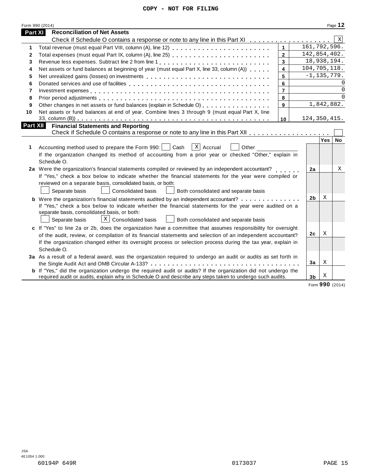| COPY - NOT FOR FILING |  |  |
|-----------------------|--|--|
|-----------------------|--|--|

|                 | Form 990 (2014)                                                                                                                                           |                         |                 |             | Page 12     |
|-----------------|-----------------------------------------------------------------------------------------------------------------------------------------------------------|-------------------------|-----------------|-------------|-------------|
| <b>Part XI</b>  | <b>Reconciliation of Net Assets</b>                                                                                                                       |                         |                 |             |             |
|                 | Check if Schedule O contains a response or note to any line in this Part XI                                                                               |                         |                 |             | $\mathbf X$ |
| 1               |                                                                                                                                                           | $\mathbf{1}$            | 161,792,596.    |             |             |
| 2               |                                                                                                                                                           | $\mathbf{2}$            | 142,854,402.    |             |             |
| 3               |                                                                                                                                                           | $\overline{3}$          | 18,938,194.     |             |             |
| 4               | Net assets or fund balances at beginning of year (must equal Part X, line 33, column (A))                                                                 | $\overline{\mathbf{4}}$ | 104,705,118.    |             |             |
| 5               |                                                                                                                                                           | 5                       | $-1, 135, 779.$ |             |             |
| 6               |                                                                                                                                                           | 6                       |                 |             | 0           |
| 7               |                                                                                                                                                           | $\overline{7}$          |                 |             | $\Omega$    |
| 8               |                                                                                                                                                           | 8                       |                 |             | $\Omega$    |
| 9               | Other changes in net assets or fund balances (explain in Schedule O) [1, production of the changes in net assets or fund balances (explain in Schedule O) | 9                       |                 | 1,842,882.  |             |
| 10              | Net assets or fund balances at end of year. Combine lines 3 through 9 (must equal Part X, line                                                            |                         |                 |             |             |
|                 |                                                                                                                                                           | 10                      | 124, 350, 415.  |             |             |
| <b>Part XII</b> | <b>Financial Statements and Reporting</b>                                                                                                                 |                         |                 |             |             |
|                 |                                                                                                                                                           |                         |                 |             |             |
|                 |                                                                                                                                                           |                         |                 | Yes $\vert$ | No          |
| 1               | $ X $ Accrual<br>Accounting method used to prepare the Form 990:<br>Cash<br>Other                                                                         |                         |                 |             |             |
|                 | If the organization changed its method of accounting from a prior year or checked "Other," explain in                                                     |                         |                 |             |             |
|                 | Schedule O.                                                                                                                                               |                         |                 |             |             |
|                 | 2a Were the organization's financial statements compiled or reviewed by an independent accountant?                                                        |                         | 2a              |             | X           |
|                 | If "Yes," check a box below to indicate whether the financial statements for the year were compiled or                                                    |                         |                 |             |             |
|                 | reviewed on a separate basis, consolidated basis, or both:                                                                                                |                         |                 |             |             |
|                 | Both consolidated and separate basis<br>Separate basis<br>Consolidated basis                                                                              |                         |                 |             |             |
|                 | <b>b</b> Were the organization's financial statements audited by an independent accountant?                                                               |                         | 2b              | X           |             |
|                 | If "Yes," check a box below to indicate whether the financial statements for the year were audited on a                                                   |                         |                 |             |             |
|                 | separate basis, consolidated basis, or both:                                                                                                              |                         |                 |             |             |
|                 | $\vert$ X $\vert$ Consolidated basis<br>Separate basis<br>Both consolidated and separate basis                                                            |                         |                 |             |             |
|                 | c If "Yes" to line 2a or 2b, does the organization have a committee that assumes responsibility for oversight                                             |                         |                 |             |             |
|                 | of the audit, review, or compilation of its financial statements and selection of an independent accountant?                                              |                         | 2c              | X           |             |
|                 | If the organization changed either its oversight process or selection process during the tax year, explain in                                             |                         |                 |             |             |
|                 | Schedule O.                                                                                                                                               |                         |                 |             |             |
|                 | 3a As a result of a federal award, was the organization required to undergo an audit or audits as set forth in                                            |                         |                 |             |             |
|                 |                                                                                                                                                           |                         | 3a              | X           |             |
|                 | <b>b</b> If "Yes," did the organization undergo the required audit or audits? If the organization did not undergo the                                     |                         |                 |             |             |
|                 | required audit or audits, explain why in Schedule O and describe any steps taken to undergo such audits.                                                  |                         | 3b              | Χ           |             |

Form **990** (2014)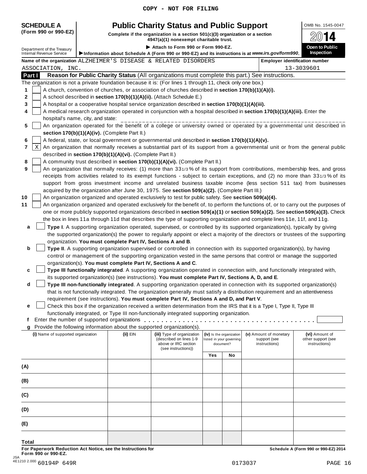|  |  |  | COPY - NOT FOR FILING |
|--|--|--|-----------------------|
|--|--|--|-----------------------|

# **SCHEDULE A Pub** OMB No. 1545-0047 **lic Charity Status and Public Support**

| (Form 990 or 990-EZ)<br>Complete if the organization is a section 501(c)(3) organization or a section<br>4947(a)(1) nonexempt charitable trust. |                                                        |  |                                                                                                                                         |                                                                                                                                                                      |     | 4                                                    |                                                                                                                              |                                                                                                                                     |
|-------------------------------------------------------------------------------------------------------------------------------------------------|--------------------------------------------------------|--|-----------------------------------------------------------------------------------------------------------------------------------------|----------------------------------------------------------------------------------------------------------------------------------------------------------------------|-----|------------------------------------------------------|------------------------------------------------------------------------------------------------------------------------------|-------------------------------------------------------------------------------------------------------------------------------------|
|                                                                                                                                                 | Department of the Treasury<br>Internal Revenue Service |  | Attach to Form 990 or Form 990-EZ.<br>Information about Schedule A (Form 990 or 990-EZ) and its instructions is at www.irs.gov/form990. | Open to Public<br>Inspection                                                                                                                                         |     |                                                      |                                                                                                                              |                                                                                                                                     |
|                                                                                                                                                 |                                                        |  |                                                                                                                                         | Name of the organization ALZHEIMER'S DISEASE & RELATED DISORDERS                                                                                                     |     |                                                      |                                                                                                                              | <b>Employer identification number</b>                                                                                               |
|                                                                                                                                                 | ASSOCIATION, INC.                                      |  |                                                                                                                                         |                                                                                                                                                                      |     |                                                      |                                                                                                                              | 13-3039601                                                                                                                          |
|                                                                                                                                                 | Part I                                                 |  |                                                                                                                                         |                                                                                                                                                                      |     |                                                      | Reason for Public Charity Status (All organizations must complete this part.) See instructions.                              |                                                                                                                                     |
|                                                                                                                                                 |                                                        |  |                                                                                                                                         | The organization is not a private foundation because it is: (For lines 1 through 11, check only one box.)                                                            |     |                                                      |                                                                                                                              |                                                                                                                                     |
| 1                                                                                                                                               |                                                        |  |                                                                                                                                         | A church, convention of churches, or association of churches described in section 170(b)(1)(A)(i).                                                                   |     |                                                      |                                                                                                                              |                                                                                                                                     |
| 2                                                                                                                                               |                                                        |  |                                                                                                                                         | A school described in section 170(b)(1)(A)(ii). (Attach Schedule E.)                                                                                                 |     |                                                      |                                                                                                                              |                                                                                                                                     |
| 3                                                                                                                                               |                                                        |  |                                                                                                                                         | A hospital or a cooperative hospital service organization described in section 170(b)(1)(A)(iii).                                                                    |     |                                                      |                                                                                                                              |                                                                                                                                     |
| 4                                                                                                                                               |                                                        |  |                                                                                                                                         |                                                                                                                                                                      |     |                                                      | A medical research organization operated in conjunction with a hospital described in section 170(b)(1)(A)(iii). Enter the    |                                                                                                                                     |
|                                                                                                                                                 | hospital's name, city, and state:                      |  |                                                                                                                                         |                                                                                                                                                                      |     |                                                      |                                                                                                                              |                                                                                                                                     |
| 5                                                                                                                                               |                                                        |  |                                                                                                                                         |                                                                                                                                                                      |     |                                                      |                                                                                                                              | An organization operated for the benefit of a college or university owned or operated by a governmental unit described in           |
|                                                                                                                                                 |                                                        |  | section 170(b)(1)(A)(iv). (Complete Part II.)                                                                                           |                                                                                                                                                                      |     |                                                      |                                                                                                                              |                                                                                                                                     |
|                                                                                                                                                 |                                                        |  |                                                                                                                                         |                                                                                                                                                                      |     |                                                      |                                                                                                                              |                                                                                                                                     |
| 6                                                                                                                                               |                                                        |  |                                                                                                                                         | A federal, state, or local government or governmental unit described in section 170(b)(1)(A)(v).                                                                     |     |                                                      |                                                                                                                              |                                                                                                                                     |
| 7                                                                                                                                               | Χ                                                      |  |                                                                                                                                         |                                                                                                                                                                      |     |                                                      |                                                                                                                              | An organization that normally receives a substantial part of its support from a governmental unit or from the general public        |
|                                                                                                                                                 |                                                        |  | described in section 170(b)(1)(A)(vi). (Complete Part II.)                                                                              |                                                                                                                                                                      |     |                                                      |                                                                                                                              |                                                                                                                                     |
| 8                                                                                                                                               |                                                        |  |                                                                                                                                         | A community trust described in section 170(b)(1)(A)(vi). (Complete Part II.)                                                                                         |     |                                                      |                                                                                                                              |                                                                                                                                     |
| 9                                                                                                                                               |                                                        |  |                                                                                                                                         |                                                                                                                                                                      |     |                                                      |                                                                                                                              | An organization that normally receives: (1) more than 331/3% of its support from contributions, membership fees, and gross          |
|                                                                                                                                                 |                                                        |  |                                                                                                                                         |                                                                                                                                                                      |     |                                                      |                                                                                                                              | receipts from activities related to its exempt functions - subject to certain exceptions, and (2) no more than 331/3% of its        |
|                                                                                                                                                 |                                                        |  |                                                                                                                                         |                                                                                                                                                                      |     |                                                      |                                                                                                                              | support from gross investment income and unrelated business taxable income (less section 511 tax) from businesses                   |
|                                                                                                                                                 |                                                        |  |                                                                                                                                         | acquired by the organization after June 30, 1975. See section 509(a)(2). (Complete Part III.)                                                                        |     |                                                      |                                                                                                                              |                                                                                                                                     |
| 10                                                                                                                                              |                                                        |  |                                                                                                                                         | An organization organized and operated exclusively to test for public safety. See section 509(a)(4).                                                                 |     |                                                      |                                                                                                                              |                                                                                                                                     |
| 11                                                                                                                                              |                                                        |  |                                                                                                                                         |                                                                                                                                                                      |     |                                                      |                                                                                                                              | An organization organized and operated exclusively for the benefit of, to perform the functions of, or to carry out the purposes of |
|                                                                                                                                                 |                                                        |  |                                                                                                                                         |                                                                                                                                                                      |     |                                                      |                                                                                                                              | one or more publicly supported organizations described in section 509(a)(1) or section 509(a)(2). See section 509(a)(3). Check      |
|                                                                                                                                                 |                                                        |  |                                                                                                                                         |                                                                                                                                                                      |     |                                                      | the box in lines 11a through 11d that describes the type of supporting organization and complete lines 11e, 11f, and 11g.    |                                                                                                                                     |
| a                                                                                                                                               |                                                        |  |                                                                                                                                         |                                                                                                                                                                      |     |                                                      | Type I. A supporting organization operated, supervised, or controlled by its supported organization(s), typically by giving  |                                                                                                                                     |
|                                                                                                                                                 |                                                        |  |                                                                                                                                         |                                                                                                                                                                      |     |                                                      |                                                                                                                              | the supported organization(s) the power to regularly appoint or elect a majority of the directors or trustees of the supporting     |
|                                                                                                                                                 |                                                        |  | organization. You must complete Part IV, Sections A and B.                                                                              |                                                                                                                                                                      |     |                                                      |                                                                                                                              |                                                                                                                                     |
| b                                                                                                                                               |                                                        |  |                                                                                                                                         |                                                                                                                                                                      |     |                                                      | Type II. A supporting organization supervised or controlled in connection with its supported organization(s), by having      |                                                                                                                                     |
|                                                                                                                                                 |                                                        |  |                                                                                                                                         |                                                                                                                                                                      |     |                                                      | control or management of the supporting organization vested in the same persons that control or manage the supported         |                                                                                                                                     |
|                                                                                                                                                 |                                                        |  |                                                                                                                                         | organization(s). You must complete Part IV, Sections A and C.                                                                                                        |     |                                                      |                                                                                                                              |                                                                                                                                     |
| c                                                                                                                                               |                                                        |  |                                                                                                                                         |                                                                                                                                                                      |     |                                                      | Type III functionally integrated. A supporting organization operated in connection with, and functionally integrated with,   |                                                                                                                                     |
|                                                                                                                                                 |                                                        |  |                                                                                                                                         | its supported organization(s) (see instructions). You must complete Part IV, Sections A, D, and E.                                                                   |     |                                                      |                                                                                                                              |                                                                                                                                     |
| d                                                                                                                                               |                                                        |  |                                                                                                                                         |                                                                                                                                                                      |     |                                                      | Type III non-functionally integrated. A supporting organization operated in connection with its supported organization(s)    |                                                                                                                                     |
|                                                                                                                                                 |                                                        |  |                                                                                                                                         |                                                                                                                                                                      |     |                                                      | that is not functionally integrated. The organization generally must satisfy a distribution requirement and an attentiveness |                                                                                                                                     |
|                                                                                                                                                 |                                                        |  |                                                                                                                                         | requirement (see instructions). You must complete Part IV, Sections A and D, and Part V.                                                                             |     |                                                      |                                                                                                                              |                                                                                                                                     |
|                                                                                                                                                 |                                                        |  |                                                                                                                                         |                                                                                                                                                                      |     |                                                      |                                                                                                                              |                                                                                                                                     |
| е                                                                                                                                               |                                                        |  |                                                                                                                                         |                                                                                                                                                                      |     |                                                      | Check this box if the organization received a written determination from the IRS that it is a Type I, Type II, Type III      |                                                                                                                                     |
|                                                                                                                                                 |                                                        |  |                                                                                                                                         | functionally integrated, or Type III non-functionally integrated supporting organization.                                                                            |     |                                                      |                                                                                                                              |                                                                                                                                     |
| f                                                                                                                                               |                                                        |  |                                                                                                                                         | Enter the number of supported organizations entering the number of supported organizations<br>Provide the following information about the supported organization(s). |     |                                                      |                                                                                                                              |                                                                                                                                     |
| g                                                                                                                                               |                                                        |  |                                                                                                                                         |                                                                                                                                                                      |     |                                                      |                                                                                                                              |                                                                                                                                     |
|                                                                                                                                                 | (i) Name of supported organization                     |  | (ii) EIN                                                                                                                                | (iii) Type of organization<br>(described on lines 1-9                                                                                                                |     | (iv) Is the organization<br>listed in your governing | (v) Amount of monetary<br>support (see                                                                                       | (vi) Amount of<br>other support (see                                                                                                |
|                                                                                                                                                 |                                                        |  |                                                                                                                                         | above or IRC section                                                                                                                                                 |     | document?                                            | instructions)                                                                                                                | instructions)                                                                                                                       |
|                                                                                                                                                 |                                                        |  |                                                                                                                                         | (see instructions))                                                                                                                                                  |     |                                                      |                                                                                                                              |                                                                                                                                     |
|                                                                                                                                                 |                                                        |  |                                                                                                                                         |                                                                                                                                                                      | Yes | No                                                   |                                                                                                                              |                                                                                                                                     |
| (A)                                                                                                                                             |                                                        |  |                                                                                                                                         |                                                                                                                                                                      |     |                                                      |                                                                                                                              |                                                                                                                                     |
|                                                                                                                                                 |                                                        |  |                                                                                                                                         |                                                                                                                                                                      |     |                                                      |                                                                                                                              |                                                                                                                                     |
| (B)                                                                                                                                             |                                                        |  |                                                                                                                                         |                                                                                                                                                                      |     |                                                      |                                                                                                                              |                                                                                                                                     |
|                                                                                                                                                 |                                                        |  |                                                                                                                                         |                                                                                                                                                                      |     |                                                      |                                                                                                                              |                                                                                                                                     |
|                                                                                                                                                 |                                                        |  |                                                                                                                                         |                                                                                                                                                                      |     |                                                      |                                                                                                                              |                                                                                                                                     |
| (C)                                                                                                                                             |                                                        |  |                                                                                                                                         |                                                                                                                                                                      |     |                                                      |                                                                                                                              |                                                                                                                                     |
|                                                                                                                                                 |                                                        |  |                                                                                                                                         |                                                                                                                                                                      |     |                                                      |                                                                                                                              |                                                                                                                                     |
| (D)                                                                                                                                             |                                                        |  |                                                                                                                                         |                                                                                                                                                                      |     |                                                      |                                                                                                                              |                                                                                                                                     |

**(E)**

**Total**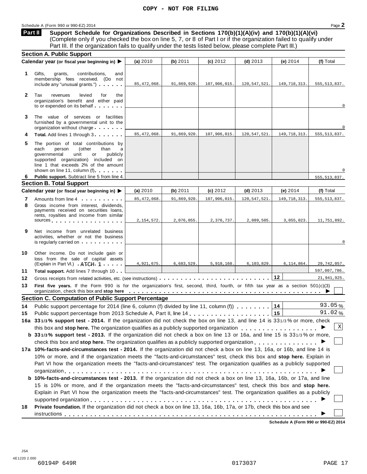### Schedule <sup>A</sup> (Form <sup>990</sup> or 990-EZ) <sup>2014</sup> Page **2**

**Support Schedule for Organizations Described in Sections 170(b)(1)(A)(iv) and 170(b)(1)(A)(vi)** (Complete only if you checked the box on line 5, 7, or 8 of Part I or if the organization failed to qualify under Part III. If the organization fails to qualify under the tests listed below, please complete Part III.) **Part II**

|              | <b>Section A. Public Support</b>                                                                                                                                                                                                                                                |               |             |              |                |                |                |
|--------------|---------------------------------------------------------------------------------------------------------------------------------------------------------------------------------------------------------------------------------------------------------------------------------|---------------|-------------|--------------|----------------|----------------|----------------|
|              | Calendar year (or fiscal year beginning in) ▶                                                                                                                                                                                                                                   | (a) 2010      | (b) 2011    | (c) 2012     | (d) $2013$     | (e) 2014       | (f) Total      |
| 1            | Gifts,<br>contributions,<br>grants,<br>and<br>membership fees received. (Do not<br>include any "unusual grants.")                                                                                                                                                               | 85, 472, 068. | 91,869,920. | 107,906,015. | 120, 547, 521. | 149, 718, 313. | 555, 513, 837. |
| $\mathbf{2}$ | Tax<br>levied<br>revenues<br>for<br>the<br>organization's benefit and either paid                                                                                                                                                                                               |               |             |              |                |                | $\mathbf 0$    |
| 3            | The value of services or facilities<br>furnished by a governmental unit to the<br>organization without charge                                                                                                                                                                   |               |             |              |                |                |                |
|              | Total. Add lines 1 through 3                                                                                                                                                                                                                                                    | 85, 472, 068. | 91,869,920. | 107,906,015. | 120, 547, 521. | 149, 718, 313. | 555, 513, 837. |
| 5            | The portion of total contributions by<br>each<br>person<br>(other<br>than<br>a<br>governmental<br>unit<br>publicly<br>or<br>supported organization) included on<br>line 1 that exceeds 2% of the amount<br>shown on line 11, column (f)                                         |               |             |              |                |                |                |
| 6            | Public support. Subtract line 5 from line 4.                                                                                                                                                                                                                                    |               |             |              |                |                | 555, 513, 837. |
|              | <b>Section B. Total Support</b>                                                                                                                                                                                                                                                 |               |             |              |                |                |                |
|              | Calendar year (or fiscal year beginning in) ▶                                                                                                                                                                                                                                   | (a) 2010      | (b) 2011    | (c) 2012     | (d) $2013$     | (e) $2014$     | (f) Total      |
| 7            | Amounts from line 4                                                                                                                                                                                                                                                             | 85, 472, 068. | 91,869,920. | 107,906,015. | 120, 547, 521  | 149, 718, 313. | 555, 513, 837. |
| 8            | Gross income from interest, dividends,<br>payments received on securities loans,<br>rents, royalties and income from similar<br>sources and the sources and the set of the sources                                                                                              | 2,154,572.    | 2,076,055.  | 2,376,737.   | 2,089,505.     | 3,055,023.     | 11,751,892.    |
| 9            | Net income from unrelated business<br>activities, whether or not the business<br>is regularly carried on each property of the set of the set of the set of the set of the set of the set of the                                                                                 |               |             |              |                |                | $\mathbf 0$    |
| 10           | Other income. Do not include gain or<br>loss from the sale of capital assets<br>(Explain in Part VI.) ATCH 1                                                                                                                                                                    | 4,921,675.    | 6,683,529.  | 5,918,160.   | 6, 103, 829.   | 6,114,864.     | 29,742,057.    |
| 11           | Total support. Add lines 7 through 10                                                                                                                                                                                                                                           |               |             |              |                |                | 597,007,786.   |
| 12           |                                                                                                                                                                                                                                                                                 |               |             |              |                | 12             | 21,941,925.    |
| 13           | First five years. If the Form 990 is for the organization's first, second, third, fourth, or fifth tax year as a section 501(c)(3)<br>organization, check this box and stop here entirely respect to contact the content of the content of the content of $\blacktriangleright$ |               |             |              |                |                |                |
|              | <b>Section C. Computation of Public Support Percentage</b>                                                                                                                                                                                                                      |               |             |              |                |                |                |
| 14           | Public support percentage for 2014 (line 6, column (f) divided by line 11, column (f) $\ldots$ ,,,,,,                                                                                                                                                                           |               |             |              |                | 14             | 93.05%         |
| 15           |                                                                                                                                                                                                                                                                                 |               |             |              |                | 15             | 91.02%         |
|              | 16a 331/3% support test - 2014. If the organization did not check the box on line 13, and line 14 is 331/3% or more, check                                                                                                                                                      |               |             |              |                |                |                |
|              | this box and stop here. The organization qualifies as a publicly supported organization                                                                                                                                                                                         |               |             |              |                |                | X              |
|              | b 331/3% support test - 2013. If the organization did not check a box on line 13 or 16a, and line 15 is 331/3% or more,                                                                                                                                                         |               |             |              |                |                |                |
|              | check this box and stop here. The organization qualifies as a publicly supported organization $\ldots$ ,                                                                                                                                                                        |               |             |              |                |                |                |
|              | 17a 10%-facts-and-circumstances test - 2014. If the organization did not check a box on line 13, 16a, or 16b, and line 14 is                                                                                                                                                    |               |             |              |                |                |                |
|              | 10% or more, and if the organization meets the "facts-and-circumstances" test, check this box and stop here. Explain in                                                                                                                                                         |               |             |              |                |                |                |
|              | Part VI how the organization meets the "facts-and-circumstances" test. The organization qualifies as a publicly supported                                                                                                                                                       |               |             |              |                |                |                |
|              |                                                                                                                                                                                                                                                                                 |               |             |              |                |                |                |
|              | b 10%-facts-and-circumstances test - 2013. If the organization did not check a box on line 13, 16a, 16b, or 17a, and line                                                                                                                                                       |               |             |              |                |                |                |
|              | 15 is 10% or more, and if the organization meets the "facts-and-circumstances" test, check this box and stop here.                                                                                                                                                              |               |             |              |                |                |                |
|              | Explain in Part VI how the organization meets the "facts-and-circumstances" test. The organization qualifies as a publicly                                                                                                                                                      |               |             |              |                |                |                |
| 18           | Private foundation. If the organization did not check a box on line 13, 16a, 16b, 17a, or 17b, check this box and see                                                                                                                                                           |               |             |              |                |                |                |
|              |                                                                                                                                                                                                                                                                                 |               |             |              |                |                |                |
|              |                                                                                                                                                                                                                                                                                 |               |             |              |                |                |                |

**Schedule A (Form 990 or 990-EZ) 2014**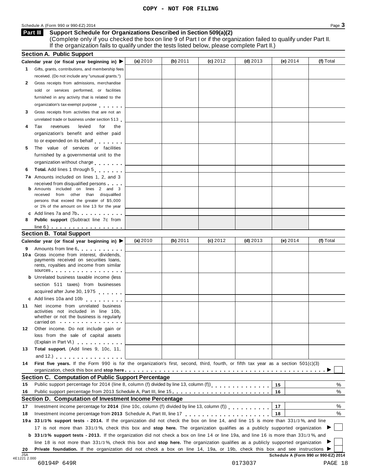### Schedule <sup>A</sup> (Form <sup>990</sup> or 990-EZ) <sup>2014</sup> Page **3**

**Part III**

**Support Schedule for Organizations Described in Section 509(a)(2)** (Complete only if you checked the box on line 9 of Part I or if the organization failed to qualify under Part II. If the organization fails to qualify under the tests listed below, please complete Part II.)

|                            | Calendar year (or fiscal year beginning in) $\blacktriangleright$                                                                                                                                                                                                                  | (a) 2010 | (b) 2011 | (c) 2012 | $(d)$ 2013 | (e) $2014$ | (f) Total        |
|----------------------------|------------------------------------------------------------------------------------------------------------------------------------------------------------------------------------------------------------------------------------------------------------------------------------|----------|----------|----------|------------|------------|------------------|
|                            | 1 Gifts, grants, contributions, and membership fees                                                                                                                                                                                                                                |          |          |          |            |            |                  |
|                            | received. (Do not include any "unusual grants.")                                                                                                                                                                                                                                   |          |          |          |            |            |                  |
| 2                          | Gross receipts from admissions, merchandise                                                                                                                                                                                                                                        |          |          |          |            |            |                  |
|                            | sold or services performed, or facilities                                                                                                                                                                                                                                          |          |          |          |            |            |                  |
|                            | furnished in any activity that is related to the                                                                                                                                                                                                                                   |          |          |          |            |            |                  |
|                            | organization's tax-exempt purpose                                                                                                                                                                                                                                                  |          |          |          |            |            |                  |
| 3                          | Gross receipts from activities that are not an                                                                                                                                                                                                                                     |          |          |          |            |            |                  |
|                            | unrelated trade or business under section 513                                                                                                                                                                                                                                      |          |          |          |            |            |                  |
| 4                          | levied<br>Tax<br>revenues<br>for<br>the                                                                                                                                                                                                                                            |          |          |          |            |            |                  |
|                            | organization's benefit and either paid                                                                                                                                                                                                                                             |          |          |          |            |            |                  |
|                            | to or expended on its behalf                                                                                                                                                                                                                                                       |          |          |          |            |            |                  |
| 5                          | The value of services or facilities                                                                                                                                                                                                                                                |          |          |          |            |            |                  |
|                            | furnished by a governmental unit to the                                                                                                                                                                                                                                            |          |          |          |            |            |                  |
|                            | organization without charge                                                                                                                                                                                                                                                        |          |          |          |            |            |                  |
| 6                          | Total. Add lines 1 through 5                                                                                                                                                                                                                                                       |          |          |          |            |            |                  |
|                            | 7a Amounts included on lines 1, 2, and 3                                                                                                                                                                                                                                           |          |          |          |            |            |                  |
|                            | received from disqualified persons                                                                                                                                                                                                                                                 |          |          |          |            |            |                  |
|                            | Amounts included on lines 2 and 3                                                                                                                                                                                                                                                  |          |          |          |            |            |                  |
|                            | received from other than disqualified                                                                                                                                                                                                                                              |          |          |          |            |            |                  |
|                            | persons that exceed the greater of \$5,000<br>or 1% of the amount on line 13 for the year                                                                                                                                                                                          |          |          |          |            |            |                  |
|                            | c Add lines $7a$ and $7b$                                                                                                                                                                                                                                                          |          |          |          |            |            |                  |
| 8                          | <b>Public support</b> (Subtract line 7c from                                                                                                                                                                                                                                       |          |          |          |            |            |                  |
|                            | $line 6.)$ $\ldots$ $\ldots$ $\ldots$ $\ldots$ $\ldots$ $\ldots$                                                                                                                                                                                                                   |          |          |          |            |            |                  |
|                            | <b>Section B. Total Support</b>                                                                                                                                                                                                                                                    |          |          |          |            |            |                  |
|                            | Calendar year (or fiscal year beginning in)                                                                                                                                                                                                                                        | (a) 2010 | (b) 2011 | (c) 2012 | (d) $2013$ | (e) $2014$ | (f) Total        |
|                            | Amounts from line 6                                                                                                                                                                                                                                                                |          |          |          |            |            |                  |
| 9                          | 10 a Gross income from interest, dividends,                                                                                                                                                                                                                                        |          |          |          |            |            |                  |
|                            | payments received on securities loans,                                                                                                                                                                                                                                             |          |          |          |            |            |                  |
|                            | rents, royalties and income from similar                                                                                                                                                                                                                                           |          |          |          |            |            |                  |
|                            | sources and the set of the set of the set of the set of the set of the set of the set of the set of the set of the set of the set of the set of the set of the set of the set of the set of the set of the set of the set of t<br><b>b</b> Unrelated business taxable income (less |          |          |          |            |            |                  |
|                            | section 511 taxes) from businesses                                                                                                                                                                                                                                                 |          |          |          |            |            |                  |
|                            | acquired after June 30, 1975                                                                                                                                                                                                                                                       |          |          |          |            |            |                  |
|                            |                                                                                                                                                                                                                                                                                    |          |          |          |            |            |                  |
|                            | c Add lines 10a and 10b                                                                                                                                                                                                                                                            |          |          |          |            |            |                  |
| 11                         | Net income from unrelated business<br>activities not included in line 10b,                                                                                                                                                                                                         |          |          |          |            |            |                  |
|                            | whether or not the business is regularly                                                                                                                                                                                                                                           |          |          |          |            |            |                  |
|                            | carried on experience and the carried on                                                                                                                                                                                                                                           |          |          |          |            |            |                  |
| 12                         | Other income. Do not include gain or                                                                                                                                                                                                                                               |          |          |          |            |            |                  |
|                            | loss from the sale of capital assets                                                                                                                                                                                                                                               |          |          |          |            |            |                  |
|                            |                                                                                                                                                                                                                                                                                    |          |          |          |            |            |                  |
|                            | (Explain in Part VI.) <b>All Accords</b>                                                                                                                                                                                                                                           |          |          |          |            |            |                  |
|                            | Total support. (Add lines 9, 10c, 11,                                                                                                                                                                                                                                              |          |          |          |            |            |                  |
| 13                         | and 12.) $\cdots$ $\cdots$ $\cdots$ $\cdots$                                                                                                                                                                                                                                       |          |          |          |            |            |                  |
|                            | First five years. If the Form 990 is for the organization's first, second, third, fourth, or fifth tax year as a section 501(c)(3)                                                                                                                                                 |          |          |          |            |            |                  |
|                            |                                                                                                                                                                                                                                                                                    |          |          |          |            |            |                  |
|                            | <b>Section C. Computation of Public Support Percentage</b>                                                                                                                                                                                                                         |          |          |          |            |            |                  |
|                            | Public support percentage for 2014 (line 8, column (f) divided by line 13, column (f)) [ [ [ ] ] [ ] [ ] [ ] [                                                                                                                                                                     |          |          |          |            | 15         |                  |
|                            | Public support percentage from 2013 Schedule A, Part III, line 15.                                                                                                                                                                                                                 |          |          |          |            | 16         |                  |
|                            | Section D. Computation of Investment Income Percentage                                                                                                                                                                                                                             |          |          |          |            |            |                  |
|                            | Investment income percentage for 2014 (line 10c, column (f) divided by line 13, column (f))                                                                                                                                                                                        |          |          |          |            | 17         |                  |
|                            |                                                                                                                                                                                                                                                                                    |          |          |          |            | 18         |                  |
|                            | 19a 331/3% support tests - 2014. If the organization did not check the box on line 14, and line 15 is more than 331/3%, and line                                                                                                                                                   |          |          |          |            |            |                  |
|                            | 17 is not more than 331/3%, check this box and stop here. The organization qualifies as a publicly supported organization                                                                                                                                                          |          |          |          |            |            |                  |
|                            | <b>b</b> 331/3% support tests - 2013. If the organization did not check a box on line 14 or line 19a, and line 16 is more than 331/3%, and                                                                                                                                         |          |          |          |            |            |                  |
| 14<br>15<br>16<br>17<br>18 | line 18 is not more than 331/3%, check this box and stop here. The organization qualifies as a publicly supported organization<br>Private foundation. If the organization did not check a box on line 14, 19a, or 19b, check this box and see instructions ▶                       |          |          |          |            |            | %<br>%<br>%<br>% |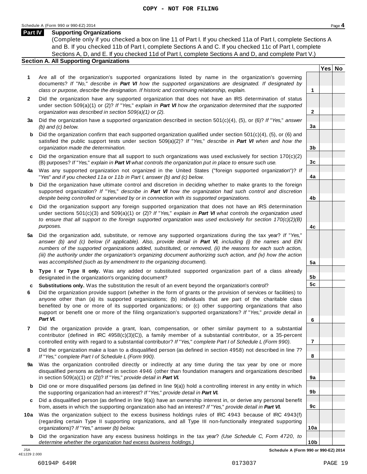Schedule <sup>A</sup> (Form <sup>990</sup> or 990-EZ) <sup>2014</sup> Page **4**

### **Part IV Supporting Organizations**

(Complete only if you checked a box on line 11 of Part I. If you checked 11a of Part I, complete Sections A and B. If you checked 11b of Part I, complete Sections A and C. If you checked 11c of Part I, complete Sections A, D, and E. If you checked 11d of Part I, complete Sections A and D, and complete Part V.)

### **Section A. All Supporting Organizations**

- **1** Are all of the organization's supported organizations listed by name in the organization's governing documents? *If* "*No,*" *describe in Part VI how the supported organizations are designated. If designated by class or purpose, describe the designation. If historic and continuing relationship, explain.* **1**
- **2** Did the organization have any supported organization that does not have an IRS determination of status under section 509(a)(1) or (2)? *If*"*Yes,*" *explain in Part VI how the organization determined that the supported organization was described in section 509(a)(1) or (2).*
- **3 a** Did the organization have a supported organization described in section 501(c)(4), (5), or (6)? *If* "*Yes,*" *answer (b) and (c) below.*
- **b** Did the organization confirm that each supported organization qualified under section 501(c)(4), (5), or (6) and | satisfied the public support tests under section 509(a)(2)? *If* "*Yes,*" *describe in Part VI when and how the organization made the determination.*
- **c** Did the organization ensure that all support to such organizations was used exclusively for section 170(c)(2) (B) purposes? *If*"*Yes,*" *explain in Part VI what controls the organization put in place to ensure such use.*
- **4 a** Was any supported organization not organized in the United States ("foreign supported organization")? *If* "*Yes*" *and if you checked 11a or 11b in Part I, answer (b) and (c) below.*
- **b** Did the organization have ultimate control and discretion in deciding whether to make grants to the foreign | supported organization? *If* "*Yes,*" *describe in Part VI how the organization had such control and discretion despite being controlled or supervised by or in connection with its supported organizations.*
- **c** Did the organization support any foreign supported organization that does not have an IRS determination under sections 501(c)(3) and 509(a)(1) or (2)? *If* "*Yes,*" *explain in Part VI what controls the organization used to ensure that all support to the foreign supported organization was used exclusively for section 170(c)(2)(B) purposes.*
- **5 a** Did the organization add, substitute, or remove any supported organizations during the tax year? *If* "*Yes,*" answer (b) and (c) below (if applicable). Also, provide detail in Part VI, including (i) the names and EIN *numbers of the supported organizations added, substituted, or removed, (ii) the reasons for each such action,* (iii) the authority under the organization's organizing document authorizing such action, and (iv) how the action *was accomplished (such as by amendment to the organizing document).*
- **b** Type I or Type II only. Was any added or substituted supported organization part of a class already | designated in the organization's organizing document?
- **c Substitutions only.** Was the substitution the result of an event beyond the organization's control?
- **6** Did the organization provide support (whether in the form of grants or the provision of services or facilities) to anyone other than (a) its supported organizations; (b) individuals that are part of the charitable class benefited by one or more of its supported organizations; or (c) other supporting organizations that also support or benefit one or more of the filing organization's supported organizations? *If* "*Yes,*" *provide detail in Part VI.*
- **7** Did the organization provide a grant, loan, compensation, or other similar payment to a substantial contributor (defined in IRC 4958(c)(3)(C)), a family member of a substantial contributor, or a 35-percent controlled entity with regard to a substantial contributor? *If*"*Yes,*" *complete Part I of Schedule L (Form 990).*
- **8** Did the organization make a loan to a disqualified person (as defined in section 4958) not described in line 7? *If* "*Yes,*" *complete Part I of Schedule L (Form 990).*
- **9 a** Was the organization controlled directly or indirectly at any time during the tax year by one or more  $|$ disqualified persons as defined in section 4946 (other than foundation managers and organizations described in section 509(a)(1) or (2))? *If*"*Yes,*" *provide detail in Part VI.*
- **b** Did one or more disqualified persons (as defined in line 9(a)) hold a controlling interest in any entity in which | the supporting organization had an interest? *If*"*Yes,*" *provide detail in Part VI.*
- **c** Did a disqualified person (as defined in line 9(a)) have an ownership interest in, or derive any personal benefit from, assets in which the supporting organization also had an interest? *If*"*Yes,*" *provide detail in Part VI.*
- **10a** Was the organization subject to the excess business holdings rules of IRC 4943 because of IRC 4943(f) | (regarding certain Type II supporting organizations, and all Type III non-functionally integrated supporting organizations)? *If*"*Yes,*" *answer (b) below.*
	- **b** Did the organization have any excess business holdings in the tax year? *(Use Schedule C, Form 4720, to determine whether the organization had excess business holdings.)*

**2 3a 3b 3c 4a 4b 4c 5a 5b 5c 6 7 8 9a 9b 9c 10a 10b** JSA **Schedule A (Form 990 or 990-EZ) 2014**

**Yes No**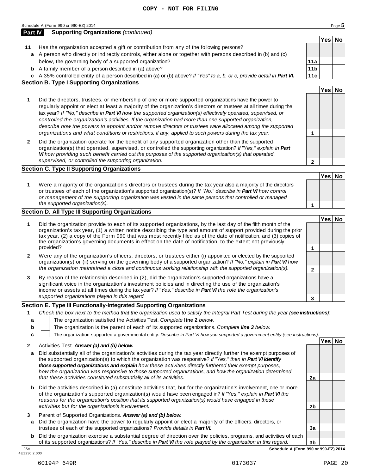| Part IV      | Schedule A (Form 990 or 990-EZ) 2014<br><b>Supporting Organizations (continued)</b>                                                                                                                                                                                                                                                                                                                                                                                                                                                                                                                                                                                          |                 |         | Page 5 |
|--------------|------------------------------------------------------------------------------------------------------------------------------------------------------------------------------------------------------------------------------------------------------------------------------------------------------------------------------------------------------------------------------------------------------------------------------------------------------------------------------------------------------------------------------------------------------------------------------------------------------------------------------------------------------------------------------|-----------------|---------|--------|
|              |                                                                                                                                                                                                                                                                                                                                                                                                                                                                                                                                                                                                                                                                              |                 | Yes No  |        |
|              |                                                                                                                                                                                                                                                                                                                                                                                                                                                                                                                                                                                                                                                                              |                 |         |        |
| 11           | Has the organization accepted a gift or contribution from any of the following persons?                                                                                                                                                                                                                                                                                                                                                                                                                                                                                                                                                                                      |                 |         |        |
| a            | A person who directly or indirectly controls, either alone or together with persons described in (b) and (c)                                                                                                                                                                                                                                                                                                                                                                                                                                                                                                                                                                 |                 |         |        |
|              | below, the governing body of a supported organization?                                                                                                                                                                                                                                                                                                                                                                                                                                                                                                                                                                                                                       | 11a             |         |        |
|              | <b>b</b> A family member of a person described in (a) above?                                                                                                                                                                                                                                                                                                                                                                                                                                                                                                                                                                                                                 | 11 <sub>b</sub> |         |        |
|              | c A 35% controlled entity of a person described in (a) or (b) above? If "Yes" to a, b, or c, provide detail in Part VI.                                                                                                                                                                                                                                                                                                                                                                                                                                                                                                                                                      | 11c             |         |        |
|              | <b>Section B. Type I Supporting Organizations</b>                                                                                                                                                                                                                                                                                                                                                                                                                                                                                                                                                                                                                            |                 |         |        |
|              |                                                                                                                                                                                                                                                                                                                                                                                                                                                                                                                                                                                                                                                                              |                 | Yes No  |        |
| 1            | Did the directors, trustees, or membership of one or more supported organizations have the power to<br>regularly appoint or elect at least a majority of the organization's directors or trustees at all times during the<br>tax year? If "No," describe in Part VI how the supported organization(s) effectively operated, supervised, or<br>controlled the organization's activities. If the organization had more than one supported organization,<br>describe how the powers to appoint and/or remove directors or trustees were allocated among the supported<br>organizations and what conditions or restrictions, if any, applied to such powers during the tax year. | 1               |         |        |
|              |                                                                                                                                                                                                                                                                                                                                                                                                                                                                                                                                                                                                                                                                              |                 |         |        |
| $\mathbf{2}$ | Did the organization operate for the benefit of any supported organization other than the supported<br>organization(s) that operated, supervised, or controlled the supporting organization? If "Yes," explain in Part<br>VI how providing such benefit carried out the purposes of the supported organization(s) that operated,                                                                                                                                                                                                                                                                                                                                             |                 |         |        |
|              | supervised, or controlled the supporting organization.                                                                                                                                                                                                                                                                                                                                                                                                                                                                                                                                                                                                                       | 2               |         |        |
|              | <b>Section C. Type II Supporting Organizations</b>                                                                                                                                                                                                                                                                                                                                                                                                                                                                                                                                                                                                                           |                 |         |        |
|              |                                                                                                                                                                                                                                                                                                                                                                                                                                                                                                                                                                                                                                                                              |                 | Yes No  |        |
| 1            | Were a majority of the organization's directors or trustees during the tax year also a majority of the directors<br>or trustees of each of the organization's supported organization(s)? If "No," describe in Part VI how control<br>or management of the supporting organization was vested in the same persons that controlled or managed<br>the supported organization(s).                                                                                                                                                                                                                                                                                                | 1               |         |        |
|              | Section D. All Type III Supporting Organizations                                                                                                                                                                                                                                                                                                                                                                                                                                                                                                                                                                                                                             |                 |         |        |
|              |                                                                                                                                                                                                                                                                                                                                                                                                                                                                                                                                                                                                                                                                              |                 | Yes∣ No |        |
| 1            | Did the organization provide to each of its supported organizations, by the last day of the fifth month of the<br>organization's tax year, (1) a written notice describing the type and amount of support provided during the prior<br>tax year, (2) a copy of the Form 990 that was most recently filed as of the date of notification, and (3) copies of<br>the organization's governing documents in effect on the date of notification, to the extent not previously<br>provided?                                                                                                                                                                                        | 1               |         |        |
|              |                                                                                                                                                                                                                                                                                                                                                                                                                                                                                                                                                                                                                                                                              |                 |         |        |
| 2            | Were any of the organization's officers, directors, or trustees either (i) appointed or elected by the supported<br>organization(s) or (ii) serving on the governing body of a supported organization? If "No," explain in Part VI how                                                                                                                                                                                                                                                                                                                                                                                                                                       |                 |         |        |
|              | the organization maintained a close and continuous working relationship with the supported organization(s).                                                                                                                                                                                                                                                                                                                                                                                                                                                                                                                                                                  |                 |         |        |
|              |                                                                                                                                                                                                                                                                                                                                                                                                                                                                                                                                                                                                                                                                              | 2               |         |        |
| 3            | By reason of the relationship described in (2), did the organization's supported organizations have a<br>significant voice in the organization's investment policies and in directing the use of the organization's<br>income or assets at all times during the tax year? If "Yes," describe in Part VI the role the organization's<br>supported organizations played in this regard.                                                                                                                                                                                                                                                                                        |                 |         |        |
|              |                                                                                                                                                                                                                                                                                                                                                                                                                                                                                                                                                                                                                                                                              | 3               |         |        |
|              | Section E. Type III Functionally-Integrated Supporting Organizations                                                                                                                                                                                                                                                                                                                                                                                                                                                                                                                                                                                                         |                 |         |        |
| 1<br>a<br>b  | Check the box next to the method that the organization used to satisfy the Integral Part Test during the year (see instructions):<br>The organization satisfied the Activities Test. Complete line 2 below.<br>The organization is the parent of each of its supported organizations. Complete line 3 below.                                                                                                                                                                                                                                                                                                                                                                 |                 |         |        |
| c            | The organization supported a governmental entity. Describe in Part VI how you supported a government entity (see instructions).                                                                                                                                                                                                                                                                                                                                                                                                                                                                                                                                              |                 |         |        |
|              |                                                                                                                                                                                                                                                                                                                                                                                                                                                                                                                                                                                                                                                                              |                 | Yes No  |        |
| 2            | Activities Test. Answer (a) and (b) below.                                                                                                                                                                                                                                                                                                                                                                                                                                                                                                                                                                                                                                   |                 |         |        |

**a** Did substantially all of the organization's activities during the tax year directly further the exempt purposes of the supported organization(s) to which the organization was responsive? *If "Yes," then in Part VI identify those supported organizations and explain how these activities directly furthered their exempt purposes, how the organization was responsive to those supported organizations, and how the organization determined that these activities constituted substantially all of its activities.* **2a**

- **b** Did the activities described in (a) constitute activities that, but for the organization's involvement, one or more of the organization's supported organization(s) would have been engaged in? *If "Yes," explain in Part VI the reasons for the organization's position that its supported organization(s) would have engaged in these activities but for the organization's involvement.*
- **3** Parent of Supported Organizations. *Answer (a) and (b) below.*
- **a** Did the organization have the power to regularly appoint or elect a majority of the officers, directors, or trustees of each of the supported organizations? *Provide details in Part VI.*
- **3b b** Did the organization exercise a substantial degree of direction over the policies, programs, and activities of each of its supported organizations? *If"Yes," describe in Part VI the role played by the organization in this regard.* JSA **Schedule A (Form 990 or 990-EZ) 2014**

4E1230 2.000

**Yes No**

**2b**

**3a**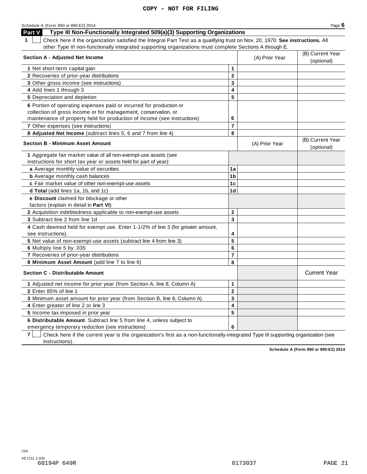| Schedule A (Form 990 or 990-EZ) 2014                                                                                                          |                |                | Page $6$                       |
|-----------------------------------------------------------------------------------------------------------------------------------------------|----------------|----------------|--------------------------------|
| Type III Non-Functionally Integrated 509(a)(3) Supporting Organizations<br>Part V                                                             |                |                |                                |
| Check here if the organization satisfied the Integral Part Test as a qualifying trust on Nov. 20, 1970. See instructions. All<br>$\mathbf{1}$ |                |                |                                |
| other Type III non-functionally integrated supporting organizations must complete Sections A through E.                                       |                |                |                                |
| <b>Section A - Adjusted Net Income</b>                                                                                                        |                | (A) Prior Year | (B) Current Year               |
|                                                                                                                                               |                |                | (optional)                     |
| 1 Net short-term capital gain                                                                                                                 | 1              |                |                                |
| 2 Recoveries of prior-year distributions                                                                                                      | $\mathbf 2$    |                |                                |
| 3 Other gross income (see instructions)                                                                                                       | 3              |                |                                |
| 4 Add lines 1 through 3                                                                                                                       | 4              |                |                                |
| 5 Depreciation and depletion                                                                                                                  | 5              |                |                                |
| 6 Portion of operating expenses paid or incurred for production or                                                                            |                |                |                                |
| collection of gross income or for management, conservation, or                                                                                |                |                |                                |
| maintenance of property held for production of income (see instructions)                                                                      | 6              |                |                                |
| 7 Other expenses (see instructions)                                                                                                           | $\overline{7}$ |                |                                |
| 8 Adjusted Net Income (subtract lines 5, 6 and 7 from line 4)                                                                                 | 8              |                |                                |
| <b>Section B - Minimum Asset Amount</b>                                                                                                       |                | (A) Prior Year | (B) Current Year<br>(optional) |
| 1 Aggregate fair market value of all non-exempt-use assets (see                                                                               |                |                |                                |
| instructions for short tax year or assets held for part of year):                                                                             |                |                |                                |
| a Average monthly value of securities                                                                                                         | 1a             |                |                                |
| <b>b</b> Average monthly cash balances                                                                                                        | 1b             |                |                                |
| c Fair market value of other non-exempt-use assets                                                                                            | 1c             |                |                                |
| d Total (add lines 1a, 1b, and 1c)                                                                                                            | 1d             |                |                                |
| e Discount claimed for blockage or other                                                                                                      |                |                |                                |
| factors (explain in detail in Part VI):                                                                                                       |                |                |                                |
| 2 Acquisition indebtedness applicable to non-exempt-use assets                                                                                | $\mathbf 2$    |                |                                |
| 3 Subtract line 2 from line 1d                                                                                                                | 3              |                |                                |
| 4 Cash deemed held for exempt use. Enter 1-1/2% of line 3 (for greater amount,                                                                |                |                |                                |
| see instructions).                                                                                                                            | 4              |                |                                |
| 5 Net value of non-exempt-use assets (subtract line 4 from line 3)                                                                            | 5              |                |                                |
| 6 Multiply line 5 by .035                                                                                                                     | 6              |                |                                |
| 7 Recoveries of prior-year distributions                                                                                                      | 7              |                |                                |
| 8 Minimum Asset Amount (add line 7 to line 6)                                                                                                 | 8              |                |                                |
| <b>Section C - Distributable Amount</b>                                                                                                       |                |                | <b>Current Year</b>            |
| 1 Adjusted net income for prior year (from Section A, line 8, Column A)                                                                       | 1              |                |                                |
| 2 Enter 85% of line 1                                                                                                                         | $\mathbf 2$    |                |                                |
| 3 Minimum asset amount for prior year (from Section B, line 8, Column A)                                                                      | 3              |                |                                |
| 4 Enter greater of line 2 or line 3                                                                                                           | 4              |                |                                |
| 5 Income tax imposed in prior year                                                                                                            | 5              |                |                                |
| 6 Distributable Amount. Subtract line 5 from line 4, unless subject to                                                                        |                |                |                                |

emergency temporary reduction (see instructions)

**7** Check here if the current year is the organization's first as a non-functionally-integrated Type III supporting organization (see instructions).

**Schedule A (Form 990 or 990-EZ) 2014**

**6**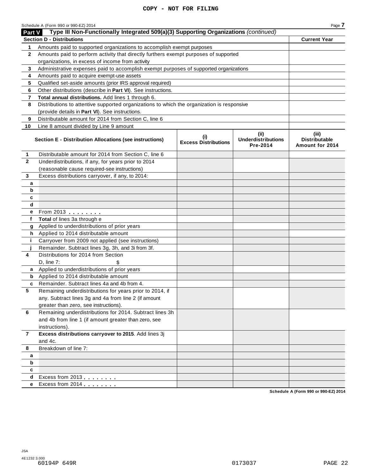| <b>Part V</b> | Type III Non-Functionally Integrated 509(a)(3) Supporting Organizations (continued)        |                                    |                                               |                                                  |
|---------------|--------------------------------------------------------------------------------------------|------------------------------------|-----------------------------------------------|--------------------------------------------------|
|               | <b>Section D - Distributions</b>                                                           |                                    |                                               | <b>Current Year</b>                              |
| 1             | Amounts paid to supported organizations to accomplish exempt purposes                      |                                    |                                               |                                                  |
| 2             | Amounts paid to perform activity that directly furthers exempt purposes of supported       |                                    |                                               |                                                  |
|               | organizations, in excess of income from activity                                           |                                    |                                               |                                                  |
| 3             | Administrative expenses paid to accomplish exempt purposes of supported organizations      |                                    |                                               |                                                  |
| 4             | Amounts paid to acquire exempt-use assets                                                  |                                    |                                               |                                                  |
| 5             | Qualified set-aside amounts (prior IRS approval required)                                  |                                    |                                               |                                                  |
| 6             | Other distributions (describe in Part VI). See instructions.                               |                                    |                                               |                                                  |
| 7             | Total annual distributions. Add lines 1 through 6.                                         |                                    |                                               |                                                  |
| 8             | Distributions to attentive supported organizations to which the organization is responsive |                                    |                                               |                                                  |
|               | (provide details in Part VI). See instructions.                                            |                                    |                                               |                                                  |
| 9             | Distributable amount for 2014 from Section C, line 6                                       |                                    |                                               |                                                  |
| 10            | Line 8 amount divided by Line 9 amount                                                     |                                    |                                               |                                                  |
|               | Section E - Distribution Allocations (see instructions)                                    | (i)<br><b>Excess Distributions</b> | (ii)<br><b>Underdistributions</b><br>Pre-2014 | (iii)<br><b>Distributable</b><br>Amount for 2014 |
| 1.            | Distributable amount for 2014 from Section C, line 6                                       |                                    |                                               |                                                  |
| $\mathbf{2}$  | Underdistributions, if any, for years prior to 2014                                        |                                    |                                               |                                                  |
|               | (reasonable cause required-see instructions)                                               |                                    |                                               |                                                  |
| 3             | Excess distributions carryover, if any, to 2014:                                           |                                    |                                               |                                                  |
| а             |                                                                                            |                                    |                                               |                                                  |
| b             |                                                                                            |                                    |                                               |                                                  |
| c             |                                                                                            |                                    |                                               |                                                  |
| d             |                                                                                            |                                    |                                               |                                                  |
| е             | From 2013 <b></b>                                                                          |                                    |                                               |                                                  |
| f             | Total of lines 3a through e                                                                |                                    |                                               |                                                  |
| g             | Applied to underdistributions of prior years                                               |                                    |                                               |                                                  |
| h.            | Applied to 2014 distributable amount                                                       |                                    |                                               |                                                  |
| j.            | Carryover from 2009 not applied (see instructions)                                         |                                    |                                               |                                                  |
|               | Remainder. Subtract lines 3g, 3h, and 3i from 3f.                                          |                                    |                                               |                                                  |
| 4             | Distributions for 2014 from Section                                                        |                                    |                                               |                                                  |
|               | $D.$ line $7:$                                                                             |                                    |                                               |                                                  |
| a             | Applied to underdistributions of prior years                                               |                                    |                                               |                                                  |
| b             | Applied to 2014 distributable amount                                                       |                                    |                                               |                                                  |
| c             | Remainder. Subtract lines 4a and 4b from 4.                                                |                                    |                                               |                                                  |
| 5             | Remaining underdistributions for years prior to 2014, if                                   |                                    |                                               |                                                  |
|               | any. Subtract lines 3g and 4a from line 2 (if amount                                       |                                    |                                               |                                                  |
|               | greater than zero, see instructions).                                                      |                                    |                                               |                                                  |
| 6             | Remaining underdistributions for 2014. Subtract lines 3h                                   |                                    |                                               |                                                  |
|               | and 4b from line 1 (if amount greater than zero, see                                       |                                    |                                               |                                                  |
|               | instructions).                                                                             |                                    |                                               |                                                  |
| 7             | Excess distributions carryover to 2015. Add lines 3j                                       |                                    |                                               |                                                  |
|               | and 4c.                                                                                    |                                    |                                               |                                                  |
| 8             | Breakdown of line 7:                                                                       |                                    |                                               |                                                  |
| a             |                                                                                            |                                    |                                               |                                                  |
| b             |                                                                                            |                                    |                                               |                                                  |
| c<br>d        | Excess from 2013                                                                           |                                    |                                               |                                                  |
|               |                                                                                            |                                    |                                               |                                                  |
| е             | Excess from 2014                                                                           |                                    |                                               |                                                  |

**Schedule A (Form 990 or 990-EZ) 2014**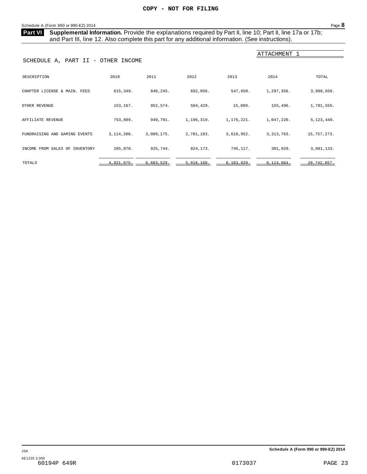### <span id="page-24-0"></span>Schedule A (Form 990 or 990-EZ) 2014 Page 8

Part VI Supplemental Information. Provide the explanations required by Part II, line 10; Part II, line 17a or 17b; and Part III, line 12. Also complete this part for any additional information. (See instructions).

|                                    |            |            |            |              | ATTACHMENT 1 |             |  |  |  |  |  |
|------------------------------------|------------|------------|------------|--------------|--------------|-------------|--|--|--|--|--|
| SCHEDULE A, PART II - OTHER INCOME |            |            |            |              |              |             |  |  |  |  |  |
| DESCRIPTION                        | 2010       | 2011       | 2012       | 2013         | 2014         | TOTAL       |  |  |  |  |  |
| CHAPTER LICENSE & MAIN. FEES       | 615,349.   | 846,245.   | 692,056.   | 547,650.     | 1,297,356.   | 3,998,656.  |  |  |  |  |  |
| OTHER REVENUE                      | 153,167.   | 952,574.   | 504,429.   | 15,889.      | 155,496.     | 1,781,555.  |  |  |  |  |  |
| AFFILIATE REVENUE                  | 753,889.   | 949,791.   | 1,196,319. | 1,176,221.   | 1,047,220.   | 5,123,440.  |  |  |  |  |  |
| FUNDRAISING AND GAMING EVENTS      | 3,114,200. | 3,009,175. | 2,701,183. | 3,618,952.   | 3, 313, 763. | 15,757,273. |  |  |  |  |  |
| INCOME FROM SALES OF INVENTORY     | 285,070.   | 925,744.   | 824,173.   | 745,117.     | 301,029.     | 3,081,133.  |  |  |  |  |  |
| TOTALS                             | 4.921.675. | 6.683.529. | 5.918.160  | 6, 103, 829. | 6, 114, 864. | 29,742,057. |  |  |  |  |  |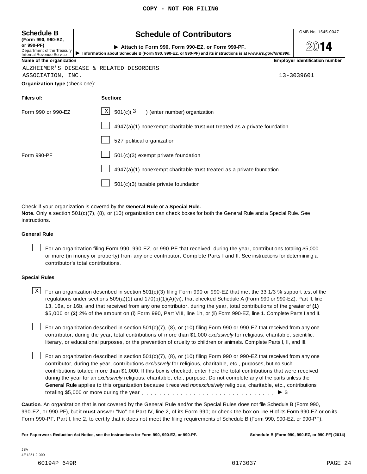| <b>Schedule B</b><br>(Form 990, 990-EZ,                              | <b>Schedule of Contributors</b>                                             |                                                                                                                                                                | OMB No. 1545-0047                     |  |  |  |  |
|----------------------------------------------------------------------|-----------------------------------------------------------------------------|----------------------------------------------------------------------------------------------------------------------------------------------------------------|---------------------------------------|--|--|--|--|
| or 990-PF)<br>Department of the Treasury<br>Internal Revenue Service |                                                                             | Attach to Form 990, Form 990-EZ, or Form 990-PF.<br>Information about Schedule B (Form 990, 990-EZ, or 990-PF) and its instructions is at www.irs.gov/form990. |                                       |  |  |  |  |
| Name of the organization                                             |                                                                             |                                                                                                                                                                | <b>Employer identification number</b> |  |  |  |  |
|                                                                      | ALZHEIMER'S DISEASE & RELATED DISORDERS                                     |                                                                                                                                                                |                                       |  |  |  |  |
| ASSOCIATION, INC.                                                    |                                                                             |                                                                                                                                                                | 13-3039601                            |  |  |  |  |
| Organization type (check one):                                       |                                                                             |                                                                                                                                                                |                                       |  |  |  |  |
| Filers of:                                                           | Section:                                                                    |                                                                                                                                                                |                                       |  |  |  |  |
| Form 990 or 990-EZ                                                   | $\vert X \vert$<br>501(c)(3)<br>) (enter number) organization               |                                                                                                                                                                |                                       |  |  |  |  |
|                                                                      | $4947(a)(1)$ nonexempt charitable trust not treated as a private foundation |                                                                                                                                                                |                                       |  |  |  |  |
|                                                                      | 527 political organization                                                  |                                                                                                                                                                |                                       |  |  |  |  |
| Form 990-PF                                                          | $501(c)(3)$ exempt private foundation                                       |                                                                                                                                                                |                                       |  |  |  |  |
|                                                                      | 4947(a)(1) nonexempt charitable trust treated as a private foundation       |                                                                                                                                                                |                                       |  |  |  |  |
|                                                                      | $501(c)(3)$ taxable private foundation                                      |                                                                                                                                                                |                                       |  |  |  |  |

Check if your organization is covered by the **General Rule** or a **Special Rule.**

**Note.** Only a section 501(c)(7), (8), or (10) organization can check boxes for both the General Rule and a Special Rule. See instructions.

### **General Rule**

For an organization filing Form 990, 990-EZ, or 990-PF that received, during the year, contributions totaling \$5,000 or more (in money or property) from any one contributor. Complete Parts I and II. See instructions for determining a contributor's total contributions.

### **Special Rules**

 $\text{X}$  For an organization described in section 501(c)(3) filing Form 990 or 990-EZ that met the 33 1/3 % support test of the regulations under sections 509(a)(1) and 170(b)(1)(A)(vi), that checked Schedule A (Form 990 or 990-EZ), Part II, line 13, 16a, or 16b, and that received from any one contributor, during the year, total contributions of the greater of **(1)** \$5,000 or **(2)** 2% of the amount on (i) Form 990, Part VIII, line 1h, or (ii) Form 990-EZ, line 1. Complete Parts I and II.

For an organization described in section 501(c)(7), (8), or (10) filing Form 990 or 990-EZ that received from any one contributor, during the year, total contributions of more than \$1,000 *exclusively* for religious, charitable, scientific, literary, or educational purposes, or the prevention of cruelty to children or animals. Complete Parts I, II, and III.

For an organization described in section 501(c)(7), (8), or (10) filing Form 990 or 990-EZ that received from any one contributor, during the year, contributions *exclusively* for religious, charitable, etc., purposes, but no such contributions totaled more than \$1,000. If this box is checked, enter here the total contributions that were received during the year for an *exclusively* religious, charitable, etc., purpose. Do not complete any of the parts unless the **General Rule** applies to this organization because it received *nonexclusively* religious, charitable, etc., contributions General Rule applies to this organization because it received *nonexclusively* religious, charitable, etc., contra<br>totaling \$5,000 or more during the year<br>experience in the security of the security of  $\frac{1}{2}$ 

**Caution.** An organization that is not covered by the General Rule and/or the Special Rules does not file Schedule B (Form 990, 990-EZ, or 990-PF), but it **must** answer "No" on Part IV, line 2, of its Form 990; or check the box on line H of its Form 990-EZ or on its Form 990-PF, Part I, line 2, to certify that it does not meet the filing requirements of Schedule B (Form 990, 990-EZ, or 990-PF).

For Paperwork Reduction Act Notice, see the Instructions for Form 990, 990-EZ, or 990-PF. Schedule B (Form 990, 990-EZ, or 990-PF) (2014)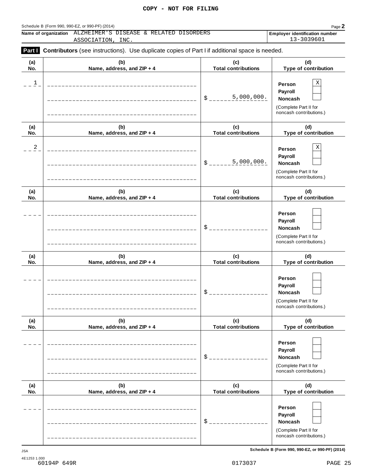| Schedule B (Form 990. 990-EZ. or 990-PF) (2014) |  |  |  |
|-------------------------------------------------|--|--|--|

| Part I     | Contributors (see instructions). Use duplicate copies of Part I if additional space is needed. |                                   |                                                                                                 |
|------------|------------------------------------------------------------------------------------------------|-----------------------------------|-------------------------------------------------------------------------------------------------|
| (a)<br>No. | (b)<br>Name, address, and ZIP + 4                                                              | (c)<br><b>Total contributions</b> | (d)<br>Type of contribution                                                                     |
| 1          |                                                                                                | 5,000,000.<br>\$                  | X<br>Person<br>Payroll<br>Noncash<br>(Complete Part II for<br>noncash contributions.)           |
| (a)        | (b)                                                                                            | (c)                               | (d)                                                                                             |
| No.        | Name, address, and ZIP + 4                                                                     | <b>Total contributions</b>        | Type of contribution                                                                            |
| 2          |                                                                                                | 5,000,000.<br>\$                  | $\mathbf X$<br>Person<br>Payroll<br>Noncash<br>(Complete Part II for<br>noncash contributions.) |
| (a)<br>No. | (b)<br>Name, address, and ZIP + 4                                                              | (c)<br><b>Total contributions</b> | (d)<br>Type of contribution                                                                     |
|            |                                                                                                | \$                                | Person<br>Payroll<br><b>Noncash</b><br>(Complete Part II for<br>noncash contributions.)         |
| (a)<br>No. | (b)<br>Name, address, and ZIP + 4                                                              | (c)<br><b>Total contributions</b> | (d)<br>Type of contribution                                                                     |
|            |                                                                                                | \$                                | Person<br>Payroll<br>Noncash<br>(Complete Part II for<br>noncash contributions.)                |
| (a)<br>No. | (b)<br>Name, address, and ZIP + 4                                                              | (c)<br><b>Total contributions</b> | (d)<br>Type of contribution                                                                     |
|            |                                                                                                | \$                                | Person<br>Payroll<br>Noncash<br>(Complete Part II for<br>noncash contributions.)                |
| (a)<br>No. | (b)<br>Name, address, and ZIP + 4                                                              | (c)<br><b>Total contributions</b> | (d)<br>Type of contribution                                                                     |
|            |                                                                                                | \$                                | Person<br>Payroll<br><b>Noncash</b><br>(Complete Part II for<br>noncash contributions.)         |

**Schedule B (Form 990, 990-EZ, or 990-PF) (2014)** JSA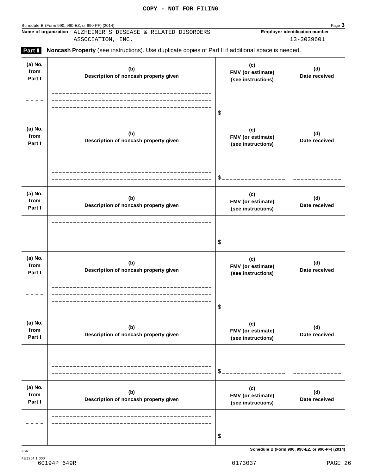| Page 3<br>Schedule B (Form 990, 990-EZ, or 990-PF) (2014)           |                   |  |  |  |  |                                       |  |
|---------------------------------------------------------------------|-------------------|--|--|--|--|---------------------------------------|--|
| <b>Name of organization</b> ALZHEIMER'S DISEASE & RELATED DISORDERS |                   |  |  |  |  | <b>Employer identification number</b> |  |
|                                                                     | ASSOCIATION, INC. |  |  |  |  | 13-3039601                            |  |

**Part II** Noncash Property (see instructions). Use duplicate copies of Part II if additional space is needed.

| (a) No.<br>from<br>Part I | (b)<br>Description of noncash property given | (c)<br>FMV (or estimate)<br>(see instructions) | (d)<br>Date received |
|---------------------------|----------------------------------------------|------------------------------------------------|----------------------|
|                           |                                              | \$.                                            |                      |
| (a) No.<br>from<br>Part I | (b)<br>Description of noncash property given | (c)<br>FMV (or estimate)<br>(see instructions) | (d)<br>Date received |
|                           |                                              | \$.                                            |                      |
| (a) No.<br>from<br>Part I | (b)<br>Description of noncash property given | (c)<br>FMV (or estimate)<br>(see instructions) | (d)<br>Date received |
|                           |                                              | \$                                             |                      |
| (a) No.<br>from<br>Part I | (b)<br>Description of noncash property given | (c)<br>FMV (or estimate)<br>(see instructions) | (d)<br>Date received |
|                           |                                              | \$                                             |                      |
| (a) No.<br>from<br>Part I | (b)<br>Description of noncash property given | (c)<br>FMV (or estimate)<br>(see instructions) | (d)<br>Date received |
|                           |                                              | \$                                             |                      |
| (a) No.<br>from<br>Part I | (b)<br>Description of noncash property given | (c)<br>FMV (or estimate)<br>(see instructions) | (d)<br>Date received |
|                           |                                              | \$                                             |                      |

4E1254 1.000 60194P 649R 0173037 PAGE 26

**Schedule B (Form 990, 990-EZ, or 990-PF) (2014)** JSA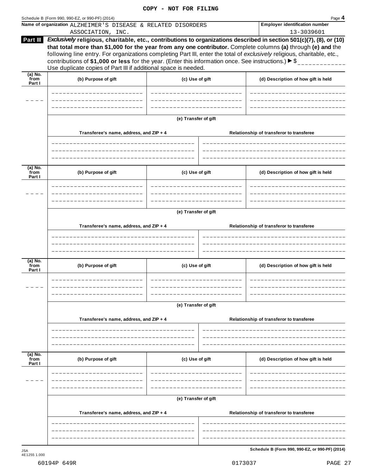| Schedule B (Form 990, 990-EZ, or 990-PF) (2014) |  |  |  |  |
|-------------------------------------------------|--|--|--|--|
|-------------------------------------------------|--|--|--|--|

| Schedule B (Form 990, 990-EZ, or 990-PF) (2014)                                                                              | Page 4                                |
|------------------------------------------------------------------------------------------------------------------------------|---------------------------------------|
| <b>Name of organization</b> <code>ALZHEIMER'S DISEASE &amp; RELATED DISORDERS</code>                                         | <b>Employer identification number</b> |
| ASSOCIATION, INC.                                                                                                            | 13-3039601                            |
| $\text{Part III}$ Eveluciativizione aberitable ata contributione to crescipatione deceribed in eastign E04/e)/7) (0) or (40) |                                       |

| Part III                   | Exclusively religious, charitable, etc., contributions to organizations described in section 501(c)(7), (8), or (10)<br>that total more than \$1,000 for the year from any one contributor. Complete columns (a) through (e) and the                                                                                    |                      |                                          |
|----------------------------|-------------------------------------------------------------------------------------------------------------------------------------------------------------------------------------------------------------------------------------------------------------------------------------------------------------------------|----------------------|------------------------------------------|
|                            | following line entry. For organizations completing Part III, enter the total of exclusively religious, charitable, etc.,<br>contributions of \$1,000 or less for the year. (Enter this information once. See instructions.) $\blacktriangleright$ \$<br>Use duplicate copies of Part III if additional space is needed. |                      |                                          |
| (a) No.<br>`from<br>Part I | (b) Purpose of gift                                                                                                                                                                                                                                                                                                     | (c) Use of gift      | (d) Description of how gift is held      |
|                            |                                                                                                                                                                                                                                                                                                                         |                      |                                          |
|                            |                                                                                                                                                                                                                                                                                                                         | (e) Transfer of gift |                                          |
|                            | Transferee's name, address, and ZIP + 4                                                                                                                                                                                                                                                                                 |                      | Relationship of transferor to transferee |
|                            | ______________________________                                                                                                                                                                                                                                                                                          |                      |                                          |
| (a) No.<br>from<br>Part I  | (b) Purpose of gift                                                                                                                                                                                                                                                                                                     | (c) Use of gift      | (d) Description of how gift is held      |
|                            |                                                                                                                                                                                                                                                                                                                         |                      |                                          |
|                            |                                                                                                                                                                                                                                                                                                                         | (e) Transfer of gift |                                          |
|                            | Transferee's name, address, and ZIP + 4                                                                                                                                                                                                                                                                                 |                      | Relationship of transferor to transferee |
|                            |                                                                                                                                                                                                                                                                                                                         |                      |                                          |
| (a) No.<br>from<br>Part I  | (b) Purpose of gift<br>----------------                                                                                                                                                                                                                                                                                 | (c) Use of gift      | (d) Description of how gift is held      |
|                            | ----------------                                                                                                                                                                                                                                                                                                        | (e) Transfer of gift |                                          |
|                            | Transferee's name, address, and ZIP + 4                                                                                                                                                                                                                                                                                 |                      | Relationship of transferor to transferee |
|                            |                                                                                                                                                                                                                                                                                                                         |                      |                                          |
| (a) No.<br>from<br>Part I  | (b) Purpose of gift                                                                                                                                                                                                                                                                                                     | (c) Use of gift      | (d) Description of how gift is held      |
|                            |                                                                                                                                                                                                                                                                                                                         |                      |                                          |
|                            |                                                                                                                                                                                                                                                                                                                         | (e) Transfer of gift |                                          |
|                            | Transferee's name, address, and ZIP + 4                                                                                                                                                                                                                                                                                 |                      | Relationship of transferor to transferee |
|                            |                                                                                                                                                                                                                                                                                                                         |                      |                                          |

 $S$ chedule B (Form 990, 990-EZ, or 990-PF) (2014)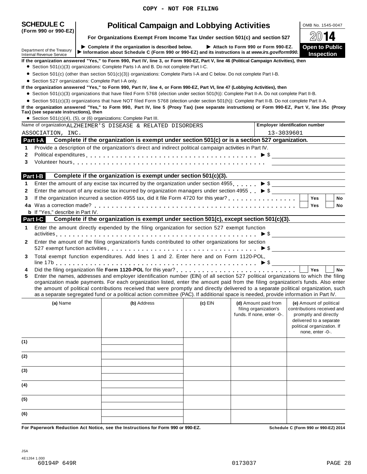| <b>SCHEDULE C</b>                                             | <b>Political Campaign and Lobbying Activities</b>                                                                                                                                                                                   |                                       | OMB No. 1545-0047                          |  |  |
|---------------------------------------------------------------|-------------------------------------------------------------------------------------------------------------------------------------------------------------------------------------------------------------------------------------|---------------------------------------|--------------------------------------------|--|--|
| (Form 990 or 990-EZ)                                          | For Organizations Exempt From Income Tax Under section 501(c) and section 527                                                                                                                                                       |                                       |                                            |  |  |
| Department of the Treasury<br><b>Internal Revenue Service</b> | $\triangleright$ Complete if the organization is described below.<br>Attach to Form 990 or Form 990-EZ.<br>Information about Schedule C (Form 990 or 990-EZ) and its instructions is at www.irs.gov/form990.                        |                                       | <b>Open to Public</b><br><b>Inspection</b> |  |  |
|                                                               | If the organization answered "Yes," to Form 990, Part IV, line 3, or Form 990-EZ, Part V, line 46 (Political Campaign Activities), then<br>• Section $501(c)(3)$ organizations: Complete Parts I-A and B. Do not complete Part I-C. |                                       |                                            |  |  |
|                                                               | ● Section 501(c) (other than section 501(c)(3)) organizations: Complete Parts I-A and C below. Do not complete Part I-B.                                                                                                            |                                       |                                            |  |  |
|                                                               | • Section 527 organizations: Complete Part I-A only.                                                                                                                                                                                |                                       |                                            |  |  |
|                                                               | If the organization answered "Yes," to Form 990, Part IV, line 4, or Form 990-EZ, Part VI, line 47 (Lobbying Activities), then                                                                                                      |                                       |                                            |  |  |
|                                                               | • Section 501(c)(3) organizations that have filed Form 5768 (election under section 501(h)): Complete Part II-A. Do not complete Part II-B.                                                                                         |                                       |                                            |  |  |
|                                                               | • Section 501(c)(3) organizations that have NOT filed Form 5768 (election under section 501(h)): Complete Part II-B. Do not complete Part II-A.                                                                                     |                                       |                                            |  |  |
| Tax) (see separate instructions), then                        | If the organization answered "Yes," to Form 990, Part IV, line 5 (Proxy Tax) (see separate instructions) or Form 990-EZ, Part V, line 35c (Proxy<br>• Section 501(c)(4), (5), or (6) organizations: Complete Part III.              |                                       |                                            |  |  |
|                                                               | Name of organization ALZHEIMER'S DISEASE & RELATED DISORDERS                                                                                                                                                                        | <b>Employer identification number</b> |                                            |  |  |
| ASSOCIATION, INC.                                             |                                                                                                                                                                                                                                     | 13-3039601                            |                                            |  |  |
| Part I-A                                                      | Complete if the organization is exempt under section 501(c) or is a section 527 organization.                                                                                                                                       |                                       |                                            |  |  |
| 1.                                                            | Provide a description of the organization's direct and indirect political campaign activities in Part IV.                                                                                                                           |                                       |                                            |  |  |
| 2                                                             |                                                                                                                                                                                                                                     |                                       |                                            |  |  |
| 3                                                             |                                                                                                                                                                                                                                     |                                       |                                            |  |  |
| <b>Part I-B</b>                                               | Complete if the organization is exempt under section 501(c)(3).                                                                                                                                                                     |                                       |                                            |  |  |
|                                                               | Enter the amount of any excise tax incurred by the organization under section 4955                                                                                                                                                  | $\mathbb{R}$                          |                                            |  |  |

|          | <b>Part EB</b> Complete if the organization is exempt under section $501(c)(3)$ .                                                                                                      |                  |
|----------|----------------------------------------------------------------------------------------------------------------------------------------------------------------------------------------|------------------|
| $\sim$ 1 | Enter the amount of any excise tax incurred by the organization under section 4955                                                                                                     |                  |
|          | 2 Enter the amount of any excise tax incurred by organization managers under section 4955 $\triangleright$ \$                                                                          |                  |
|          | Enter the amount of any excise tax incurred by organization management of this year?<br>3 If the organization incurred a section 4955 tax, did it file Form 4720 for this year?<br>Yes |                  |
|          |                                                                                                                                                                                        | $\frac{1}{N}$ No |
|          | <b>b</b> If "Yes," describe in Part IV.                                                                                                                                                |                  |
|          | Part I-C Complete if the organization is exempt under section 501(c), except section 501(c)(3).                                                                                        |                  |
|          | A. Enter the amount directly expended by the filing expeniration for section E97 example function                                                                                      |                  |

|             | Enter the amount directly expended by the filing organization for section 527 exempt function                                                                                                                                                                                                  |      |  |
|-------------|------------------------------------------------------------------------------------------------------------------------------------------------------------------------------------------------------------------------------------------------------------------------------------------------|------|--|
| $2^{\circ}$ | Enter the amount of the filing organization's funds contributed to other organizations for section                                                                                                                                                                                             |      |  |
| 3           | Total exempt function expenditures. Add lines 1 and 2. Enter here and on Form 1120-POL,                                                                                                                                                                                                        |      |  |
|             | $\mathbb{R}^{n+1}$ and $\mathbb{R}^{n+1}$ and $\mathbb{R}^{n+1}$ and $\mathbb{R}^{n+1}$ and $\mathbb{R}^{n+1}$ and $\mathbb{R}^{n+1}$ and $\mathbb{R}^{n+1}$ and $\mathbb{R}^{n+1}$ and $\mathbb{R}^{n+1}$ and $\mathbb{R}^{n+1}$ and $\mathbb{R}^{n+1}$ and $\mathbb{R}^{n+1}$ and $\mathbb{$ | $ -$ |  |

- 
- line 1/b<br>
4 Did the filing organization file Form 1120-POL for this year?<br>
5 Enter the names, addresses and employer identification number (EIN) of all section 527 political organizations to which the filing organization made payments. For each organization listed, enter the amount paid from the filing organization's funds. Also enter the amount of political contributions received that were promptly and directly delivered to a separate political organization, such as a separate segregated fund or a political action committee (PAC). If additional space is needed, provide information in Part IV.

| (a) Name | (b) Address | $(c)$ EIN | (d) Amount paid from<br>filing organization's<br>funds. If none, enter -0-. | (e) Amount of political<br>contributions received and<br>promptly and directly<br>delivered to a separate<br>political organization. If<br>none, enter -0-. |
|----------|-------------|-----------|-----------------------------------------------------------------------------|-------------------------------------------------------------------------------------------------------------------------------------------------------------|
| (1)      |             |           |                                                                             |                                                                                                                                                             |
| (2)      |             |           |                                                                             |                                                                                                                                                             |
| (3)      |             |           |                                                                             |                                                                                                                                                             |
| (4)      |             |           |                                                                             |                                                                                                                                                             |
| (5)      |             |           |                                                                             |                                                                                                                                                             |
| (6)      |             |           |                                                                             |                                                                                                                                                             |

For Paperwork Reduction Act Notice, see the Instructions for Form 990 or 990-EZ. Schedule C (Form 990 or 990-EZ) 2014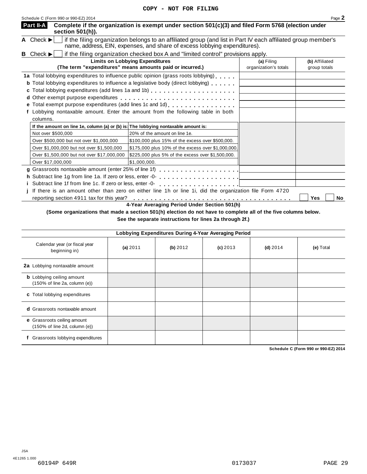Schedule <sup>C</sup> (Form <sup>990</sup> or 990-EZ) <sup>2014</sup> Page **2**

|   | Part II-A<br>section 501(h)).                                                      | Complete if the organization is exempt under section 501(c)(3) and filed Form 5768 (election under                                                                                         |                       |                |
|---|------------------------------------------------------------------------------------|--------------------------------------------------------------------------------------------------------------------------------------------------------------------------------------------|-----------------------|----------------|
|   | A Check $\blacktriangleright$                                                      | if the filing organization belongs to an affiliated group (and list in Part IV each affiliated group member's<br>name, address, EIN, expenses, and share of excess lobbying expenditures). |                       |                |
| В | Check $\blacktriangleright$                                                        | if the filing organization checked box A and "limited control" provisions apply.                                                                                                           |                       |                |
|   |                                                                                    | <b>Limits on Lobbying Expenditures</b>                                                                                                                                                     | (a) Filing            | (b) Affiliated |
|   |                                                                                    | (The term "expenditures" means amounts paid or incurred.)                                                                                                                                  | organization's totals | group totals   |
|   |                                                                                    | 1a Total lobbying expenditures to influence public opinion (grass roots lobbying)                                                                                                          |                       |                |
|   |                                                                                    | <b>b</b> Total lobbying expenditures to influence a legislative body (direct lobbying)                                                                                                     |                       |                |
|   |                                                                                    |                                                                                                                                                                                            |                       |                |
|   |                                                                                    |                                                                                                                                                                                            |                       |                |
|   |                                                                                    | e Total exempt purpose expenditures (add lines 1c and 1d)                                                                                                                                  |                       |                |
|   | Lobbying nontaxable amount. Enter the amount from the following table in both      |                                                                                                                                                                                            |                       |                |
|   | columns.                                                                           |                                                                                                                                                                                            |                       |                |
|   | If the amount on line 1e, column (a) or (b) is: The lobbying nontaxable amount is: |                                                                                                                                                                                            |                       |                |
|   | Not over \$500,000                                                                 | 20% of the amount on line 1e.                                                                                                                                                              |                       |                |
|   | Over \$500,000 but not over \$1,000,000                                            | \$100,000 plus 15% of the excess over \$500,000.                                                                                                                                           |                       |                |
|   | Over \$1,000,000 but not over \$1,500,000                                          | \$175,000 plus 10% of the excess over \$1,000,000.                                                                                                                                         |                       |                |
|   | Over \$1,500,000 but not over \$17,000,000                                         | \$225,000 plus 5% of the excess over \$1,500,000.                                                                                                                                          |                       |                |
|   | Over \$17,000,000                                                                  | \$1.000.000.                                                                                                                                                                               |                       |                |
|   |                                                                                    | g Grassroots nontaxable amount (enter 25% of line 1f)<br>q Grassroots nontaxable amount (enter 25% of line 1f)                                                                             |                       |                |
|   |                                                                                    |                                                                                                                                                                                            |                       |                |
|   | i Subtract line 1f from line 1c. If zero or less, enter -0-                        |                                                                                                                                                                                            |                       |                |
|   |                                                                                    | If there is an amount other than zero on either line 1h or line 1i, did the organization file Form 4720                                                                                    |                       |                |

reporting section <sup>4911</sup> tax for this year? m m m m m m m m m m m m m m m m m m m m m m m m m m m m m m m m m m m m m **Yes No**

**4-Year Averaging Period Under Section 501(h)**

(Some organizations that made a section 501(h) election do not have to complete all of the five columns below.

**See the separate instructions for lines 2a through 2f.)**

| Lobbying Expenditures During 4-Year Averaging Period              |          |          |            |            |           |  |
|-------------------------------------------------------------------|----------|----------|------------|------------|-----------|--|
| Calendar year (or fiscal year<br>beginning in)                    | (a) 2011 | (b) 2012 | $(c)$ 2013 | (d) $2014$ | (e) Total |  |
| 2a Lobbying nontaxable amount                                     |          |          |            |            |           |  |
| <b>b</b> Lobbying ceiling amount<br>(150% of line 2a, column (e)) |          |          |            |            |           |  |
| c Total lobbying expenditures                                     |          |          |            |            |           |  |
| <b>d</b> Grassroots nontaxable amount                             |          |          |            |            |           |  |
| e Grassroots ceiling amount<br>(150% of line 2d, column (e))      |          |          |            |            |           |  |
| Grassroots lobbying expenditures                                  |          |          |            |            |           |  |

**Schedule C (Form 990 or 990-EZ) 2014**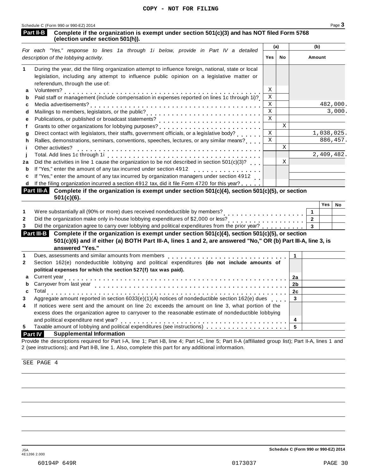| (election under section 501(h)).                                                                                                    |                         |             |                |               |        |
|-------------------------------------------------------------------------------------------------------------------------------------|-------------------------|-------------|----------------|---------------|--------|
| For each "Yes," response to lines 1a through 1i below, provide in Part IV a detailed                                                | (a)                     |             |                | (b)           |        |
| description of the lobbying activity.                                                                                               | Yes                     | No          |                | Amount        |        |
| During the year, did the filing organization attempt to influence foreign, national, state or local<br>1.                           |                         |             |                |               |        |
| legislation, including any attempt to influence public opinion on a legislative matter or                                           |                         |             |                |               |        |
| referendum, through the use of:                                                                                                     |                         |             |                |               |        |
| Volunteers?<br>Paid staff or management (include compensation in expenses reported on lines 1c through 1i)?<br>а                    | Χ                       |             |                |               |        |
| b                                                                                                                                   | $\mathbf X$             |             |                |               |        |
| c                                                                                                                                   | $\mathbf X$             |             |                | 482,000.      |        |
| Mailings to members, legislators, or the public?<br>d                                                                               | $\rm X$                 |             |                |               | 3,000. |
| е                                                                                                                                   | $\overline{\mathbf{x}}$ |             |                |               |        |
| f                                                                                                                                   |                         | $\mathbf X$ |                |               |        |
| Direct contact with legislators, their staffs, government officials, or a legislative body?<br>g                                    | $\mathbf X$             |             |                | 1,038,025.    |        |
| Rallies, demonstrations, seminars, conventions, speeches, lectures, or any similar means?<br>h                                      | $\rm X$                 |             |                | 886,457.      |        |
| Other activities?<br>Ť.                                                                                                             |                         | X           |                |               |        |
|                                                                                                                                     |                         |             |                | 2,409,482.    |        |
| Did the activities in line 1 cause the organization to be not described in section 501(c)(3)?<br>2a                                 |                         | X           |                |               |        |
| If "Yes," enter the amount of any tax incurred under section 4912<br>b                                                              |                         |             |                |               |        |
| If "Yes," enter the amount of any tax incurred by organization managers under section 4912<br>с                                     |                         |             |                |               |        |
| If the filing organization incurred a section 4912 tax, did it file Form 4720 for this year?<br>d                                   |                         |             |                |               |        |
| <b>Part III-A</b><br>Complete if the organization is exempt under section 501(c)(4), section 501(c)(5), or section<br>$501(c)(6)$ . |                         |             |                |               |        |
|                                                                                                                                     |                         |             |                | $Yes \mid No$ |        |
| Were substantially all (90% or more) dues received nondeductible by members?<br>1                                                   |                         |             | $\mathbf{1}$   |               |        |
| Did the organization make only in-house lobbying expenditures of \$2,000 or less?<br>2                                              |                         | .           | $\overline{2}$ |               |        |
| Did the organization agree to carry over lobbying and political expenditures from the prior year?<br>3                              |                         |             | $\overline{3}$ |               |        |
| Complete if the organization is exempt under section 501(c)(4), section 501(c)(5), or section<br>Part III-B                         |                         |             |                |               |        |
| 501(c)(6) and if either (a) BOTH Part III-A, lines 1 and 2, are answered "No," OR (b) Part III-A, line 3, is                        |                         |             |                |               |        |
| answered "Yes."                                                                                                                     |                         |             |                |               |        |
| Dues, assessments and similar amounts from members<br>$\mathbf 1$                                                                   |                         |             | $\mathbf{1}$   |               |        |
| Section 162(e) nondeductible lobbying and political expenditures (do not include amounts of<br>2                                    |                         |             |                |               |        |
| political expenses for which the section 527(f) tax was paid).                                                                      |                         |             |                |               |        |
| Current year                                                                                                                        |                         |             | 2a             |               |        |
| Carryover from last year                                                                                                            |                         |             | 2 <sub>b</sub> |               |        |
| Total<br>с                                                                                                                          |                         |             | 2c             |               |        |
| Aggregate amount reported in section 6033(e)(1)(A) notices of nondeductible section 162(e) dues<br>3                                |                         |             | 3              |               |        |
| If notices were sent and the amount on line 2c exceeds the amount on line 3, what portion of the<br>4                               |                         |             |                |               |        |
| excess does the organization agree to carryover to the reasonable estimate of nondeductible lobbying                                |                         |             |                |               |        |
|                                                                                                                                     |                         |             | 4              |               |        |
| and political expenditure next year?                                                                                                |                         |             |                |               |        |
| Taxable amount of lobbying and political expenditures (see instructions)<br>5                                                       |                         |             | 5              |               |        |

Provide the descriptions required for Part I-A, line 1; Part I-B, line 4; Part I-C, line 5; Part II-A (affiliated group list); Part II-A, lines 1 and 2 (see instructions); and Part II-B, line 1. Also, complete this part for any additional information.

SEE PAGE 4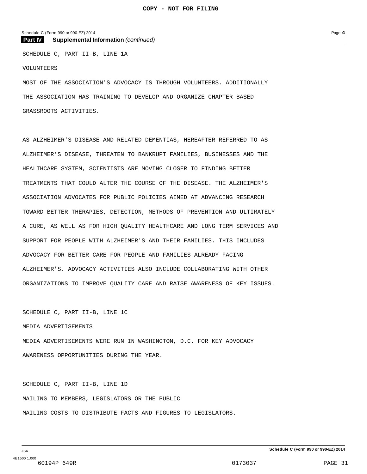### Schedule C (Form 990 or 990-EZ) 2014 Page **4**

**Part IV Supplemental Information** *(continued)*

SCHEDULE C, PART II-B, LINE 1A

VOLUNTEERS

MOST OF THE ASSOCIATION'S ADVOCACY IS THROUGH VOLUNTEERS. ADDITIONALLY THE ASSOCIATION HAS TRAINING TO DEVELOP AND ORGANIZE CHAPTER BASED GRASSROOTS ACTIVITIES.

AS ALZHEIMER'S DISEASE AND RELATED DEMENTIAS, HEREAFTER REFERRED TO AS ALZHEIMER'S DISEASE, THREATEN TO BANKRUPT FAMILIES, BUSINESSES AND THE HEALTHCARE SYSTEM, SCIENTISTS ARE MOVING CLOSER TO FINDING BETTER TREATMENTS THAT COULD ALTER THE COURSE OF THE DISEASE. THE ALZHEIMER'S ASSOCIATION ADVOCATES FOR PUBLIC POLICIES AIMED AT ADVANCING RESEARCH TOWARD BETTER THERAPIES, DETECTION, METHODS OF PREVENTION AND ULTIMATELY A CURE, AS WELL AS FOR HIGH QUALITY HEALTHCARE AND LONG TERM SERVICES AND SUPPORT FOR PEOPLE WITH ALZHEIMER'S AND THEIR FAMILIES. THIS INCLUDES ADVOCACY FOR BETTER CARE FOR PEOPLE AND FAMILIES ALREADY FACING ALZHEIMER'S. ADVOCACY ACTIVITIES ALSO INCLUDE COLLABORATING WITH OTHER ORGANIZATIONS TO IMPROVE QUALITY CARE AND RAISE AWARENESS OF KEY ISSUES.

SCHEDULE C, PART II-B, LINE 1C MEDIA ADVERTISEMENTS MEDIA ADVERTISEMENTS WERE RUN IN WASHINGTON, D.C. FOR KEY ADVOCACY AWARENESS OPPORTUNITIES DURING THE YEAR.

SCHEDULE C, PART II-B, LINE 1D MAILING TO MEMBERS, LEGISLATORS OR THE PUBLIC MAILING COSTS TO DISTRIBUTE FACTS AND FIGURES TO LEGISLATORS.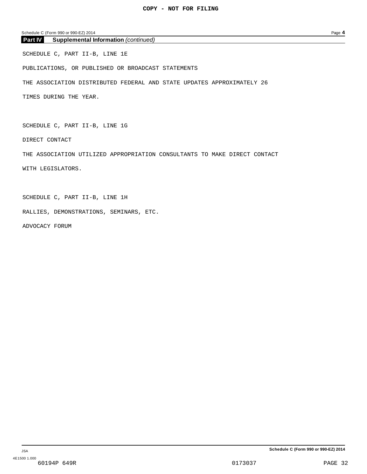Schedule C (Form 990 or 990-EZ) 2014 Page **4**

**Part IV Supplemental Information** *(continued)*

SCHEDULE C, PART II-B, LINE 1E

PUBLICATIONS, OR PUBLISHED OR BROADCAST STATEMENTS

THE ASSOCIATION DISTRIBUTED FEDERAL AND STATE UPDATES APPROXIMATELY 26

TIMES DURING THE YEAR.

SCHEDULE C, PART II-B, LINE 1G

DIRECT CONTACT

THE ASSOCIATION UTILIZED APPROPRIATION CONSULTANTS TO MAKE DIRECT CONTACT

WITH LEGISLATORS.

SCHEDULE C, PART II-B, LINE 1H

RALLIES, DEMONSTRATIONS, SEMINARS, ETC.

ADVOCACY FORUM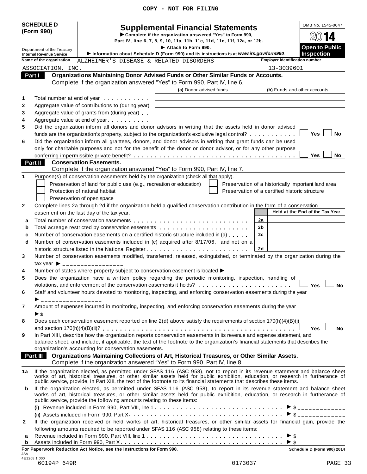|  |  |  | COPY - NOT FOR FILING |
|--|--|--|-----------------------|
|--|--|--|-----------------------|

| <b>SCHEDULE D</b><br>(Form 990)                               |                                         | <b>Supplemental Financial Statements</b><br>Complete if the organization answered "Yes" to Form 990,                                                                                                                          | OMB No. 1545-0047                                                                                                                                                                                                               |                                                    |                                 |
|---------------------------------------------------------------|-----------------------------------------|-------------------------------------------------------------------------------------------------------------------------------------------------------------------------------------------------------------------------------|---------------------------------------------------------------------------------------------------------------------------------------------------------------------------------------------------------------------------------|----------------------------------------------------|---------------------------------|
|                                                               |                                         | Part IV, line 6, 7, 8, 9, 10, 11a, 11b, 11c, 11d, 11e, 11f, 12a, or 12b.                                                                                                                                                      |                                                                                                                                                                                                                                 | 4                                                  |                                 |
| Department of the Treasury<br><b>Internal Revenue Service</b> |                                         | Information about Schedule D (Form 990) and its instructions is at www.irs.gov/form990.                                                                                                                                       |                                                                                                                                                                                                                                 | <b>Open to Public</b><br><b>Inspection</b>         |                                 |
|                                                               | Name of the organization                | ALZHEIMER'S DISEASE & RELATED DISORDERS                                                                                                                                                                                       |                                                                                                                                                                                                                                 | <b>Employer identification number</b>              |                                 |
| Part I                                                        | ASSOCIATION, INC.                       |                                                                                                                                                                                                                               | Organizations Maintaining Donor Advised Funds or Other Similar Funds or Accounts.                                                                                                                                               | 13-3039601                                         |                                 |
|                                                               |                                         |                                                                                                                                                                                                                               | Complete if the organization answered "Yes" to Form 990, Part IV, line 6.                                                                                                                                                       |                                                    |                                 |
|                                                               |                                         |                                                                                                                                                                                                                               | (a) Donor advised funds                                                                                                                                                                                                         |                                                    | (b) Funds and other accounts    |
| 1                                                             |                                         | Total number at end of year entitled as a set of the set of the set of the set of the set of the set of the set of the set of the set of the set of the set of the set of the set of the set of the set of the set of the set |                                                                                                                                                                                                                                 |                                                    |                                 |
| 2                                                             |                                         | Aggregate value of contributions to (during year)                                                                                                                                                                             |                                                                                                                                                                                                                                 |                                                    |                                 |
| 3<br>4                                                        |                                         | Aggregate value of grants from (during year)                                                                                                                                                                                  |                                                                                                                                                                                                                                 |                                                    |                                 |
| 5                                                             |                                         | Aggregate value at end of year                                                                                                                                                                                                | Did the organization inform all donors and donor advisors in writing that the assets held in donor advised                                                                                                                      |                                                    |                                 |
|                                                               |                                         |                                                                                                                                                                                                                               | funds are the organization's property, subject to the organization's exclusive legal control?                                                                                                                                   |                                                    | <b>No</b><br>Yes                |
| 6                                                             |                                         |                                                                                                                                                                                                                               | Did the organization inform all grantees, donors, and donor advisors in writing that grant funds can be used                                                                                                                    |                                                    |                                 |
|                                                               |                                         |                                                                                                                                                                                                                               | only for charitable purposes and not for the benefit of the donor or donor advisor, or for any other purpose                                                                                                                    |                                                    |                                 |
|                                                               |                                         | <b>Conservation Easements.</b>                                                                                                                                                                                                |                                                                                                                                                                                                                                 |                                                    | <b>Yes</b><br><b>No</b>         |
| Part II                                                       |                                         |                                                                                                                                                                                                                               | Complete if the organization answered "Yes" to Form 990, Part IV, line 7.                                                                                                                                                       |                                                    |                                 |
| 1                                                             |                                         |                                                                                                                                                                                                                               | Purpose(s) of conservation easements held by the organization (check all that apply).                                                                                                                                           |                                                    |                                 |
|                                                               |                                         | Preservation of land for public use (e.g., recreation or education)                                                                                                                                                           |                                                                                                                                                                                                                                 | Preservation of a historically important land area |                                 |
|                                                               |                                         | Protection of natural habitat                                                                                                                                                                                                 |                                                                                                                                                                                                                                 | Preservation of a certified historic structure     |                                 |
| $\mathbf{2}$                                                  |                                         | Preservation of open space                                                                                                                                                                                                    |                                                                                                                                                                                                                                 |                                                    |                                 |
|                                                               |                                         | easement on the last day of the tax year.                                                                                                                                                                                     | Complete lines 2a through 2d if the organization held a qualified conservation contribution in the form of a conservation                                                                                                       |                                                    | Held at the End of the Tax Year |
| a                                                             |                                         |                                                                                                                                                                                                                               |                                                                                                                                                                                                                                 | 2a                                                 |                                 |
| $\mathbf b$                                                   |                                         |                                                                                                                                                                                                                               | Total acreage restricted by conservation easements                                                                                                                                                                              | 2b                                                 |                                 |
| C                                                             |                                         |                                                                                                                                                                                                                               | Number of conservation easements on a certified historic structure included in (a)                                                                                                                                              | 2c                                                 |                                 |
| d                                                             |                                         |                                                                                                                                                                                                                               | Number of conservation easements included in (c) acquired after 8/17/06, and not on a                                                                                                                                           |                                                    |                                 |
|                                                               |                                         |                                                                                                                                                                                                                               |                                                                                                                                                                                                                                 | 2d                                                 |                                 |
|                                                               |                                         |                                                                                                                                                                                                                               | Number of conservation easements modified, transferred, released, extinguished, or terminated by the organization during the                                                                                                    |                                                    |                                 |
|                                                               |                                         | tax year $\triangleright$ __________________                                                                                                                                                                                  | Number of states where property subject to conservation easement is located $\blacktriangleright$ _________                                                                                                                     |                                                    |                                 |
|                                                               |                                         |                                                                                                                                                                                                                               | Does the organization have a written policy regarding the periodic monitoring, inspection, handling of                                                                                                                          |                                                    |                                 |
|                                                               |                                         |                                                                                                                                                                                                                               |                                                                                                                                                                                                                                 |                                                    | Yes<br>No                       |
|                                                               |                                         |                                                                                                                                                                                                                               | Staff and volunteer hours devoted to monitoring, inspecting, and enforcing conservation easements during the year                                                                                                               |                                                    |                                 |
| 7                                                             |                                         |                                                                                                                                                                                                                               |                                                                                                                                                                                                                                 |                                                    |                                 |
|                                                               | $\triangleright$ \$ ___________________ |                                                                                                                                                                                                                               | Amount of expenses incurred in monitoring, inspecting, and enforcing conservation easements during the year                                                                                                                     |                                                    |                                 |
|                                                               |                                         |                                                                                                                                                                                                                               | Does each conservation easement reported on line 2(d) above satisfy the requirements of section 170(h)(4)(B)(i)                                                                                                                 |                                                    |                                 |
|                                                               |                                         |                                                                                                                                                                                                                               |                                                                                                                                                                                                                                 |                                                    | <b>No</b><br>Yes                |
|                                                               |                                         |                                                                                                                                                                                                                               | In Part XIII, describe how the organization reports conservation easements in its revenue and expense statement, and                                                                                                            |                                                    |                                 |
|                                                               |                                         |                                                                                                                                                                                                                               | balance sheet, and include, if applicable, the text of the footnote to the organization's financial statements that describes the                                                                                               |                                                    |                                 |
|                                                               |                                         | organization's accounting for conservation easements.                                                                                                                                                                         | Part III Organizations Maintaining Collections of Art, Historical Treasures, or Other Similar Assets.                                                                                                                           |                                                    |                                 |
|                                                               |                                         |                                                                                                                                                                                                                               | Complete if the organization answered "Yes" to Form 990, Part IV, line 8.                                                                                                                                                       |                                                    |                                 |
| 1а                                                            |                                         |                                                                                                                                                                                                                               | If the organization elected, as permitted under SFAS 116 (ASC 958), not to report in its revenue statement and balance sheet works of art, historical treasures, or other similar assets held for public exhibition, education  |                                                    |                                 |
|                                                               |                                         |                                                                                                                                                                                                                               | If the organization elected, as permitted under SFAS 116 (ASC 958), to report in its revenue statement and balance sheet                                                                                                        |                                                    |                                 |
| b                                                             |                                         | public service, provide the following amounts relating to these items:                                                                                                                                                        | works of art, historical treasures, or other similar assets held for public exhibition, education, or research in furtherance of                                                                                                |                                                    |                                 |
|                                                               |                                         |                                                                                                                                                                                                                               |                                                                                                                                                                                                                                 |                                                    |                                 |
|                                                               |                                         |                                                                                                                                                                                                                               |                                                                                                                                                                                                                                 |                                                    |                                 |
| $\mathbf{2}$                                                  |                                         |                                                                                                                                                                                                                               | If the organization received or held works of art, historical treasures, or other similar assets for financial gain, provide the<br>following amounts required to be reported under SFAS 116 (ASC 958) relating to these items: |                                                    |                                 |
| a                                                             |                                         |                                                                                                                                                                                                                               |                                                                                                                                                                                                                                 |                                                    |                                 |
| b                                                             |                                         |                                                                                                                                                                                                                               | Assets included in Form 990, Part X $\ldots \ldots \ldots \ldots \ldots \ldots \ldots \ldots \ldots \ldots \ldots \ldots$                                                                                                       |                                                    |                                 |
| JSA                                                           |                                         | For Paperwork Reduction Act Notice, see the Instructions for Form 990.                                                                                                                                                        |                                                                                                                                                                                                                                 |                                                    | Schedule D (Form 990) 2014      |
| 4E1268 1.000                                                  | 60194P 649R                             |                                                                                                                                                                                                                               |                                                                                                                                                                                                                                 | 0173037                                            | PAGE 33                         |
|                                                               |                                         |                                                                                                                                                                                                                               |                                                                                                                                                                                                                                 |                                                    |                                 |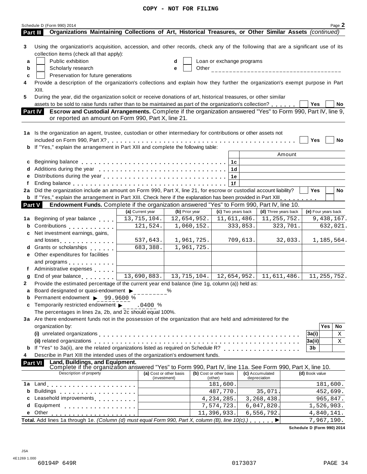| Part III      | Schedule D (Form 990) 2014<br>Organizations Maintaining Collections of Art, Historical Treasures, or Other Similar Assets (continued)                                                                                         |                                                                                                                                                 |                |                            |                      |                | Page 2              |  |  |  |  |  |
|---------------|-------------------------------------------------------------------------------------------------------------------------------------------------------------------------------------------------------------------------------|-------------------------------------------------------------------------------------------------------------------------------------------------|----------------|----------------------------|----------------------|----------------|---------------------|--|--|--|--|--|
|               |                                                                                                                                                                                                                               |                                                                                                                                                 |                |                            |                      |                |                     |  |  |  |  |  |
| 3             | Using the organization's acquisition, accession, and other records, check any of the following that are a significant use of its<br>collection items (check all that apply):                                                  |                                                                                                                                                 |                |                            |                      |                |                     |  |  |  |  |  |
| a             | Public exhibition<br>Loan or exchange programs<br>d                                                                                                                                                                           |                                                                                                                                                 |                |                            |                      |                |                     |  |  |  |  |  |
| b             | Scholarly research                                                                                                                                                                                                            |                                                                                                                                                 | е              |                            |                      |                |                     |  |  |  |  |  |
| c             | Preservation for future generations                                                                                                                                                                                           |                                                                                                                                                 |                |                            |                      |                |                     |  |  |  |  |  |
| 4             | Provide a description of the organization's collections and explain how they further the organization's exempt purpose in Part                                                                                                |                                                                                                                                                 |                |                            |                      |                |                     |  |  |  |  |  |
|               | XIII.                                                                                                                                                                                                                         |                                                                                                                                                 |                |                            |                      |                |                     |  |  |  |  |  |
| 5             | During the year, did the organization solicit or receive donations of art, historical treasures, or other similar<br>assets to be sold to raise funds rather than to be maintained as part of the organization's collection?  |                                                                                                                                                 |                |                            |                      | Yes            | No                  |  |  |  |  |  |
|               | Escrow and Custodial Arrangements. Complete if the organization answered "Yes" to Form 990, Part IV, line 9,<br><b>Part IV</b>                                                                                                |                                                                                                                                                 |                |                            |                      |                |                     |  |  |  |  |  |
|               | or reported an amount on Form 990, Part X, line 21.                                                                                                                                                                           |                                                                                                                                                 |                |                            |                      |                |                     |  |  |  |  |  |
|               | 1a Is the organization an agent, trustee, custodian or other intermediary for contributions or other assets not                                                                                                               |                                                                                                                                                 |                |                            |                      |                |                     |  |  |  |  |  |
|               |                                                                                                                                                                                                                               |                                                                                                                                                 |                |                            |                      | Yes            | No                  |  |  |  |  |  |
|               | b If "Yes," explain the arrangement in Part XIII and complete the following table:                                                                                                                                            |                                                                                                                                                 |                |                            |                      |                |                     |  |  |  |  |  |
|               |                                                                                                                                                                                                                               |                                                                                                                                                 |                |                            |                      | Amount         |                     |  |  |  |  |  |
| c             |                                                                                                                                                                                                                               |                                                                                                                                                 |                | 1с                         |                      |                |                     |  |  |  |  |  |
| d             |                                                                                                                                                                                                                               |                                                                                                                                                 |                | 1d                         |                      |                |                     |  |  |  |  |  |
| е             |                                                                                                                                                                                                                               |                                                                                                                                                 |                | 1e                         |                      |                |                     |  |  |  |  |  |
| Ť.            |                                                                                                                                                                                                                               |                                                                                                                                                 |                | 1f                         |                      |                |                     |  |  |  |  |  |
|               | 2a Did the organization include an amount on Form 990, Part X, line 21, for escrow or custodial account liability?                                                                                                            |                                                                                                                                                 |                |                            |                      | Yes            | No                  |  |  |  |  |  |
|               | <b>b</b> If "Yes," explain the arrangement in Part XIII. Check here if the explanation has been provided in Part XIII.                                                                                                        |                                                                                                                                                 |                |                            |                      |                |                     |  |  |  |  |  |
| <b>Part V</b> | Endowment Funds. Complete if the organization answered "Yes" to Form 990, Part IV, line 10.                                                                                                                                   |                                                                                                                                                 |                |                            |                      |                |                     |  |  |  |  |  |
|               |                                                                                                                                                                                                                               | (a) Current year                                                                                                                                | (b) Prior year | (c) Two years back         | (d) Three years back |                | (e) Four years back |  |  |  |  |  |
| 1а            | Beginning of year balance                                                                                                                                                                                                     | 13,715,104.                                                                                                                                     | 12,654,952.    | 11,611,486.                |                      | 11,255,752.    | 9,438,167.          |  |  |  |  |  |
| b             | Contributions <b>Contributions</b>                                                                                                                                                                                            | 121,524.                                                                                                                                        | 1,060,152.     |                            | 333,853.             | 323,701.       | 632,021.            |  |  |  |  |  |
| C             | Net investment earnings, gains,                                                                                                                                                                                               |                                                                                                                                                 |                |                            |                      |                |                     |  |  |  |  |  |
|               | and losses                                                                                                                                                                                                                    | 537,643.                                                                                                                                        | 1,961,725.     |                            | 709,613.             | 32,033.        | 1,185,564.          |  |  |  |  |  |
|               | d Grants or scholarships entitled                                                                                                                                                                                             | 683,388.                                                                                                                                        | 1,961,725.     |                            |                      |                |                     |  |  |  |  |  |
| е             | Other expenditures for facilities                                                                                                                                                                                             |                                                                                                                                                 |                |                            |                      |                |                     |  |  |  |  |  |
|               | and programs experience and programs                                                                                                                                                                                          |                                                                                                                                                 |                |                            |                      |                |                     |  |  |  |  |  |
|               | f Administrative expenses                                                                                                                                                                                                     |                                                                                                                                                 |                |                            |                      |                |                     |  |  |  |  |  |
| g             | End of year balance                                                                                                                                                                                                           | 13,690,883.                                                                                                                                     | 13,715,104.    | 12,654,952.                |                      | 11,611,486.    | 11, 255, 752.       |  |  |  |  |  |
| 2             |                                                                                                                                                                                                                               |                                                                                                                                                 |                |                            |                      |                |                     |  |  |  |  |  |
|               |                                                                                                                                                                                                                               | Provide the estimated percentage of the current year end balance (line 1g, column (a)) held as:<br>a Board designated or quasi-endowment ><br>℅ |                |                            |                      |                |                     |  |  |  |  |  |
| b             | Permanent endowment > 99.9600 %                                                                                                                                                                                               |                                                                                                                                                 |                |                            |                      |                |                     |  |  |  |  |  |
| c             |                                                                                                                                                                                                                               | Temporarily restricted endowment $\blacktriangleright$<br>.0400 %                                                                               |                |                            |                      |                |                     |  |  |  |  |  |
|               | The percentages in lines 2a, 2b, and 2c should equal 100%.                                                                                                                                                                    |                                                                                                                                                 |                |                            |                      |                |                     |  |  |  |  |  |
|               | 3a Are there endowment funds not in the possession of the organization that are held and administered for the                                                                                                                 |                                                                                                                                                 |                |                            |                      |                |                     |  |  |  |  |  |
|               | organization by:                                                                                                                                                                                                              |                                                                                                                                                 |                |                            |                      |                | Yes<br>No           |  |  |  |  |  |
|               | (i) unrelated organizations enterpresent respectively and the contract of the contract of the contract of the contract of the contract of the contract of the contract of the contract of the contract of the contract of the |                                                                                                                                                 |                |                            |                      | 3a(i)          | Χ                   |  |  |  |  |  |
|               |                                                                                                                                                                                                                               |                                                                                                                                                 |                |                            |                      | 3a(ii)         | Χ                   |  |  |  |  |  |
|               | If "Yes" to 3a(ii), are the related organizations listed as required on Schedule R? [1] [1] [1] [1] [1] [1] [1                                                                                                                |                                                                                                                                                 |                |                            |                      | 3b             |                     |  |  |  |  |  |
|               | Describe in Part XIII the intended uses of the organization's endowment funds.                                                                                                                                                |                                                                                                                                                 |                |                            |                      |                |                     |  |  |  |  |  |
|               | Land, Buildings, and Equipment.<br>Complete if the organization answered "Yes" to Form 990, Part IV, line 11a. See Form 990, Part X, line 10.<br><b>Part VI</b>                                                               |                                                                                                                                                 |                |                            |                      |                |                     |  |  |  |  |  |
|               | Description of property                                                                                                                                                                                                       | (a) Cost or other basis                                                                                                                         |                | (b) Cost or other basis    | (c) Accumulated      | (d) Book value |                     |  |  |  |  |  |
|               |                                                                                                                                                                                                                               | (investment)                                                                                                                                    |                | (other)                    | depreciation         |                |                     |  |  |  |  |  |
| 1a            |                                                                                                                                                                                                                               |                                                                                                                                                 |                | 181,600.                   |                      |                | 181,600.            |  |  |  |  |  |
| b             | Buildings                                                                                                                                                                                                                     |                                                                                                                                                 |                | 487,770.                   | 35,071.              |                | 452,699.            |  |  |  |  |  |
|               | Leasehold improvements entitled and the set of                                                                                                                                                                                |                                                                                                                                                 |                | $\overline{4}$ , 234, 285. | 3, 268, 438.         |                | 965,847.            |  |  |  |  |  |
| d             | Equipment                                                                                                                                                                                                                     |                                                                                                                                                 |                | 7,574,723.                 | 6,047,820            |                | 1,526,903.          |  |  |  |  |  |
|               |                                                                                                                                                                                                                               |                                                                                                                                                 |                | 11,396,933.                | 6, 556, 792.         |                | 4,840,141.          |  |  |  |  |  |
|               | Total. Add lines 1a through 1e. (Column (d) must equal Form 990, Part X, column (B), line $10(c)$ .)                                                                                                                          |                                                                                                                                                 |                |                            |                      |                | 7,967,190.          |  |  |  |  |  |

**Schedule D (Form 990) 2014**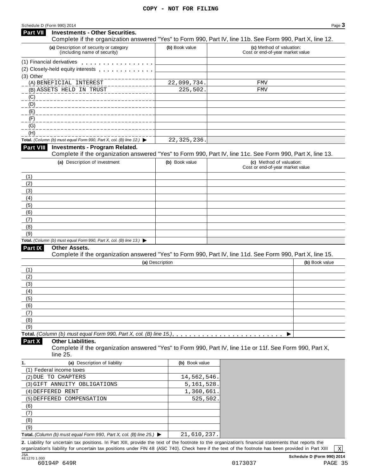# **Investments - Other Securities. Part VII** Investments - Other Securities.<br>Complete if the organization answered "Yes" to Form 990, Part IV, line 11b. See Form 990, Part X, line 12. **(a)** Description of security or category (including name of security) **(b)** Book value **(c)** Method of valuation: Cost or end-of-year market value (1) Financial derivatives<br>
(1) Financial derivatives (2) Closely-held equity interests (3) Other m m m m m m m m m m m m m (A) BENEFICIAL INTEREST 22,099,734. FMV (B) ASSETS HELD IN TRUST 225,502. FMV (C) (D) (E) (F) (G) (H) **Total.** *(Column (b) must equal Form 990, Part X, col. (B) line 12.)* I **Investments - Program Related.** Complete if the organization answered "Yes" to Form 990, Part IV, line 11c. See Form 990, Part X, line 13. **(a)** Description of investment **(b)** Book value **(c)** Method of valuation: Cost or end-of-year market value (1) (2) (3) (4) (5) (6) (7) (8) (9) **Total.** *(Column (b) must equal Form 990, Part X, col. (B) line 13.)* I **Other Assets.** Complete if the organization answered "Yes" to Form 990, Part IV, line 11d. See Form 990, Part X, line 15. **(a)** Description **(b)** Book value (1) (2) (3) (4) (5) (6) (7) (8) (9)  $\blacksquare$   $\blacksquare$   $\blacksquare$   $\blacksquare$   $\lozenge$   $\lozenge$   $\blacksquare$   $\blacksquare$   $\blacksquare$   $\blacksquare$   $\blacksquare$   $\blacksquare$   $\blacksquare$   $\blacksquare$   $\blacksquare$   $\blacksquare$   $\blacksquare$   $\blacksquare$   $\blacksquare$   $\blacksquare$   $\blacksquare$   $\blacksquare$   $\blacksquare$   $\blacksquare$   $\blacksquare$   $\blacksquare$   $\blacksquare$   $\blacksquare$   $\blacksquare$   $\blacksquare$   $\blacksquare$   $\blacks$ **Other Liabilities.** Complete if the organization answered "Yes" to Form 990, Part IV, line 11e or 11f. See Form 990, Part X, line 25. **Part X 1. (a)** Description of liability **(b)** Book value (1) Federal income taxes (2) DUE TO CHAPTERS 14,562,546. (3) GIFT ANNUITY OBLIGATIONS 5,161,528. (4) DEFFERED RENT 1, 360, 661. (5) DEFFERED COMPENSATION THE RESOLUTION SERVICES SOLL (6) (7) 22,325,236.

(9) **Total.** *(Column (b) must equal Form 990, Part X, col. (B) line 25.)* I 21,610,237.

**2.** Liability for uncertain tax positions. In Part XIII, provide the text of the footnote to the organization's financial statements that reports the organization's liability for uncertain tax positions under FIN 48 (ASC 740). Check here if the text of the footnote has been provided in Part XIII

(8)

X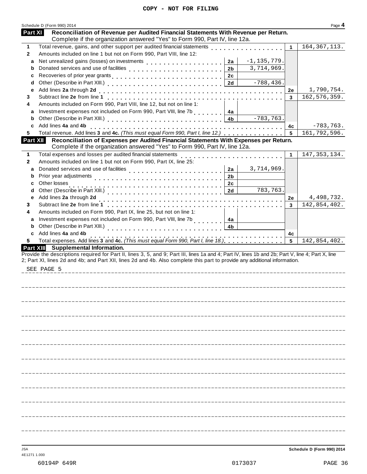| <b>Part XI</b> | Reconciliation of Revenue per Audited Financial Statements With Revenue per Return.<br>Complete if the organization answered "Yes" to Form 990, Part IV, line 12a.                |                |                 |           |                |
|----------------|-----------------------------------------------------------------------------------------------------------------------------------------------------------------------------------|----------------|-----------------|-----------|----------------|
|                |                                                                                                                                                                                   |                |                 |           |                |
| 1              | Total revenue, gains, and other support per audited financial statements                                                                                                          |                |                 | 1         | 164, 367, 113. |
| $\mathbf{2}$   | Amounts included on line 1 but not on Form 990, Part VIII, line 12:                                                                                                               |                |                 |           |                |
| a              |                                                                                                                                                                                   | 2a             | $-1, 135, 779.$ |           |                |
| b              | Donated services and use of facilities                                                                                                                                            | 2 <sub>b</sub> | 3,714,969.      |           |                |
| c              |                                                                                                                                                                                   | 2 <sub>c</sub> |                 |           |                |
| d              |                                                                                                                                                                                   | 2d             | $-788, 436.$    |           |                |
| e              |                                                                                                                                                                                   |                |                 | <b>2e</b> | 1,790,754.     |
| 3              | Amounts included on Form 990, Part VIII, line 12, but not on line 1:                                                                                                              |                |                 | 3         | 162, 576, 359. |
| 4              |                                                                                                                                                                                   |                |                 |           |                |
| a              | Investment expenses not included on Form 990, Part VIII, line 7b                                                                                                                  | 4a             | $-783, 763.$    |           |                |
| b              | Add lines 4a and 4b                                                                                                                                                               | 4b             |                 |           | $-783,763.$    |
| c<br>5         | Total revenue. Add lines 3 and 4c. (This must equal Form 990, Part I, line 12.)                                                                                                   |                |                 | 4с<br>5   | 161,792,596.   |
| Part XII       | Reconciliation of Expenses per Audited Financial Statements With Expenses per Return.                                                                                             |                |                 |           |                |
|                | Complete if the organization answered "Yes" to Form 990, Part IV, line 12a.                                                                                                       |                |                 |           |                |
| 1              | Total expenses and losses per audited financial statements                                                                                                                        |                |                 | 1         | 147, 353, 134. |
| 2              | Amounts included on line 1 but not on Form 990, Part IX, line 25:                                                                                                                 |                |                 |           |                |
| a              | Donated services and use of facilities                                                                                                                                            | 2a             | 3,714,969.      |           |                |
| b              | Prior year adjustments                                                                                                                                                            | 2 <sub>b</sub> |                 |           |                |
| с              | Other losses                                                                                                                                                                      | 2c             |                 |           |                |
| d              | Other (Describe in Part XIII.)<br>Other (Describe in Part XIII.)<br>Charles Allen Allen Allen Allen Allen Allen Allen Allen Allen Allen Allen Allen Allen Allen Allen Allen Allen | 2d             | 783,763.        |           |                |
| е              | Add lines 2a through 2d                                                                                                                                                           |                |                 | 2e        | 4,498,732.     |
| 3.             |                                                                                                                                                                                   |                |                 | 3         | 142,854,402.   |
| 4              | Amounts included on Form 990, Part IX, line 25, but not on line 1:                                                                                                                |                |                 |           |                |
| a              | Investment expenses not included on Form 990, Part VIII, line 7b                                                                                                                  | 4a             |                 |           |                |
| b              | Other (Describe in Part XIII.)                                                                                                                                                    | 4b             |                 |           |                |
| c              | Add lines 4a and 4b                                                                                                                                                               |                | <u>.</u>        | 4c        |                |
| 5              | Total expenses. Add lines 3 and 4c. (This must equal Form 990, Part I, line 18.)                                                                                                  |                |                 | 5         | 142,854,402.   |
|                | Part XIII Supplemental Information.                                                                                                                                               |                |                 |           |                |
|                | Provide the descriptions required for Part II, lines 3, 5, and 9; Part III, lines 1a and 4; Part IV, lines 1b and 2b; Part V, line 4; Part X, line                                |                |                 |           |                |
|                | 2; Part XI, lines 2d and 4b; and Part XII, lines 2d and 4b. Also complete this part to provide any additional information.                                                        |                |                 |           |                |
|                | SEE PAGE 5                                                                                                                                                                        |                |                 |           |                |
|                |                                                                                                                                                                                   |                |                 |           |                |
|                |                                                                                                                                                                                   |                |                 |           |                |
|                |                                                                                                                                                                                   |                |                 |           |                |
|                |                                                                                                                                                                                   |                |                 |           |                |
|                |                                                                                                                                                                                   |                |                 |           |                |
|                |                                                                                                                                                                                   |                |                 |           |                |
|                |                                                                                                                                                                                   |                |                 |           |                |
|                |                                                                                                                                                                                   |                |                 |           |                |
|                |                                                                                                                                                                                   |                |                 |           |                |
|                |                                                                                                                                                                                   |                |                 |           |                |
|                |                                                                                                                                                                                   |                |                 |           |                |
|                |                                                                                                                                                                                   |                |                 |           |                |
|                |                                                                                                                                                                                   |                |                 |           |                |
|                |                                                                                                                                                                                   |                |                 |           |                |
|                |                                                                                                                                                                                   |                |                 |           |                |
|                |                                                                                                                                                                                   |                |                 |           |                |
|                |                                                                                                                                                                                   |                |                 |           |                |
|                |                                                                                                                                                                                   |                |                 |           |                |
|                |                                                                                                                                                                                   |                |                 |           |                |
|                |                                                                                                                                                                                   |                |                 |           |                |

التناسبات ساست

 $\frac{1}{2}$ 

 $- - -$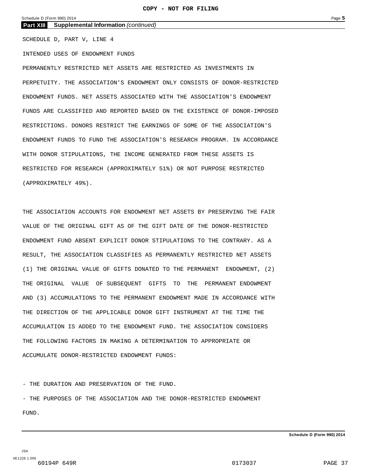**Part XIII Supplemental Information** *(continued)*

SCHEDULE D, PART V, LINE 4

INTENDED USES OF ENDOWMENT FUNDS

PERMANENTLY RESTRICTED NET ASSETS ARE RESTRICTED AS INVESTMENTS IN PERPETUITY. THE ASSOCIATION'S ENDOWMENT ONLY CONSISTS OF DONOR-RESTRICTED ENDOWMENT FUNDS. NET ASSETS ASSOCIATED WITH THE ASSOCIATION'S ENDOWMENT FUNDS ARE CLASSIFIED AND REPORTED BASED ON THE EXISTENCE OF DONOR-IMPOSED RESTRICTIONS. DONORS RESTRICT THE EARNINGS OF SOME OF THE ASSOCIATION'S ENDOWMENT FUNDS TO FUND THE ASSOCIATION'S RESEARCH PROGRAM. IN ACCORDANCE WITH DONOR STIPULATIONS, THE INCOME GENERATED FROM THESE ASSETS IS RESTRICTED FOR RESEARCH (APPROXIMATELY 51%) OR NOT PURPOSE RESTRICTED (APPROXIMATELY 49%).

THE ASSOCIATION ACCOUNTS FOR ENDOWMENT NET ASSETS BY PRESERVING THE FAIR VALUE OF THE ORIGINAL GIFT AS OF THE GIFT DATE OF THE DONOR-RESTRICTED ENDOWMENT FUND ABSENT EXPLICIT DONOR STIPULATIONS TO THE CONTRARY. AS A RESULT, THE ASSOCIATION CLASSIFIES AS PERMANENTLY RESTRICTED NET ASSETS (1) THE ORIGINAL VALUE OF GIFTS DONATED TO THE PERMANENT ENDOWMENT, (2) THE ORIGINAL VALUE OF SUBSEQUENT GIFTS TO THE PERMANENT ENDOWMENT AND (3) ACCUMULATIONS TO THE PERMANENT ENDOWMENT MADE IN ACCORDANCE WITH THE DIRECTION OF THE APPLICABLE DONOR GIFT INSTRUMENT AT THE TIME THE ACCUMULATION IS ADDED TO THE ENDOWMENT FUND. THE ASSOCIATION CONSIDERS THE FOLLOWING FACTORS IN MAKING A DETERMINATION TO APPROPRIATE OR ACCUMULATE DONOR-RESTRICTED ENDOWMENT FUNDS:

- THE DURATION AND PRESERVATION OF THE FUND.

- THE PURPOSES OF THE ASSOCIATION AND THE DONOR-RESTRICTED ENDOWMENT FUND.

**Schedule D (Form 990) 2014**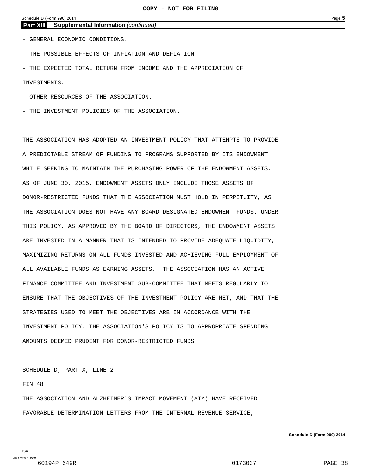**Part XIII Supplemental Information** *(continued)*

- GENERAL ECONOMIC CONDITIONS.

- THE POSSIBLE EFFECTS OF INFLATION AND DEFLATION.

- THE EXPECTED TOTAL RETURN FROM INCOME AND THE APPRECIATION OF INVESTMENTS.

- OTHER RESOURCES OF THE ASSOCIATION.

- THE INVESTMENT POLICIES OF THE ASSOCIATION.

THE ASSOCIATION HAS ADOPTED AN INVESTMENT POLICY THAT ATTEMPTS TO PROVIDE A PREDICTABLE STREAM OF FUNDING TO PROGRAMS SUPPORTED BY ITS ENDOWMENT WHILE SEEKING TO MAINTAIN THE PURCHASING POWER OF THE ENDOWMENT ASSETS. AS OF JUNE 30, 2015, ENDOWMENT ASSETS ONLY INCLUDE THOSE ASSETS OF DONOR-RESTRICTED FUNDS THAT THE ASSOCIATION MUST HOLD IN PERPETUITY, AS THE ASSOCIATION DOES NOT HAVE ANY BOARD-DESIGNATED ENDOWMENT FUNDS. UNDER THIS POLICY, AS APPROVED BY THE BOARD OF DIRECTORS, THE ENDOWMENT ASSETS ARE INVESTED IN A MANNER THAT IS INTENDED TO PROVIDE ADEQUATE LIQUIDITY, MAXIMIZING RETURNS ON ALL FUNDS INVESTED AND ACHIEVING FULL EMPLOYMENT OF ALL AVAILABLE FUNDS AS EARNING ASSETS. THE ASSOCIATION HAS AN ACTIVE FINANCE COMMITTEE AND INVESTMENT SUB-COMMITTEE THAT MEETS REGULARLY TO ENSURE THAT THE OBJECTIVES OF THE INVESTMENT POLICY ARE MET, AND THAT THE STRATEGIES USED TO MEET THE OBJECTIVES ARE IN ACCORDANCE WITH THE INVESTMENT POLICY. THE ASSOCIATION'S POLICY IS TO APPROPRIATE SPENDING AMOUNTS DEEMED PRUDENT FOR DONOR-RESTRICTED FUNDS.

## SCHEDULE D, PART X, LINE 2

FIN 48

THE ASSOCIATION AND ALZHEIMER'S IMPACT MOVEMENT (AIM) HAVE RECEIVED FAVORABLE DETERMINATION LETTERS FROM THE INTERNAL REVENUE SERVICE,

**Schedule D (Form 990) 2014**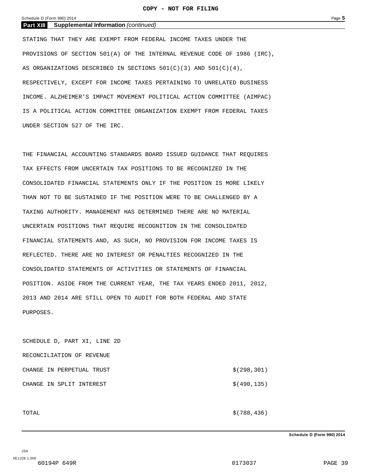# **Part XIII Supplemental Information** *(continued)*

STATING THAT THEY ARE EXEMPT FROM FEDERAL INCOME TAXES UNDER THE PROVISIONS OF SECTION 501(A) OF THE INTERNAL REVENUE CODE OF 1986 (IRC), AS ORGANIZATIONS DESCRIBED IN SECTIONS  $501(C)(3)$  AND  $501(C)(4)$ , RESPECTIVELY, EXCEPT FOR INCOME TAXES PERTAINING TO UNRELATED BUSINESS INCOME. ALZHEIMER'S IMPACT MOVEMENT POLITICAL ACTION COMMITTEE (AIMPAC) IS A POLITICAL ACTION COMMITTEE ORGANIZATION EXEMPT FROM FEDERAL TAXES UNDER SECTION 527 OF THE IRC.

THE FINANCIAL ACCOUNTING STANDARDS BOARD ISSUED GUIDANCE THAT REQUIRES TAX EFFECTS FROM UNCERTAIN TAX POSITIONS TO BE RECOGNIZED IN THE CONSOLIDATED FINANCIAL STATEMENTS ONLY IF THE POSITION IS MORE LIKELY THAN NOT TO BE SUSTAINED IF THE POSITION WERE TO BE CHALLENGED BY A TAXING AUTHORITY. MANAGEMENT HAS DETERMINED THERE ARE NO MATERIAL UNCERTAIN POSITIONS THAT REQUIRE RECOGNITION IN THE CONSOLIDATED FINANCIAL STATEMENTS AND, AS SUCH, NO PROVISION FOR INCOME TAXES IS REFLECTED. THERE ARE NO INTEREST OR PENALTIES RECOGNIZED IN THE CONSOLIDATED STATEMENTS OF ACTIVITIES OR STATEMENTS OF FINANCIAL POSITION. ASIDE FROM THE CURRENT YEAR, THE TAX YEARS ENDED 2011, 2012, 2013 AND 2014 ARE STILL OPEN TO AUDIT FOR BOTH FEDERAL AND STATE PURPOSES.

SCHEDULE D, PART XI, LINE 2D RECONCILIATION OF REVENUE CHANGE IN PERPETUAL TRUST  $\zeta(298,301)$ CHANGE IN SPLIT INTEREST  $\zeta(490,135)$ 

 $\zeta(788, 436)$ 

**Schedule D (Form 990) 2014**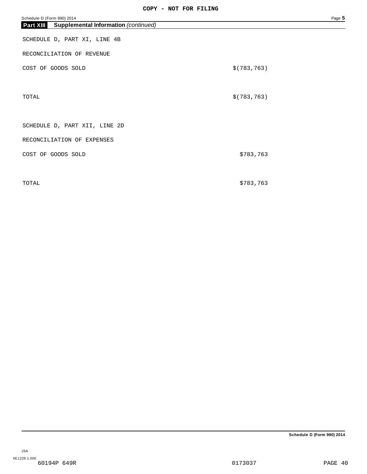|--|--|

| Schedule D (Form 990) 2014                               |               | Page 5 |
|----------------------------------------------------------|---------------|--------|
| Part XIII<br><b>Supplemental Information (continued)</b> |               |        |
| SCHEDULE D, PART XI, LINE 4B                             |               |        |
| RECONCILIATION OF REVENUE                                |               |        |
| COST OF GOODS SOLD                                       | \$ (783, 763) |        |
| TOTAL                                                    | \$(783, 763)  |        |
| SCHEDULE D, PART XII, LINE 2D                            |               |        |
| RECONCILIATION OF EXPENSES                               |               |        |
| COST OF GOODS SOLD                                       | \$783,763     |        |
| TOTAL                                                    | \$783,763     |        |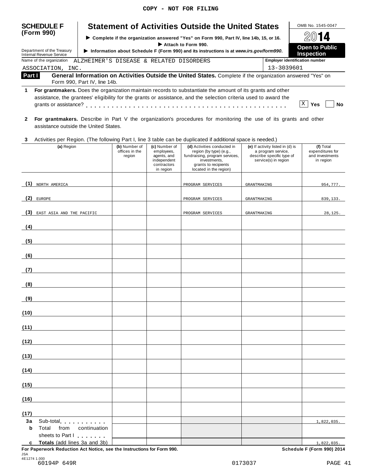| <b>SCHEDULE F</b>                                             |                                                                                                                                                                                                                                                                                                                                                    |                                                                                       | <b>Statement of Activities Outside the United States</b>                                                                                                   |                                                                                                             | OMB No. 1545-0047                                             |  |  |
|---------------------------------------------------------------|----------------------------------------------------------------------------------------------------------------------------------------------------------------------------------------------------------------------------------------------------------------------------------------------------------------------------------------------------|---------------------------------------------------------------------------------------|------------------------------------------------------------------------------------------------------------------------------------------------------------|-------------------------------------------------------------------------------------------------------------|---------------------------------------------------------------|--|--|
| (Form 990)                                                    |                                                                                                                                                                                                                                                                                                                                                    |                                                                                       | Complete if the organization answered "Yes" on Form 990, Part IV, line 14b, 15, or 16.                                                                     |                                                                                                             |                                                               |  |  |
|                                                               |                                                                                                                                                                                                                                                                                                                                                    |                                                                                       | Attach to Form 990.                                                                                                                                        |                                                                                                             | Open to Public                                                |  |  |
| Department of the Treasury<br><b>Internal Revenue Service</b> |                                                                                                                                                                                                                                                                                                                                                    |                                                                                       | Information about Schedule F (Form 990) and its instructions is at www.irs.gov/form990.                                                                    |                                                                                                             | <b>Inspection</b>                                             |  |  |
| Name of the organization                                      | ALZHEIMER'S DISEASE & RELATED DISORDERS                                                                                                                                                                                                                                                                                                            |                                                                                       |                                                                                                                                                            |                                                                                                             | <b>Employer identification number</b>                         |  |  |
| ASSOCIATION, INC.                                             | 13-3039601                                                                                                                                                                                                                                                                                                                                         |                                                                                       |                                                                                                                                                            |                                                                                                             |                                                               |  |  |
| Part I                                                        | General Information on Activities Outside the United States. Complete if the organization answered "Yes" on<br>Form 990, Part IV, line 14b.                                                                                                                                                                                                        |                                                                                       |                                                                                                                                                            |                                                                                                             |                                                               |  |  |
| 1<br>$\mathbf{2}$                                             | For grantmakers. Does the organization maintain records to substantiate the amount of its grants and other<br>assistance, the grantees' eligibility for the grants or assistance, and the selection criteria used to award the<br>For grantmakers. Describe in Part V the organization's procedures for monitoring the use of its grants and other |                                                                                       |                                                                                                                                                            |                                                                                                             | X<br>Yes<br>Nο                                                |  |  |
| assistance outside the United States.                         |                                                                                                                                                                                                                                                                                                                                                    |                                                                                       |                                                                                                                                                            |                                                                                                             |                                                               |  |  |
| 3<br>(a) Region                                               | Activities per Region. (The following Part I, line 3 table can be duplicated if additional space is needed.)<br>(b) Number of<br>offices in the<br>region                                                                                                                                                                                          | (c) Number of<br>employees,<br>agents, and<br>independent<br>contractors<br>in region | (d) Activities conducted in<br>region (by type) (e.g.,<br>fundraising, program services,<br>investments,<br>grants to recipients<br>located in the region) | (e) If activity listed in (d) is<br>a program service,<br>describe specific type of<br>service(s) in region | (f) Total<br>expenditures for<br>and investments<br>in region |  |  |
| (1)<br>NORTH AMERICA                                          |                                                                                                                                                                                                                                                                                                                                                    |                                                                                       | PROGRAM SERVICES                                                                                                                                           | <b>GRANTMAKING</b>                                                                                          | 954,777.                                                      |  |  |
| (2)<br><b>EUROPE</b>                                          |                                                                                                                                                                                                                                                                                                                                                    |                                                                                       | PROGRAM SERVICES                                                                                                                                           | <b>GRANTMAKING</b>                                                                                          | 839,133.                                                      |  |  |
| (3)<br>EAST ASIA AND THE PACIFIC                              |                                                                                                                                                                                                                                                                                                                                                    |                                                                                       | PROGRAM SERVICES                                                                                                                                           | GRANTMAKING                                                                                                 | 28,125.                                                       |  |  |
| (4)                                                           |                                                                                                                                                                                                                                                                                                                                                    |                                                                                       |                                                                                                                                                            |                                                                                                             |                                                               |  |  |
| (5)                                                           |                                                                                                                                                                                                                                                                                                                                                    |                                                                                       |                                                                                                                                                            |                                                                                                             |                                                               |  |  |
| (6)                                                           |                                                                                                                                                                                                                                                                                                                                                    |                                                                                       |                                                                                                                                                            |                                                                                                             |                                                               |  |  |
| (7)                                                           |                                                                                                                                                                                                                                                                                                                                                    |                                                                                       |                                                                                                                                                            |                                                                                                             |                                                               |  |  |
| (8)                                                           |                                                                                                                                                                                                                                                                                                                                                    |                                                                                       |                                                                                                                                                            |                                                                                                             |                                                               |  |  |

| FOR Paper WORK Requisition ACt Notice. See the instructions for Porth 990. |         | <b>SCHEQUIE F (FORM 990) ZUT4</b> |
|----------------------------------------------------------------------------|---------|-----------------------------------|
| JSA                                                                        |         |                                   |
| 4E1274 1.000                                                               |         |                                   |
| 60194P 649R                                                                | 0173037 | PAGE 41                           |

**b** Total from continuation

Sub-total m m m m m m m m m m m Total from continuation

**c** Totals (add lines 3a and 3b)

sheets to Part <sup>I</sup> m m m m m m m **Totals** (add lines 3a and 3b)

**(9)**

**(10)**

**(11)**

**(12)**

**(13)**

**(14)**

**(15)**

**(16)**

**(17) 3a**

1,822,035.

1,822,035.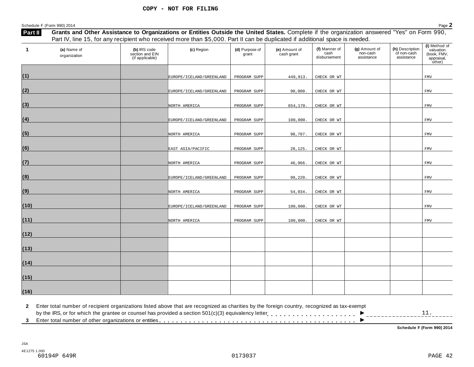Schedule F (Form 990) 2014<br>**Exited By Crants and Other Assistance to Organizations or Entities Outside the United States** Complete if the organization answered "Yes" on Form 990

| Part II | Grants and Other Assistance to Organizations or Entities Outside the United States. Complete if the organization answered "Yes" on Form 990,<br>Part IV, line 15, for any recipient who received more than \$5,000. Part II can be duplicated if additional space is needed. |                                                    |                          |                         |                             |                                       |                                         |                                              |                                                                   |  |
|---------|------------------------------------------------------------------------------------------------------------------------------------------------------------------------------------------------------------------------------------------------------------------------------|----------------------------------------------------|--------------------------|-------------------------|-----------------------------|---------------------------------------|-----------------------------------------|----------------------------------------------|-------------------------------------------------------------------|--|
|         | (a) Name of<br>organization                                                                                                                                                                                                                                                  | (b) IRS code<br>section and EIN<br>(if applicable) | (c) Region               | (d) Purpose of<br>grant | (e) Amount of<br>cash grant | (f) Manner of<br>cash<br>disbursement | (g) Amount of<br>non-cash<br>assistance | (h) Description<br>of non-cash<br>assistance | (i) Method of<br>valuation<br>(book, FMV,<br>appraisal,<br>other) |  |
|         |                                                                                                                                                                                                                                                                              |                                                    |                          |                         |                             |                                       |                                         |                                              |                                                                   |  |
| (1)     |                                                                                                                                                                                                                                                                              |                                                    | EUROPE/ICELAND/GREENLAND | PROGRAM SUPP            | 449,913.                    | CHECK OR WT                           |                                         |                                              | <b>FMV</b>                                                        |  |
| (2)     |                                                                                                                                                                                                                                                                              |                                                    | EUROPE/ICELAND/GREENLAND | PROGRAM SUPP            | 90,000.                     | CHECK OR WT                           |                                         |                                              | ${\tt FMV}$                                                       |  |
| (3)     |                                                                                                                                                                                                                                                                              |                                                    | NORTH AMERICA            | PROGRAM SUPP            | 654,170.                    | CHECK OR WT                           |                                         |                                              | FMV                                                               |  |
| (4)     |                                                                                                                                                                                                                                                                              |                                                    | EUROPE/ICELAND/GREENLAND | PROGRAM SUPP            | 100,000.                    | CHECK OR WT                           |                                         |                                              | FMV                                                               |  |
|         |                                                                                                                                                                                                                                                                              |                                                    |                          |                         |                             |                                       |                                         |                                              |                                                                   |  |
| (5)     |                                                                                                                                                                                                                                                                              |                                                    | NORTH AMERICA            | PROGRAM SUPP            | 98,707.                     | CHECK OR WT                           |                                         |                                              | ${\tt FMV}$                                                       |  |
| (6)     |                                                                                                                                                                                                                                                                              |                                                    | EAST ASIA/PACIFIC        | PROGRAM SUPP            | 28,125.                     | CHECK OR WT                           |                                         |                                              | ${\tt FMV}$                                                       |  |
| (7)     |                                                                                                                                                                                                                                                                              |                                                    | NORTH AMERICA            | PROGRAM SUPP            | 46,966.                     | CHECK OR WT                           |                                         |                                              | <b>FMV</b>                                                        |  |
| (8)     |                                                                                                                                                                                                                                                                              |                                                    |                          |                         |                             |                                       |                                         |                                              | ${\tt FMV}$                                                       |  |
|         |                                                                                                                                                                                                                                                                              |                                                    | EUROPE/ICELAND/GREENLAND | PROGRAM SUPP            | 99,220.                     | CHECK OR WT                           |                                         |                                              |                                                                   |  |
| (9)     |                                                                                                                                                                                                                                                                              |                                                    | NORTH AMERICA            | PROGRAM SUPP            | 54,934.                     | CHECK OR WT                           |                                         |                                              | ${\tt FMV}$                                                       |  |
| (10)    |                                                                                                                                                                                                                                                                              |                                                    | EUROPE/ICELAND/GREENLAND | PROGRAM SUPP            | 100,000.                    | CHECK OR WT                           |                                         |                                              | ${\tt FMV}$                                                       |  |
| (11)    |                                                                                                                                                                                                                                                                              |                                                    | NORTH AMERICA            | PROGRAM SUPP            | 100,000.                    | CHECK OR WT                           |                                         |                                              | ${\tt FMV}$                                                       |  |
| (12)    |                                                                                                                                                                                                                                                                              |                                                    |                          |                         |                             |                                       |                                         |                                              |                                                                   |  |
|         |                                                                                                                                                                                                                                                                              |                                                    |                          |                         |                             |                                       |                                         |                                              |                                                                   |  |
| (13)    |                                                                                                                                                                                                                                                                              |                                                    |                          |                         |                             |                                       |                                         |                                              |                                                                   |  |
| (14)    |                                                                                                                                                                                                                                                                              |                                                    |                          |                         |                             |                                       |                                         |                                              |                                                                   |  |
| (15)    |                                                                                                                                                                                                                                                                              |                                                    |                          |                         |                             |                                       |                                         |                                              |                                                                   |  |
| (16)    |                                                                                                                                                                                                                                                                              |                                                    |                          |                         |                             |                                       |                                         |                                              |                                                                   |  |

**2** Enter total number of recipient organizations listed above that are recognized as charities by the foreign country, recognized as tax-exempt 2 Enter total number of recipient organizations listed above that are recognized as charities by the foreign country, recognized as tax-exempt<br>by the IRS, or for which the grantee or counsel has provided a section 501(c)( ▶ ----------------11.

**Schedule F (Form 990) 2014**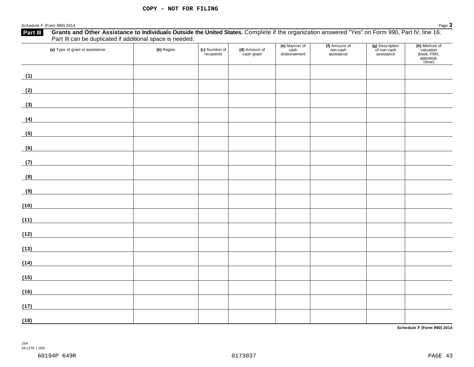| (a) Type of grant or assistance                                                                                              | (b) Region | (c) Number of<br>recipients | (d) Amount of<br>cash grant | (e) Manner of<br>cash<br>disbursement | (f) Amount of<br>non-cash<br>assistance | (g) Description<br>of non-cash<br>assistance | (h) Method of<br>valuation<br>(book, FMV,<br>appraisal,<br>other) |
|------------------------------------------------------------------------------------------------------------------------------|------------|-----------------------------|-----------------------------|---------------------------------------|-----------------------------------------|----------------------------------------------|-------------------------------------------------------------------|
| (1)<br><u> 1980 - Johann Barn, mars ann an t-Aonaich an t-Aonaich an t-Aonaich an t-Aonaich ann an t-Aonaich ann an t-Ao</u> |            |                             |                             |                                       |                                         |                                              |                                                                   |
| (2)<br><u> 1989 - Andrea Station Barbara, amerikan per</u>                                                                   |            |                             |                             |                                       |                                         |                                              |                                                                   |
| (3)                                                                                                                          |            |                             |                             |                                       |                                         |                                              |                                                                   |
| (4)<br><u> 1990 - Johann Barbara, martxa</u>                                                                                 |            |                             |                             |                                       |                                         |                                              |                                                                   |
| (5)                                                                                                                          |            |                             |                             |                                       |                                         |                                              |                                                                   |
| (6)                                                                                                                          |            |                             |                             |                                       |                                         |                                              |                                                                   |
| (7)                                                                                                                          |            |                             |                             |                                       |                                         |                                              |                                                                   |
| (8)<br><u> 1989 - Johann Barn, mars eta bainar eta i</u>                                                                     |            |                             |                             |                                       |                                         |                                              |                                                                   |
| (9)<br><u> 1980 - Johann Barbara, martxa a</u>                                                                               |            |                             |                             |                                       |                                         |                                              |                                                                   |
| (10)                                                                                                                         |            |                             |                             |                                       |                                         |                                              |                                                                   |
| (11)                                                                                                                         |            |                             |                             |                                       |                                         |                                              |                                                                   |
| (12)                                                                                                                         |            |                             |                             |                                       |                                         |                                              |                                                                   |
| (13)<br><u> 1980 - Johann Barbara, martxa a</u>                                                                              |            |                             |                             |                                       |                                         |                                              |                                                                   |
| (14)                                                                                                                         |            |                             |                             |                                       |                                         |                                              |                                                                   |
| (15)                                                                                                                         |            |                             |                             |                                       |                                         |                                              |                                                                   |
| (16)                                                                                                                         |            |                             |                             |                                       |                                         |                                              |                                                                   |
| (17)                                                                                                                         |            |                             |                             |                                       |                                         |                                              |                                                                   |
| (18)                                                                                                                         |            |                             |                             |                                       |                                         |                                              |                                                                   |

**Schedule F (Form 990) 2014**

JSA 4E1276 1.000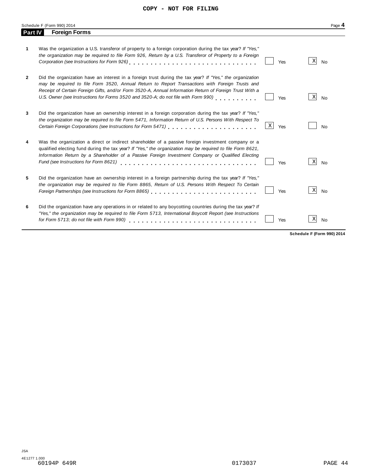|                | Schedule F (Form 990) 2014                                                                                                                                                                                                                                                                                                                                                                                   |   |          | Page $\blacktriangle$ |
|----------------|--------------------------------------------------------------------------------------------------------------------------------------------------------------------------------------------------------------------------------------------------------------------------------------------------------------------------------------------------------------------------------------------------------------|---|----------|-----------------------|
| <b>Part IV</b> | <b>Foreign Forms</b>                                                                                                                                                                                                                                                                                                                                                                                         |   |          |                       |
| 1              | Was the organization a U.S. transferor of property to a foreign corporation during the tax year? If "Yes,"<br>the organization may be required to file Form 926, Return by a U.S. Transferor of Property to a Foreign                                                                                                                                                                                        |   | Χ<br>Yes | <b>No</b>             |
| 2              | Did the organization have an interest in a foreign trust during the tax year? If "Yes," the organization<br>may be required to file Form 3520, Annual Return to Report Transactions with Foreign Trusts and<br>Receipt of Certain Foreign Gifts, and/or Form 3520-A, Annual Information Return of Foreign Trust With a<br>U.S. Owner (see Instructions for Forms 3520 and 3520-A; do not file with Form 990) |   | X<br>Yes | <b>No</b>             |
| 3              | Did the organization have an ownership interest in a foreign corporation during the tax year? If "Yes,"<br>the organization may be required to file Form 5471, Information Return of U.S. Persons With Respect To                                                                                                                                                                                            | Χ | Yes      | <b>No</b>             |
| 4              | Was the organization a direct or indirect shareholder of a passive foreign investment company or a<br>qualified electing fund during the tax year? If "Yes," the organization may be required to file Form 8621,<br>Information Return by a Shareholder of a Passive Foreign Investment Company or Qualified Electing<br>Fund (see Instructions for Form 8621)                                               |   | X<br>Yes | <b>No</b>             |
| 5              | Did the organization have an ownership interest in a foreign partnership during the tax year? If "Yes,"<br>the organization may be required to file Form 8865, Return of U.S. Persons With Respect To Certain<br>Foreign Partnerships (see Instructions for Form 8865)                                                                                                                                       |   | X<br>Yes | No                    |
| 6              | Did the organization have any operations in or related to any boycotting countries during the tax year? If<br>"Yes," the organization may be required to file Form 5713, International Boycott Report (see Instructions<br>for Form 5713; do not file with Form 990) $\ldots \ldots \ldots \ldots \ldots \ldots \ldots \ldots \ldots \ldots \ldots$                                                          |   | X<br>Yes | No                    |

**Schedule F (Form 990) 2014**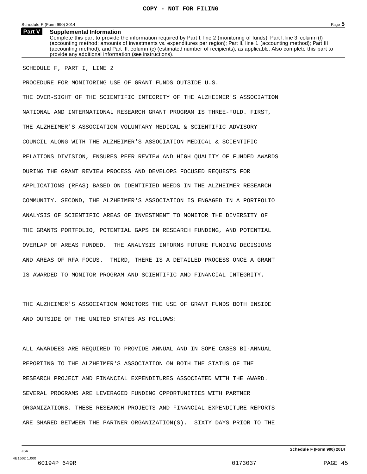## **Supplemental Information Part V**

Complete this part to provide the information required by Part I, line 2 (monitoring of funds); Part I, line 3, column (f) (accounting method; amounts of investments vs. expenditures per region); Part II, line 1 (accounting method); Part III (accounting method); and Part III, column (c) (estimated number of recipients), as applicable. Also complete this part to provide any additional information (see instructions).

SCHEDULE F, PART I, LINE 2

PROCEDURE FOR MONITORING USE OF GRANT FUNDS OUTSIDE U.S. THE OVER-SIGHT OF THE SCIENTIFIC INTEGRITY OF THE ALZHEIMER'S ASSOCIATION NATIONAL AND INTERNATIONAL RESEARCH GRANT PROGRAM IS THREE-FOLD. FIRST, THE ALZHEIMER'S ASSOCIATION VOLUNTARY MEDICAL & SCIENTIFIC ADVISORY COUNCIL ALONG WITH THE ALZHEIMER'S ASSOCIATION MEDICAL & SCIENTIFIC RELATIONS DIVISION, ENSURES PEER REVIEW AND HIGH QUALITY OF FUNDED AWARDS DURING THE GRANT REVIEW PROCESS AND DEVELOPS FOCUSED REQUESTS FOR APPLICATIONS (RFAS) BASED ON IDENTIFIED NEEDS IN THE ALZHEIMER RESEARCH COMMUNITY. SECOND, THE ALZHEIMER'S ASSOCIATION IS ENGAGED IN A PORTFOLIO ANALYSIS OF SCIENTIFIC AREAS OF INVESTMENT TO MONITOR THE DIVERSITY OF THE GRANTS PORTFOLIO, POTENTIAL GAPS IN RESEARCH FUNDING, AND POTENTIAL OVERLAP OF AREAS FUNDED. THE ANALYSIS INFORMS FUTURE FUNDING DECISIONS AND AREAS OF RFA FOCUS. THIRD, THERE IS A DETAILED PROCESS ONCE A GRANT IS AWARDED TO MONITOR PROGRAM AND SCIENTIFIC AND FINANCIAL INTEGRITY.

THE ALZHEIMER'S ASSOCIATION MONITORS THE USE OF GRANT FUNDS BOTH INSIDE AND OUTSIDE OF THE UNITED STATES AS FOLLOWS:

ALL AWARDEES ARE REQUIRED TO PROVIDE ANNUAL AND IN SOME CASES BI-ANNUAL REPORTING TO THE ALZHEIMER'S ASSOCIATION ON BOTH THE STATUS OF THE RESEARCH PROJECT AND FINANCIAL EXPENDITURES ASSOCIATED WITH THE AWARD. SEVERAL PROGRAMS ARE LEVERAGED FUNDING OPPORTUNITIES WITH PARTNER ORGANIZATIONS. THESE RESEARCH PROJECTS AND FINANCIAL EXPENDITURE REPORTS ARE SHARED BETWEEN THE PARTNER ORGANIZATION(S). SIXTY DAYS PRIOR TO THE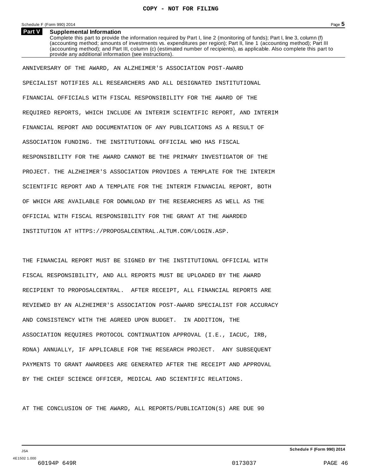**Part V**

**Supplemental Information** Complete this part to provide the information required by Part I, line 2 (monitoring of funds); Part I, line 3, column (f) (accounting method; amounts of investments vs. expenditures per region); Part II, line 1 (accounting method); Part III

(accounting method); and Part III, column (c) (estimated number of recipients), as applicable. Also complete this part to provide any additional information (see instructions).

ANNIVERSARY OF THE AWARD, AN ALZHEIMER'S ASSOCIATION POST-AWARD SPECIALIST NOTIFIES ALL RESEARCHERS AND ALL DESIGNATED INSTITUTIONAL FINANCIAL OFFICIALS WITH FISCAL RESPONSIBILITY FOR THE AWARD OF THE REQUIRED REPORTS, WHICH INCLUDE AN INTERIM SCIENTIFIC REPORT, AND INTERIM FINANCIAL REPORT AND DOCUMENTATION OF ANY PUBLICATIONS AS A RESULT OF ASSOCIATION FUNDING. THE INSTITUTIONAL OFFICIAL WHO HAS FISCAL RESPONSIBILITY FOR THE AWARD CANNOT BE THE PRIMARY INVESTIGATOR OF THE PROJECT. THE ALZHEIMER'S ASSOCIATION PROVIDES A TEMPLATE FOR THE INTERIM SCIENTIFIC REPORT AND A TEMPLATE FOR THE INTERIM FINANCIAL REPORT, BOTH OF WHICH ARE AVAILABLE FOR DOWNLOAD BY THE RESEARCHERS AS WELL AS THE OFFICIAL WITH FISCAL RESPONSIBILITY FOR THE GRANT AT THE AWARDED INSTITUTION AT HTTPS://PROPOSALCENTRAL.ALTUM.COM/LOGIN.ASP.

THE FINANCIAL REPORT MUST BE SIGNED BY THE INSTITUTIONAL OFFICIAL WITH FISCAL RESPONSIBILITY, AND ALL REPORTS MUST BE UPLOADED BY THE AWARD RECIPIENT TO PROPOSALCENTRAL. AFTER RECEIPT, ALL FINANCIAL REPORTS ARE REVIEWED BY AN ALZHEIMER'S ASSOCIATION POST-AWARD SPECIALIST FOR ACCURACY AND CONSISTENCY WITH THE AGREED UPON BUDGET. IN ADDITION, THE ASSOCIATION REQUIRES PROTOCOL CONTINUATION APPROVAL (I.E., IACUC, IRB, RDNA) ANNUALLY, IF APPLICABLE FOR THE RESEARCH PROJECT. ANY SUBSEQUENT PAYMENTS TO GRANT AWARDEES ARE GENERATED AFTER THE RECEIPT AND APPROVAL BY THE CHIEF SCIENCE OFFICER, MEDICAL AND SCIENTIFIC RELATIONS.

AT THE CONCLUSION OF THE AWARD, ALL REPORTS/PUBLICATION(S) ARE DUE 90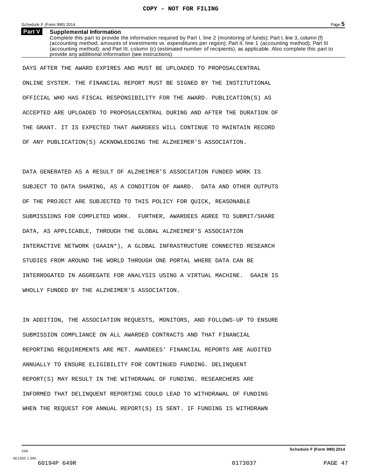#### **Supplemental Information Part V**

Complete this part to provide the information required by Part I, line 2 (monitoring of funds); Part I, line 3, column (f) (accounting method; amounts of investments vs. expenditures per region); Part II, line 1 (accounting method); Part III (accounting method); and Part III, column (c) (estimated number of recipients), as applicable. Also complete this part to provide any additional information (see instructions).

DAYS AFTER THE AWARD EXPIRES AND MUST BE UPLOADED TO PROPOSALCENTRAL ONLINE SYSTEM. THE FINANCIAL REPORT MUST BE SIGNED BY THE INSTITUTIONAL OFFICIAL WHO HAS FISCAL RESPONSIBILITY FOR THE AWARD. PUBLICATION(S) AS ACCEPTED ARE UPLOADED TO PROPOSALCENTRAL DURING AND AFTER THE DURATION OF THE GRANT. IT IS EXPECTED THAT AWARDEES WILL CONTINUE TO MAINTAIN RECORD OF ANY PUBLICATION(S) ACKNOWLEDGING THE ALZHEIMER'S ASSOCIATION.

DATA GENERATED AS A RESULT OF ALZHEIMER'S ASSOCIATION FUNDED WORK IS SUBJECT TO DATA SHARING, AS A CONDITION OF AWARD. DATA AND OTHER OUTPUTS OF THE PROJECT ARE SUBJECTED TO THIS POLICY FOR QUICK, REASONABLE SUBMISSIONS FOR COMPLETED WORK. FURTHER, AWARDEES AGREE TO SUBMIT/SHARE DATA, AS APPLICABLE, THROUGH THE GLOBAL ALZHEIMER'S ASSOCIATION INTERACTIVE NETWORK (GAAIN\*), A GLOBAL INFRASTRUCTURE CONNECTED RESEARCH STUDIES FROM AROUND THE WORLD THROUGH ONE PORTAL WHERE DATA CAN BE INTERROGATED IN AGGREGATE FOR ANALYSIS USING A VIRTUAL MACHINE. GAAIN IS WHOLLY FUNDED BY THE ALZHEIMER'S ASSOCIATION.

IN ADDITION, THE ASSOCIATION REQUESTS, MONITORS, AND FOLLOWS-UP TO ENSURE SUBMISSION COMPLIANCE ON ALL AWARDED CONTRACTS AND THAT FINANCIAL REPORTING REQUIREMENTS ARE MET. AWARDEES' FINANCIAL REPORTS ARE AUDITED ANNUALLY TO ENSURE ELIGIBILITY FOR CONTINUED FUNDING. DELINQUENT REPORT(S) MAY RESULT IN THE WITHDRAWAL OF FUNDING. RESEARCHERS ARE INFORMED THAT DELINQUENT REPORTING COULD LEAD TO WITHDRAWAL OF FUNDING WHEN THE REQUEST FOR ANNUAL REPORT(S) IS SENT. IF FUNDING IS WITHDRAWN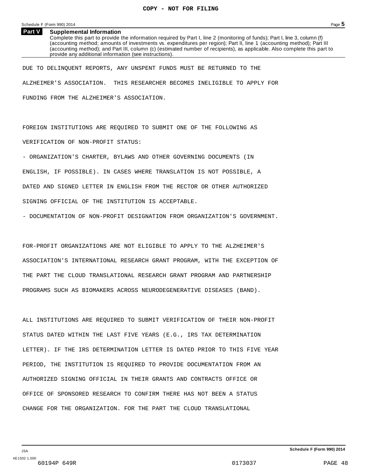**Part V**

**Supplemental Information** Complete this part to provide the information required by Part I, line 2 (monitoring of funds); Part I, line 3, column (f) (accounting method; amounts of investments vs. expenditures per region); Part II, line 1 (accounting method); Part III (accounting method); and Part III, column (c) (estimated number of recipients), as applicable. Also complete this part to provide any additional information (see instructions).

DUE TO DELINQUENT REPORTS, ANY UNSPENT FUNDS MUST BE RETURNED TO THE ALZHEIMER'S ASSOCIATION. THIS RESEARCHER BECOMES INELIGIBLE TO APPLY FOR FUNDING FROM THE ALZHEIMER'S ASSOCIATION.

FOREIGN INSTITUTIONS ARE REQUIRED TO SUBMIT ONE OF THE FOLLOWING AS VERIFICATION OF NON-PROFIT STATUS:

- ORGANIZATION'S CHARTER, BYLAWS AND OTHER GOVERNING DOCUMENTS (IN

ENGLISH, IF POSSIBLE). IN CASES WHERE TRANSLATION IS NOT POSSIBLE, A

DATED AND SIGNED LETTER IN ENGLISH FROM THE RECTOR OR OTHER AUTHORIZED

SIGNING OFFICIAL OF THE INSTITUTION IS ACCEPTABLE.

- DOCUMENTATION OF NON-PROFIT DESIGNATION FROM ORGANIZATION'S GOVERNMENT.

FOR-PROFIT ORGANIZATIONS ARE NOT ELIGIBLE TO APPLY TO THE ALZHEIMER'S ASSOCIATION'S INTERNATIONAL RESEARCH GRANT PROGRAM, WITH THE EXCEPTION OF THE PART THE CLOUD TRANSLATIONAL RESEARCH GRANT PROGRAM AND PARTNERSHIP PROGRAMS SUCH AS BIOMAKERS ACROSS NEURODEGENERATIVE DISEASES (BAND).

ALL INSTITUTIONS ARE REQUIRED TO SUBMIT VERIFICATION OF THEIR NON-PROFIT STATUS DATED WITHIN THE LAST FIVE YEARS (E.G., IRS TAX DETERMINATION LETTER). IF THE IRS DETERMINATION LETTER IS DATED PRIOR TO THIS FIVE YEAR PERIOD, THE INSTITUTION IS REQUIRED TO PROVIDE DOCUMENTATION FROM AN AUTHORIZED SIGNING OFFICIAL IN THEIR GRANTS AND CONTRACTS OFFICE OR OFFICE OF SPONSORED RESEARCH TO CONFIRM THERE HAS NOT BEEN A STATUS CHANGE FOR THE ORGANIZATION. FOR THE PART THE CLOUD TRANSLATIONAL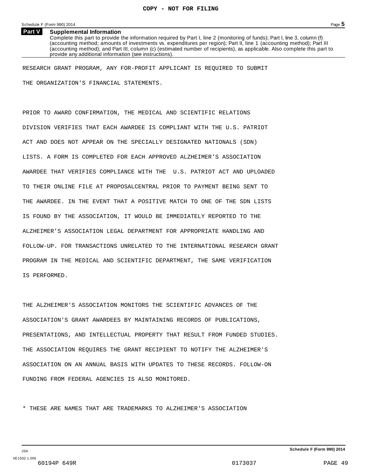#### **Supplemental Information Part V**

Complete this part to provide the information required by Part I, line 2 (monitoring of funds); Part I, line 3, column (f) (accounting method; amounts of investments vs. expenditures per region); Part II, line 1 (accounting method); Part III (accounting method); and Part III, column (c) (estimated number of recipients), as applicable. Also complete this part to provide any additional information (see instructions).

RESEARCH GRANT PROGRAM, ANY FOR-PROFIT APPLICANT IS REQUIRED TO SUBMIT THE ORGANIZATION'S FINANCIAL STATEMENTS.

PRIOR TO AWARD CONFIRMATION, THE MEDICAL AND SCIENTIFIC RELATIONS DIVISION VERIFIES THAT EACH AWARDEE IS COMPLIANT WITH THE U.S. PATRIOT ACT AND DOES NOT APPEAR ON THE SPECIALLY DESIGNATED NATIONALS (SDN) LISTS. A FORM IS COMPLETED FOR EACH APPROVED ALZHEIMER'S ASSOCIATION AWARDEE THAT VERIFIES COMPLIANCE WITH THE U.S. PATRIOT ACT AND UPLOADED TO THEIR ONLINE FILE AT PROPOSALCENTRAL PRIOR TO PAYMENT BEING SENT TO THE AWARDEE. IN THE EVENT THAT A POSITIVE MATCH TO ONE OF THE SDN LISTS IS FOUND BY THE ASSOCIATION, IT WOULD BE IMMEDIATELY REPORTED TO THE ALZHEIMER'S ASSOCIATION LEGAL DEPARTMENT FOR APPROPRIATE HANDLING AND FOLLOW-UP. FOR TRANSACTIONS UNRELATED TO THE INTERNATIONAL RESEARCH GRANT PROGRAM IN THE MEDICAL AND SCIENTIFIC DEPARTMENT, THE SAME VERIFICATION IS PERFORMED.

THE ALZHEIMER'S ASSOCIATION MONITORS THE SCIENTIFIC ADVANCES OF THE ASSOCIATION'S GRANT AWARDEES BY MAINTAINING RECORDS OF PUBLICATIONS, PRESENTATIONS, AND INTELLECTUAL PROPERTY THAT RESULT FROM FUNDED STUDIES. THE ASSOCIATION REQUIRES THE GRANT RECIPIENT TO NOTIFY THE ALZHEIMER'S ASSOCIATION ON AN ANNUAL BASIS WITH UPDATES TO THESE RECORDS. FOLLOW-ON FUNDING FROM FEDERAL AGENCIES IS ALSO MONITORED.

\* THESE ARE NAMES THAT ARE TRADEMARKS TO ALZHEIMER'S ASSOCIATION

**Schedule F (Form 990) 2014**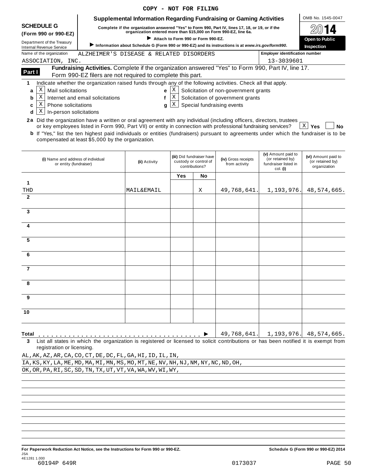|                                                                                                                                               |                                                                                                                                                                  | COPY - NOT FOR FILING                                                                                                                                                |                                    |                                                                      |                                       |                                                                            |                                                         |
|-----------------------------------------------------------------------------------------------------------------------------------------------|------------------------------------------------------------------------------------------------------------------------------------------------------------------|----------------------------------------------------------------------------------------------------------------------------------------------------------------------|------------------------------------|----------------------------------------------------------------------|---------------------------------------|----------------------------------------------------------------------------|---------------------------------------------------------|
|                                                                                                                                               |                                                                                                                                                                  | <b>Supplemental Information Regarding Fundraising or Gaming Activities</b>                                                                                           |                                    |                                                                      |                                       |                                                                            | OMB No. 1545-0047                                       |
| <b>SCHEDULE G</b><br>(Form 990 or 990-EZ)                                                                                                     |                                                                                                                                                                  | Complete if the organization answered "Yes" to Form 990, Part IV, lines 17, 18, or 19, or if the<br>organization entered more than \$15,000 on Form 990-EZ, line 6a. |                                    |                                                                      |                                       |                                                                            |                                                         |
| Department of the Treasury                                                                                                                    |                                                                                                                                                                  | Information about Schedule G (Form 990 or 990-EZ) and its instructions is at www.irs.gov/form990.                                                                    | Attach to Form 990 or Form 990-EZ. |                                                                      |                                       |                                                                            | <b>Open to Public</b>                                   |
| <b>Internal Revenue Service</b><br>Name of the organization                                                                                   |                                                                                                                                                                  |                                                                                                                                                                      |                                    |                                                                      |                                       | <b>Employer identification number</b>                                      | Inspection                                              |
| ASSOCIATION, INC.                                                                                                                             | ALZHEIMER'S DISEASE & RELATED DISORDERS                                                                                                                          |                                                                                                                                                                      |                                    |                                                                      |                                       | 13-3039601                                                                 |                                                         |
| Part I                                                                                                                                        | Fundraising Activities. Complete if the organization answered "Yes" to Form 990, Part IV, line 17.<br>Form 990-EZ filers are not required to complete this part. |                                                                                                                                                                      |                                    |                                                                      |                                       |                                                                            |                                                         |
| 1                                                                                                                                             | Indicate whether the organization raised funds through any of the following activities. Check all that apply.                                                    |                                                                                                                                                                      |                                    |                                                                      |                                       |                                                                            |                                                         |
| Χ<br>Mail solicitations<br>a                                                                                                                  |                                                                                                                                                                  | e                                                                                                                                                                    | $\mathbf{x}$                       |                                                                      | Solicitation of non-government grants |                                                                            |                                                         |
| X<br>b                                                                                                                                        | Internet and email solicitations                                                                                                                                 | f                                                                                                                                                                    | Χ                                  |                                                                      | Solicitation of government grants     |                                                                            |                                                         |
| Χ<br><b>Phone solicitations</b><br>c<br>Χ                                                                                                     |                                                                                                                                                                  | q                                                                                                                                                                    | Χ                                  |                                                                      | Special fundraising events            |                                                                            |                                                         |
| In-person solicitations<br>d                                                                                                                  |                                                                                                                                                                  |                                                                                                                                                                      |                                    |                                                                      |                                       |                                                                            |                                                         |
| 2a Did the organization have a written or oral agreement with any individual (including officers, directors, trustees                         | or key employees listed in Form 990, Part VII) or entity in connection with professional fundraising services?                                                   |                                                                                                                                                                      |                                    |                                                                      |                                       |                                                                            | $X \mid Y$ es<br>No                                     |
| <b>b</b> If "Yes," list the ten highest paid individuals or entities (fundraisers) pursuant to agreements under which the fundraiser is to be | compensated at least \$5,000 by the organization.                                                                                                                |                                                                                                                                                                      |                                    |                                                                      |                                       |                                                                            |                                                         |
|                                                                                                                                               |                                                                                                                                                                  |                                                                                                                                                                      |                                    |                                                                      |                                       |                                                                            |                                                         |
| (i) Name and address of individual<br>or entity (fundraiser)                                                                                  |                                                                                                                                                                  | (ii) Activity                                                                                                                                                        |                                    | (iii) Did fundraiser have<br>custody or control of<br>contributions? | (iv) Gross receipts<br>from activity  | (v) Amount paid to<br>(or retained by)<br>fundraiser listed in<br>col. (i) | (vi) Amount paid to<br>(or retained by)<br>organization |
|                                                                                                                                               |                                                                                                                                                                  |                                                                                                                                                                      | Yes                                | No                                                                   |                                       |                                                                            |                                                         |
| 1                                                                                                                                             |                                                                                                                                                                  |                                                                                                                                                                      |                                    |                                                                      |                                       |                                                                            |                                                         |
| THD<br>$\overline{2}$                                                                                                                         |                                                                                                                                                                  | MAIL&EMAIL                                                                                                                                                           |                                    | X                                                                    | 49,768,641.                           | 1,193,976.                                                                 | 48,574,665.                                             |
|                                                                                                                                               |                                                                                                                                                                  |                                                                                                                                                                      |                                    |                                                                      |                                       |                                                                            |                                                         |
| 3                                                                                                                                             |                                                                                                                                                                  |                                                                                                                                                                      |                                    |                                                                      |                                       |                                                                            |                                                         |
| 4                                                                                                                                             |                                                                                                                                                                  |                                                                                                                                                                      |                                    |                                                                      |                                       |                                                                            |                                                         |
|                                                                                                                                               |                                                                                                                                                                  |                                                                                                                                                                      |                                    |                                                                      |                                       |                                                                            |                                                         |
| 5                                                                                                                                             |                                                                                                                                                                  |                                                                                                                                                                      |                                    |                                                                      |                                       |                                                                            |                                                         |
|                                                                                                                                               |                                                                                                                                                                  |                                                                                                                                                                      |                                    |                                                                      |                                       |                                                                            |                                                         |
| 6                                                                                                                                             |                                                                                                                                                                  |                                                                                                                                                                      |                                    |                                                                      |                                       |                                                                            |                                                         |
| $\overline{7}$                                                                                                                                |                                                                                                                                                                  |                                                                                                                                                                      |                                    |                                                                      |                                       |                                                                            |                                                         |
|                                                                                                                                               |                                                                                                                                                                  |                                                                                                                                                                      |                                    |                                                                      |                                       |                                                                            |                                                         |
| 8                                                                                                                                             |                                                                                                                                                                  |                                                                                                                                                                      |                                    |                                                                      |                                       |                                                                            |                                                         |
| 9                                                                                                                                             |                                                                                                                                                                  |                                                                                                                                                                      |                                    |                                                                      |                                       |                                                                            |                                                         |
| 10                                                                                                                                            |                                                                                                                                                                  |                                                                                                                                                                      |                                    |                                                                      |                                       |                                                                            |                                                         |
|                                                                                                                                               |                                                                                                                                                                  |                                                                                                                                                                      |                                    |                                                                      |                                       |                                                                            |                                                         |
|                                                                                                                                               |                                                                                                                                                                  |                                                                                                                                                                      |                                    |                                                                      |                                       |                                                                            |                                                         |
| Total                                                                                                                                         |                                                                                                                                                                  |                                                                                                                                                                      |                                    |                                                                      |                                       | $49, 768, 641. \vert 1, 193, 976. \vert 48, 574, 665.$                     |                                                         |
| 3                                                                                                                                             | List all states in which the organization is registered or licensed to solicit contributions or has been notified it is exempt from                              |                                                                                                                                                                      |                                    |                                                                      |                                       |                                                                            |                                                         |
| registration or licensing.                                                                                                                    |                                                                                                                                                                  |                                                                                                                                                                      |                                    |                                                                      |                                       |                                                                            |                                                         |
| AL, AK, AZ, AR, CA, CO, CT, DE, DC, FL, GA, HI, ID, IL, IN,                                                                                   |                                                                                                                                                                  |                                                                                                                                                                      |                                    |                                                                      |                                       |                                                                            |                                                         |

IA,KS,KY,LA,ME,MD,MA,MI,MN,MS,MO,MT,NE,NV,NH,NJ,NM,NY,NC,ND,OH,

OK,OR,PA,RI,SC,SD,TN,TX,UT,VT,VA,WA,WV,WI,WY,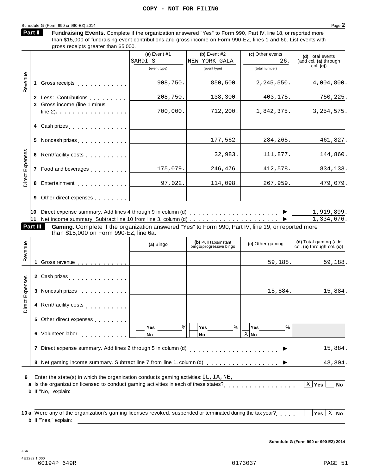# Schedule G (Form 990 or 990-EZ) 2014 Page 2

**Part II**

Fundraising Events. Complete if the organization answered "Yes" to Form 990, Part IV, line 18, or reported more than \$15,000 of fundraising event contributions and gross income on Form 990-EZ, lines 1 and 6b. List events with gross receipts greater than \$5,000.

|                 |                                                                                    |                                                                                                                                               | (a) Event $#1$<br>SARDI'S | (b) Event $#2$<br>NEW YORK GALA                  | (c) Other events<br>26. | (d) Total events<br>(add col. (a) through            |  |  |  |
|-----------------|------------------------------------------------------------------------------------|-----------------------------------------------------------------------------------------------------------------------------------------------|---------------------------|--------------------------------------------------|-------------------------|------------------------------------------------------|--|--|--|
|                 |                                                                                    |                                                                                                                                               |                           |                                                  |                         | col. (c)                                             |  |  |  |
|                 |                                                                                    |                                                                                                                                               | (event type)              | (event type)                                     | (total number)          |                                                      |  |  |  |
| Revenue         |                                                                                    | 1 Gross receipts [1]                                                                                                                          | 908,750.                  | 850,500.                                         | 2, 245, 550.            | 4,004,800.                                           |  |  |  |
|                 |                                                                                    | 2 Less: Contributions                                                                                                                         | 208,750.                  | 138,300.                                         | 403, 175.               | 750,225.                                             |  |  |  |
|                 |                                                                                    | 3 Gross income (line 1 minus<br>$line 2)$                                                                                                     | 700,000.                  | 712,200.                                         | 1,842,375.              | 3, 254, 575.                                         |  |  |  |
|                 |                                                                                    | 4 Cash prizes <u>  _ _ _ _ _ _ _ _ _</u>                                                                                                      |                           |                                                  |                         |                                                      |  |  |  |
|                 |                                                                                    |                                                                                                                                               |                           | 177,562.                                         | 284, 265.               | 461,827.                                             |  |  |  |
|                 |                                                                                    |                                                                                                                                               |                           | 32,983.                                          | 111,877.                | 144,860.                                             |  |  |  |
| Direct Expenses |                                                                                    | 7 Food and beverages $\frac{1}{2}$ 175,079.                                                                                                   |                           | 246,476.                                         | 412,578.                | 834,133.                                             |  |  |  |
|                 |                                                                                    | 8 Entertainment 97, 022.                                                                                                                      |                           | 114,098.                                         | 267,959.                | 479,079.                                             |  |  |  |
|                 |                                                                                    |                                                                                                                                               |                           |                                                  |                         |                                                      |  |  |  |
|                 |                                                                                    | 10 Direct expense summary. Add lines 4 through 9 in column (d) <b>100 Container and Theoret Container</b>                                     |                           |                                                  | ▶                       | 1,919,899.                                           |  |  |  |
|                 |                                                                                    |                                                                                                                                               |                           |                                                  | ▶                       | 1,334,676.                                           |  |  |  |
| Part III        |                                                                                    | Gaming. Complete if the organization answered "Yes" to Form 990, Part IV, line 19, or reported more<br>than \$15,000 on Form 990-EZ, line 6a. |                           |                                                  |                         |                                                      |  |  |  |
| Revenue         |                                                                                    |                                                                                                                                               | (a) Bingo                 | (b) Pull tabs/instant<br>bingo/progressive bingo | (c) Other gaming        | (d) Total gaming (add<br>col. (a) through col. $(c)$ |  |  |  |
|                 |                                                                                    |                                                                                                                                               |                           |                                                  | 59,188.                 | 59,188.                                              |  |  |  |
|                 |                                                                                    | 2 Cash prizes <u>  _ _ _ _ _ _ _ _ _ _ _ _ _</u>                                                                                              |                           |                                                  |                         |                                                      |  |  |  |
| Direct Expenses |                                                                                    |                                                                                                                                               |                           |                                                  | 15,884.                 | 15,884.                                              |  |  |  |
|                 |                                                                                    |                                                                                                                                               |                           |                                                  |                         |                                                      |  |  |  |
|                 |                                                                                    | 5 Other direct expenses                                                                                                                       |                           |                                                  |                         |                                                      |  |  |  |
|                 |                                                                                    | 6 Volunteer labor                                                                                                                             | %<br>Yes<br>No            | $\%$<br>Yes<br>No                                | %<br>Yes<br>$X $ No     |                                                      |  |  |  |
|                 | 7 Direct expense summary. Add lines 2 through 5 in column (d)<br>15,884.<br>.<br>▶ |                                                                                                                                               |                           |                                                  |                         |                                                      |  |  |  |
|                 |                                                                                    | 8 Net gaming income summary. Subtract line 7 from line 1, column (d)                                                                          |                           |                                                  |                         | 43,304.                                              |  |  |  |
| 9               |                                                                                    | Enter the state(s) in which the organization conducts gaming activities: $IL$ , $IA$ , $NE$ ,                                                 |                           |                                                  |                         |                                                      |  |  |  |
|                 |                                                                                    | a Is the organization licensed to conduct gaming activities in each of these states?<br><b>b</b> If "No," explain:                            |                           |                                                  |                         | $X$ Yes<br><b>No</b>                                 |  |  |  |
|                 |                                                                                    |                                                                                                                                               |                           |                                                  |                         |                                                      |  |  |  |
|                 |                                                                                    | 10 a Were any of the organization's gaming licenses revoked, suspended or terminated during the tax year?<br><b>b</b> If "Yes," explain:      |                           |                                                  |                         | Yes $ X $ No                                         |  |  |  |
|                 |                                                                                    |                                                                                                                                               |                           |                                                  |                         |                                                      |  |  |  |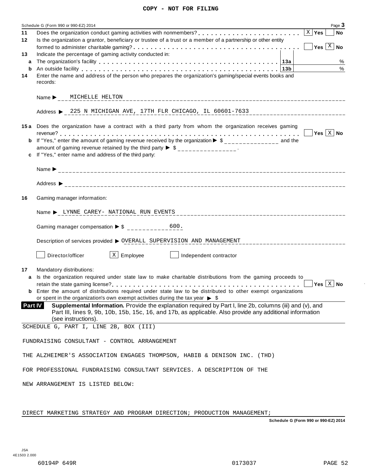|                | Page 3<br>Schedule G (Form 990 or 990-EZ) 2014                                                                                                                                                                                                     |
|----------------|----------------------------------------------------------------------------------------------------------------------------------------------------------------------------------------------------------------------------------------------------|
| 11<br>12       | Does the organization conduct gaming activities with nonmembers?<br>$\ldots, \ldots, \ldots, \ldots, \ldots, \ldots$<br><b>No</b><br>Is the organization a grantor, beneficiary or trustee of a trust or a member of a partnership or other entity |
|                | $\mathsf{Yes} \, \boxed{\mathbb{X}}$ No                                                                                                                                                                                                            |
| 13<br>a        | Indicate the percentage of gaming activity conducted in:<br>$\%$                                                                                                                                                                                   |
| b              | $\%$<br> 13b                                                                                                                                                                                                                                       |
| 14             | Enter the name and address of the person who prepares the organization's gaming/special events books and<br>records:                                                                                                                               |
|                |                                                                                                                                                                                                                                                    |
|                |                                                                                                                                                                                                                                                    |
|                | Address > 225 N MICHIGAN AVE, 17TH FLR CHICAGO, IL 60601-7633                                                                                                                                                                                      |
|                | 15a Does the organization have a contract with a third party from whom the organization receives gaming                                                                                                                                            |
| b              | Yes $ X $ No<br>If "Yes," enter the amount of gaming revenue received by the organization $\triangleright$ \$______________ and the                                                                                                                |
|                | amount of gaming revenue retained by the third party $\triangleright$ \$ _______________.                                                                                                                                                          |
| c              | If "Yes," enter name and address of the third party:                                                                                                                                                                                               |
|                |                                                                                                                                                                                                                                                    |
|                |                                                                                                                                                                                                                                                    |
|                |                                                                                                                                                                                                                                                    |
| 16             | Gaming manager information:                                                                                                                                                                                                                        |
|                |                                                                                                                                                                                                                                                    |
|                |                                                                                                                                                                                                                                                    |
|                | Description of services provided $\triangleright$ OVERALL_SUPERVISION_AND_MANAGEMENT                                                                                                                                                               |
|                | $\vert x \vert$ Employee<br>Director/officer<br>Independent contractor<br><b>Contract Contract State</b>                                                                                                                                           |
|                |                                                                                                                                                                                                                                                    |
| 17             | Mandatory distributions:                                                                                                                                                                                                                           |
| a              | Is the organization required under state law to make charitable distributions from the gaming proceeds to<br>Yes $\vert X \vert$ No                                                                                                                |
|                | <b>b</b> Enter the amount of distributions required under state law to be distributed to other exempt organizations                                                                                                                                |
| <b>Part IV</b> | or spent in the organization's own exempt activities during the tax year $\triangleright$ \$<br>Supplemental Information. Provide the explanation required by Part I, line 2b, columns (iii) and (v), and                                          |
|                | Part III, lines 9, 9b, 10b, 15b, 15c, 16, and 17b, as applicable. Also provide any additional information<br>(see instructions).                                                                                                                   |
|                | SCHEDULE G, PART I, LINE 2B, BOX (III)                                                                                                                                                                                                             |
|                | FUNDRAISING CONSULTANT - CONTROL ARRANGEMENT                                                                                                                                                                                                       |
|                |                                                                                                                                                                                                                                                    |
|                | THE ALZHEIMER'S ASSOCIATION ENGAGES THOMPSON, HABIB & DENISON INC. (THD)                                                                                                                                                                           |
|                | FOR PROFESSIONAL FUNDRAISING CONSULTANT SERVICES. A DESCRIPTION OF THE                                                                                                                                                                             |
|                |                                                                                                                                                                                                                                                    |
|                | NEW ARRANGEMENT IS LISTED BELOW:                                                                                                                                                                                                                   |
|                |                                                                                                                                                                                                                                                    |

DIRECT MARKETING STRATEGY AND PROGRAM DIRECTION; PRODUCTION MANAGEMENT;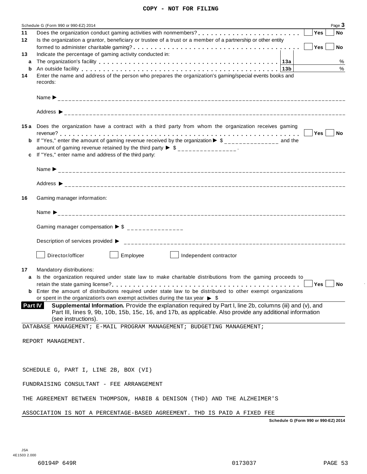|         | Schedule G (Form 990 or 990-EZ) 2014                                                                                                                                                                                           | Page 3        |
|---------|--------------------------------------------------------------------------------------------------------------------------------------------------------------------------------------------------------------------------------|---------------|
| 11      |                                                                                                                                                                                                                                | Yes<br>No     |
| 12      | Is the organization a grantor, beneficiary or trustee of a trust or a member of a partnership or other entity                                                                                                                  |               |
|         |                                                                                                                                                                                                                                | Yes $ $<br>No |
| 13<br>a | Indicate the percentage of gaming activity conducted in:                                                                                                                                                                       | %             |
| b       | An outside facility enterpretence in the series of the series of the series of the series of the series of the series of the series of the series of the series of the series of the series of the series of the series of the | $\%$          |
| 14      | Enter the name and address of the person who prepares the organization's gaming/special events books and                                                                                                                       |               |
|         | records:                                                                                                                                                                                                                       |               |
|         |                                                                                                                                                                                                                                |               |
|         |                                                                                                                                                                                                                                |               |
|         |                                                                                                                                                                                                                                |               |
|         | 15a Does the organization have a contract with a third party from whom the organization receives gaming                                                                                                                        | Yes No        |
| b       | If "Yes," enter the amount of gaming revenue received by the organization $\triangleright$ \$ ______________ and the                                                                                                           |               |
|         | amount of gaming revenue retained by the third party $\triangleright$ \$ _______________.                                                                                                                                      |               |
|         | If "Yes," enter name and address of the third party:                                                                                                                                                                           |               |
|         |                                                                                                                                                                                                                                |               |
|         |                                                                                                                                                                                                                                |               |
| 16      | Gaming manager information:                                                                                                                                                                                                    |               |
|         |                                                                                                                                                                                                                                |               |
|         | Gaming manager compensation $\triangleright$ \$ _______________                                                                                                                                                                |               |
|         |                                                                                                                                                                                                                                |               |
|         | Director/officer<br>Employee and all<br>Independent contractor                                                                                                                                                                 |               |
| 17      | Mandatory distributions:                                                                                                                                                                                                       |               |
| a       | Is the organization required under state law to make charitable distributions from the gaming proceeds to                                                                                                                      |               |
|         |                                                                                                                                                                                                                                | Yes No        |
|         | <b>b</b> Enter the amount of distributions required under state law to be distributed to other exempt organizations                                                                                                            |               |
|         | or spent in the organization's own exempt activities during the tax year $\triangleright$ \$<br>Supplemental Information. Provide the explanation required by Part I, line 2b, columns (iii) and (v), and<br><b>Part IV</b>    |               |
|         | Part III, lines 9, 9b, 10b, 15b, 15c, 16, and 17b, as applicable. Also provide any additional information                                                                                                                      |               |
|         | (see instructions).                                                                                                                                                                                                            |               |
|         | DATABASE MANAGEMENT; E-MAIL PROGRAM MANAGEMENT; BUDGETING MANAGEMENT;                                                                                                                                                          |               |
|         |                                                                                                                                                                                                                                |               |
|         | REPORT MANAGEMENT.                                                                                                                                                                                                             |               |
|         |                                                                                                                                                                                                                                |               |
|         |                                                                                                                                                                                                                                |               |
|         | SCHEDULE G, PART I, LINE 2B, BOX (VI)                                                                                                                                                                                          |               |
|         |                                                                                                                                                                                                                                |               |
|         | FUNDRAISING CONSULTANT - FEE ARRANGEMENT                                                                                                                                                                                       |               |
|         | THE AGREEMENT BETWEEN THOMPSON, HABIB & DENISON (THD) AND THE ALZHEIMER'S                                                                                                                                                      |               |
|         | ASSOCIATION IS NOT A PERCENTAGE-BASED AGREEMENT. THD IS PAID A FIXED FEE                                                                                                                                                       |               |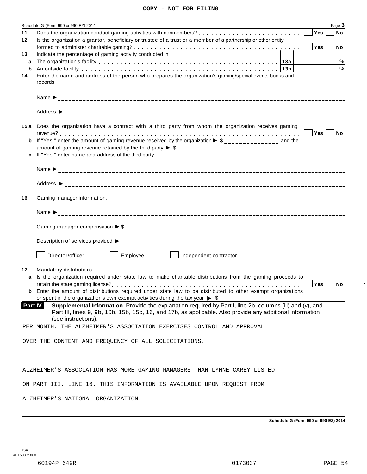|    | Schedule G (Form 990 or 990-EZ) 2014                                                                                                                                                                                                                                         |            | Page 3    |
|----|------------------------------------------------------------------------------------------------------------------------------------------------------------------------------------------------------------------------------------------------------------------------------|------------|-----------|
| 11 | Yes                                                                                                                                                                                                                                                                          |            | <b>No</b> |
| 12 | Is the organization a grantor, beneficiary or trustee of a trust or a member of a partnership or other entity                                                                                                                                                                |            |           |
| 13 | ∣Yes ∣<br>Indicate the percentage of gaming activity conducted in:                                                                                                                                                                                                           |            | $ $ No    |
| a  |                                                                                                                                                                                                                                                                              |            | %         |
| b  | An outside facility enterpreteration of the control of the control of the control of the control of the control of the control of the control of the control of the control of the control of the control of the control of th                                               |            | %         |
| 14 | Enter the name and address of the person who prepares the organization's gaming/special events books and<br>records:                                                                                                                                                         |            |           |
|    |                                                                                                                                                                                                                                                                              |            |           |
|    |                                                                                                                                                                                                                                                                              |            |           |
|    | 15a Does the organization have a contract with a third party from whom the organization receives gaming                                                                                                                                                                      |            |           |
|    | Yes No                                                                                                                                                                                                                                                                       |            |           |
|    | <b>b</b> If "Yes," enter the amount of gaming revenue received by the organization $\triangleright$ \$ ______________ and the                                                                                                                                                |            |           |
| c  | amount of gaming revenue retained by the third party $\triangleright$ \$ _______________.<br>If "Yes," enter name and address of the third party:                                                                                                                            |            |           |
|    |                                                                                                                                                                                                                                                                              |            |           |
|    |                                                                                                                                                                                                                                                                              |            |           |
|    |                                                                                                                                                                                                                                                                              |            |           |
| 16 | Gaming manager information:                                                                                                                                                                                                                                                  |            |           |
|    |                                                                                                                                                                                                                                                                              |            |           |
|    | Gaming manager compensation $\triangleright$ \$ ______________                                                                                                                                                                                                               |            |           |
|    |                                                                                                                                                                                                                                                                              |            |           |
|    | Director/officer<br>Employee and all all the set of the set of the set of the set of the set of the set of the set of the set of the set of the set of the set of the set of the set of the set of the set of the set of the set of the set of the<br>Independent contractor |            |           |
| 17 | Mandatory distributions:                                                                                                                                                                                                                                                     |            |           |
| a  | Is the organization required under state law to make charitable distributions from the gaming proceeds to                                                                                                                                                                    |            |           |
|    | <b>b</b> Enter the amount of distributions required under state law to be distributed to other exempt organizations<br>or spent in the organization's own exempt activities during the tax year $\triangleright$ \$                                                          | $ Yes $ No |           |
|    | Supplemental Information. Provide the explanation required by Part I, line 2b, columns (iii) and (v), and<br><b>Part IV</b><br>Part III, lines 9, 9b, 10b, 15b, 15c, 16, and 17b, as applicable. Also provide any additional information<br>(see instructions).              |            |           |
|    | PER MONTH. THE ALZHEIMER'S ASSOCIATION EXERCISES CONTROL AND APPROVAL                                                                                                                                                                                                        |            |           |
|    |                                                                                                                                                                                                                                                                              |            |           |
|    | OVER THE CONTENT AND FREQUENCY OF ALL SOLICITATIONS.                                                                                                                                                                                                                         |            |           |
|    |                                                                                                                                                                                                                                                                              |            |           |
|    | ALZHEIMER'S ASSOCIATION HAS MORE GAMING MANAGERS THAN LYNNE CAREY LISTED                                                                                                                                                                                                     |            |           |
|    |                                                                                                                                                                                                                                                                              |            |           |
|    | ON PART III, LINE 16. THIS INFORMATION IS AVAILABLE UPON REQUEST FROM                                                                                                                                                                                                        |            |           |
|    | ALZHEIMER'S NATIONAL ORGANIZATION.                                                                                                                                                                                                                                           |            |           |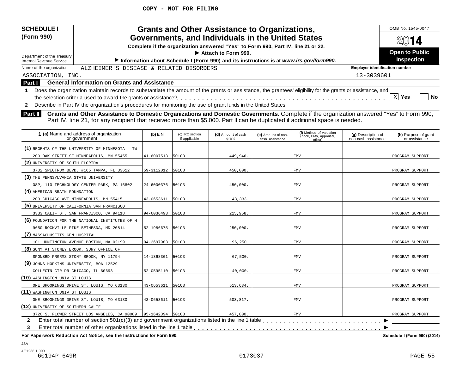| <b>SCHEDULE I</b><br>(Form 990)<br>Department of the Treasury<br><b>Internal Revenue Service</b> |                                                                                                                                                                                                                                                                                                                                      |                  |                                  | <b>Grants and Other Assistance to Organizations,</b><br>Governments, and Individuals in the United States<br>Complete if the organization answered "Yes" to Form 990, Part IV, line 21 or 22.<br>Attach to Form 990.<br>Information about Schedule I (Form 990) and its instructions is at www.irs.gov/form990. |                                       |                                                             |                                           | OMB No. 1545-0047<br>14<br><b>Open to Public</b><br><b>Inspection</b> |
|--------------------------------------------------------------------------------------------------|--------------------------------------------------------------------------------------------------------------------------------------------------------------------------------------------------------------------------------------------------------------------------------------------------------------------------------------|------------------|----------------------------------|-----------------------------------------------------------------------------------------------------------------------------------------------------------------------------------------------------------------------------------------------------------------------------------------------------------------|---------------------------------------|-------------------------------------------------------------|-------------------------------------------|-----------------------------------------------------------------------|
| Name of the organization                                                                         | ALZHEIMER'S DISEASE & RELATED DISORDERS                                                                                                                                                                                                                                                                                              |                  |                                  |                                                                                                                                                                                                                                                                                                                 |                                       |                                                             | <b>Employer identification number</b>     |                                                                       |
| ASSOCIATION, INC.                                                                                |                                                                                                                                                                                                                                                                                                                                      |                  |                                  |                                                                                                                                                                                                                                                                                                                 |                                       |                                                             | 13-3039601                                |                                                                       |
| Part I                                                                                           | <b>General Information on Grants and Assistance</b>                                                                                                                                                                                                                                                                                  |                  |                                  |                                                                                                                                                                                                                                                                                                                 |                                       |                                                             |                                           |                                                                       |
| 1                                                                                                | Does the organization maintain records to substantiate the amount of the grants or assistance, the grantees' eligibility for the grants or assistance, and                                                                                                                                                                           |                  |                                  |                                                                                                                                                                                                                                                                                                                 |                                       |                                                             |                                           |                                                                       |
|                                                                                                  |                                                                                                                                                                                                                                                                                                                                      |                  |                                  |                                                                                                                                                                                                                                                                                                                 |                                       |                                                             |                                           | $\mathbf{x}$<br>Yes<br>No                                             |
| $\mathbf{2}$                                                                                     | Describe in Part IV the organization's procedures for monitoring the use of grant funds in the United States.                                                                                                                                                                                                                        |                  |                                  |                                                                                                                                                                                                                                                                                                                 |                                       |                                                             |                                           |                                                                       |
| <b>Part II</b>                                                                                   | Grants and Other Assistance to Domestic Organizations and Domestic Governments. Complete if the organization answered "Yes" to Form 990,<br>Part IV, line 21, for any recipient that received more than \$5,000. Part II can be duplicated if additional space is needed.<br>1 (a) Name and address of organization<br>or government | $(b)$ EIN        | (c) IRC section<br>if applicable | (d) Amount of cash<br>grant                                                                                                                                                                                                                                                                                     | (e) Amount of non-<br>cash assistance | (f) Method of valuation<br>(book, FMV, appraisal,<br>other) | (g) Description of<br>non-cash assistance | (h) Purpose of grant<br>or assistance                                 |
|                                                                                                  | (1) REGENTS OF THE UNIVERSITY OF MINNESOTA - TW                                                                                                                                                                                                                                                                                      |                  |                                  |                                                                                                                                                                                                                                                                                                                 |                                       |                                                             |                                           |                                                                       |
|                                                                                                  | 200 OAK STREET SE MINNEAPOLIS, MN 55455                                                                                                                                                                                                                                                                                              | 41-6007513       | 501C3                            | 449,946.                                                                                                                                                                                                                                                                                                        |                                       | FMV                                                         |                                           | PROGRAM SUPPORT                                                       |
| (2) UNIVERSITY OF SOUTH FLORIDA                                                                  |                                                                                                                                                                                                                                                                                                                                      |                  |                                  |                                                                                                                                                                                                                                                                                                                 |                                       |                                                             |                                           |                                                                       |
|                                                                                                  | 3702 SPECTRUM BLVD, #165 TAMPA, FL 33612                                                                                                                                                                                                                                                                                             | 59-3112012       | 501C3                            | 450,000                                                                                                                                                                                                                                                                                                         |                                       | FMV                                                         |                                           | PROGRAM SUPPORT                                                       |
| (3) THE PENNSYLVANIA STATE UNIVERSITY                                                            |                                                                                                                                                                                                                                                                                                                                      |                  |                                  |                                                                                                                                                                                                                                                                                                                 |                                       |                                                             |                                           |                                                                       |
|                                                                                                  | OSP, 110 TECHNOLOGY CENTER PARK, PA 16802                                                                                                                                                                                                                                                                                            | 24-6000376       | 501C3                            | 450,000                                                                                                                                                                                                                                                                                                         |                                       | <b>FMV</b>                                                  |                                           | PROGRAM SUPPORT                                                       |
| (4) AMERICAN BRAIN FOUNDATION                                                                    |                                                                                                                                                                                                                                                                                                                                      |                  |                                  |                                                                                                                                                                                                                                                                                                                 |                                       |                                                             |                                           |                                                                       |
|                                                                                                  | 203 CHICAGO AVE MINNEAPOLIS, MN 55415                                                                                                                                                                                                                                                                                                | 43-0653611       | 501C3                            | 43,333                                                                                                                                                                                                                                                                                                          |                                       | FMV                                                         |                                           | PROGRAM SUPPORT                                                       |
| (5) UNIVERSITY OF CALIFORNIA SAN FRANCISCO                                                       |                                                                                                                                                                                                                                                                                                                                      |                  |                                  |                                                                                                                                                                                                                                                                                                                 |                                       |                                                             |                                           |                                                                       |
|                                                                                                  | 3333 CALIF ST. SAN FRANCISCO, CA 94118                                                                                                                                                                                                                                                                                               | 94-6036493       | 501C3                            | 215,958.                                                                                                                                                                                                                                                                                                        |                                       | FMV                                                         |                                           | PROGRAM SUPPORT                                                       |
|                                                                                                  | (6) FOUNDATION FOR THE NATIONAL INSTITUTES OF H                                                                                                                                                                                                                                                                                      |                  |                                  |                                                                                                                                                                                                                                                                                                                 |                                       |                                                             |                                           |                                                                       |
|                                                                                                  | 9650 ROCKVILLE PIKE BETHESDA, MD 20814                                                                                                                                                                                                                                                                                               | 52-1986675       | 501C3                            | 250,000                                                                                                                                                                                                                                                                                                         |                                       | FMV                                                         |                                           | PROGRAM SUPPORT                                                       |
| (7) MASSACHUSETTS GEN HOSPITAL                                                                   |                                                                                                                                                                                                                                                                                                                                      |                  |                                  |                                                                                                                                                                                                                                                                                                                 |                                       |                                                             |                                           |                                                                       |
|                                                                                                  | 101 HUNTINGTON AVENUE BOSTON, MA 02199                                                                                                                                                                                                                                                                                               | 04-2697983       | 501C3                            | 96, 250.                                                                                                                                                                                                                                                                                                        |                                       | FMV                                                         |                                           | PROGRAM SUPPORT                                                       |
| (8) SUNY AT STONEY BROOK, SUNY OFFICE OF                                                         |                                                                                                                                                                                                                                                                                                                                      |                  |                                  |                                                                                                                                                                                                                                                                                                                 |                                       |                                                             |                                           |                                                                       |
| SPONSRD PRGRMS STONY BROOK, NY 11794                                                             |                                                                                                                                                                                                                                                                                                                                      | 14-1368361       | 501C3                            | 67,500                                                                                                                                                                                                                                                                                                          |                                       | FMV                                                         |                                           | PROGRAM SUPPORT                                                       |
| (9) JOHNS HOPKINS UNIVERSITY, BOA 12529                                                          |                                                                                                                                                                                                                                                                                                                                      |                  |                                  |                                                                                                                                                                                                                                                                                                                 |                                       |                                                             |                                           |                                                                       |
| COLLECTN CTR DR CHICAGO, IL 60693                                                                |                                                                                                                                                                                                                                                                                                                                      | 52-0595110       | 501C3                            | 40,000                                                                                                                                                                                                                                                                                                          |                                       | FMV                                                         |                                           | PROGRAM SUPPORT                                                       |
| (10) WASHINGTON UNIV ST LOUIS                                                                    |                                                                                                                                                                                                                                                                                                                                      |                  |                                  |                                                                                                                                                                                                                                                                                                                 |                                       |                                                             |                                           |                                                                       |
|                                                                                                  | ONE BROOKINGS DRIVE ST. LOUIS, MO 63130                                                                                                                                                                                                                                                                                              | 43-0653611       | 501C3                            | 513,634.                                                                                                                                                                                                                                                                                                        |                                       | FMV                                                         |                                           | PROGRAM SUPPORT                                                       |
| (11) WASHINGTON UNIV ST LOUIS                                                                    |                                                                                                                                                                                                                                                                                                                                      |                  |                                  |                                                                                                                                                                                                                                                                                                                 |                                       |                                                             |                                           |                                                                       |
|                                                                                                  | ONE BROOKINGS DRIVE ST. LOUIS, MO 63130                                                                                                                                                                                                                                                                                              | 43-0653611       | 501C3                            | 503,817.                                                                                                                                                                                                                                                                                                        |                                       | FMV                                                         |                                           | PROGRAM SUPPORT                                                       |
| (12) UNIVERSITY OF SOUTHERN CALIF                                                                |                                                                                                                                                                                                                                                                                                                                      |                  |                                  |                                                                                                                                                                                                                                                                                                                 |                                       |                                                             |                                           |                                                                       |
|                                                                                                  | 3720 S. FLOWER STREET LOS ANGELES, CA 90089                                                                                                                                                                                                                                                                                          | 95-1642394 501C3 |                                  | 457,000.                                                                                                                                                                                                                                                                                                        |                                       | ${\tt FMV}$                                                 |                                           | PROGRAM SUPPORT                                                       |
| $\mathbf{2}$<br>3                                                                                | Enter total number of section $501(c)(3)$ and government organizations listed in the line 1 table                                                                                                                                                                                                                                    |                  |                                  |                                                                                                                                                                                                                                                                                                                 |                                       |                                                             |                                           |                                                                       |
|                                                                                                  | For Paperwork Reduction Act Notice, see the Instructions for Form 990.                                                                                                                                                                                                                                                               |                  |                                  |                                                                                                                                                                                                                                                                                                                 |                                       |                                                             |                                           | Schedule I (Form 990) (2014)                                          |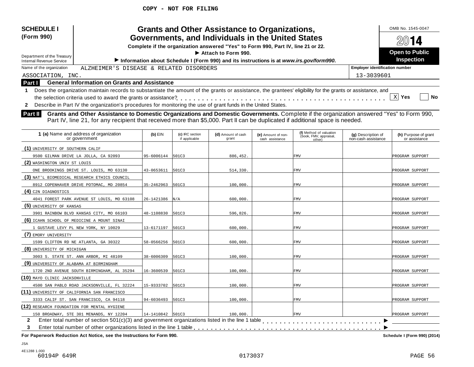| <b>SCHEDULE I</b><br>(Form 990)<br>Department of the Treasury<br><b>Internal Revenue Service</b><br>Name of the organization<br>ASSOCIATION, INC.<br><b>General Information on Grants and Assistance</b><br><b>Part I</b><br>Does the organization maintain records to substantiate the amount of the grants or assistance, the grantees' eligibility for the grants or assistance, and<br>-1<br>Describe in Part IV the organization's procedures for monitoring the use of grant funds in the United States.<br>$\mathbf{2}$<br>Grants and Other Assistance to Domestic Organizations and Domestic Governments. Complete if the organization answered "Yes" to Form 990,<br>Part II | Information about Schedule I (Form 990) and its instructions is at www.irs.gov/form990.<br>ALZHEIMER'S DISEASE & RELATED DISORDERS |                 | <b>Grants and Other Assistance to Organizations,</b><br>Governments, and Individuals in the United States<br>Complete if the organization answered "Yes" to Form 990, Part IV, line 21 or 22.<br>$\blacktriangleright$ Attach to Form 990. |                                       |                                  | <b>Employer identification number</b><br>13-3039601 | OMB No. 1545-0047<br>2014<br>Open to Public<br><b>Inspection</b><br>$X$ Yes<br>No |
|---------------------------------------------------------------------------------------------------------------------------------------------------------------------------------------------------------------------------------------------------------------------------------------------------------------------------------------------------------------------------------------------------------------------------------------------------------------------------------------------------------------------------------------------------------------------------------------------------------------------------------------------------------------------------------------|------------------------------------------------------------------------------------------------------------------------------------|-----------------|--------------------------------------------------------------------------------------------------------------------------------------------------------------------------------------------------------------------------------------------|---------------------------------------|----------------------------------|-----------------------------------------------------|-----------------------------------------------------------------------------------|
| Part IV, line 21, for any recipient that received more than \$5,000. Part II can be duplicated if additional space is needed.<br>1 (a) Name and address of organization                                                                                                                                                                                                                                                                                                                                                                                                                                                                                                               | $(b)$ EIN                                                                                                                          | (c) IRC section | (d) Amount of cash                                                                                                                                                                                                                         |                                       | (f) Method of valuation          | (g) Description of                                  | (h) Purpose of grant                                                              |
| or government                                                                                                                                                                                                                                                                                                                                                                                                                                                                                                                                                                                                                                                                         |                                                                                                                                    | if applicable   | grant                                                                                                                                                                                                                                      | (e) Amount of non-<br>cash assistance | (book, FMV, appraisal,<br>other) | non-cash assistance                                 | or assistance                                                                     |
| (1) UNIVERSITY OF SOUTHERN CALIF<br>9500 GILMAN DRIVE LA JOLLA, CA 92093                                                                                                                                                                                                                                                                                                                                                                                                                                                                                                                                                                                                              | 95-6006144                                                                                                                         | 501C3           | 886,452.                                                                                                                                                                                                                                   |                                       | <b>FMV</b>                       |                                                     | PROGRAM SUPPORT                                                                   |
| (2) WASHINGTON UNIV ST LOUIS                                                                                                                                                                                                                                                                                                                                                                                                                                                                                                                                                                                                                                                          |                                                                                                                                    |                 |                                                                                                                                                                                                                                            |                                       |                                  |                                                     |                                                                                   |
| ONE BROOKINGS DRIVE ST. LOUIS, MO 63130                                                                                                                                                                                                                                                                                                                                                                                                                                                                                                                                                                                                                                               | 43-0653611                                                                                                                         | 501C3           | 514,330.                                                                                                                                                                                                                                   |                                       | <b>FMV</b>                       |                                                     | PROGRAM SUPPORT                                                                   |
| (3) NAT'L BIOMEDICAL RESEARCH ETHICS COUNCIL                                                                                                                                                                                                                                                                                                                                                                                                                                                                                                                                                                                                                                          |                                                                                                                                    |                 |                                                                                                                                                                                                                                            |                                       |                                  |                                                     |                                                                                   |
| 8912 COPENHAVER DRIVE POTOMAC, MD 20854                                                                                                                                                                                                                                                                                                                                                                                                                                                                                                                                                                                                                                               | 35-2462963                                                                                                                         | 501C3           | 100,000.                                                                                                                                                                                                                                   |                                       | <b>FMV</b>                       |                                                     | PROGRAM SUPPORT                                                                   |
| (4) C2N DIAGNOSTICS                                                                                                                                                                                                                                                                                                                                                                                                                                                                                                                                                                                                                                                                   |                                                                                                                                    |                 |                                                                                                                                                                                                                                            |                                       |                                  |                                                     |                                                                                   |
| 4041 FOREST PARK AVENUE ST LOUIS, MO 63108                                                                                                                                                                                                                                                                                                                                                                                                                                                                                                                                                                                                                                            | 26-1421386                                                                                                                         | N/A             | 600,000.                                                                                                                                                                                                                                   |                                       | <b>FMV</b>                       |                                                     | PROGRAM SUPPORT                                                                   |
| (5) UNIVERSITY OF KANSAS                                                                                                                                                                                                                                                                                                                                                                                                                                                                                                                                                                                                                                                              |                                                                                                                                    |                 |                                                                                                                                                                                                                                            |                                       |                                  |                                                     |                                                                                   |
| 3901 RAINBOW BLVD KANSAS CITY, MO 66103                                                                                                                                                                                                                                                                                                                                                                                                                                                                                                                                                                                                                                               | 48-1108830                                                                                                                         | 501C3           | 596,826.                                                                                                                                                                                                                                   |                                       | <b>FMV</b>                       |                                                     | PROGRAM SUPPORT                                                                   |
| (6) ICAHN SCHOOL OF MEDICINE A MOUNT SINAI                                                                                                                                                                                                                                                                                                                                                                                                                                                                                                                                                                                                                                            |                                                                                                                                    |                 |                                                                                                                                                                                                                                            |                                       |                                  |                                                     |                                                                                   |
| 1 GUSTAVE LEVY PL NEW YORK, NY 10029                                                                                                                                                                                                                                                                                                                                                                                                                                                                                                                                                                                                                                                  | 13-6171197                                                                                                                         | 501C3           | 600,000.                                                                                                                                                                                                                                   |                                       | <b>FMV</b>                       |                                                     | PROGRAM SUPPORT                                                                   |
| (7) EMORY UNIVERSITY                                                                                                                                                                                                                                                                                                                                                                                                                                                                                                                                                                                                                                                                  |                                                                                                                                    |                 |                                                                                                                                                                                                                                            |                                       |                                  |                                                     |                                                                                   |
| 1599 CLIFTON RD NE ATLANTA, GA 30322                                                                                                                                                                                                                                                                                                                                                                                                                                                                                                                                                                                                                                                  | 58-0566256                                                                                                                         | 501C3           | 600,000.                                                                                                                                                                                                                                   |                                       | <b>FMV</b>                       |                                                     | PROGRAM SUPPORT                                                                   |
| (8) UNIVERSITY OF MICHIGAN                                                                                                                                                                                                                                                                                                                                                                                                                                                                                                                                                                                                                                                            |                                                                                                                                    |                 |                                                                                                                                                                                                                                            |                                       |                                  |                                                     |                                                                                   |
| 3003 S. STATE ST. ANN ARBOR, MI 48109                                                                                                                                                                                                                                                                                                                                                                                                                                                                                                                                                                                                                                                 | 38-6006309                                                                                                                         | 501C3           | 100,000.                                                                                                                                                                                                                                   |                                       | <b>FMV</b>                       |                                                     | PROGRAM SUPPORT                                                                   |
| (9) UNIVERSITY OF ALABAMA AT BIRMINGHAM                                                                                                                                                                                                                                                                                                                                                                                                                                                                                                                                                                                                                                               |                                                                                                                                    |                 |                                                                                                                                                                                                                                            |                                       |                                  |                                                     |                                                                                   |
| 1720 2ND AVENUE SOUTH BIRMINGHAM, AL 35294                                                                                                                                                                                                                                                                                                                                                                                                                                                                                                                                                                                                                                            | 16-3600539                                                                                                                         | 501C3           | 100,000.                                                                                                                                                                                                                                   |                                       | <b>FMV</b>                       |                                                     | PROGRAM SUPPORT                                                                   |
| (10) MAYO CLINIC JACKSONVILLE                                                                                                                                                                                                                                                                                                                                                                                                                                                                                                                                                                                                                                                         |                                                                                                                                    |                 |                                                                                                                                                                                                                                            |                                       |                                  |                                                     |                                                                                   |
| 4500 SAN PABLO ROAD JACKSONVILLE, FL 32224                                                                                                                                                                                                                                                                                                                                                                                                                                                                                                                                                                                                                                            | 15-9333702                                                                                                                         | 501C3           | 100,000.                                                                                                                                                                                                                                   |                                       | <b>FMV</b>                       |                                                     | PROGRAM SUPPORT                                                                   |
| (11) UNIVERSITY OF CALIFORNIA SAN FRANCISCO                                                                                                                                                                                                                                                                                                                                                                                                                                                                                                                                                                                                                                           |                                                                                                                                    |                 |                                                                                                                                                                                                                                            |                                       |                                  |                                                     |                                                                                   |
| 3333 CALIF ST. SAN FRANCISCO, CA 94118                                                                                                                                                                                                                                                                                                                                                                                                                                                                                                                                                                                                                                                | 94-6036493 501C3                                                                                                                   |                 | 100,000.                                                                                                                                                                                                                                   |                                       | <b>FMV</b>                       |                                                     | PROGRAM SUPPORT                                                                   |
| (12) RESEARCH FOUNDATION FOR MENTAL HYGIENE                                                                                                                                                                                                                                                                                                                                                                                                                                                                                                                                                                                                                                           |                                                                                                                                    |                 |                                                                                                                                                                                                                                            |                                       |                                  |                                                     |                                                                                   |
| 150 BROADWAY, STE 301 MENANDS, NY 12204                                                                                                                                                                                                                                                                                                                                                                                                                                                                                                                                                                                                                                               | 14-1410842 501C3                                                                                                                   |                 | 100,000.                                                                                                                                                                                                                                   |                                       | <b>FMV</b>                       |                                                     | PROGRAM SUPPORT                                                                   |
| Enter total number of section $501(c)(3)$ and government organizations listed in the line 1 table<br>$\mathbf{2}$<br>3<br>For Paperwork Reduction Act Notice, see the Instructions for Form 990.                                                                                                                                                                                                                                                                                                                                                                                                                                                                                      |                                                                                                                                    |                 |                                                                                                                                                                                                                                            |                                       |                                  |                                                     | Schedule I (Form 990) (2014)                                                      |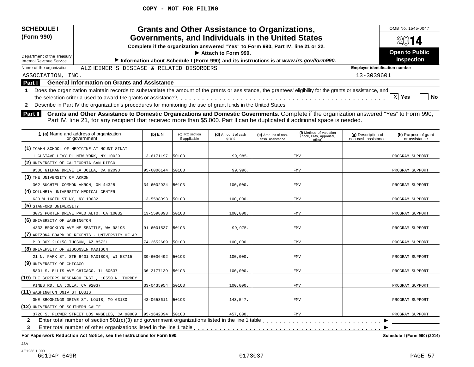| <b>SCHEDULE I</b><br>(Form 990)<br>Department of the Treasury<br><b>Internal Revenue Service</b> |                                                                                                                                                                                                                                                                           |            |                 | <b>Grants and Other Assistance to Organizations,</b><br>Governments, and Individuals in the United States<br>Complete if the organization answered "Yes" to Form 990, Part IV, line 21 or 22.<br>Attach to Form 990. |                    | Information about Schedule I (Form 990) and its instructions is at www.irs.gov/form990. |                                       | OMB No. 1545-0047<br><b>Open to Public</b><br>Inspection |
|--------------------------------------------------------------------------------------------------|---------------------------------------------------------------------------------------------------------------------------------------------------------------------------------------------------------------------------------------------------------------------------|------------|-----------------|----------------------------------------------------------------------------------------------------------------------------------------------------------------------------------------------------------------------|--------------------|-----------------------------------------------------------------------------------------|---------------------------------------|----------------------------------------------------------|
| Name of the organization                                                                         | ALZHEIMER'S DISEASE & RELATED DISORDERS                                                                                                                                                                                                                                   |            |                 |                                                                                                                                                                                                                      |                    |                                                                                         | <b>Employer identification number</b> |                                                          |
| ASSOCIATION, INC.                                                                                |                                                                                                                                                                                                                                                                           |            |                 |                                                                                                                                                                                                                      |                    |                                                                                         | 13-3039601                            |                                                          |
| <b>Part I</b>                                                                                    | <b>General Information on Grants and Assistance</b>                                                                                                                                                                                                                       |            |                 |                                                                                                                                                                                                                      |                    |                                                                                         |                                       |                                                          |
| -1.                                                                                              | Does the organization maintain records to substantiate the amount of the grants or assistance, the grantees' eligibility for the grants or assistance, and                                                                                                                |            |                 |                                                                                                                                                                                                                      |                    |                                                                                         |                                       |                                                          |
|                                                                                                  |                                                                                                                                                                                                                                                                           |            |                 |                                                                                                                                                                                                                      |                    |                                                                                         |                                       | $X$ Yes<br>No                                            |
| $\mathbf{2}$                                                                                     | Describe in Part IV the organization's procedures for monitoring the use of grant funds in the United States.                                                                                                                                                             |            |                 |                                                                                                                                                                                                                      |                    |                                                                                         |                                       |                                                          |
| <b>Part II</b><br>1 (a) Name and address of organization                                         | Grants and Other Assistance to Domestic Organizations and Domestic Governments. Complete if the organization answered "Yes" to Form 990,<br>Part IV, line 21, for any recipient that received more than \$5,000. Part II can be duplicated if additional space is needed. | $(b)$ EIN  | (c) IRC section | (d) Amount of cash                                                                                                                                                                                                   | (e) Amount of non- | (f) Method of valuation                                                                 | (g) Description of                    | (h) Purpose of grant                                     |
| or government                                                                                    |                                                                                                                                                                                                                                                                           |            | if applicable   | grant                                                                                                                                                                                                                | cash assistance    | (book, FMV, appraisal,<br>other)                                                        | non-cash assistance                   | or assistance                                            |
| (1) ICAHN SCHOOL OF MEDICINE AT MOUNT SINAI                                                      |                                                                                                                                                                                                                                                                           |            |                 |                                                                                                                                                                                                                      |                    |                                                                                         |                                       |                                                          |
| 1 GUSTAVE LEVY PL NEW YORK, NY 10029                                                             |                                                                                                                                                                                                                                                                           | 13-6171197 | 501C3           | 99,985                                                                                                                                                                                                               |                    | <b>FMV</b>                                                                              |                                       | PROGRAM SUPPORT                                          |
| (2) UNIVERSITY OF CALIFORNIA SAN DIEGO                                                           |                                                                                                                                                                                                                                                                           |            |                 |                                                                                                                                                                                                                      |                    |                                                                                         |                                       |                                                          |
| 9500 GILMAN DRIVE LA JOLLA, CA 92093                                                             |                                                                                                                                                                                                                                                                           | 95-6006144 | 501C3           | 99,996.                                                                                                                                                                                                              |                    | <b>FMV</b>                                                                              |                                       | PROGRAM SUPPORT                                          |
| (3) THE UNIVERSITY OF AKRON                                                                      |                                                                                                                                                                                                                                                                           |            |                 |                                                                                                                                                                                                                      |                    |                                                                                         |                                       |                                                          |
| 302 BUCHTEL COMMON AKRON, OH 44325                                                               |                                                                                                                                                                                                                                                                           | 34-6002924 | 501C3           | 100,000.                                                                                                                                                                                                             |                    | <b>FMV</b>                                                                              |                                       | PROGRAM SUPPORT                                          |
| (4) COLUMBIA UNIVERSITY MEDICAL CENTER                                                           |                                                                                                                                                                                                                                                                           |            |                 |                                                                                                                                                                                                                      |                    |                                                                                         |                                       |                                                          |
| 630 W 168TH ST NY, NY 10032                                                                      |                                                                                                                                                                                                                                                                           | 13-5598093 | 501C3           | 100,000.                                                                                                                                                                                                             |                    | <b>FMV</b>                                                                              |                                       | PROGRAM SUPPORT                                          |
| (5) STANFORD UNIVERSITY                                                                          |                                                                                                                                                                                                                                                                           |            |                 |                                                                                                                                                                                                                      |                    |                                                                                         |                                       |                                                          |
| 3072 PORTER DRIVE PALO ALTO, CA 10032                                                            |                                                                                                                                                                                                                                                                           | 13-5598093 | 501C3           | 100,000.                                                                                                                                                                                                             |                    | <b>FMV</b>                                                                              |                                       | PROGRAM SUPPORT                                          |
| (6) UNIVERSITY OF WASHINGTON                                                                     |                                                                                                                                                                                                                                                                           |            |                 |                                                                                                                                                                                                                      |                    |                                                                                         |                                       |                                                          |
| 4333 BROOKLYN AVE NE SEATTLE, WA 98195                                                           |                                                                                                                                                                                                                                                                           | 91-6001537 | 501C3           | 99,975.                                                                                                                                                                                                              |                    | <b>FMV</b>                                                                              |                                       | PROGRAM SUPPORT                                          |
| (7) ARIZONA BOARD OF REGENTS - UNIVERSITY OF AR                                                  |                                                                                                                                                                                                                                                                           |            |                 |                                                                                                                                                                                                                      |                    |                                                                                         |                                       |                                                          |
| P.O BOX 210158 TUCSON, AZ 85721                                                                  |                                                                                                                                                                                                                                                                           | 74-2652689 | 501C3           | 100,000.                                                                                                                                                                                                             |                    | <b>FMV</b>                                                                              |                                       | PROGRAM SUPPORT                                          |
| (8) UNIVERSITY OF WISCONSIN MADISON                                                              |                                                                                                                                                                                                                                                                           |            |                 |                                                                                                                                                                                                                      |                    |                                                                                         |                                       |                                                          |
| 21 N. PARK ST, STE 6401 MADISON, WI 53715                                                        |                                                                                                                                                                                                                                                                           | 39-6006492 | 501C3           | 100,000.                                                                                                                                                                                                             |                    | <b>FMV</b>                                                                              |                                       | PROGRAM SUPPORT                                          |
| (9) UNIVERSITY OF CHICAGO                                                                        |                                                                                                                                                                                                                                                                           |            |                 |                                                                                                                                                                                                                      |                    |                                                                                         |                                       |                                                          |
| 5801 S. ELLIS AVE CHICAGO, IL 60637                                                              |                                                                                                                                                                                                                                                                           | 36-2177139 | 501C3           | 100,000.                                                                                                                                                                                                             |                    | <b>FMV</b>                                                                              |                                       | PROGRAM SUPPORT                                          |
| (10) THE SCRIPPS RESEARCH INST., 10550 N. TORREY                                                 |                                                                                                                                                                                                                                                                           |            |                 |                                                                                                                                                                                                                      |                    |                                                                                         |                                       |                                                          |
| PINES RD. LA JOLLA, CA 92037                                                                     |                                                                                                                                                                                                                                                                           | 33-0435954 | 501C3           | 100,000.                                                                                                                                                                                                             |                    | <b>FMV</b>                                                                              |                                       | PROGRAM SUPPORT                                          |
| (11) WASHINGTON UNIV ST LOUIS                                                                    |                                                                                                                                                                                                                                                                           |            |                 |                                                                                                                                                                                                                      |                    |                                                                                         |                                       |                                                          |
| ONE BROOKINGS DRIVE ST. LOUIS, MO 63130                                                          |                                                                                                                                                                                                                                                                           | 43-0653611 | 501C3           | 143,547.                                                                                                                                                                                                             |                    | <b>FMV</b>                                                                              |                                       | PROGRAM SUPPORT                                          |
| (12) UNIVERSITY OF SOUTHERN CALIF                                                                |                                                                                                                                                                                                                                                                           |            |                 |                                                                                                                                                                                                                      |                    |                                                                                         |                                       |                                                          |
|                                                                                                  | 3720 S. FLOWER STREET LOS ANGELES, CA 90089 95-1642394 501C3                                                                                                                                                                                                              |            |                 | 457,000.                                                                                                                                                                                                             |                    | <b>FMV</b>                                                                              |                                       | PROGRAM SUPPORT                                          |
| 2                                                                                                | Enter total number of section $501(c)(3)$ and government organizations listed in the line 1 table                                                                                                                                                                         |            |                 |                                                                                                                                                                                                                      |                    |                                                                                         |                                       |                                                          |
| 3                                                                                                |                                                                                                                                                                                                                                                                           |            |                 |                                                                                                                                                                                                                      |                    |                                                                                         |                                       |                                                          |
| For Paperwork Reduction Act Notice, see the Instructions for Form 990.                           |                                                                                                                                                                                                                                                                           |            |                 |                                                                                                                                                                                                                      |                    |                                                                                         |                                       | Schedule I (Form 990) (2014)                             |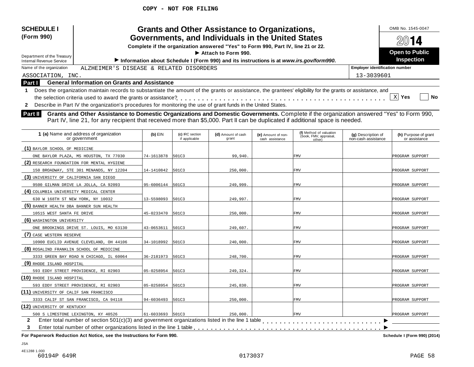| <b>SCHEDULE I</b><br>(Form 990)<br>Department of the Treasury<br><b>Internal Revenue Service</b> |                                                                                                                                                                                                                                                                                                                     |                  |                 | <b>Grants and Other Assistance to Organizations,</b><br>Governments, and Individuals in the United States<br>Complete if the organization answered "Yes" to Form 990, Part IV, line 21 or 22.<br>Attach to Form 990. |                    | Information about Schedule I (Form 990) and its instructions is at www.irs.gov/form990. |                                       | OMB No. 1545-0047<br><b>Open to Public</b><br>Inspection |
|--------------------------------------------------------------------------------------------------|---------------------------------------------------------------------------------------------------------------------------------------------------------------------------------------------------------------------------------------------------------------------------------------------------------------------|------------------|-----------------|----------------------------------------------------------------------------------------------------------------------------------------------------------------------------------------------------------------------|--------------------|-----------------------------------------------------------------------------------------|---------------------------------------|----------------------------------------------------------|
| Name of the organization                                                                         | ALZHEIMER'S DISEASE & RELATED DISORDERS                                                                                                                                                                                                                                                                             |                  |                 |                                                                                                                                                                                                                      |                    |                                                                                         | <b>Employer identification number</b> |                                                          |
| ASSOCIATION, INC.                                                                                |                                                                                                                                                                                                                                                                                                                     |                  |                 |                                                                                                                                                                                                                      |                    |                                                                                         | 13-3039601                            |                                                          |
| Part I                                                                                           | <b>General Information on Grants and Assistance</b>                                                                                                                                                                                                                                                                 |                  |                 |                                                                                                                                                                                                                      |                    |                                                                                         |                                       |                                                          |
| -1.                                                                                              | Does the organization maintain records to substantiate the amount of the grants or assistance, the grantees' eligibility for the grants or assistance, and                                                                                                                                                          |                  |                 |                                                                                                                                                                                                                      |                    |                                                                                         |                                       |                                                          |
|                                                                                                  |                                                                                                                                                                                                                                                                                                                     |                  |                 |                                                                                                                                                                                                                      |                    |                                                                                         |                                       | $X$ Yes<br>No                                            |
| $\mathbf{2}$                                                                                     | Describe in Part IV the organization's procedures for monitoring the use of grant funds in the United States.                                                                                                                                                                                                       |                  |                 |                                                                                                                                                                                                                      |                    |                                                                                         |                                       |                                                          |
| Part II                                                                                          | Grants and Other Assistance to Domestic Organizations and Domestic Governments. Complete if the organization answered "Yes" to Form 990,<br>Part IV, line 21, for any recipient that received more than \$5,000. Part II can be duplicated if additional space is needed.<br>1 (a) Name and address of organization | $(b)$ EIN        | (c) IRC section | (d) Amount of cash                                                                                                                                                                                                   | (e) Amount of non- | (f) Method of valuation<br>(book, FMV, appraisal,                                       | (g) Description of                    | (h) Purpose of grant                                     |
|                                                                                                  | or government                                                                                                                                                                                                                                                                                                       |                  | if applicable   | grant                                                                                                                                                                                                                | cash assistance    | other)                                                                                  | non-cash assistance                   | or assistance                                            |
| (1) BAYLOR SCHOOL OF MEDICINE                                                                    |                                                                                                                                                                                                                                                                                                                     |                  |                 |                                                                                                                                                                                                                      |                    |                                                                                         |                                       |                                                          |
|                                                                                                  | ONE BAYLOR PLAZA, MS HOUSTON, TX 77030                                                                                                                                                                                                                                                                              | 74-1613878       | 501C3           | 99,940.                                                                                                                                                                                                              |                    | <b>FMV</b>                                                                              |                                       | PROGRAM SUPPORT                                          |
| (2) RESEARCH FOUNDATION FOR MENTAL HYGIENE                                                       |                                                                                                                                                                                                                                                                                                                     |                  |                 |                                                                                                                                                                                                                      |                    |                                                                                         |                                       |                                                          |
|                                                                                                  | 150 BROADWAY, STE 301 MENANDS, NY 12204                                                                                                                                                                                                                                                                             | 14-1410842       | 501C3           | 250,000                                                                                                                                                                                                              |                    | <b>FMV</b>                                                                              |                                       | PROGRAM SUPPORT                                          |
| (3) UNIVERSITY OF CALIFORNIA SAN DIEGO                                                           |                                                                                                                                                                                                                                                                                                                     |                  |                 |                                                                                                                                                                                                                      |                    |                                                                                         |                                       |                                                          |
|                                                                                                  | 9500 GILMAN DRIVE LA JOLLA, CA 92093                                                                                                                                                                                                                                                                                | 95-6006144       | 501C3           | 249,999                                                                                                                                                                                                              |                    | <b>FMV</b>                                                                              |                                       | PROGRAM SUPPORT                                          |
| (4) COLUMBIA UNIVERSITY MEDICAL CENTER                                                           |                                                                                                                                                                                                                                                                                                                     |                  |                 |                                                                                                                                                                                                                      |                    |                                                                                         |                                       |                                                          |
| 630 W 168TH ST NEW YORK, NY 10032                                                                |                                                                                                                                                                                                                                                                                                                     | 13-5598093       | 501C3           | 249,997.                                                                                                                                                                                                             |                    | <b>FMV</b>                                                                              |                                       | PROGRAM SUPPORT                                          |
| (5) BANNER HEALTH DBA BANNER SUN HEALTH                                                          |                                                                                                                                                                                                                                                                                                                     |                  |                 |                                                                                                                                                                                                                      |                    |                                                                                         |                                       |                                                          |
| 10515 WEST SANTA FE DRIVE                                                                        |                                                                                                                                                                                                                                                                                                                     | 45-0233470       | 501C3           | 250,000.                                                                                                                                                                                                             |                    | <b>FMV</b>                                                                              |                                       | PROGRAM SUPPORT                                          |
| (6) WASHINGTON UNIVERSITY                                                                        |                                                                                                                                                                                                                                                                                                                     |                  |                 |                                                                                                                                                                                                                      |                    |                                                                                         |                                       |                                                          |
|                                                                                                  | ONE BROOKINGS DRIVE ST. LOUIS, MO 63130                                                                                                                                                                                                                                                                             | 43-0653611       | 501C3           | 249,607.                                                                                                                                                                                                             |                    | <b>FMV</b>                                                                              |                                       | PROGRAM SUPPORT                                          |
| (7) CASE WESTERN RESERVE                                                                         |                                                                                                                                                                                                                                                                                                                     |                  |                 |                                                                                                                                                                                                                      |                    |                                                                                         |                                       |                                                          |
|                                                                                                  | 10900 EUCLID AVENUE CLEVELAND, OH 44106                                                                                                                                                                                                                                                                             | 34-1018992       | 501C3           | 240,000                                                                                                                                                                                                              |                    | <b>FMV</b>                                                                              |                                       | PROGRAM SUPPORT                                          |
| (8) ROSALIND FRANKLIN SCHOOL OF MEDICINE                                                         |                                                                                                                                                                                                                                                                                                                     |                  |                 |                                                                                                                                                                                                                      |                    |                                                                                         |                                       |                                                          |
|                                                                                                  | 3333 GREEN BAY ROAD N CHICAGO, IL 60064                                                                                                                                                                                                                                                                             | 36-2181973       | 501C3           | 248,700                                                                                                                                                                                                              |                    | <b>FMV</b>                                                                              |                                       | PROGRAM SUPPORT                                          |
| (9) RHODE ISLAND HOSPITAL                                                                        |                                                                                                                                                                                                                                                                                                                     |                  |                 |                                                                                                                                                                                                                      |                    |                                                                                         |                                       |                                                          |
|                                                                                                  | 593 EDDY STREET PROVIDENCE, RI 02903                                                                                                                                                                                                                                                                                | 05-0258954       | 501C3           | 249,324.                                                                                                                                                                                                             |                    | <b>FMV</b>                                                                              |                                       | PROGRAM SUPPORT                                          |
| (10) RHODE ISLAND HOSPITAL                                                                       |                                                                                                                                                                                                                                                                                                                     |                  |                 |                                                                                                                                                                                                                      |                    |                                                                                         |                                       |                                                          |
|                                                                                                  | 593 EDDY STREET PROVIDENCE, RI 02903                                                                                                                                                                                                                                                                                | 05-0258954       | 501C3           | 245,830.                                                                                                                                                                                                             |                    | <b>FMV</b>                                                                              |                                       | PROGRAM SUPPORT                                          |
| (11) UNIVERSITY OF CALIF SAN FRANCISCO                                                           |                                                                                                                                                                                                                                                                                                                     |                  |                 |                                                                                                                                                                                                                      |                    |                                                                                         |                                       |                                                          |
|                                                                                                  | 3333 CALIF ST SAN FRANCISCO, CA 94118                                                                                                                                                                                                                                                                               | 94-6036493       | 501C3           | 250,000.                                                                                                                                                                                                             |                    | <b>FMV</b>                                                                              |                                       | PROGRAM SUPPORT                                          |
| (12) UNIVERSITY OF KENTUCKY                                                                      |                                                                                                                                                                                                                                                                                                                     |                  |                 |                                                                                                                                                                                                                      |                    |                                                                                         |                                       |                                                          |
|                                                                                                  | 500 S LIMESTONE LEXINGTON, KY 40526                                                                                                                                                                                                                                                                                 | 61-6033693 501C3 |                 | 250,000.                                                                                                                                                                                                             |                    | <b>FMV</b>                                                                              |                                       | PROGRAM SUPPORT                                          |
| 2<br>3                                                                                           | Enter total number of section $501(c)(3)$ and government organizations listed in the line 1 table<br>Enter total number of other organizations listed in the line 1 table                                                                                                                                           |                  |                 |                                                                                                                                                                                                                      |                    |                                                                                         |                                       |                                                          |
|                                                                                                  | For Paperwork Reduction Act Notice, see the Instructions for Form 990.                                                                                                                                                                                                                                              |                  |                 |                                                                                                                                                                                                                      |                    |                                                                                         |                                       | Schedule I (Form 990) (2014)                             |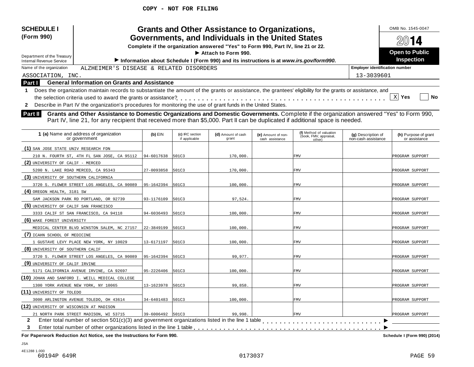| <b>SCHEDULE I</b><br>(Form 990)<br>Department of the Treasury<br><b>Internal Revenue Service</b>                                                                                                                                                                                     |                  |                                  | <b>Grants and Other Assistance to Organizations,</b><br>Governments, and Individuals in the United States<br>Complete if the organization answered "Yes" to Form 990, Part IV, line 21 or 22.<br>Attach to Form 990.<br>Information about Schedule I (Form 990) and its instructions is at www.irs.gov/form990. |                                       |                                                             |                                           | OMB No. 1545-0047<br><b>Open to Public</b><br><b>Inspection</b> |
|--------------------------------------------------------------------------------------------------------------------------------------------------------------------------------------------------------------------------------------------------------------------------------------|------------------|----------------------------------|-----------------------------------------------------------------------------------------------------------------------------------------------------------------------------------------------------------------------------------------------------------------------------------------------------------------|---------------------------------------|-------------------------------------------------------------|-------------------------------------------|-----------------------------------------------------------------|
| Name of the organization<br>ALZHEIMER'S DISEASE & RELATED DISORDERS                                                                                                                                                                                                                  |                  |                                  |                                                                                                                                                                                                                                                                                                                 |                                       |                                                             | <b>Employer identification number</b>     |                                                                 |
| ASSOCIATION, INC.                                                                                                                                                                                                                                                                    |                  |                                  |                                                                                                                                                                                                                                                                                                                 |                                       |                                                             | 13-3039601                                |                                                                 |
| <b>General Information on Grants and Assistance</b><br>Part I                                                                                                                                                                                                                        |                  |                                  |                                                                                                                                                                                                                                                                                                                 |                                       |                                                             |                                           |                                                                 |
| Does the organization maintain records to substantiate the amount of the grants or assistance, the grantees' eligibility for the grants or assistance, and<br>1.                                                                                                                     |                  |                                  |                                                                                                                                                                                                                                                                                                                 |                                       |                                                             |                                           |                                                                 |
|                                                                                                                                                                                                                                                                                      |                  |                                  |                                                                                                                                                                                                                                                                                                                 |                                       |                                                             |                                           | X Yes<br>No                                                     |
| Describe in Part IV the organization's procedures for monitoring the use of grant funds in the United States.<br>$\mathbf{2}$                                                                                                                                                        |                  |                                  |                                                                                                                                                                                                                                                                                                                 |                                       |                                                             |                                           |                                                                 |
| Grants and Other Assistance to Domestic Organizations and Domestic Governments. Complete if the organization answered "Yes" to Form 990,<br>Part II<br>Part IV, line 21, for any recipient that received more than \$5,000. Part II can be duplicated if additional space is needed. |                  |                                  |                                                                                                                                                                                                                                                                                                                 |                                       |                                                             |                                           |                                                                 |
| 1 (a) Name and address of organization<br>or government                                                                                                                                                                                                                              | $(b)$ EIN        | (c) IRC section<br>if applicable | (d) Amount of cash<br>grant                                                                                                                                                                                                                                                                                     | (e) Amount of non-<br>cash assistance | (f) Method of valuation<br>(book, FMV, appraisal,<br>other) | (g) Description of<br>non-cash assistance | (h) Purpose of grant<br>or assistance                           |
| (1) SAN JOSE STATE UNIV RESEARCH FDN                                                                                                                                                                                                                                                 |                  |                                  |                                                                                                                                                                                                                                                                                                                 |                                       |                                                             |                                           |                                                                 |
| 210 N. FOURTH ST, 4TH FL SAN JOSE, CA 95112                                                                                                                                                                                                                                          | 94-6017638       | 501C3                            | 170,000.                                                                                                                                                                                                                                                                                                        |                                       | <b>FMV</b>                                                  |                                           | PROGRAM SUPPORT                                                 |
| (2) UNIVERSITY OF CALIF - MERCED                                                                                                                                                                                                                                                     |                  |                                  |                                                                                                                                                                                                                                                                                                                 |                                       |                                                             |                                           |                                                                 |
| 5200 N. LAKE ROAD MERCED, CA 95343                                                                                                                                                                                                                                                   | 27-0093858       | 501C3                            | 170,000                                                                                                                                                                                                                                                                                                         |                                       | <b>FMV</b>                                                  |                                           | PROGRAM SUPPORT                                                 |
| (3) UNIVERSITY OF SOUTHERN CALIFORNIA                                                                                                                                                                                                                                                |                  |                                  |                                                                                                                                                                                                                                                                                                                 |                                       |                                                             |                                           |                                                                 |
| 3720 S. FLOWER STREET LOS ANGELES, CA 90089                                                                                                                                                                                                                                          | 95-1642394       | 501C3                            | 100,000                                                                                                                                                                                                                                                                                                         |                                       | <b>FMV</b>                                                  |                                           | PROGRAM SUPPORT                                                 |
| (4) OREGON HEALTH, 3181 SW                                                                                                                                                                                                                                                           |                  |                                  |                                                                                                                                                                                                                                                                                                                 |                                       |                                                             |                                           |                                                                 |
| SAM JACKSON PARK RD PORTLAND, OR 92739                                                                                                                                                                                                                                               | 93-1176109       | 501C3                            | 97,524.                                                                                                                                                                                                                                                                                                         |                                       | <b>FMV</b>                                                  |                                           | PROGRAM SUPPORT                                                 |
| (5) UNIVERSITY OF CALIF SAN FRANCISCO                                                                                                                                                                                                                                                |                  |                                  |                                                                                                                                                                                                                                                                                                                 |                                       |                                                             |                                           |                                                                 |
| 3333 CALIF ST SAN FRANCISCO, CA 94118                                                                                                                                                                                                                                                | 94-6036493       | 501C3                            | 100,000                                                                                                                                                                                                                                                                                                         |                                       | <b>FMV</b>                                                  |                                           | PROGRAM SUPPORT                                                 |
| (6) WAKE FOREST UNIVERSITY                                                                                                                                                                                                                                                           |                  |                                  |                                                                                                                                                                                                                                                                                                                 |                                       |                                                             |                                           |                                                                 |
| MEDICAL CENTER BLVD WINSTON SALEM, NC 27157                                                                                                                                                                                                                                          | 22-3849199       | 501C3                            | 100,000                                                                                                                                                                                                                                                                                                         |                                       | <b>FMV</b>                                                  |                                           | PROGRAM SUPPORT                                                 |
| (7) ICAHN SCHOOL OF MEDICINE                                                                                                                                                                                                                                                         |                  |                                  |                                                                                                                                                                                                                                                                                                                 |                                       |                                                             |                                           |                                                                 |
| 1 GUSTAVE LEVY PLACE NEW YORK, NY 10029                                                                                                                                                                                                                                              | 13-6171197       | 501C3                            | 100,000                                                                                                                                                                                                                                                                                                         |                                       | <b>FMV</b>                                                  |                                           | PROGRAM SUPPORT                                                 |
| (8) UNIVERSITY OF SOUTHERN CALIF                                                                                                                                                                                                                                                     |                  |                                  |                                                                                                                                                                                                                                                                                                                 |                                       |                                                             |                                           |                                                                 |
| 3720 S. FLOWER STREET LOS ANGELES, CA 90089                                                                                                                                                                                                                                          | 95-1642394       | 501C3                            | 99,977.                                                                                                                                                                                                                                                                                                         |                                       | <b>FMV</b>                                                  |                                           | PROGRAM SUPPORT                                                 |
| (9) UNIVERSITY OF CALIF IRVINE                                                                                                                                                                                                                                                       |                  |                                  |                                                                                                                                                                                                                                                                                                                 |                                       |                                                             |                                           |                                                                 |
| 5171 CALIFORNIA AVENUE IRVINE, CA 92697                                                                                                                                                                                                                                              | 95-2226406       | 501C3                            | 100,000                                                                                                                                                                                                                                                                                                         |                                       | <b>FMV</b>                                                  |                                           | PROGRAM SUPPORT                                                 |
| (10) JOHAN AND SANFORD I. WEILL MEDICAL COLLEGE                                                                                                                                                                                                                                      |                  |                                  |                                                                                                                                                                                                                                                                                                                 |                                       |                                                             |                                           |                                                                 |
| 1300 YORK AVENUE NEW YORK, NY 10065                                                                                                                                                                                                                                                  | 13-1623978       | 501C3                            | 99,858.                                                                                                                                                                                                                                                                                                         |                                       | <b>FMV</b>                                                  |                                           | PROGRAM SUPPORT                                                 |
| (11) UNIVERSITY OF TOLEDO                                                                                                                                                                                                                                                            |                  |                                  |                                                                                                                                                                                                                                                                                                                 |                                       |                                                             |                                           |                                                                 |
| 3000 ARLINGTON AVENUE TOLEDO, OH 43614                                                                                                                                                                                                                                               | 34-6401483       | 501C3                            | 100,000.                                                                                                                                                                                                                                                                                                        |                                       | <b>FMV</b>                                                  |                                           | PROGRAM SUPPORT                                                 |
| (12) UNIVERSITY OF WISCONSIN AT MADISON                                                                                                                                                                                                                                              |                  |                                  |                                                                                                                                                                                                                                                                                                                 |                                       |                                                             |                                           |                                                                 |
| 21 NORTH PARK STREET MADISON, WI 53715                                                                                                                                                                                                                                               | 39-6006492 501C3 |                                  | 99,998.                                                                                                                                                                                                                                                                                                         |                                       | <b>FMV</b>                                                  |                                           | PROGRAM SUPPORT                                                 |
| Enter total number of section $501(c)(3)$ and government organizations listed in the line 1 table<br>2<br>3<br>For Paperwork Reduction Act Notice, see the Instructions for Form 990.                                                                                                |                  |                                  |                                                                                                                                                                                                                                                                                                                 |                                       |                                                             |                                           |                                                                 |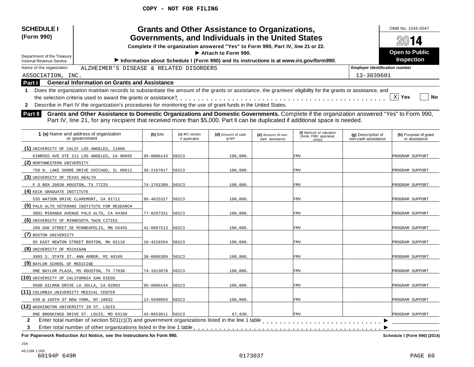| <b>SCHEDULE I</b><br>(Form 990)<br>Department of the Treasury<br><b>Internal Revenue Service</b>                                                                                                                                                                                                                                                       |                  |                                  | <b>Grants and Other Assistance to Organizations,</b><br>Governments, and Individuals in the United States<br>Complete if the organization answered "Yes" to Form 990, Part IV, line 21 or 22.<br>$\blacktriangleright$ Attach to Form 990.<br>Information about Schedule I (Form 990) and its instructions is at www.irs.gov/form990. |                                       |                                                   |                                           | OMB No. 1545-0047<br>$20$ 14<br><b>Open to Public</b><br><b>Inspection</b> |
|--------------------------------------------------------------------------------------------------------------------------------------------------------------------------------------------------------------------------------------------------------------------------------------------------------------------------------------------------------|------------------|----------------------------------|---------------------------------------------------------------------------------------------------------------------------------------------------------------------------------------------------------------------------------------------------------------------------------------------------------------------------------------|---------------------------------------|---------------------------------------------------|-------------------------------------------|----------------------------------------------------------------------------|
| Name of the organization<br>ALZHEIMER'S DISEASE & RELATED DISORDERS                                                                                                                                                                                                                                                                                    |                  |                                  |                                                                                                                                                                                                                                                                                                                                       |                                       |                                                   | <b>Employer identification number</b>     |                                                                            |
| ASSOCIATION, INC.                                                                                                                                                                                                                                                                                                                                      |                  |                                  |                                                                                                                                                                                                                                                                                                                                       |                                       |                                                   | 13-3039601                                |                                                                            |
| <b>General Information on Grants and Assistance</b><br><b>Part I</b>                                                                                                                                                                                                                                                                                   |                  |                                  |                                                                                                                                                                                                                                                                                                                                       |                                       |                                                   |                                           |                                                                            |
| Does the organization maintain records to substantiate the amount of the grants or assistance, the grantees' eligibility for the grants or assistance, and<br>1                                                                                                                                                                                        |                  |                                  |                                                                                                                                                                                                                                                                                                                                       |                                       |                                                   |                                           |                                                                            |
|                                                                                                                                                                                                                                                                                                                                                        |                  |                                  |                                                                                                                                                                                                                                                                                                                                       |                                       |                                                   |                                           | $X$ Yes<br>No                                                              |
| Describe in Part IV the organization's procedures for monitoring the use of grant funds in the United States.<br>$\mathbf{2}$                                                                                                                                                                                                                          |                  |                                  |                                                                                                                                                                                                                                                                                                                                       |                                       |                                                   |                                           |                                                                            |
| Grants and Other Assistance to Domestic Organizations and Domestic Governments. Complete if the organization answered "Yes" to Form 990,<br><b>Part II</b><br>Part IV, line 21, for any recipient that received more than \$5,000. Part II can be duplicated if additional space is needed.<br>1 (a) Name and address of organization<br>or government | $(b)$ EIN        | (c) IRC section<br>if applicable | (d) Amount of cash<br>grant                                                                                                                                                                                                                                                                                                           | (e) Amount of non-<br>cash assistance | (f) Method of valuation<br>(book, FMV, appraisal, | (g) Description of<br>non-cash assistance | (h) Purpose of grant<br>or assistance                                      |
|                                                                                                                                                                                                                                                                                                                                                        |                  |                                  |                                                                                                                                                                                                                                                                                                                                       |                                       | other)                                            |                                           |                                                                            |
| (1) UNIVERSITY OF CALIF LOS ANGELES, 11000                                                                                                                                                                                                                                                                                                             |                  |                                  |                                                                                                                                                                                                                                                                                                                                       |                                       |                                                   |                                           |                                                                            |
| KINROSS AVE STE 211 LOS ANGELES, CA 90095                                                                                                                                                                                                                                                                                                              | 95-6006143       | 501C3                            | 100,000.                                                                                                                                                                                                                                                                                                                              |                                       | <b>FMV</b>                                        |                                           | PROGRAM SUPPORT                                                            |
| (2) NORTHWESTERN UNIVERSITY                                                                                                                                                                                                                                                                                                                            |                  |                                  |                                                                                                                                                                                                                                                                                                                                       |                                       |                                                   |                                           |                                                                            |
| 750 N. LAKE SHORE DRIVE CHICAGO, IL 60611                                                                                                                                                                                                                                                                                                              | 36-2167817       | 501C3                            | 100,000.                                                                                                                                                                                                                                                                                                                              |                                       | <b>FMV</b>                                        |                                           | PROGRAM SUPPORT                                                            |
| (3) UNIVERSITY OF TEXAS HEALTH                                                                                                                                                                                                                                                                                                                         |                  |                                  |                                                                                                                                                                                                                                                                                                                                       |                                       |                                                   |                                           |                                                                            |
| P O BOX 20036 HOUSTON, TX 77225                                                                                                                                                                                                                                                                                                                        | 74-1761309       | 501C3                            | 100,000.                                                                                                                                                                                                                                                                                                                              |                                       | <b>FMV</b>                                        |                                           | PROGRAM SUPPORT                                                            |
| (4) KECK GRADUATE INSTITUTE                                                                                                                                                                                                                                                                                                                            |                  |                                  |                                                                                                                                                                                                                                                                                                                                       |                                       |                                                   |                                           |                                                                            |
| 535 WATSON DRIVE CLAREMONT, CA 91711                                                                                                                                                                                                                                                                                                                   | 95-4625327       | 501C3                            | 100,000.                                                                                                                                                                                                                                                                                                                              |                                       | <b>FMV</b>                                        |                                           | PROGRAM SUPPORT                                                            |
| (5) PALO ALTO VETERANS INSTITUTE FOR RESEARCH                                                                                                                                                                                                                                                                                                          |                  |                                  |                                                                                                                                                                                                                                                                                                                                       |                                       |                                                   |                                           |                                                                            |
| 3801 MIRANDA AVENUE PALO ALTO, CA 94304                                                                                                                                                                                                                                                                                                                | 77-0207331       | 501C3                            | 100,000.                                                                                                                                                                                                                                                                                                                              |                                       | <b>FMV</b>                                        |                                           | PROGRAM SUPPORT                                                            |
| (6) UNIVERSITY OF MINNESOTA TWIN CITIES                                                                                                                                                                                                                                                                                                                |                  |                                  |                                                                                                                                                                                                                                                                                                                                       |                                       |                                                   |                                           |                                                                            |
| 200 OAK STREET SE MINNEAPOLIS, MN 55455                                                                                                                                                                                                                                                                                                                | 41-6007513       | 501C3                            | 100,000.                                                                                                                                                                                                                                                                                                                              |                                       | <b>FMV</b>                                        |                                           | PROGRAM SUPPORT                                                            |
| (7) BOSTON UNIVERSITY                                                                                                                                                                                                                                                                                                                                  |                  |                                  |                                                                                                                                                                                                                                                                                                                                       |                                       |                                                   |                                           |                                                                            |
| 85 EAST NEWTON STREET BOSTON, MA 02118                                                                                                                                                                                                                                                                                                                 | 10-4210354       | 501C3                            | 100,000.                                                                                                                                                                                                                                                                                                                              |                                       | <b>FMV</b>                                        |                                           | PROGRAM SUPPORT                                                            |
| (8) UNIVERSITY OF MICHIGAN                                                                                                                                                                                                                                                                                                                             |                  |                                  |                                                                                                                                                                                                                                                                                                                                       |                                       |                                                   |                                           |                                                                            |
| 3003 S. STATE ST. ANN ARBOR, MI 48109                                                                                                                                                                                                                                                                                                                  | 38-6006309       | 501C3                            | 100,000.                                                                                                                                                                                                                                                                                                                              |                                       | <b>FMV</b>                                        |                                           | PROGRAM SUPPORT                                                            |
| (9) BAYLOR SCHOOL OF MEDICINE                                                                                                                                                                                                                                                                                                                          |                  |                                  |                                                                                                                                                                                                                                                                                                                                       |                                       |                                                   |                                           |                                                                            |
| ONE BAYLOR PLAZA, MS HOUSTON, TX 77030                                                                                                                                                                                                                                                                                                                 | 74-1613878       | 501C3                            | 100,000.                                                                                                                                                                                                                                                                                                                              |                                       | <b>FMV</b>                                        |                                           | PROGRAM SUPPORT                                                            |
| (10) UNIVERSITY OF CALIFORNIA SAN DIEGO                                                                                                                                                                                                                                                                                                                |                  |                                  |                                                                                                                                                                                                                                                                                                                                       |                                       |                                                   |                                           |                                                                            |
| 9500 GILMAN DRIVE LA JOLLA, CA 92093                                                                                                                                                                                                                                                                                                                   | 95-6006144 501C3 |                                  | 100,000.                                                                                                                                                                                                                                                                                                                              |                                       | <b>FMV</b>                                        |                                           | PROGRAM SUPPORT                                                            |
| (11) COLUMBIA UNIVERSITY MEDICAL CENTER                                                                                                                                                                                                                                                                                                                |                  |                                  |                                                                                                                                                                                                                                                                                                                                       |                                       |                                                   |                                           |                                                                            |
| 630 W 168TH ST NEW YORK, NY 10032                                                                                                                                                                                                                                                                                                                      | 13-5598093       | 501C3                            | 100,000.                                                                                                                                                                                                                                                                                                                              |                                       | <b>FMV</b>                                        |                                           | PROGRAM SUPPORT                                                            |
| (12) WASHINGTON UNIVERSITY IN ST. LOUIS                                                                                                                                                                                                                                                                                                                |                  |                                  |                                                                                                                                                                                                                                                                                                                                       |                                       |                                                   |                                           |                                                                            |
| ONE BROOKINGS DRIVE ST. LOUIS, MO 63130                                                                                                                                                                                                                                                                                                                | 43-0653611 501C3 |                                  | 67,030.                                                                                                                                                                                                                                                                                                                               |                                       | <b>FMV</b>                                        |                                           | PROGRAM SUPPORT                                                            |
| Enter total number of section $501(c)(3)$ and government organizations listed in the line 1 table<br>$\mathbf{2}$<br>Enter total number of other organizations listed in the line 1 table<br>3<br>For Paperwork Reduction Act Notice, see the Instructions for Form 990.                                                                               |                  |                                  |                                                                                                                                                                                                                                                                                                                                       |                                       |                                                   |                                           | Schedule I (Form 990) (2014)                                               |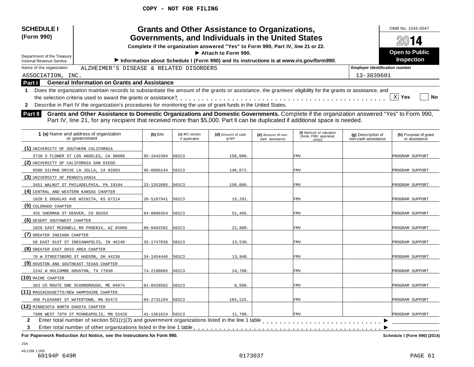| <b>SCHEDULE I</b><br>(Form 990)<br>Department of the Treasury |                                                                                                                                                                                                                                                                                                                                      |                  |                                  | <b>Grants and Other Assistance to Organizations,</b><br>Governments, and Individuals in the United States<br>Complete if the organization answered "Yes" to Form 990, Part IV, line 21 or 22.<br>$\blacktriangleright$ Attach to Form 990. |                                       |                                                                                         |                                           | OMB No. 1545-0047<br>14<br><b>Open to Public</b><br><b>Inspection</b> |
|---------------------------------------------------------------|--------------------------------------------------------------------------------------------------------------------------------------------------------------------------------------------------------------------------------------------------------------------------------------------------------------------------------------|------------------|----------------------------------|--------------------------------------------------------------------------------------------------------------------------------------------------------------------------------------------------------------------------------------------|---------------------------------------|-----------------------------------------------------------------------------------------|-------------------------------------------|-----------------------------------------------------------------------|
| <b>Internal Revenue Service</b>                               |                                                                                                                                                                                                                                                                                                                                      |                  |                                  |                                                                                                                                                                                                                                            |                                       | Information about Schedule I (Form 990) and its instructions is at www.irs.gov/form990. | <b>Employer identification number</b>     |                                                                       |
| Name of the organization                                      | ALZHEIMER'S DISEASE & RELATED DISORDERS                                                                                                                                                                                                                                                                                              |                  |                                  |                                                                                                                                                                                                                                            |                                       |                                                                                         |                                           |                                                                       |
| ASSOCIATION, INC.                                             | <b>General Information on Grants and Assistance</b>                                                                                                                                                                                                                                                                                  |                  |                                  |                                                                                                                                                                                                                                            |                                       |                                                                                         | 13-3039601                                |                                                                       |
| Part I                                                        |                                                                                                                                                                                                                                                                                                                                      |                  |                                  |                                                                                                                                                                                                                                            |                                       |                                                                                         |                                           |                                                                       |
| 1                                                             | Does the organization maintain records to substantiate the amount of the grants or assistance, the grantees' eligibility for the grants or assistance, and                                                                                                                                                                           |                  |                                  |                                                                                                                                                                                                                                            |                                       |                                                                                         |                                           | $\mathbf{x}$<br>Yes<br>No                                             |
|                                                               |                                                                                                                                                                                                                                                                                                                                      |                  |                                  |                                                                                                                                                                                                                                            |                                       |                                                                                         |                                           |                                                                       |
| $\mathbf{2}$                                                  | Describe in Part IV the organization's procedures for monitoring the use of grant funds in the United States.                                                                                                                                                                                                                        |                  |                                  |                                                                                                                                                                                                                                            |                                       |                                                                                         |                                           |                                                                       |
| Part II                                                       | Grants and Other Assistance to Domestic Organizations and Domestic Governments. Complete if the organization answered "Yes" to Form 990,<br>Part IV, line 21, for any recipient that received more than \$5,000. Part II can be duplicated if additional space is needed.<br>1 (a) Name and address of organization<br>or government | $(b)$ EIN        | (c) IRC section<br>if applicable | (d) Amount of cash<br>grant                                                                                                                                                                                                                | (e) Amount of non-<br>cash assistance | (f) Method of valuation<br>(book, FMV, appraisal,<br>other)                             | (g) Description of<br>non-cash assistance | (h) Purpose of grant<br>or assistance                                 |
|                                                               |                                                                                                                                                                                                                                                                                                                                      |                  |                                  |                                                                                                                                                                                                                                            |                                       |                                                                                         |                                           |                                                                       |
| (1) UNIVERSITY OF SOUTHERN CALIFORNIA                         |                                                                                                                                                                                                                                                                                                                                      |                  |                                  |                                                                                                                                                                                                                                            |                                       |                                                                                         |                                           |                                                                       |
|                                                               | 3720 S FLOWER ST LOS ANGELES, CA 90089                                                                                                                                                                                                                                                                                               | 95-1642394       | 501C3                            | 150,000.                                                                                                                                                                                                                                   |                                       | <b>FMV</b>                                                                              |                                           | PROGRAM SUPPORT                                                       |
| (2) UNIVERSITY OF CALIFORNIA SAN DIEGO                        |                                                                                                                                                                                                                                                                                                                                      |                  |                                  |                                                                                                                                                                                                                                            |                                       |                                                                                         |                                           |                                                                       |
|                                                               | 9500 GILMAN DRIVE LA JOLLA, CA 92093                                                                                                                                                                                                                                                                                                 | 95-6006144       | 501C3                            | 149,872.                                                                                                                                                                                                                                   |                                       | <b>FMV</b>                                                                              |                                           | PROGRAM SUPPORT                                                       |
| (3) UNIVERSITY OF PENNSYLVANIA                                |                                                                                                                                                                                                                                                                                                                                      |                  |                                  |                                                                                                                                                                                                                                            |                                       |                                                                                         |                                           |                                                                       |
|                                                               | 3451 WALNUT ST PHILADELPHIA, PA 19104                                                                                                                                                                                                                                                                                                | 23-1352685       | 501C3                            | 150,000.                                                                                                                                                                                                                                   |                                       | <b>FMV</b>                                                                              |                                           | PROGRAM SUPPORT                                                       |
| (4) CENTRAL AND WESTERN KANSAS CHAPTER                        |                                                                                                                                                                                                                                                                                                                                      |                  |                                  |                                                                                                                                                                                                                                            |                                       |                                                                                         |                                           |                                                                       |
|                                                               | 1820 E DOUGLAS AVE WICHITA, KS 67214                                                                                                                                                                                                                                                                                                 | 20-5107941       | 501C3                            | 15,291                                                                                                                                                                                                                                     |                                       | <b>FMV</b>                                                                              |                                           | PROGRAM SUPPORT                                                       |
| $(5)$ COLORADO CHAPTER                                        |                                                                                                                                                                                                                                                                                                                                      |                  |                                  |                                                                                                                                                                                                                                            |                                       |                                                                                         |                                           |                                                                       |
| 455 SHERMAN ST DENVER, CO 80203                               |                                                                                                                                                                                                                                                                                                                                      | 84-0908354       | 501C3                            | 51,495.                                                                                                                                                                                                                                    |                                       | <b>FMV</b>                                                                              |                                           | PROGRAM SUPPORT                                                       |
| (6) DESERT SOUTHWEST CHAPTER                                  |                                                                                                                                                                                                                                                                                                                                      |                  |                                  |                                                                                                                                                                                                                                            |                                       |                                                                                         |                                           |                                                                       |
|                                                               | 1028 EAST MCDOWELL RD PHOENIX, AZ 85006                                                                                                                                                                                                                                                                                              | 86-0402582       | 501C3                            | 22,800.                                                                                                                                                                                                                                    |                                       | <b>FMV</b>                                                                              |                                           | PROGRAM SUPPORT                                                       |
| (7) GREATER INDIANA CHAPTER                                   |                                                                                                                                                                                                                                                                                                                                      |                  |                                  |                                                                                                                                                                                                                                            |                                       |                                                                                         |                                           |                                                                       |
|                                                               | 50 EAST 91ST ST INDIANAPOLIS, IN 46240                                                                                                                                                                                                                                                                                               | 35-1747836       | 501C3                            | 13,530.                                                                                                                                                                                                                                    |                                       | <b>FMV</b>                                                                              |                                           | PROGRAM SUPPORT                                                       |
| (8) GREATER EAST OHIO AREA CHAPTER                            |                                                                                                                                                                                                                                                                                                                                      |                  |                                  |                                                                                                                                                                                                                                            |                                       |                                                                                         |                                           |                                                                       |
|                                                               | 70 W STREETSBORO ST HUDSON, OH 44236                                                                                                                                                                                                                                                                                                 | 34-1454446       | 501C3                            | 13,940.                                                                                                                                                                                                                                    |                                       | <b>FMV</b>                                                                              |                                           | PROGRAM SUPPORT                                                       |
| (9) HOUSTON AND SOUTHEAST TEXAS CHAPTER                       |                                                                                                                                                                                                                                                                                                                                      |                  |                                  |                                                                                                                                                                                                                                            |                                       |                                                                                         |                                           |                                                                       |
| 2242 W HOLCOMBE HOUSTON, TX 77030                             |                                                                                                                                                                                                                                                                                                                                      | 74-2198685       | 501C3                            | 24,700.                                                                                                                                                                                                                                    |                                       | <b>FMV</b>                                                                              |                                           | PROGRAM SUPPORT                                                       |
| (10) MAINE CHAPTER                                            |                                                                                                                                                                                                                                                                                                                                      |                  |                                  |                                                                                                                                                                                                                                            |                                       |                                                                                         |                                           |                                                                       |
|                                                               | 383 US ROUTE ONE SCARBOROUGH, ME 04074                                                                                                                                                                                                                                                                                               | 01-0428502       | 501C3                            | 9,500.                                                                                                                                                                                                                                     |                                       | <b>FMV</b>                                                                              |                                           | PROGRAM SUPPORT                                                       |
| (11) MASSACHUSETTS/NEW HAMPSHIRE CHAPTER                      |                                                                                                                                                                                                                                                                                                                                      |                  |                                  |                                                                                                                                                                                                                                            |                                       |                                                                                         |                                           |                                                                       |
|                                                               | 480 PLEASANT ST WATERTOWN, MA 02472                                                                                                                                                                                                                                                                                                  | 04-2731194       | 501C3                            | 103,125.                                                                                                                                                                                                                                   |                                       | <b>FMV</b>                                                                              |                                           | PROGRAM SUPPORT                                                       |
| (12) MINNESOTA NORTH DAKOTA CHAPTER                           |                                                                                                                                                                                                                                                                                                                                      |                  |                                  |                                                                                                                                                                                                                                            |                                       |                                                                                         |                                           |                                                                       |
| $\mathbf{2}$                                                  | 7900 WEST 78TH ST MINNEAPOLIS, MN 55426<br>Enter total number of section $501(c)(3)$ and government organizations listed in the line 1 table                                                                                                                                                                                         | 41-1361624 501C3 |                                  | 11,700.                                                                                                                                                                                                                                    |                                       | <b>FMV</b>                                                                              |                                           | PROGRAM SUPPORT                                                       |
| 3                                                             | Enter total number of other organizations listed in the line 1 table<br>For Paperwork Reduction Act Notice, see the Instructions for Form 990.                                                                                                                                                                                       |                  |                                  |                                                                                                                                                                                                                                            |                                       |                                                                                         |                                           | Schedule I (Form 990) (2014)                                          |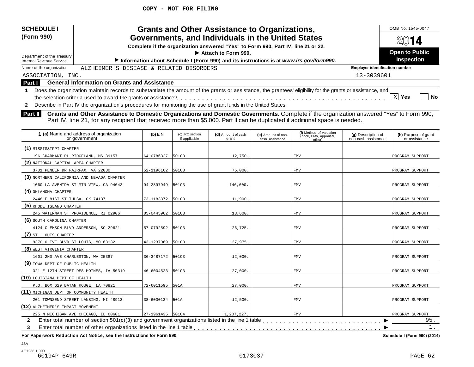| <b>SCHEDULE I</b>                                             |                                                                                                                                                                                                                                                                           |                  |                                  | <b>Grants and Other Assistance to Organizations,</b>                             |                                       |                                                                                         |                                           | OMB No. 1545-0047                     |
|---------------------------------------------------------------|---------------------------------------------------------------------------------------------------------------------------------------------------------------------------------------------------------------------------------------------------------------------------|------------------|----------------------------------|----------------------------------------------------------------------------------|---------------------------------------|-----------------------------------------------------------------------------------------|-------------------------------------------|---------------------------------------|
| (Form 990)                                                    |                                                                                                                                                                                                                                                                           |                  |                                  | Governments, and Individuals in the United States                                |                                       |                                                                                         |                                           |                                       |
|                                                               |                                                                                                                                                                                                                                                                           |                  |                                  | Complete if the organization answered "Yes" to Form 990, Part IV, line 21 or 22. |                                       |                                                                                         |                                           | $20$ 14                               |
|                                                               |                                                                                                                                                                                                                                                                           |                  |                                  | Attach to Form 990.                                                              |                                       |                                                                                         |                                           | <b>Open to Public</b>                 |
| Department of the Treasury<br><b>Internal Revenue Service</b> |                                                                                                                                                                                                                                                                           |                  |                                  |                                                                                  |                                       | Information about Schedule I (Form 990) and its instructions is at www.irs.gov/form990. |                                           | <b>Inspection</b>                     |
| Name of the organization                                      | ALZHEIMER'S DISEASE & RELATED DISORDERS                                                                                                                                                                                                                                   |                  |                                  |                                                                                  |                                       |                                                                                         | <b>Employer identification number</b>     |                                       |
| ASSOCIATION, INC.                                             |                                                                                                                                                                                                                                                                           |                  |                                  |                                                                                  |                                       |                                                                                         | 13-3039601                                |                                       |
| Part I                                                        | <b>General Information on Grants and Assistance</b>                                                                                                                                                                                                                       |                  |                                  |                                                                                  |                                       |                                                                                         |                                           |                                       |
| $\mathbf 1$                                                   | Does the organization maintain records to substantiate the amount of the grants or assistance, the grantees' eligibility for the grants or assistance, and                                                                                                                |                  |                                  |                                                                                  |                                       |                                                                                         |                                           |                                       |
|                                                               | the selection criteria used to award the grants or assistance?                                                                                                                                                                                                            |                  |                                  |                                                                                  |                                       |                                                                                         |                                           | X Yes<br>No                           |
| $\mathbf{2}$                                                  | Describe in Part IV the organization's procedures for monitoring the use of grant funds in the United States.                                                                                                                                                             |                  |                                  |                                                                                  |                                       |                                                                                         |                                           |                                       |
|                                                               |                                                                                                                                                                                                                                                                           |                  |                                  |                                                                                  |                                       |                                                                                         |                                           |                                       |
| <b>Part II</b>                                                | Grants and Other Assistance to Domestic Organizations and Domestic Governments. Complete if the organization answered "Yes" to Form 990,<br>Part IV, line 21, for any recipient that received more than \$5,000. Part II can be duplicated if additional space is needed. |                  |                                  |                                                                                  |                                       |                                                                                         |                                           |                                       |
|                                                               | 1 (a) Name and address of organization                                                                                                                                                                                                                                    |                  |                                  |                                                                                  |                                       | (f) Method of valuation                                                                 |                                           |                                       |
|                                                               | or government                                                                                                                                                                                                                                                             | $(b)$ EIN        | (c) IRC section<br>if applicable | (d) Amount of cash<br>grant                                                      | (e) Amount of non-<br>cash assistance | (book, FMV, appraisal,<br>other)                                                        | (g) Description of<br>non-cash assistance | (h) Purpose of grant<br>or assistance |
| (1) MISSISSIPPI CHAPTER                                       |                                                                                                                                                                                                                                                                           |                  |                                  |                                                                                  |                                       |                                                                                         |                                           |                                       |
|                                                               | 196 CHARMANT PL RIDGELAND, MS 39157                                                                                                                                                                                                                                       | 64-0786327       | 501C3                            | 12,750                                                                           |                                       | <b>FMV</b>                                                                              |                                           | PROGRAM SUPPORT                       |
| (2) NATIONAL CAPITAL AREA CHAPTER                             |                                                                                                                                                                                                                                                                           |                  |                                  |                                                                                  |                                       |                                                                                         |                                           |                                       |
| 3701 PENDER DR FAIRFAX, VA 22030                              |                                                                                                                                                                                                                                                                           | 52-1196162       | 501C3                            | 75,000.                                                                          |                                       | <b>FMV</b>                                                                              |                                           | PROGRAM SUPPORT                       |
|                                                               | (3) NORTHERN CALIFORNIA AND NEVADA CHAPTER                                                                                                                                                                                                                                |                  |                                  |                                                                                  |                                       |                                                                                         |                                           |                                       |
|                                                               | 1060 LA AVENIDA ST MTN VIEW, CA 94043                                                                                                                                                                                                                                     | 94-2897949       | 501C3                            | 146,600.                                                                         |                                       | <b>FMV</b>                                                                              |                                           | PROGRAM SUPPORT                       |
| (4) OKLAHOMA CHAPTER                                          |                                                                                                                                                                                                                                                                           |                  |                                  |                                                                                  |                                       |                                                                                         |                                           |                                       |
| 2448 E 81ST ST TULSA, OK 74137                                |                                                                                                                                                                                                                                                                           | 73-1183372       | 501C3                            | 11,900.                                                                          |                                       | <b>FMV</b>                                                                              |                                           | PROGRAM SUPPORT                       |
| (5) RHODE ISLAND CHAPTER                                      |                                                                                                                                                                                                                                                                           |                  |                                  |                                                                                  |                                       |                                                                                         |                                           |                                       |
|                                                               | 245 WATERMAN ST PROVIDENCE, RI 02906                                                                                                                                                                                                                                      | 05-0445962       | 501C3                            | 13,600.                                                                          |                                       | <b>FMV</b>                                                                              |                                           | PROGRAM SUPPORT                       |
| (6) SOUTH CAROLINA CHAPTER                                    |                                                                                                                                                                                                                                                                           |                  |                                  |                                                                                  |                                       |                                                                                         |                                           |                                       |
|                                                               | 4124 CLEMSON BLVD ANDERSON, SC 29621                                                                                                                                                                                                                                      | 57-0792592       | 501C3                            | 26,725.                                                                          |                                       | <b>FMV</b>                                                                              |                                           | PROGRAM SUPPORT                       |
| (7) ST. LOUIS CHAPTER                                         |                                                                                                                                                                                                                                                                           |                  |                                  |                                                                                  |                                       |                                                                                         |                                           |                                       |
|                                                               | 9370 OLIVE BLVD ST LOUIS, MO 63132                                                                                                                                                                                                                                        | 43-1237069       | 501C3                            | 27,975.                                                                          |                                       | <b>FMV</b>                                                                              |                                           | PROGRAM SUPPORT                       |
| (8) WEST VIRGINIA CHAPTER                                     |                                                                                                                                                                                                                                                                           |                  |                                  |                                                                                  |                                       |                                                                                         |                                           |                                       |
| 1601 2ND AVE CHARLESTON, WV 25387                             |                                                                                                                                                                                                                                                                           | 36-3487172       | 501C3                            | 12,000.                                                                          |                                       | <b>FMV</b>                                                                              |                                           | PROGRAM SUPPORT                       |
| (9) IOWA DEPT OF PUBLIC HEALTH                                |                                                                                                                                                                                                                                                                           |                  |                                  |                                                                                  |                                       |                                                                                         |                                           |                                       |
|                                                               | 321 E 12TH STREET DES MOINES, IA 50319                                                                                                                                                                                                                                    | 46-6004523       | 501C3                            | 27,000.                                                                          |                                       | <b>FMV</b>                                                                              |                                           | PROGRAM SUPPORT                       |
| (10) LOUISIANA DEPT OF HEALTH                                 |                                                                                                                                                                                                                                                                           |                  |                                  |                                                                                  |                                       |                                                                                         |                                           |                                       |
| P.O. BOX 629 BATAN ROUGE, LA 70821                            |                                                                                                                                                                                                                                                                           | 72-6011595       | 501A                             | 27,000.                                                                          |                                       | <b>FMV</b>                                                                              |                                           | PROGRAM SUPPORT                       |
| (11) MICHIGAN DEPT OF COMMUNITY HEALTH                        |                                                                                                                                                                                                                                                                           |                  |                                  |                                                                                  |                                       |                                                                                         |                                           |                                       |
|                                                               | 201 TOWNSEND STREET LANSING, MI 48913                                                                                                                                                                                                                                     | 38-6000134 501A  |                                  | 12,500.                                                                          |                                       | <b>FMV</b>                                                                              |                                           | PROGRAM SUPPORT                       |
| (12) ALZHEIMER'S IMPACT MOVEMENT                              |                                                                                                                                                                                                                                                                           |                  |                                  |                                                                                  |                                       |                                                                                         |                                           |                                       |
|                                                               | 225 N MICHIGAN AVE CHICAGO, IL 60601                                                                                                                                                                                                                                      | 27-1961435 501C4 |                                  | 1,207,227.                                                                       |                                       | <b>FMV</b>                                                                              |                                           | PROGRAM SUPPORT                       |
| $\mathbf{2}$                                                  | Enter total number of section $501(c)(3)$ and government organizations listed in the line 1 table                                                                                                                                                                         |                  |                                  |                                                                                  |                                       |                                                                                         |                                           | 95.                                   |
|                                                               |                                                                                                                                                                                                                                                                           |                  |                                  |                                                                                  |                                       |                                                                                         |                                           | 1.                                    |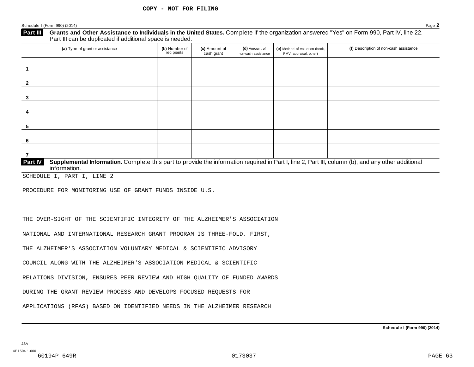| (a) Type of grant or assistance | (b) Number of<br>recipients | (c) Amount of<br>cash grant | (d) Amount of<br>non-cash assistance | (e) Method of valuation (book,<br>FMV, appraisal, other) | (f) Description of non-cash assistance |
|---------------------------------|-----------------------------|-----------------------------|--------------------------------------|----------------------------------------------------------|----------------------------------------|
|                                 |                             |                             |                                      |                                                          |                                        |
|                                 |                             |                             |                                      |                                                          |                                        |
|                                 |                             |                             |                                      |                                                          |                                        |
|                                 |                             |                             |                                      |                                                          |                                        |
|                                 |                             |                             |                                      |                                                          |                                        |
|                                 |                             |                             |                                      |                                                          |                                        |
|                                 |                             |                             |                                      |                                                          |                                        |

SCHEDULE I, PART I, LINE 2

PROCEDURE FOR MONITORING USE OF GRANT FUNDS INSIDE U.S.

THE OVER-SIGHT OF THE SCIENTIFIC INTEGRITY OF THE ALZHEIMER'S ASSOCIATION

NATIONAL AND INTERNATIONAL RESEARCH GRANT PROGRAM IS THREE-FOLD. FIRST,

THE ALZHEIMER'S ASSOCIATION VOLUNTARY MEDICAL & SCIENTIFIC ADVISORY

COUNCIL ALONG WITH THE ALZHEIMER'S ASSOCIATION MEDICAL & SCIENTIFIC

RELATIONS DIVISION, ENSURES PEER REVIEW AND HIGH QUALITY OF FUNDED AWARDS

DURING THE GRANT REVIEW PROCESS AND DEVELOPS FOCUSED REQUESTS FOR

APPLICATIONS (RFAS) BASED ON IDENTIFIED NEEDS IN THE ALZHEIMER RESEARCH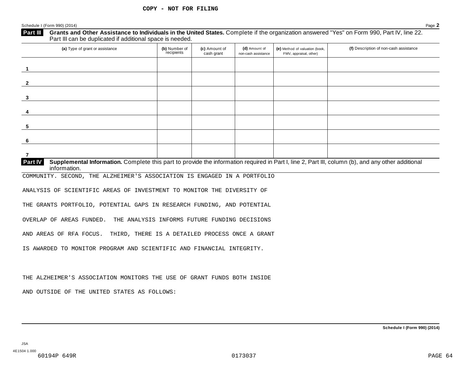| (a) Type of grant or assistance                                                                                                                                                                                                                                                                                                                                                                                                                                                                                                                                 | (b) Number of<br>recipients | (c) Amount of<br>cash grant | (d) Amount of<br>non-cash assistance | (e) Method of valuation (book,<br>FMV, appraisal, other) | (f) Description of non-cash assistance |
|-----------------------------------------------------------------------------------------------------------------------------------------------------------------------------------------------------------------------------------------------------------------------------------------------------------------------------------------------------------------------------------------------------------------------------------------------------------------------------------------------------------------------------------------------------------------|-----------------------------|-----------------------------|--------------------------------------|----------------------------------------------------------|----------------------------------------|
| $\mathbf 1$                                                                                                                                                                                                                                                                                                                                                                                                                                                                                                                                                     |                             |                             |                                      |                                                          |                                        |
| $\mathbf{2}$                                                                                                                                                                                                                                                                                                                                                                                                                                                                                                                                                    |                             |                             |                                      |                                                          |                                        |
| 3                                                                                                                                                                                                                                                                                                                                                                                                                                                                                                                                                               |                             |                             |                                      |                                                          |                                        |
| 4                                                                                                                                                                                                                                                                                                                                                                                                                                                                                                                                                               |                             |                             |                                      |                                                          |                                        |
| 5                                                                                                                                                                                                                                                                                                                                                                                                                                                                                                                                                               |                             |                             |                                      |                                                          |                                        |
| 6                                                                                                                                                                                                                                                                                                                                                                                                                                                                                                                                                               |                             |                             |                                      |                                                          |                                        |
|                                                                                                                                                                                                                                                                                                                                                                                                                                                                                                                                                                 |                             |                             |                                      |                                                          |                                        |
|                                                                                                                                                                                                                                                                                                                                                                                                                                                                                                                                                                 |                             |                             |                                      |                                                          |                                        |
| Supplemental Information. Complete this part to provide the information required in Part I, line 2, Part III, column (b), and any other additional<br>information.                                                                                                                                                                                                                                                                                                                                                                                              |                             |                             |                                      |                                                          |                                        |
|                                                                                                                                                                                                                                                                                                                                                                                                                                                                                                                                                                 |                             |                             |                                      |                                                          |                                        |
|                                                                                                                                                                                                                                                                                                                                                                                                                                                                                                                                                                 |                             |                             |                                      |                                                          |                                        |
|                                                                                                                                                                                                                                                                                                                                                                                                                                                                                                                                                                 |                             |                             |                                      |                                                          |                                        |
| THE ANALYSIS INFORMS FUTURE FUNDING DECISIONS                                                                                                                                                                                                                                                                                                                                                                                                                                                                                                                   |                             |                             |                                      |                                                          |                                        |
|                                                                                                                                                                                                                                                                                                                                                                                                                                                                                                                                                                 |                             |                             |                                      |                                                          |                                        |
|                                                                                                                                                                                                                                                                                                                                                                                                                                                                                                                                                                 |                             |                             |                                      |                                                          |                                        |
|                                                                                                                                                                                                                                                                                                                                                                                                                                                                                                                                                                 |                             |                             |                                      |                                                          |                                        |
|                                                                                                                                                                                                                                                                                                                                                                                                                                                                                                                                                                 |                             |                             |                                      |                                                          |                                        |
| 7<br><b>Part IV</b><br>COMMUNITY. SECOND, THE ALZHEIMER'S ASSOCIATION IS ENGAGED IN A PORTFOLIO<br>ANALYSIS OF SCIENTIFIC AREAS OF INVESTMENT TO MONITOR THE DIVERSITY OF<br>THE GRANTS PORTFOLIO, POTENTIAL GAPS IN RESEARCH FUNDING, AND POTENTIAL<br>OVERLAP OF AREAS FUNDED.<br>AND AREAS OF RFA FOCUS. THIRD, THERE IS A DETAILED PROCESS ONCE A GRANT<br>IS AWARDED TO MONITOR PROGRAM AND SCIENTIFIC AND FINANCIAL INTEGRITY.<br>THE ALZHEIMER'S ASSOCIATION MONITORS THE USE OF GRANT FUNDS BOTH INSIDE<br>AND OUTSIDE OF THE UNITED STATES AS FOLLOWS: |                             |                             |                                      |                                                          |                                        |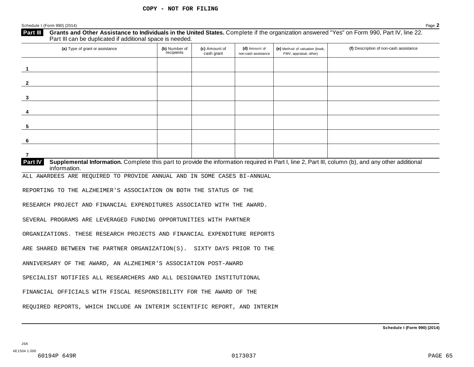|                | (a) Type of grant or assistance                                                                                                                                    | (b) Number of<br>recipients | (c) Amount of<br>cash grant | (d) Amount of<br>non-cash assistance | (e) Method of valuation (book,<br>FMV, appraisal, other) | (f) Description of non-cash assistance |
|----------------|--------------------------------------------------------------------------------------------------------------------------------------------------------------------|-----------------------------|-----------------------------|--------------------------------------|----------------------------------------------------------|----------------------------------------|
|                |                                                                                                                                                                    |                             |                             |                                      |                                                          |                                        |
| $\mathbf{2}$   |                                                                                                                                                                    |                             |                             |                                      |                                                          |                                        |
| $\mathbf{3}$   |                                                                                                                                                                    |                             |                             |                                      |                                                          |                                        |
| 4              |                                                                                                                                                                    |                             |                             |                                      |                                                          |                                        |
| 5              |                                                                                                                                                                    |                             |                             |                                      |                                                          |                                        |
| 6              |                                                                                                                                                                    |                             |                             |                                      |                                                          |                                        |
| $\overline{7}$ |                                                                                                                                                                    |                             |                             |                                      |                                                          |                                        |
| Part IV        | Supplemental Information. Complete this part to provide the information required in Part I, line 2, Part III, column (b), and any other additional<br>information. |                             |                             |                                      |                                                          |                                        |
|                | ALL AWARDEES ARE REQUIRED TO PROVIDE ANNUAL AND IN SOME CASES BI-ANNUAL                                                                                            |                             |                             |                                      |                                                          |                                        |
|                | REPORTING TO THE ALZHEIMER'S ASSOCIATION ON BOTH THE STATUS OF THE                                                                                                 |                             |                             |                                      |                                                          |                                        |
|                |                                                                                                                                                                    |                             |                             |                                      |                                                          |                                        |
|                | RESEARCH PROJECT AND FINANCIAL EXPENDITURES ASSOCIATED WITH THE AWARD.                                                                                             |                             |                             |                                      |                                                          |                                        |
|                | SEVERAL PROGRAMS ARE LEVERAGED FUNDING OPPORTUNITIES WITH PARTNER                                                                                                  |                             |                             |                                      |                                                          |                                        |
|                | ORGANIZATIONS. THESE RESEARCH PROJECTS AND FINANCIAL EXPENDITURE REPORTS                                                                                           |                             |                             |                                      |                                                          |                                        |
|                | ARE SHARED BETWEEN THE PARTNER ORGANIZATION(S). SIXTY DAYS PRIOR TO THE                                                                                            |                             |                             |                                      |                                                          |                                        |
|                | ANNIVERSARY OF THE AWARD, AN ALZHEIMER'S ASSOCIATION POST-AWARD                                                                                                    |                             |                             |                                      |                                                          |                                        |
|                | SPECIALIST NOTIFIES ALL RESEARCHERS AND ALL DESIGNATED INSTITUTIONAL                                                                                               |                             |                             |                                      |                                                          |                                        |
|                | FINANCIAL OFFICIALS WITH FISCAL RESPONSIBILITY FOR THE AWARD OF THE                                                                                                |                             |                             |                                      |                                                          |                                        |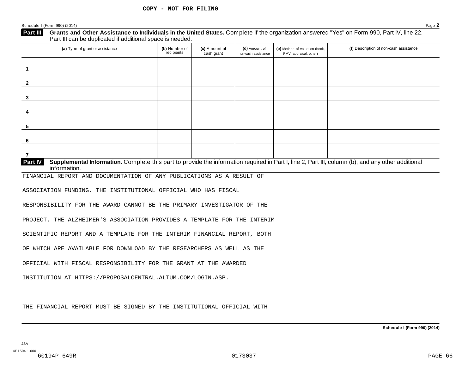| (a) Type of grant or assistance                                                                                                                                                      | (b) Number of<br>recipients | (c) Amount of<br>cash grant | (d) Amount of<br>non-cash assistance | (e) Method of valuation (book,<br>FMV, appraisal, other) | (f) Description of non-cash assistance |
|--------------------------------------------------------------------------------------------------------------------------------------------------------------------------------------|-----------------------------|-----------------------------|--------------------------------------|----------------------------------------------------------|----------------------------------------|
| -1                                                                                                                                                                                   |                             |                             |                                      |                                                          |                                        |
| $\mathbf{2}$                                                                                                                                                                         |                             |                             |                                      |                                                          |                                        |
| 3                                                                                                                                                                                    |                             |                             |                                      |                                                          |                                        |
| 4                                                                                                                                                                                    |                             |                             |                                      |                                                          |                                        |
| 5                                                                                                                                                                                    |                             |                             |                                      |                                                          |                                        |
| 6                                                                                                                                                                                    |                             |                             |                                      |                                                          |                                        |
| 7                                                                                                                                                                                    |                             |                             |                                      |                                                          |                                        |
| Supplemental Information. Complete this part to provide the information required in Part I, line 2, Part III, column (b), and any other additional<br><b>Part IV</b><br>information. |                             |                             |                                      |                                                          |                                        |
| FINANCIAL REPORT AND DOCUMENTATION OF ANY PUBLICATIONS AS A RESULT OF                                                                                                                |                             |                             |                                      |                                                          |                                        |
| ASSOCIATION FUNDING. THE INSTITUTIONAL OFFICIAL WHO HAS FISCAL                                                                                                                       |                             |                             |                                      |                                                          |                                        |
| RESPONSIBILITY FOR THE AWARD CANNOT BE THE PRIMARY INVESTIGATOR OF THE                                                                                                               |                             |                             |                                      |                                                          |                                        |
| PROJECT. THE ALZHEIMER'S ASSOCIATION PROVIDES A TEMPLATE FOR THE INTERIM                                                                                                             |                             |                             |                                      |                                                          |                                        |
| SCIENTIFIC REPORT AND A TEMPLATE FOR THE INTERIM FINANCIAL REPORT, BOTH                                                                                                              |                             |                             |                                      |                                                          |                                        |
| OF WHICH ARE AVAILABLE FOR DOWNLOAD BY THE RESEARCHERS AS WELL AS THE                                                                                                                |                             |                             |                                      |                                                          |                                        |
|                                                                                                                                                                                      |                             |                             |                                      |                                                          |                                        |
|                                                                                                                                                                                      |                             |                             |                                      |                                                          |                                        |
|                                                                                                                                                                                      |                             |                             |                                      |                                                          |                                        |
| OFFICIAL WITH FISCAL RESPONSIBILITY FOR THE GRANT AT THE AWARDED<br>INSTITUTION AT HTTPS://PROPOSALCENTRAL.ALTUM.COM/LOGIN.ASP.                                                      |                             |                             |                                      |                                                          |                                        |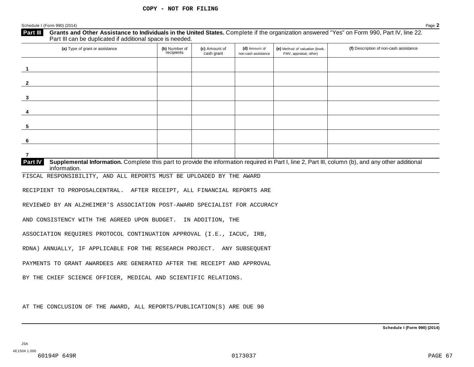| (a) Type of grant or assistance                                                                                                                                               | (b) Number of<br>recipients | (c) Amount of<br>cash grant | (d) Amount of<br>non-cash assistance | (e) Method of valuation (book,<br>FMV, appraisal, other) | (f) Description of non-cash assistance |
|-------------------------------------------------------------------------------------------------------------------------------------------------------------------------------|-----------------------------|-----------------------------|--------------------------------------|----------------------------------------------------------|----------------------------------------|
| $\mathbf{1}$                                                                                                                                                                  |                             |                             |                                      |                                                          |                                        |
| $\mathbf{2}$                                                                                                                                                                  |                             |                             |                                      |                                                          |                                        |
| $\mathbf{3}$                                                                                                                                                                  |                             |                             |                                      |                                                          |                                        |
| 4                                                                                                                                                                             |                             |                             |                                      |                                                          |                                        |
| 5                                                                                                                                                                             |                             |                             |                                      |                                                          |                                        |
| 6                                                                                                                                                                             |                             |                             |                                      |                                                          |                                        |
| $\overline{7}$                                                                                                                                                                |                             |                             |                                      |                                                          |                                        |
| Supplemental Information. Complete this part to provide the information required in Part I, line 2, Part III, column (b), and any other additional<br>Part IV<br>information. |                             |                             |                                      |                                                          |                                        |
| FISCAL RESPONSIBILITY, AND ALL REPORTS MUST BE UPLOADED BY THE AWARD                                                                                                          |                             |                             |                                      |                                                          |                                        |
| RECIPIENT TO PROPOSALCENTRAL. AFTER RECEIPT, ALL FINANCIAL REPORTS ARE                                                                                                        |                             |                             |                                      |                                                          |                                        |
| REVIEWED BY AN ALZHEIMER'S ASSOCIATION POST-AWARD SPECIALIST FOR ACCURACY                                                                                                     |                             |                             |                                      |                                                          |                                        |
| AND CONSISTENCY WITH THE AGREED UPON BUDGET. IN ADDITION, THE                                                                                                                 |                             |                             |                                      |                                                          |                                        |
| ASSOCIATION REQUIRES PROTOCOL CONTINUATION APPROVAL (I.E., IACUC, IRB,                                                                                                        |                             |                             |                                      |                                                          |                                        |
| RDNA) ANNUALLY, IF APPLICABLE FOR THE RESEARCH PROJECT. ANY SUBSEQUENT                                                                                                        |                             |                             |                                      |                                                          |                                        |
| PAYMENTS TO GRANT AWARDEES ARE GENERATED AFTER THE RECEIPT AND APPROVAL                                                                                                       |                             |                             |                                      |                                                          |                                        |
| BY THE CHIEF SCIENCE OFFICER, MEDICAL AND SCIENTIFIC RELATIONS.                                                                                                               |                             |                             |                                      |                                                          |                                        |
|                                                                                                                                                                               |                             |                             |                                      |                                                          |                                        |
|                                                                                                                                                                               |                             |                             |                                      |                                                          |                                        |
| AT THE CONCLUSION OF THE AWARD, ALL REPORTS/PUBLICATION(S) ARE DUE 90                                                                                                         |                             |                             |                                      |                                                          |                                        |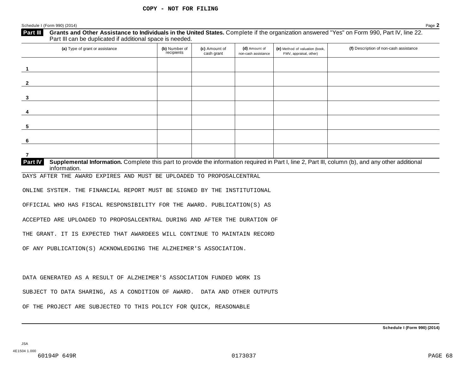| (a) Type of grant or assistance                                                                                                                                               | (b) Number of<br>recipients | (c) Amount of<br>cash grant | (d) Amount of<br>non-cash assistance | (e) Method of valuation (book,<br>FMV, appraisal, other) | (f) Description of non-cash assistance |
|-------------------------------------------------------------------------------------------------------------------------------------------------------------------------------|-----------------------------|-----------------------------|--------------------------------------|----------------------------------------------------------|----------------------------------------|
| $\mathbf{1}$                                                                                                                                                                  |                             |                             |                                      |                                                          |                                        |
| $\overline{2}$                                                                                                                                                                |                             |                             |                                      |                                                          |                                        |
| 3                                                                                                                                                                             |                             |                             |                                      |                                                          |                                        |
|                                                                                                                                                                               |                             |                             |                                      |                                                          |                                        |
| 5                                                                                                                                                                             |                             |                             |                                      |                                                          |                                        |
| 6                                                                                                                                                                             |                             |                             |                                      |                                                          |                                        |
| $\overline{7}$                                                                                                                                                                |                             |                             |                                      |                                                          |                                        |
| Supplemental Information. Complete this part to provide the information required in Part I, line 2, Part III, column (b), and any other additional<br>Part IV<br>information. |                             |                             |                                      |                                                          |                                        |
| DAYS AFTER THE AWARD EXPIRES AND MUST BE UPLOADED TO PROPOSALCENTRAL                                                                                                          |                             |                             |                                      |                                                          |                                        |
| ONLINE SYSTEM. THE FINANCIAL REPORT MUST BE SIGNED BY THE INSTITUTIONAL                                                                                                       |                             |                             |                                      |                                                          |                                        |
| OFFICIAL WHO HAS FISCAL RESPONSIBILITY FOR THE AWARD. PUBLICATION(S) AS                                                                                                       |                             |                             |                                      |                                                          |                                        |
| ACCEPTED ARE UPLOADED TO PROPOSALCENTRAL DURING AND AFTER THE DURATION OF                                                                                                     |                             |                             |                                      |                                                          |                                        |
| THE GRANT. IT IS EXPECTED THAT AWARDEES WILL CONTINUE TO MAINTAIN RECORD                                                                                                      |                             |                             |                                      |                                                          |                                        |
| OF ANY PUBLICATION(S) ACKNOWLEDGING THE ALZHEIMER'S ASSOCIATION.                                                                                                              |                             |                             |                                      |                                                          |                                        |
|                                                                                                                                                                               |                             |                             |                                      |                                                          |                                        |
| DATA GENERATED AS A RESULT OF ALZHEIMER'S ASSOCIATION FUNDED WORK IS                                                                                                          |                             |                             |                                      |                                                          |                                        |
|                                                                                                                                                                               |                             |                             |                                      |                                                          |                                        |
| SUBJECT TO DATA SHARING, AS A CONDITION OF AWARD. DATA AND OTHER OUTPUTS                                                                                                      |                             |                             |                                      |                                                          |                                        |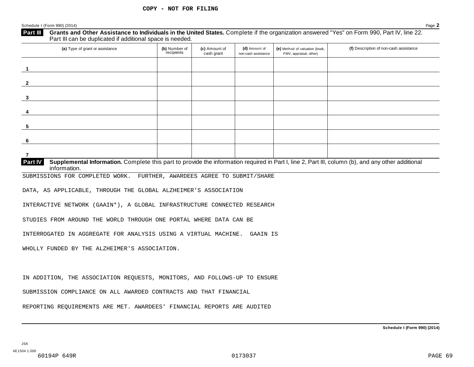| (a) Type of grant or assistance                                                                                                                                                      | (b) Number of<br>recipients | (c) Amount of<br>cash grant | (d) Amount of<br>non-cash assistance | (e) Method of valuation (book,<br>FMV, appraisal, other) | (f) Description of non-cash assistance |
|--------------------------------------------------------------------------------------------------------------------------------------------------------------------------------------|-----------------------------|-----------------------------|--------------------------------------|----------------------------------------------------------|----------------------------------------|
| -1                                                                                                                                                                                   |                             |                             |                                      |                                                          |                                        |
| $\mathbf{2}$                                                                                                                                                                         |                             |                             |                                      |                                                          |                                        |
| 3                                                                                                                                                                                    |                             |                             |                                      |                                                          |                                        |
| 4                                                                                                                                                                                    |                             |                             |                                      |                                                          |                                        |
| 5                                                                                                                                                                                    |                             |                             |                                      |                                                          |                                        |
| 6                                                                                                                                                                                    |                             |                             |                                      |                                                          |                                        |
| $\overline{7}$                                                                                                                                                                       |                             |                             |                                      |                                                          |                                        |
| Supplemental Information. Complete this part to provide the information required in Part I, line 2, Part III, column (b), and any other additional<br><b>Part IV</b><br>information. |                             |                             |                                      |                                                          |                                        |
| SUBMISSIONS FOR COMPLETED WORK. FURTHER, AWARDEES AGREE TO SUBMIT/SHARE<br>DATA, AS APPLICABLE, THROUGH THE GLOBAL ALZHEIMER'S ASSOCIATION                                           |                             |                             |                                      |                                                          |                                        |
| INTERACTIVE NETWORK (GAAIN*), A GLOBAL INFRASTRUCTURE CONNECTED RESEARCH                                                                                                             |                             |                             |                                      |                                                          |                                        |
| STUDIES FROM AROUND THE WORLD THROUGH ONE PORTAL WHERE DATA CAN BE                                                                                                                   |                             |                             |                                      |                                                          |                                        |
|                                                                                                                                                                                      |                             |                             |                                      |                                                          |                                        |
|                                                                                                                                                                                      |                             |                             |                                      |                                                          |                                        |
| INTERROGATED IN AGGREGATE FOR ANALYSIS USING A VIRTUAL MACHINE. GAAIN IS<br>WHOLLY FUNDED BY THE ALZHEIMER'S ASSOCIATION.                                                            |                             |                             |                                      |                                                          |                                        |
|                                                                                                                                                                                      |                             |                             |                                      |                                                          |                                        |
| IN ADDITION, THE ASSOCIATION REQUESTS, MONITORS, AND FOLLOWS-UP TO ENSURE                                                                                                            |                             |                             |                                      |                                                          |                                        |
| SUBMISSION COMPLIANCE ON ALL AWARDED CONTRACTS AND THAT FINANCIAL                                                                                                                    |                             |                             |                                      |                                                          |                                        |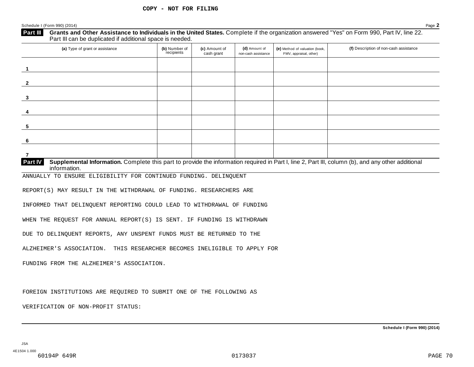| (a) Type of grant or assistance                                                                                                                                               | (b) Number of<br>recipients | (c) Amount of<br>cash grant | (d) Amount of<br>non-cash assistance | (e) Method of valuation (book,<br>FMV, appraisal, other) | (f) Description of non-cash assistance |
|-------------------------------------------------------------------------------------------------------------------------------------------------------------------------------|-----------------------------|-----------------------------|--------------------------------------|----------------------------------------------------------|----------------------------------------|
|                                                                                                                                                                               |                             |                             |                                      |                                                          |                                        |
| $\mathbf{2}$                                                                                                                                                                  |                             |                             |                                      |                                                          |                                        |
| $\mathbf{3}$                                                                                                                                                                  |                             |                             |                                      |                                                          |                                        |
| 4                                                                                                                                                                             |                             |                             |                                      |                                                          |                                        |
| 5                                                                                                                                                                             |                             |                             |                                      |                                                          |                                        |
| 6                                                                                                                                                                             |                             |                             |                                      |                                                          |                                        |
| $\overline{7}$                                                                                                                                                                |                             |                             |                                      |                                                          |                                        |
| Supplemental Information. Complete this part to provide the information required in Part I, line 2, Part III, column (b), and any other additional<br>Part IV<br>information. |                             |                             |                                      |                                                          |                                        |
| ANNUALLY TO ENSURE ELIGIBILITY FOR CONTINUED FUNDING. DELINQUENT                                                                                                              |                             |                             |                                      |                                                          |                                        |
| REPORT(S) MAY RESULT IN THE WITHDRAWAL OF FUNDING. RESEARCHERS ARE                                                                                                            |                             |                             |                                      |                                                          |                                        |
| INFORMED THAT DELINQUENT REPORTING COULD LEAD TO WITHDRAWAL OF FUNDING                                                                                                        |                             |                             |                                      |                                                          |                                        |
| WHEN THE REQUEST FOR ANNUAL REPORT(S) IS SENT. IF FUNDING IS WITHDRAWN                                                                                                        |                             |                             |                                      |                                                          |                                        |
| DUE TO DELINQUENT REPORTS, ANY UNSPENT FUNDS MUST BE RETURNED TO THE                                                                                                          |                             |                             |                                      |                                                          |                                        |
| ALZHEIMER'S ASSOCIATION. THIS RESEARCHER BECOMES INELIGIBLE TO APPLY FOR                                                                                                      |                             |                             |                                      |                                                          |                                        |
| FUNDING FROM THE ALZHEIMER'S ASSOCIATION.                                                                                                                                     |                             |                             |                                      |                                                          |                                        |
|                                                                                                                                                                               |                             |                             |                                      |                                                          |                                        |
|                                                                                                                                                                               |                             |                             |                                      |                                                          |                                        |
| FOREIGN INSTITUTIONS ARE REQUIRED TO SUBMIT ONE OF THE FOLLOWING AS                                                                                                           |                             |                             |                                      |                                                          |                                        |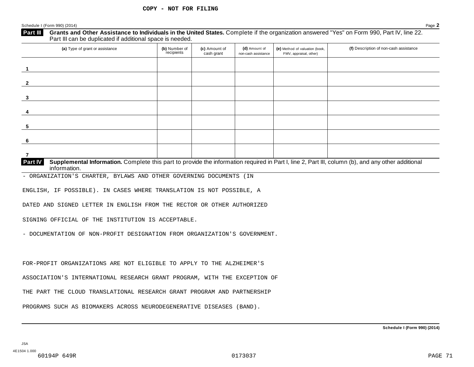| Schedule I (Form 990) (2014)                                                                                                                                                                                         |                             |                             |                                      |                                                          | Page 2                                 |
|----------------------------------------------------------------------------------------------------------------------------------------------------------------------------------------------------------------------|-----------------------------|-----------------------------|--------------------------------------|----------------------------------------------------------|----------------------------------------|
| Grants and Other Assistance to Individuals in the United States. Complete if the organization answered "Yes" on Form 990, Part IV, line 22.<br>Part III<br>Part III can be duplicated if additional space is needed. |                             |                             |                                      |                                                          |                                        |
| (a) Type of grant or assistance                                                                                                                                                                                      | (b) Number of<br>recipients | (c) Amount of<br>cash grant | (d) Amount of<br>non-cash assistance | (e) Method of valuation (book,<br>FMV, appraisal, other) | (f) Description of non-cash assistance |
| 1.                                                                                                                                                                                                                   |                             |                             |                                      |                                                          |                                        |
| $\mathbf{2}$                                                                                                                                                                                                         |                             |                             |                                      |                                                          |                                        |
| 3                                                                                                                                                                                                                    |                             |                             |                                      |                                                          |                                        |
| 4                                                                                                                                                                                                                    |                             |                             |                                      |                                                          |                                        |
| 5                                                                                                                                                                                                                    |                             |                             |                                      |                                                          |                                        |
| 6                                                                                                                                                                                                                    |                             |                             |                                      |                                                          |                                        |
| 7                                                                                                                                                                                                                    |                             |                             |                                      |                                                          |                                        |
| Supplemental Information. Complete this part to provide the information required in Part I, line 2, Part III, column (b), and any other additional<br><b>Part IV</b><br>information.                                 |                             |                             |                                      |                                                          |                                        |
| - ORGANIZATION'S CHARTER, BYLAWS AND OTHER GOVERNING DOCUMENTS (IN                                                                                                                                                   |                             |                             |                                      |                                                          |                                        |
| ENGLISH, IF POSSIBLE). IN CASES WHERE TRANSLATION IS NOT POSSIBLE, A                                                                                                                                                 |                             |                             |                                      |                                                          |                                        |
| DATED AND SIGNED LETTER IN ENGLISH FROM THE RECTOR OR OTHER AUTHORIZED                                                                                                                                               |                             |                             |                                      |                                                          |                                        |
| SIGNING OFFICIAL OF THE INSTITUTION IS ACCEPTABLE.                                                                                                                                                                   |                             |                             |                                      |                                                          |                                        |
| - DOCUMENTATION OF NON-PROFIT DESIGNATION FROM ORGANIZATION'S GOVERNMENT.                                                                                                                                            |                             |                             |                                      |                                                          |                                        |
|                                                                                                                                                                                                                      |                             |                             |                                      |                                                          |                                        |
| FOR-PROFIT ORGANIZATIONS ARE NOT ELIGIBLE TO APPLY TO THE ALZHEIMER'S                                                                                                                                                |                             |                             |                                      |                                                          |                                        |
| ASSOCIATION'S INTERNATIONAL RESEARCH GRANT PROGRAM, WITH THE EXCEPTION OF                                                                                                                                            |                             |                             |                                      |                                                          |                                        |
| THE PART THE CLOUD TRANSLATIONAL RESEARCH GRANT PROGRAM AND PARTNERSHIP                                                                                                                                              |                             |                             |                                      |                                                          |                                        |
| PROGRAMS SUCH AS BIOMAKERS ACROSS NEURODEGENERATIVE DISEASES (BAND).                                                                                                                                                 |                             |                             |                                      |                                                          |                                        |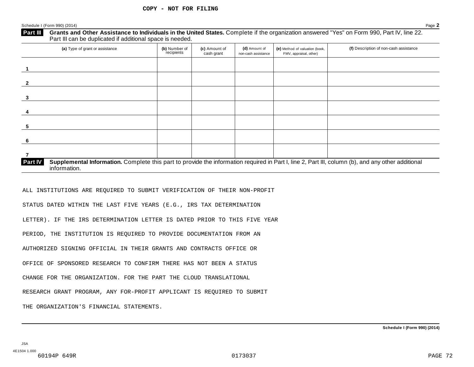| (a) Type of grant or assistance                                                                                                                                                      | (b) Number of<br>recipients | (c) Amount of<br>cash grant | (d) Amount of<br>non-cash assistance | (e) Method of valuation (book,<br>FMV, appraisal, other) | (f) Description of non-cash assistance |
|--------------------------------------------------------------------------------------------------------------------------------------------------------------------------------------|-----------------------------|-----------------------------|--------------------------------------|----------------------------------------------------------|----------------------------------------|
|                                                                                                                                                                                      |                             |                             |                                      |                                                          |                                        |
|                                                                                                                                                                                      |                             |                             |                                      |                                                          |                                        |
|                                                                                                                                                                                      |                             |                             |                                      |                                                          |                                        |
|                                                                                                                                                                                      |                             |                             |                                      |                                                          |                                        |
|                                                                                                                                                                                      |                             |                             |                                      |                                                          |                                        |
|                                                                                                                                                                                      |                             |                             |                                      |                                                          |                                        |
|                                                                                                                                                                                      |                             |                             |                                      |                                                          |                                        |
| Supplemental Information. Complete this part to provide the information required in Part I, line 2, Part III, column (b), and any other additional<br><b>Part IV</b><br>information. |                             |                             |                                      |                                                          |                                        |

ALL INSTITUTIONS ARE REQUIRED TO SUBMIT VERIFICATION OF THEIR NON-PROFIT

STATUS DATED WITHIN THE LAST FIVE YEARS (E.G., IRS TAX DETERMINATION

LETTER). IF THE IRS DETERMINATION LETTER IS DATED PRIOR TO THIS FIVE YEAR

PERIOD, THE INSTITUTION IS REQUIRED TO PROVIDE DOCUMENTATION FROM AN

AUTHORIZED SIGNING OFFICIAL IN THEIR GRANTS AND CONTRACTS OFFICE OR

OFFICE OF SPONSORED RESEARCH TO CONFIRM THERE HAS NOT BEEN A STATUS

CHANGE FOR THE ORGANIZATION. FOR THE PART THE CLOUD TRANSLATIONAL

RESEARCH GRANT PROGRAM, ANY FOR-PROFIT APPLICANT IS REQUIRED TO SUBMIT

THE ORGANIZATION'S FINANCIAL STATEMENTS.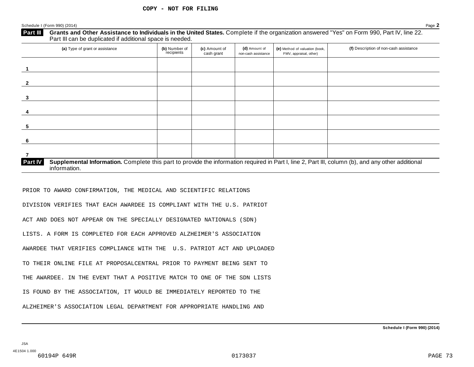| (a) Type of grant or assistance                                                                                                                                                      | (b) Number of<br>recipients | (c) Amount of<br>cash grant | (d) Amount of<br>non-cash assistance | (e) Method of valuation (book,<br>FMV, appraisal, other) | (f) Description of non-cash assistance |
|--------------------------------------------------------------------------------------------------------------------------------------------------------------------------------------|-----------------------------|-----------------------------|--------------------------------------|----------------------------------------------------------|----------------------------------------|
|                                                                                                                                                                                      |                             |                             |                                      |                                                          |                                        |
|                                                                                                                                                                                      |                             |                             |                                      |                                                          |                                        |
|                                                                                                                                                                                      |                             |                             |                                      |                                                          |                                        |
|                                                                                                                                                                                      |                             |                             |                                      |                                                          |                                        |
|                                                                                                                                                                                      |                             |                             |                                      |                                                          |                                        |
|                                                                                                                                                                                      |                             |                             |                                      |                                                          |                                        |
|                                                                                                                                                                                      |                             |                             |                                      |                                                          |                                        |
| Supplemental Information. Complete this part to provide the information required in Part I, line 2, Part III, column (b), and any other additional<br><b>Part IV</b><br>information. |                             |                             |                                      |                                                          |                                        |

PRIOR TO AWARD CONFIRMATION, THE MEDICAL AND SCIENTIFIC RELATIONS DIVISION VERIFIES THAT EACH AWARDEE IS COMPLIANT WITH THE U.S. PATRIOT ACT AND DOES NOT APPEAR ON THE SPECIALLY DESIGNATED NATIONALS (SDN) LISTS. A FORM IS COMPLETED FOR EACH APPROVED ALZHEIMER'S ASSOCIATION AWARDEE THAT VERIFIES COMPLIANCE WITH THE U.S. PATRIOT ACT AND UPLOADED TO THEIR ONLINE FILE AT PROPOSALCENTRAL PRIOR TO PAYMENT BEING SENT TO THE AWARDEE. IN THE EVENT THAT A POSITIVE MATCH TO ONE OF THE SDN LISTS IS FOUND BY THE ASSOCIATION, IT WOULD BE IMMEDIATELY REPORTED TO THE ALZHEIMER'S ASSOCIATION LEGAL DEPARTMENT FOR APPROPRIATE HANDLING AND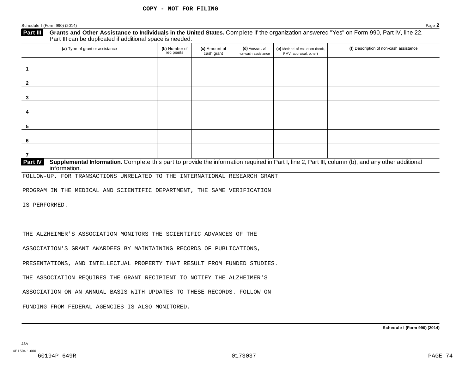| (a) Type of grant or assistance                                                                                                                                                      | (b) Number of<br>recipients | (c) Amount of<br>cash grant | (d) Amount of<br>non-cash assistance | (e) Method of valuation (book,<br>FMV, appraisal, other) | (f) Description of non-cash assistance |
|--------------------------------------------------------------------------------------------------------------------------------------------------------------------------------------|-----------------------------|-----------------------------|--------------------------------------|----------------------------------------------------------|----------------------------------------|
|                                                                                                                                                                                      |                             |                             |                                      |                                                          |                                        |
|                                                                                                                                                                                      |                             |                             |                                      |                                                          |                                        |
|                                                                                                                                                                                      |                             |                             |                                      |                                                          |                                        |
|                                                                                                                                                                                      |                             |                             |                                      |                                                          |                                        |
|                                                                                                                                                                                      |                             |                             |                                      |                                                          |                                        |
|                                                                                                                                                                                      |                             |                             |                                      |                                                          |                                        |
|                                                                                                                                                                                      |                             |                             |                                      |                                                          |                                        |
| Supplemental Information. Complete this part to provide the information required in Part I, line 2, Part III, column (b), and any other additional<br><b>Part IV</b><br>information. |                             |                             |                                      |                                                          |                                        |

PROGRAM IN THE MEDICAL AND SCIENTIFIC DEPARTMENT, THE SAME VERIFICATION

IS PERFORMED.

THE ALZHEIMER'S ASSOCIATION MONITORS THE SCIENTIFIC ADVANCES OF THE

ASSOCIATION'S GRANT AWARDEES BY MAINTAINING RECORDS OF PUBLICATIONS,

PRESENTATIONS, AND INTELLECTUAL PROPERTY THAT RESULT FROM FUNDED STUDIES.

THE ASSOCIATION REQUIRES THE GRANT RECIPIENT TO NOTIFY THE ALZHEIMER'S

ASSOCIATION ON AN ANNUAL BASIS WITH UPDATES TO THESE RECORDS. FOLLOW-ON

FUNDING FROM FEDERAL AGENCIES IS ALSO MONITORED.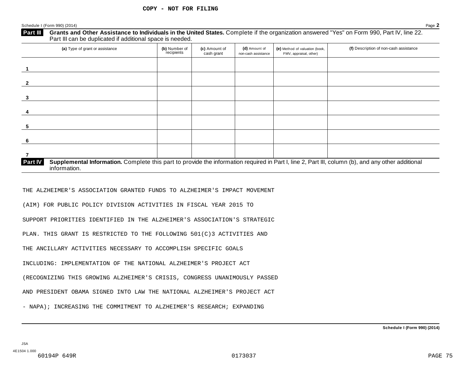| (a) Type of grant or assistance                                                                                                                                               | (b) Number of<br>recipients | (c) Amount of<br>cash grant | (d) Amount of<br>non-cash assistance | (e) Method of valuation (book,<br>FMV, appraisal, other) | (f) Description of non-cash assistance |
|-------------------------------------------------------------------------------------------------------------------------------------------------------------------------------|-----------------------------|-----------------------------|--------------------------------------|----------------------------------------------------------|----------------------------------------|
|                                                                                                                                                                               |                             |                             |                                      |                                                          |                                        |
|                                                                                                                                                                               |                             |                             |                                      |                                                          |                                        |
|                                                                                                                                                                               |                             |                             |                                      |                                                          |                                        |
|                                                                                                                                                                               |                             |                             |                                      |                                                          |                                        |
|                                                                                                                                                                               |                             |                             |                                      |                                                          |                                        |
|                                                                                                                                                                               |                             |                             |                                      |                                                          |                                        |
|                                                                                                                                                                               |                             |                             |                                      |                                                          |                                        |
| Part IV<br>Supplemental Information. Complete this part to provide the information required in Part I, line 2, Part III, column (b), and any other additional<br>information. |                             |                             |                                      |                                                          |                                        |
| THE ALZHEIMER'S ASSOCIATION GRANTED FUNDS TO ALZHEIMER'S IMPACT MOVEMENT                                                                                                      |                             |                             |                                      |                                                          |                                        |
|                                                                                                                                                                               |                             |                             |                                      |                                                          |                                        |
| (AIM) FOR PUBLIC POLICY DIVISION ACTIVITIES IN FISCAL YEAR 2015 TO                                                                                                            |                             |                             |                                      |                                                          |                                        |
| SUPPORT PRIORITIES IDENTIFIED IN THE ALZHEIMER'S ASSOCIATION'S STRATEGIC                                                                                                      |                             |                             |                                      |                                                          |                                        |
| PLAN. THIS GRANT IS RESTRICTED TO THE FOLLOWING 501(C)3 ACTIVITIES AND                                                                                                        |                             |                             |                                      |                                                          |                                        |
|                                                                                                                                                                               |                             |                             |                                      |                                                          |                                        |

THE ANCILLARY ACTIVITIES NECESSARY TO ACCOMPLISH SPECIFIC GOALS

INCLUDING: IMPLEMENTATION OF THE NATIONAL ALZHEIMER'S PROJECT ACT

(RECOGNIZING THIS GROWING ALZHEIMER'S CRISIS, CONGRESS UNANIMOUSLY PASSED

AND PRESIDENT OBAMA SIGNED INTO LAW THE NATIONAL ALZHEIMER'S PROJECT ACT

- NAPA); INCREASING THE COMMITMENT TO ALZHEIMER'S RESEARCH; EXPANDING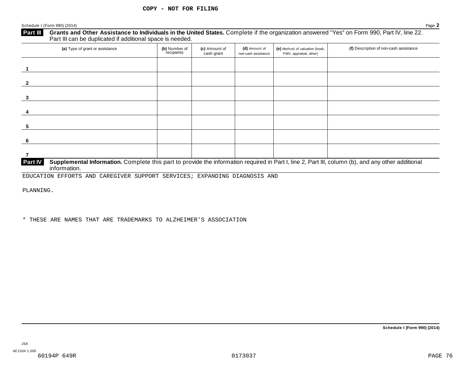### **Part III** Grants and Other Assistance to Individuals in the Urangle 1.1 Part III can be duplicated if additional space is needed. (a) Type of grant or assistance **(b)** Number of **(c)** Amount of **(d)** Amount of **(e)** Method of valuation (book, **(f)** Description of non-cash assistance FMV, appraisal, other) **(b)** Number of recipients **(d)** Amount of non-cash assistance **(c)** Amount of cash grant **1 2 3 4 5 6 7 Supplemental Information.** Complete this part to provide the information required in Part I, line 2, Part III, column (b), and any other additional information. **Part IV**

**Grants and Other Assistance to Individuals in the United States.** Complete ifthe organization answered "Yes" on Form 990, Part IV, line 22.

EDUCATION EFFORTS AND CAREGIVER SUPPORT SERVICES; EXPANDING DIAGNOSIS AND

PLANNING.

\* THESE ARE NAMES THAT ARE TRADEMARKS TO ALZHEIMER'S ASSOCIATION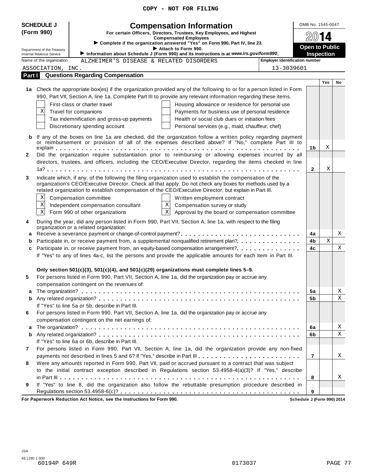|  |  |  | COPY - NOT FOR FILING |
|--|--|--|-----------------------|
|--|--|--|-----------------------|

| <b>SCHEDULE J</b>                                             | <b>Compensation Information</b>                                                                                                                                                                                                                                                                                                                                                                                                                                                                                                                                                            | OMB No. 1545-0047     |                   |        |
|---------------------------------------------------------------|--------------------------------------------------------------------------------------------------------------------------------------------------------------------------------------------------------------------------------------------------------------------------------------------------------------------------------------------------------------------------------------------------------------------------------------------------------------------------------------------------------------------------------------------------------------------------------------------|-----------------------|-------------------|--------|
| (Form 990)                                                    | For certain Officers, Directors, Trustees, Key Employees, and Highest<br><b>Compensated Employees</b>                                                                                                                                                                                                                                                                                                                                                                                                                                                                                      | $20$ 14               |                   |        |
|                                                               | Complete if the organization answered "Yes" on Form 990, Part IV, line 23.<br>Attach to Form 990.                                                                                                                                                                                                                                                                                                                                                                                                                                                                                          | <b>Open to Public</b> |                   |        |
| Department of the Treasury<br><b>Internal Revenue Service</b> | Information about Schedule J (Form 990) and its instructions is at www.irs.gov/form990.                                                                                                                                                                                                                                                                                                                                                                                                                                                                                                    |                       | <b>Inspection</b> |        |
| Name of the organization                                      | <b>Employer identification number</b><br>ALZHEIMER'S DISEASE & RELATED DISORDERS                                                                                                                                                                                                                                                                                                                                                                                                                                                                                                           |                       |                   |        |
| ASSOCIATION, INC.                                             | 13-3039601                                                                                                                                                                                                                                                                                                                                                                                                                                                                                                                                                                                 |                       |                   |        |
| Part I                                                        | <b>Questions Regarding Compensation</b>                                                                                                                                                                                                                                                                                                                                                                                                                                                                                                                                                    |                       |                   |        |
| Χ                                                             | 1a Check the appropriate box(es) if the organization provided any of the following to or for a person listed in Form<br>990, Part VII, Section A, line 1a. Complete Part III to provide any relevant information regarding these items.<br>First-class or charter travel<br>Housing allowance or residence for personal use<br>Travel for companions<br>Payments for business use of personal residence<br>Tax indemnification and gross-up payments<br>Health or social club dues or initiation fees<br>Discretionary spending account<br>Personal services (e.g., maid, chauffeur, chef) |                       | Yes               | No     |
| $\mathbf{2}$                                                  | <b>b</b> If any of the boxes on line 1a are checked, did the organization follow a written policy regarding payment<br>or reimbursement or provision of all of the expenses described above? If "No," complete Part III to<br>Did the organization require substantiation prior to reimbursing or allowing expenses incurred by all                                                                                                                                                                                                                                                        | 1b                    | Χ                 |        |
|                                                               | directors, trustees, and officers, including the CEO/Executive Director, regarding the items checked in line                                                                                                                                                                                                                                                                                                                                                                                                                                                                               | $\mathbf{2}$          | Χ                 |        |
| 3<br>Χ<br>Χ<br>$\mathbf{x}$                                   | Indicate which, if any, of the following the filing organization used to establish the compensation of the<br>organization's CEO/Executive Director. Check all that apply. Do not check any boxes for methods used by a<br>related organization to establish compensation of the CEO/Executive Director, but explain in Part III.<br>Compensation committee<br>Written employment contract<br>X<br>Independent compensation consultant<br>Compensation survey or study<br>$\mathbf{x}$<br>Form 990 of other organizations<br>Approval by the board or compensation committee               |                       |                   |        |
| 4                                                             | During the year, did any person listed in Form 990, Part VII, Section A, line 1a, with respect to the filing<br>organization or a related organization:                                                                                                                                                                                                                                                                                                                                                                                                                                    |                       |                   |        |
| a<br>b<br>c                                                   | Receive a severance payment or change-of-control payment?<br>Participate in, or receive payment from, a supplemental nonqualified retirement plan?<br>Participate in, or receive payment from, an equity-based compensation arrangement?<br>If "Yes" to any of lines 4a-c, list the persons and provide the applicable amounts for each item in Part III.                                                                                                                                                                                                                                  | 4a<br>4b<br>4c        | X                 | Χ<br>Χ |
| 5                                                             | Only section $501(c)(3)$ , $501(c)(4)$ , and $501(c)(29)$ organizations must complete lines 5–9.<br>For persons listed in Form 990, Part VII, Section A, line 1a, did the organization pay or accrue any                                                                                                                                                                                                                                                                                                                                                                                   |                       |                   |        |
| a<br>b                                                        | compensation contingent on the revenues of:<br>If "Yes" to line 5a or 5b, describe in Part III.                                                                                                                                                                                                                                                                                                                                                                                                                                                                                            | 5a<br>5b              |                   | Χ<br>Χ |
| 6                                                             | For persons listed in Form 990, Part VII, Section A, line 1a, did the organization pay or accrue any<br>compensation contingent on the net earnings of:                                                                                                                                                                                                                                                                                                                                                                                                                                    |                       |                   |        |
| a                                                             |                                                                                                                                                                                                                                                                                                                                                                                                                                                                                                                                                                                            | 6a                    |                   | Χ      |
| b                                                             |                                                                                                                                                                                                                                                                                                                                                                                                                                                                                                                                                                                            | 6b                    |                   | Χ      |
| $\overline{7}$                                                | If "Yes" to line 6a or 6b, describe in Part III.<br>For persons listed in Form 990, Part VII, Section A, line 1a, did the organization provide any non-fixed                                                                                                                                                                                                                                                                                                                                                                                                                               |                       |                   |        |
| 8                                                             | payments not described in lines 5 and 6? If "Yes," describe in Part III.<br>Were any amounts reported in Form 990, Part VII, paid or accrued pursuant to a contract that was subject<br>to the initial contract exception described in Regulations section 53.4958-4(a)(3)? If "Yes," describe                                                                                                                                                                                                                                                                                             | $\overline{7}$        |                   | Χ      |
| 9                                                             | If "Yes" to line 8, did the organization also follow the rebuttable presumption procedure described in                                                                                                                                                                                                                                                                                                                                                                                                                                                                                     | 8                     |                   | X      |
|                                                               |                                                                                                                                                                                                                                                                                                                                                                                                                                                                                                                                                                                            | 9                     |                   |        |

**For Paperwork Reduction Act Notice, see the Instructions for Form 990. Schedule J (Form 990) 2014**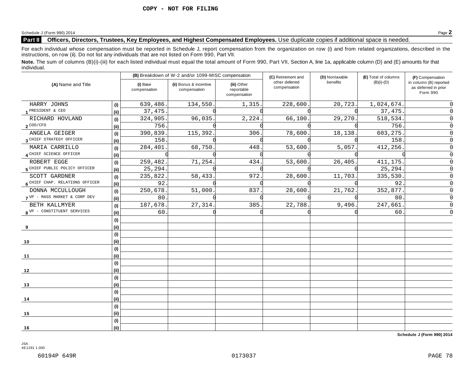### **Part II Officers, Directors, Trustees, Key Employees, and Highest Compensated Employees.** Use duplicate copies ifadditional space is needed.

For each individual whose compensation must be reported in Schedule J, report compensation from the organization on row (i) and from related organizations, described in the instructions, on row (ii). Do not list any individuals that are not listed on Form 990, Part VII.

Note. The sum of columns (B)(i)-(iii) for each listed individual must equal the total amount of Form 990, Part VII, Section A, line 1a, applicable column (D) and (E) amounts for that individual.

|                                 |      |                          | (B) Breakdown of W-2 and/or 1099-MISC compensation |                                           | (C) Retirement and             | (D) Nontaxable | (E) Total of columns | (F) Compensation                                           |
|---------------------------------|------|--------------------------|----------------------------------------------------|-------------------------------------------|--------------------------------|----------------|----------------------|------------------------------------------------------------|
| (A) Name and Title              |      | (i) Base<br>compensation | (ii) Bonus & incentive<br>compensation             | (iii) Other<br>reportable<br>compensation | other deferred<br>compensation | benefits       | $(B)(i)-(D)$         | in column (B) reported<br>as deferred in prior<br>Form 990 |
| HARRY JOHNS                     | (i)  | 639,486.                 | 134,550.                                           | 1,315                                     | 228,600                        | 20,723.        | 1,024,674.           | O                                                          |
| 1 PRESIDENT & CEO               | (ii) | 37,475.                  |                                                    |                                           |                                |                | 37, 475.             | 0                                                          |
| RICHARD HOVLAND                 | (i)  | 324,905.                 | 96,035                                             | 2,224.                                    | 66,100                         | 29,270         | 518,534.             | 0                                                          |
| $2^{\text{COO/CFO}}$            | (i)  | 756                      |                                                    |                                           |                                |                | 756                  | 0                                                          |
| ANGELA GEIGER                   | (i)  | 390,839                  | 115,392.                                           | 306                                       | 78,600                         | 18,138         | 603,275.             | $\Omega$                                                   |
| 3 CHIEF STRATEGY OFFICER        | (i)  | 158                      |                                                    |                                           |                                |                | 158                  | $\Omega$                                                   |
| MARIA CARRILLO                  | (i)  | 284,401                  | 68,750                                             | 448                                       | 53,600                         | 5,057          | 412,256              | O                                                          |
| 4 CHIEF SCIENCE OFFICER         | (i)  |                          |                                                    |                                           |                                |                |                      | O                                                          |
| ROBERT EGGE                     | (i)  | 259,482.                 | 71,254                                             | 434.                                      | 53,600                         | 26,405.        | 411,175.             | O                                                          |
| 5 CHIEF PUBLIC POLICY OFFICER   | (i)  | 25,294.                  |                                                    |                                           |                                |                | 25,294.              | O                                                          |
| SCOTT GARDNER                   | (i)  | 235,822.                 | 58,433.                                            | 972                                       | 28,600                         | 11,703.        | 335,530.             | 0                                                          |
| 6 CHIEF CHAP. RELATIONS OFFICER | (i)  | 92                       |                                                    |                                           |                                |                | 92.                  | $\Omega$                                                   |
| DONNA MCCULLOUGH                | (i)  | 250,678.                 | 51,000                                             | 837                                       | 28,600                         | 21,762.        | 352,877.             | $\Omega$                                                   |
| 7 VP - MASS MARKET & CORP DEV   | (i)  | 80                       |                                                    |                                           |                                |                | 80                   | $\Omega$                                                   |
| BETH KALLMYER                   | (i)  | 187,678.                 | 27,314                                             | 385                                       | 22,788.                        | 9,496.         | 247,661.             | $\Omega$                                                   |
| 8 VP - CONSTITUENT SERVICES     | (i)  | 60                       |                                                    |                                           |                                |                | 60                   | 0                                                          |
|                                 | (i)  |                          |                                                    |                                           |                                |                |                      |                                                            |
| 9                               | (i)  |                          |                                                    |                                           |                                |                |                      |                                                            |
|                                 | (i)  |                          |                                                    |                                           |                                |                |                      |                                                            |
| 10                              | (i)  |                          |                                                    |                                           |                                |                |                      |                                                            |
|                                 | (i)  |                          |                                                    |                                           |                                |                |                      |                                                            |
| 11                              | (i)  |                          |                                                    |                                           |                                |                |                      |                                                            |
|                                 | (i)  |                          |                                                    |                                           |                                |                |                      |                                                            |
| 12                              | (i)  |                          |                                                    |                                           |                                |                |                      |                                                            |
|                                 | (i)  |                          |                                                    |                                           |                                |                |                      |                                                            |
| 13                              | (ii) |                          |                                                    |                                           |                                |                |                      |                                                            |
|                                 | (i)  |                          |                                                    |                                           |                                |                |                      |                                                            |
| 14                              | (i)  |                          |                                                    |                                           |                                |                |                      |                                                            |
|                                 | (i)  |                          |                                                    |                                           |                                |                |                      |                                                            |
| 15                              | (i)  |                          |                                                    |                                           |                                |                |                      |                                                            |
|                                 | (i)  |                          |                                                    |                                           |                                |                |                      |                                                            |
| 16                              | (i)  |                          |                                                    |                                           |                                |                |                      |                                                            |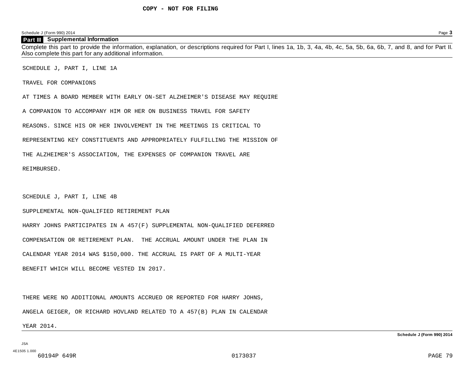#### **Part III Supplemental Information**

Complete this part to provide the information, explanation, or descriptions required for Part I, lines 1a, 1b, 3, 4a, 4b, 4c, 5a, 5b, 6a, 6b, 7, and 8, and for Part II. Also complete this part for any additional information.

SCHEDULE J, PART I, LINE 1A

TRAVEL FOR COMPANIONS

AT TIMES A BOARD MEMBER WITH EARLY ON-SET ALZHEIMER'S DISEASE MAY REQUIRE

A COMPANION TO ACCOMPANY HIM OR HER ON BUSINESS TRAVEL FOR SAFETY

REASONS. SINCE HIS OR HER INVOLVEMENT IN THE MEETINGS IS CRITICAL TO

REPRESENTING KEY CONSTITUENTS AND APPROPRIATELY FULFILLING THE MISSION OF

THE ALZHEIMER'S ASSOCIATION, THE EXPENSES OF COMPANION TRAVEL ARE

REIMBURSED.

SCHEDULE J, PART I, LINE 4B

SUPPLEMENTAL NON-QUALIFIED RETIREMENT PLAN

HARRY JOHNS PARTICIPATES IN A 457(F) SUPPLEMENTAL NON-QUALIFIED DEFERRED COMPENSATION OR RETIREMENT PLAN. THE ACCRUAL AMOUNT UNDER THE PLAN IN CALENDAR YEAR 2014 WAS \$150,000. THE ACCRUAL IS PART OF A MULTI-YEAR BENEFIT WHICH WILL BECOME VESTED IN 2017.

THERE WERE NO ADDITIONAL AMOUNTS ACCRUED OR REPORTED FOR HARRY JOHNS,

ANGELA GEIGER, OR RICHARD HOVLAND RELATED TO A 457(B) PLAN IN CALENDAR

YEAR 2014.

JSA 4E1505 1.000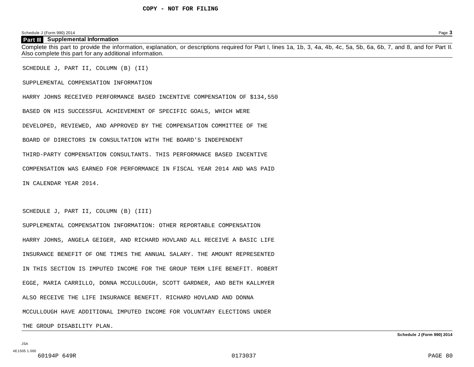#### **Part III Supplemental Information**

Complete this part to provide the information, explanation, or descriptions required for Part I, lines 1a, 1b, 3, 4a, 4b, 4c, 5a, 5b, 6a, 6b, 7, and 8, and for Part II. Also complete this part for any additional information.

SCHEDULE J, PART II, COLUMN (B) (II)

SUPPLEMENTAL COMPENSATION INFORMATION

HARRY JOHNS RECEIVED PERFORMANCE BASED INCENTIVE COMPENSATION OF \$134,550

BASED ON HIS SUCCESSFUL ACHIEVEMENT OF SPECIFIC GOALS, WHICH WERE

DEVELOPED, REVIEWED, AND APPROVED BY THE COMPENSATION COMMITTEE OF THE

BOARD OF DIRECTORS IN CONSULTATION WITH THE BOARD'S INDEPENDENT

THIRD-PARTY COMPENSATION CONSULTANTS. THIS PERFORMANCE BASED INCENTIVE

COMPENSATION WAS EARNED FOR PERFORMANCE IN FISCAL YEAR 2014 AND WAS PAID

IN CALENDAR YEAR 2014.

SCHEDULE J, PART II, COLUMN (B) (III)

SUPPLEMENTAL COMPENSATION INFORMATION: OTHER REPORTABLE COMPENSATION HARRY JOHNS, ANGELA GEIGER, AND RICHARD HOVLAND ALL RECEIVE A BASIC LIFE INSURANCE BENEFIT OF ONE TIMES THE ANNUAL SALARY. THE AMOUNT REPRESENTED IN THIS SECTION IS IMPUTED INCOME FOR THE GROUP TERM LIFE BENEFIT. ROBERT EGGE, MARIA CARRILLO, DONNA MCCULLOUGH, SCOTT GARDNER, AND BETH KALLMYER ALSO RECEIVE THE LIFE INSURANCE BENEFIT. RICHARD HOVLAND AND DONNA MCCULLOUGH HAVE ADDITIONAL IMPUTED INCOME FOR VOLUNTARY ELECTIONS UNDER

THE GROUP DISABILITY PLAN.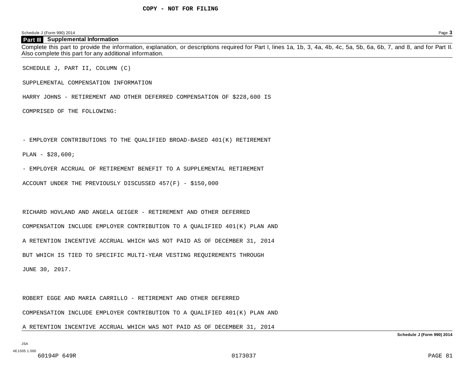#### **Part III Supplemental Information**

Complete this part to provide the information, explanation, or descriptions required for Part I, lines 1a, 1b, 3, 4a, 4b, 4c, 5a, 5b, 6a, 6b, 7, and 8, and for Part II. Also complete this part for any additional information.

SCHEDULE J, PART II, COLUMN (C)

SUPPLEMENTAL COMPENSATION INFORMATION

HARRY JOHNS - RETIREMENT AND OTHER DEFERRED COMPENSATION OF \$228,600 IS

COMPRISED OF THE FOLLOWING:

- EMPLOYER CONTRIBUTIONS TO THE QUALIFIED BROAD-BASED 401(K) RETIREMENT

PLAN - \$28,600;

- EMPLOYER ACCRUAL OF RETIREMENT BENEFIT TO A SUPPLEMENTAL RETIREMENT

ACCOUNT UNDER THE PREVIOUSLY DISCUSSED 457(F) - \$150,000

RICHARD HOVLAND AND ANGELA GEIGER - RETIREMENT AND OTHER DEFERRED COMPENSATION INCLUDE EMPLOYER CONTRIBUTION TO A QUALIFIED 401(K) PLAN AND A RETENTION INCENTIVE ACCRUAL WHICH WAS NOT PAID AS OF DECEMBER 31, 2014 BUT WHICH IS TIED TO SPECIFIC MULTI-YEAR VESTING REQUIREMENTS THROUGH JUNE 30, 2017.

ROBERT EGGE AND MARIA CARRILLO - RETIREMENT AND OTHER DEFERRED

COMPENSATION INCLUDE EMPLOYER CONTRIBUTION TO A QUALIFIED 401(K) PLAN AND

A RETENTION INCENTIVE ACCRUAL WHICH WAS NOT PAID AS OF DECEMBER 31, 2014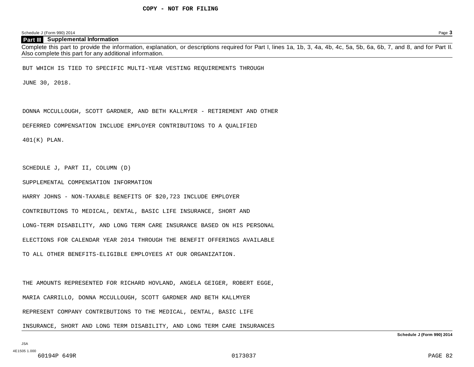#### **Part III Supplemental Information**

Complete this part to provide the information, explanation, or descriptions required for Part I, lines 1a, 1b, 3, 4a, 4b, 4c, 5a, 5b, 6a, 6b, 7, and 8, and for Part II. Also complete this part for any additional information.

BUT WHICH IS TIED TO SPECIFIC MULTI-YEAR VESTING REQUIREMENTS THROUGH

JUNE 30, 2018.

DONNA MCCULLOUGH, SCOTT GARDNER, AND BETH KALLMYER - RETIREMENT AND OTHER

DEFERRED COMPENSATION INCLUDE EMPLOYER CONTRIBUTIONS TO A QUALIFIED

401(K) PLAN.

SCHEDULE J, PART II, COLUMN (D)

SUPPLEMENTAL COMPENSATION INFORMATION

HARRY JOHNS - NON-TAXABLE BENEFITS OF \$20,723 INCLUDE EMPLOYER

CONTRIBUTIONS TO MEDICAL, DENTAL, BASIC LIFE INSURANCE, SHORT AND

LONG-TERM DISABILITY, AND LONG TERM CARE INSURANCE BASED ON HIS PERSONAL

ELECTIONS FOR CALENDAR YEAR 2014 THROUGH THE BENEFIT OFFERINGS AVAILABLE

TO ALL OTHER BENEFITS-ELIGIBLE EMPLOYEES AT OUR ORGANIZATION.

THE AMOUNTS REPRESENTED FOR RICHARD HOVLAND, ANGELA GEIGER, ROBERT EGGE, MARIA CARRILLO, DONNA MCCULLOUGH, SCOTT GARDNER AND BETH KALLMYER REPRESENT COMPANY CONTRIBUTIONS TO THE MEDICAL, DENTAL, BASIC LIFE INSURANCE, SHORT AND LONG TERM DISABILITY, AND LONG TERM CARE INSURANCES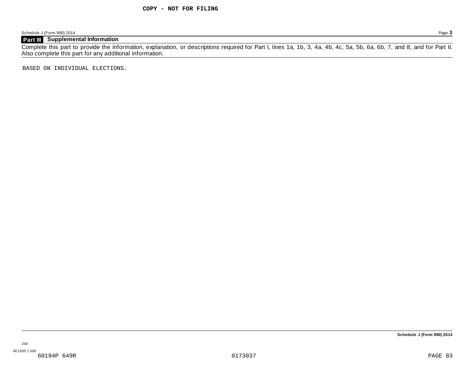### **Part III Supplemental Information**

Complete this part to provide the information, explanation, or descriptions required for Part I, lines 1a, 1b, 3, 4a, 4b, 4c, 5a, 5b, 6a, 6b, 7, and 8, and for Part II. Also complete this part for any additional information.

BASED ON INDIVIDUAL ELECTIONS.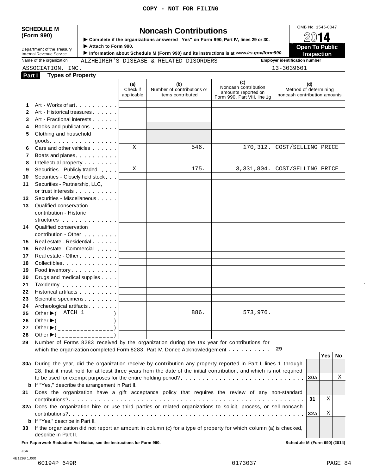#### **COPY - NOT FOR FILING**

# SCHEDULE M<br> **SCHEDULE** M<br> **Complete if the organizations answered "Yes" on Form 990, Part IV, lines 29 or 30. 20014**

**(Form 990) induces if the organizations** answered "Yes" on Form 990, Part IV, lines 29 or 30. **△**◯ ↑▲ **I ► Complete it the organizations answered "Yes" on Form 990, Part IV, lines 29 or 30.<br>Department of the Treasury Attach to Form 990.<br>Department of the Treasury Attach to Form 990.** 

**Internal Revenue Service** III information about Schedule M (Form 990) and its instructions is at *www.irs.gov/form990.* Inspection<br>
Name of the organization ALZHEIMER'S DISEASE & RELATED DISORDERS Femployer identificatio Name of the organization **ALZHEIMER'S DISEASE & RELATED DISORDERS Fig. 5** 

ASSOCIATION, INC. 13-3039601

| Part I       | <b>Types of Property</b>                                                                                                                                                                                                       |                               |                                                        |                                                                                    |                                                              |     |    |
|--------------|--------------------------------------------------------------------------------------------------------------------------------------------------------------------------------------------------------------------------------|-------------------------------|--------------------------------------------------------|------------------------------------------------------------------------------------|--------------------------------------------------------------|-----|----|
|              |                                                                                                                                                                                                                                | (a)<br>Check if<br>applicable | (b)<br>Number of contributions or<br>items contributed | (c)<br>Noncash contribution<br>amounts reported on<br>Form 990, Part VIII, line 1g | (d)<br>Method of determining<br>noncash contribution amounts |     |    |
| 1.           | Art - Works of art                                                                                                                                                                                                             |                               |                                                        |                                                                                    |                                                              |     |    |
| $\mathbf{2}$ | Art - Historical treasures                                                                                                                                                                                                     |                               |                                                        |                                                                                    |                                                              |     |    |
| 3            | Art - Fractional interests                                                                                                                                                                                                     |                               |                                                        |                                                                                    |                                                              |     |    |
| 4            | Books and publications <b>Solutions</b>                                                                                                                                                                                        |                               |                                                        |                                                                                    |                                                              |     |    |
| 5            | Clothing and household                                                                                                                                                                                                         |                               |                                                        |                                                                                    |                                                              |     |    |
|              |                                                                                                                                                                                                                                |                               |                                                        |                                                                                    |                                                              |     |    |
| 6            | Cars and other vehicles                                                                                                                                                                                                        | X                             | 546.                                                   | 170, 312.                                                                          | COST/SELLING PRICE                                           |     |    |
| 7            | Boats and planes                                                                                                                                                                                                               |                               |                                                        |                                                                                    |                                                              |     |    |
| 8            | Intellectual property <b>Algebra</b>                                                                                                                                                                                           |                               |                                                        |                                                                                    |                                                              |     |    |
| 9            | Securities - Publicly traded                                                                                                                                                                                                   | X                             | 175.                                                   | 3, 331, 804.                                                                       | COST/SELLING PRICE                                           |     |    |
| 10           | Securities - Closely held stock                                                                                                                                                                                                |                               |                                                        |                                                                                    |                                                              |     |    |
| 11           | Securities - Partnership, LLC,                                                                                                                                                                                                 |                               |                                                        |                                                                                    |                                                              |     |    |
|              | or trust interests experience that the set of the set of the set of the set of the set of the set of the set of the set of the set of the set of the set of the set of the set of the set of the set of the set of the set of  |                               |                                                        |                                                                                    |                                                              |     |    |
| 12           | Securities - Miscellaneous                                                                                                                                                                                                     |                               |                                                        |                                                                                    |                                                              |     |    |
| 13           | Qualified conservation                                                                                                                                                                                                         |                               |                                                        |                                                                                    |                                                              |     |    |
|              | contribution - Historic                                                                                                                                                                                                        |                               |                                                        |                                                                                    |                                                              |     |    |
|              | structures experience and the structures                                                                                                                                                                                       |                               |                                                        |                                                                                    |                                                              |     |    |
| 14           | Qualified conservation                                                                                                                                                                                                         |                               |                                                        |                                                                                    |                                                              |     |    |
|              | contribution - Other <b>Contribution</b>                                                                                                                                                                                       |                               |                                                        |                                                                                    |                                                              |     |    |
| 15           | Real estate - Residential                                                                                                                                                                                                      |                               |                                                        |                                                                                    |                                                              |     |    |
| 16           | Real estate - Commercial                                                                                                                                                                                                       |                               |                                                        |                                                                                    |                                                              |     |    |
| 17           |                                                                                                                                                                                                                                |                               |                                                        |                                                                                    |                                                              |     |    |
| 18           | Collectibles <b>All Collectibles</b>                                                                                                                                                                                           |                               |                                                        |                                                                                    |                                                              |     |    |
| 19           | Food inventory experience in the set of the set of the set of the set of the set of the set of the set of the set of the set of the set of the set of the set of the set of the set of the set of the set of the set of the se |                               |                                                        |                                                                                    |                                                              |     |    |
| 20           | Drugs and medical supplies                                                                                                                                                                                                     |                               |                                                        |                                                                                    |                                                              |     |    |
| 21           | Taxidermy                                                                                                                                                                                                                      |                               |                                                        |                                                                                    |                                                              |     |    |
| 22           | Historical artifacts <b>All Accords</b>                                                                                                                                                                                        |                               |                                                        |                                                                                    |                                                              |     |    |
| 23           | Scientific specimens <b>Scientific specimens</b>                                                                                                                                                                               |                               |                                                        |                                                                                    |                                                              |     |    |
| 24           | Archeological artifacts <b>Archeological</b>                                                                                                                                                                                   |                               |                                                        |                                                                                    |                                                              |     |    |
| 25           | Other $\blacktriangleright$ ( $\angle$ ATCH 1                                                                                                                                                                                  |                               | 886.                                                   | 573,976.                                                                           |                                                              |     |    |
| 26           | Other $\blacktriangleright$ (________________)                                                                                                                                                                                 |                               |                                                        |                                                                                    |                                                              |     |    |
| 27           | Other $\blacktriangleright$ (________________)                                                                                                                                                                                 |                               |                                                        |                                                                                    |                                                              |     |    |
| 28           | Other $\blacktriangleright$ (_______________)                                                                                                                                                                                  |                               |                                                        |                                                                                    |                                                              |     |    |
|              | 29 Number of Forms 8283 received by the organization during the tax year for contributions for                                                                                                                                 |                               |                                                        |                                                                                    |                                                              |     |    |
|              | which the organization completed Form 8283, Part IV, Donee Acknowledgement                                                                                                                                                     |                               |                                                        |                                                                                    | 29                                                           |     |    |
|              |                                                                                                                                                                                                                                |                               |                                                        |                                                                                    |                                                              | Yes | No |
|              | 30a During the year, did the organization receive by contribution any property reported in Part I, lines 1 through                                                                                                             |                               |                                                        |                                                                                    |                                                              |     |    |
|              | 28, that it must hold for at least three years from the date of the initial contribution, and which is not required                                                                                                            |                               |                                                        |                                                                                    |                                                              |     |    |
|              | to be used for exempt purposes for the entire holding period?                                                                                                                                                                  |                               |                                                        |                                                                                    | 30a                                                          |     | Χ  |
|              | <b>b</b> If "Yes," describe the arrangement in Part II.                                                                                                                                                                        |                               |                                                        |                                                                                    |                                                              |     |    |
| 31           | Does the organization have a gift acceptance policy that requires the review of any non-standard                                                                                                                               |                               |                                                        |                                                                                    |                                                              |     |    |
|              |                                                                                                                                                                                                                                |                               |                                                        |                                                                                    | 31                                                           | X   |    |
|              | 32a Does the organization hire or use third parties or related organizations to solicit, process, or sell noncash                                                                                                              |                               |                                                        |                                                                                    |                                                              |     |    |
|              |                                                                                                                                                                                                                                |                               |                                                        |                                                                                    | 32a                                                          | Χ   |    |
|              | <b>b</b> If "Yes," describe in Part II.                                                                                                                                                                                        |                               |                                                        |                                                                                    |                                                              |     |    |
| 33           | If the organization did not report an amount in column (c) for a type of property for which column (a) is checked,                                                                                                             |                               |                                                        |                                                                                    |                                                              |     |    |
|              | describe in Part II.                                                                                                                                                                                                           |                               |                                                        |                                                                                    |                                                              |     |    |
|              |                                                                                                                                                                                                                                |                               |                                                        |                                                                                    |                                                              |     |    |

**For Paperwork Reduction Act Notice, see the Instructions for Form 990. Schedule M (Form 990) (2014)**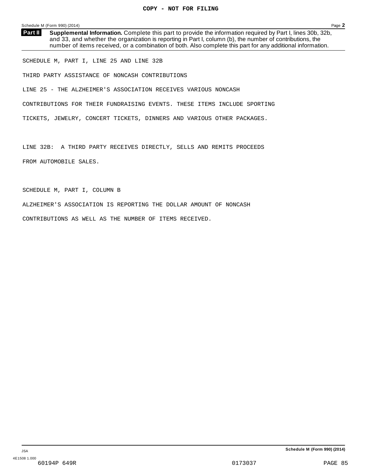**Supplemental Information.** Complete this part to provide the information required by Part I, lines 30b, 32b, and 33, and whether the organization is reporting in Part I, column (b), the number of contributions, the number of items received, or a combination of both. Also complete this part for any additional information. **Part II**

SCHEDULE M, PART I, LINE 25 AND LINE 32B

THIRD PARTY ASSISTANCE OF NONCASH CONTRIBUTIONS

LINE 25 - THE ALZHEIMER'S ASSOCIATION RECEIVES VARIOUS NONCASH

CONTRIBUTIONS FOR THEIR FUNDRAISING EVENTS. THESE ITEMS INCLUDE SPORTING

TICKETS, JEWELRY, CONCERT TICKETS, DINNERS AND VARIOUS OTHER PACKAGES.

LINE 32B: A THIRD PARTY RECEIVES DIRECTLY, SELLS AND REMITS PROCEEDS FROM AUTOMOBILE SALES.

SCHEDULE M, PART I, COLUMN B

ALZHEIMER'S ASSOCIATION IS REPORTING THE DOLLAR AMOUNT OF NONCASH CONTRIBUTIONS AS WELL AS THE NUMBER OF ITEMS RECEIVED.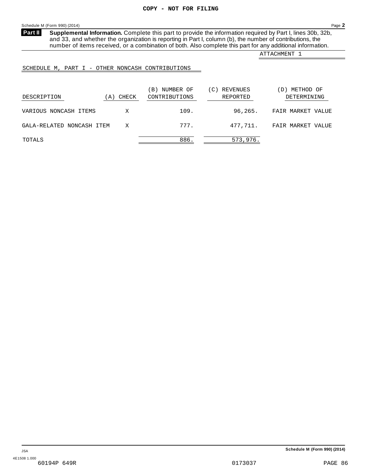<span id="page-87-0"></span>**Supplemental Information.** Complete this part to provide the information required by Part I, lines 30b, 32b, and 33, and whether the organization is reporting in Part I, column (b), the number of contributions, the number of items received, or a combination of both. Also complete this part for any additional information. **Part II**

ATTACHMENT 1

SCHEDULE M, PART I - OTHER NONCASH CONTRIBUTIONS

| DESCRIPTION               | CHECK<br>(A) | (B) NUMBER OF<br>CONTRIBUTIONS | REVENUES<br>(C)<br>REPORTED | METHOD OF<br>D)<br>DETERMINING |
|---------------------------|--------------|--------------------------------|-----------------------------|--------------------------------|
| VARIOUS NONCASH ITEMS     | X            | 109.                           | 96,265.                     | FAIR MARKET VALUE              |
| GALA-RELATED NONCASH ITEM | X            | 777.                           | 477.711.                    | FAIR MARKET VALUE              |
| TOTALS                    |              | 886.                           | 573,976.                    |                                |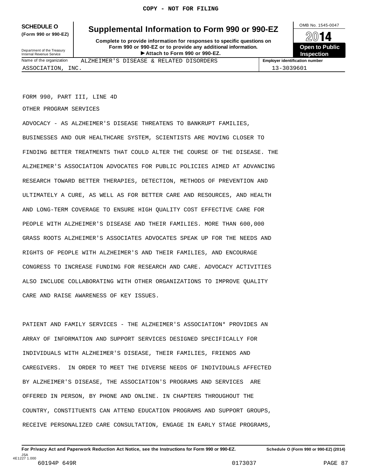## **(Form 990 or 990-EZ)**

### **SCHEDULE O** Supplemental Information to Form 990 or 990-EZ  $\frac{100\text{dB No. }1545-0047}{\text{O}}$

**Complete to provide information for responses to specific questions on Form 990 or 990-EZ or to provide any additional information.** Fristendon for responses to specific questions on<br>
10-EZ or to provide any additional information.<br>
Attach to Form 990 or 990-EZ.<br>
Attach to Form 990 or 990-EZ. Department of the Treasury Internal Revenue Service I



ASSOCIATION, INC. 13-3039601

Name of the organization **ALZHEIMER'S DISEASE & RELATED DISORDERS Fig. 1 Employer identification number** 

FORM 990, PART III, LINE 4D

OTHER PROGRAM SERVICES

ADVOCACY - AS ALZHEIMER'S DISEASE THREATENS TO BANKRUPT FAMILIES, BUSINESSES AND OUR HEALTHCARE SYSTEM, SCIENTISTS ARE MOVING CLOSER TO FINDING BETTER TREATMENTS THAT COULD ALTER THE COURSE OF THE DISEASE. THE ALZHEIMER'S ASSOCIATION ADVOCATES FOR PUBLIC POLICIES AIMED AT ADVANCING RESEARCH TOWARD BETTER THERAPIES, DETECTION, METHODS OF PREVENTION AND ULTIMATELY A CURE, AS WELL AS FOR BETTER CARE AND RESOURCES, AND HEALTH AND LONG-TERM COVERAGE TO ENSURE HIGH QUALITY COST EFFECTIVE CARE FOR PEOPLE WITH ALZHEIMER'S DISEASE AND THEIR FAMILIES. MORE THAN 600,000 GRASS ROOTS ALZHEIMER'S ASSOCIATES ADVOCATES SPEAK UP FOR THE NEEDS AND RIGHTS OF PEOPLE WITH ALZHEIMER'S AND THEIR FAMILIES, AND ENCOURAGE CONGRESS TO INCREASE FUNDING FOR RESEARCH AND CARE. ADVOCACY ACTIVITIES ALSO INCLUDE COLLABORATING WITH OTHER ORGANIZATIONS TO IMPROVE QUALITY CARE AND RAISE AWARENESS OF KEY ISSUES.

PATIENT AND FAMILY SERVICES - THE ALZHEIMER'S ASSOCIATION\* PROVIDES AN ARRAY OF INFORMATION AND SUPPORT SERVICES DESIGNED SPECIFICALLY FOR INDIVIDUALS WITH ALZHEIMER'S DISEASE, THEIR FAMILIES, FRIENDS AND CAREGIVERS. IN ORDER TO MEET THE DIVERSE NEEDS OF INDIVIDUALS AFFECTED BY ALZHEIMER'S DISEASE, THE ASSOCIATION'S PROGRAMS AND SERVICES ARE OFFERED IN PERSON, BY PHONE AND ONLINE. IN CHAPTERS THROUGHOUT THE COUNTRY, CONSTITUENTS CAN ATTEND EDUCATION PROGRAMS AND SUPPORT GROUPS, RECEIVE PERSONALIZED CARE CONSULTATION, ENGAGE IN EARLY STAGE PROGRAMS,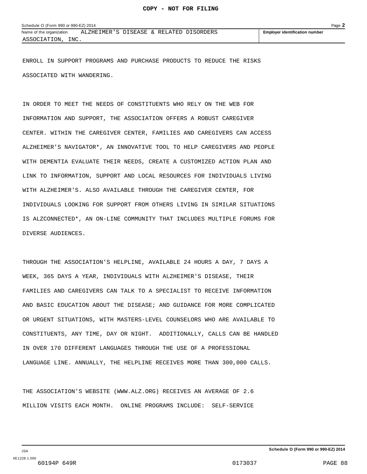ENROLL IN SUPPORT PROGRAMS AND PURCHASE PRODUCTS TO REDUCE THE RISKS ASSOCIATED WITH WANDERING.

IN ORDER TO MEET THE NEEDS OF CONSTITUENTS WHO RELY ON THE WEB FOR INFORMATION AND SUPPORT, THE ASSOCIATION OFFERS A ROBUST CAREGIVER CENTER. WITHIN THE CAREGIVER CENTER, FAMILIES AND CAREGIVERS CAN ACCESS ALZHEIMER'S NAVIGATOR\*, AN INNOVATIVE TOOL TO HELP CAREGIVERS AND PEOPLE WITH DEMENTIA EVALUATE THEIR NEEDS, CREATE A CUSTOMIZED ACTION PLAN AND LINK TO INFORMATION, SUPPORT AND LOCAL RESOURCES FOR INDIVIDUALS LIVING WITH ALZHEIMER'S. ALSO AVAILABLE THROUGH THE CAREGIVER CENTER, FOR INDIVIDUALS LOOKING FOR SUPPORT FROM OTHERS LIVING IN SIMILAR SITUATIONS IS ALZCONNECTED\*, AN ON-LINE COMMUNITY THAT INCLUDES MULTIPLE FORUMS FOR DIVERSE AUDIENCES.

THROUGH THE ASSOCIATION'S HELPLINE, AVAILABLE 24 HOURS A DAY, 7 DAYS A WEEK, 365 DAYS A YEAR, INDIVIDUALS WITH ALZHEIMER'S DISEASE, THEIR FAMILIES AND CAREGIVERS CAN TALK TO A SPECIALIST TO RECEIVE INFORMATION AND BASIC EDUCATION ABOUT THE DISEASE; AND GUIDANCE FOR MORE COMPLICATED OR URGENT SITUATIONS, WITH MASTERS-LEVEL COUNSELORS WHO ARE AVAILABLE TO CONSTITUENTS, ANY TIME, DAY OR NIGHT. ADDITIONALLY, CALLS CAN BE HANDLED IN OVER 170 DIFFERENT LANGUAGES THROUGH THE USE OF A PROFESSIONAL LANGUAGE LINE. ANNUALLY, THE HELPLINE RECEIVES MORE THAN 300,000 CALLS.

THE ASSOCIATION'S WEBSITE (WWW.ALZ.ORG) RECEIVES AN AVERAGE OF 2.6 MILLION VISITS EACH MONTH. ONLINE PROGRAMS INCLUDE: SELF-SERVICE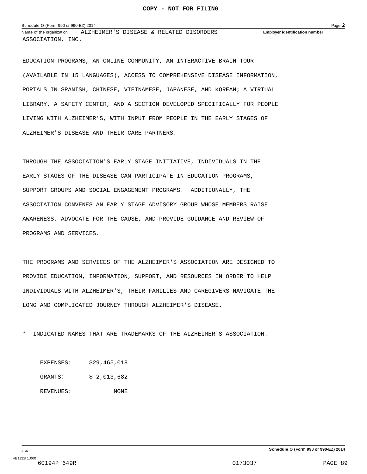| Schedule O (Form 990 or 990-EZ) 2014 |                                         |  |  |  |                                       | Page $\blacktriangle$ |
|--------------------------------------|-----------------------------------------|--|--|--|---------------------------------------|-----------------------|
| Name of the organization             | ALZHEIMER'S DISEASE & RELATED DISORDERS |  |  |  | <b>Employer identification number</b> |                       |
| INC.<br>ASSOCIATION,                 |                                         |  |  |  |                                       |                       |

EDUCATION PROGRAMS, AN ONLINE COMMUNITY, AN INTERACTIVE BRAIN TOUR (AVAILABLE IN 15 LANGUAGES), ACCESS TO COMPREHENSIVE DISEASE INFORMATION, PORTALS IN SPANISH, CHINESE, VIETNAMESE, JAPANESE, AND KOREAN; A VIRTUAL LIBRARY, A SAFETY CENTER, AND A SECTION DEVELOPED SPECIFICALLY FOR PEOPLE LIVING WITH ALZHEIMER'S, WITH INPUT FROM PEOPLE IN THE EARLY STAGES OF ALZHEIMER'S DISEASE AND THEIR CARE PARTNERS.

THROUGH THE ASSOCIATION'S EARLY STAGE INITIATIVE, INDIVIDUALS IN THE EARLY STAGES OF THE DISEASE CAN PARTICIPATE IN EDUCATION PROGRAMS, SUPPORT GROUPS AND SOCIAL ENGAGEMENT PROGRAMS. ADDITIONALLY, THE ASSOCIATION CONVENES AN EARLY STAGE ADVISORY GROUP WHOSE MEMBERS RAISE AWARENESS, ADVOCATE FOR THE CAUSE, AND PROVIDE GUIDANCE AND REVIEW OF PROGRAMS AND SERVICES.

THE PROGRAMS AND SERVICES OF THE ALZHEIMER'S ASSOCIATION ARE DESIGNED TO PROVIDE EDUCATION, INFORMATION, SUPPORT, AND RESOURCES IN ORDER TO HELP INDIVIDUALS WITH ALZHEIMER'S, THEIR FAMILIES AND CAREGIVERS NAVIGATE THE LONG AND COMPLICATED JOURNEY THROUGH ALZHEIMER'S DISEASE.

INDICATED NAMES THAT ARE TRADEMARKS OF THE ALZHEIMER'S ASSOCIATION.

EXPENSES: \$29,465,018 GRANTS: \$ 2,013,682 REVENUES: NONE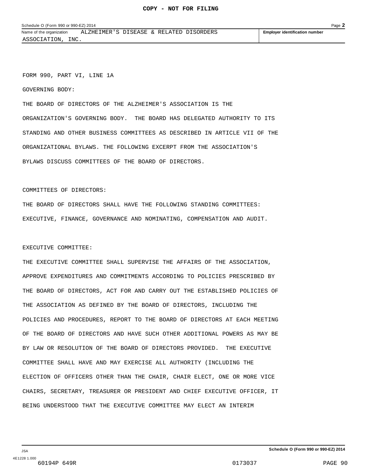FORM 990, PART VI, LINE 1A

GOVERNING BODY:

THE BOARD OF DIRECTORS OF THE ALZHEIMER'S ASSOCIATION IS THE ORGANIZATION'S GOVERNING BODY. THE BOARD HAS DELEGATED AUTHORITY TO ITS STANDING AND OTHER BUSINESS COMMITTEES AS DESCRIBED IN ARTICLE VII OF THE ORGANIZATIONAL BYLAWS. THE FOLLOWING EXCERPT FROM THE ASSOCIATION'S BYLAWS DISCUSS COMMITTEES OF THE BOARD OF DIRECTORS.

#### COMMITTEES OF DIRECTORS:

THE BOARD OF DIRECTORS SHALL HAVE THE FOLLOWING STANDING COMMITTEES: EXECUTIVE, FINANCE, GOVERNANCE AND NOMINATING, COMPENSATION AND AUDIT.

#### EXECUTIVE COMMITTEE:

THE EXECUTIVE COMMITTEE SHALL SUPERVISE THE AFFAIRS OF THE ASSOCIATION, APPROVE EXPENDITURES AND COMMITMENTS ACCORDING TO POLICIES PRESCRIBED BY THE BOARD OF DIRECTORS, ACT FOR AND CARRY OUT THE ESTABLISHED POLICIES OF THE ASSOCIATION AS DEFINED BY THE BOARD OF DIRECTORS, INCLUDING THE POLICIES AND PROCEDURES, REPORT TO THE BOARD OF DIRECTORS AT EACH MEETING OF THE BOARD OF DIRECTORS AND HAVE SUCH OTHER ADDITIONAL POWERS AS MAY BE BY LAW OR RESOLUTION OF THE BOARD OF DIRECTORS PROVIDED. THE EXECUTIVE COMMITTEE SHALL HAVE AND MAY EXERCISE ALL AUTHORITY (INCLUDING THE ELECTION OF OFFICERS OTHER THAN THE CHAIR, CHAIR ELECT, ONE OR MORE VICE CHAIRS, SECRETARY, TREASURER OR PRESIDENT AND CHIEF EXECUTIVE OFFICER, IT BEING UNDERSTOOD THAT THE EXECUTIVE COMMITTEE MAY ELECT AN INTERIM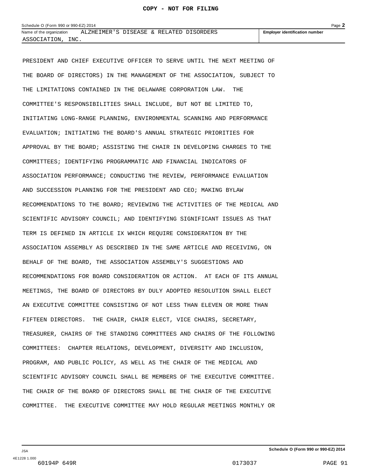| Schedule O (Form 990 or 990-EZ) 2014 |                                         |  |  |  | Page $\blacktriangle$                 |  |
|--------------------------------------|-----------------------------------------|--|--|--|---------------------------------------|--|
| Name of the organization             | ALZHEIMER'S DISEASE & RELATED DISORDERS |  |  |  | <b>Employer identification number</b> |  |
| INC.<br>ASSOCIATION,                 |                                         |  |  |  |                                       |  |

PRESIDENT AND CHIEF EXECUTIVE OFFICER TO SERVE UNTIL THE NEXT MEETING OF

THE BOARD OF DIRECTORS) IN THE MANAGEMENT OF THE ASSOCIATION, SUBJECT TO THE LIMITATIONS CONTAINED IN THE DELAWARE CORPORATION LAW. THE COMMITTEE'S RESPONSIBILITIES SHALL INCLUDE, BUT NOT BE LIMITED TO, INITIATING LONG-RANGE PLANNING, ENVIRONMENTAL SCANNING AND PERFORMANCE EVALUATION; INITIATING THE BOARD'S ANNUAL STRATEGIC PRIORITIES FOR APPROVAL BY THE BOARD; ASSISTING THE CHAIR IN DEVELOPING CHARGES TO THE COMMITTEES; IDENTIFYING PROGRAMMATIC AND FINANCIAL INDICATORS OF ASSOCIATION PERFORMANCE; CONDUCTING THE REVIEW, PERFORMANCE EVALUATION AND SUCCESSION PLANNING FOR THE PRESIDENT AND CEO; MAKING BYLAW RECOMMENDATIONS TO THE BOARD; REVIEWING THE ACTIVITIES OF THE MEDICAL AND SCIENTIFIC ADVISORY COUNCIL; AND IDENTIFYING SIGNIFICANT ISSUES AS THAT TERM IS DEFINED IN ARTICLE IX WHICH REQUIRE CONSIDERATION BY THE ASSOCIATION ASSEMBLY AS DESCRIBED IN THE SAME ARTICLE AND RECEIVING, ON BEHALF OF THE BOARD, THE ASSOCIATION ASSEMBLY'S SUGGESTIONS AND RECOMMENDATIONS FOR BOARD CONSIDERATION OR ACTION. AT EACH OF ITS ANNUAL MEETINGS, THE BOARD OF DIRECTORS BY DULY ADOPTED RESOLUTION SHALL ELECT AN EXECUTIVE COMMITTEE CONSISTING OF NOT LESS THAN ELEVEN OR MORE THAN FIFTEEN DIRECTORS. THE CHAIR, CHAIR ELECT, VICE CHAIRS, SECRETARY, TREASURER, CHAIRS OF THE STANDING COMMITTEES AND CHAIRS OF THE FOLLOWING COMMITTEES: CHAPTER RELATIONS, DEVELOPMENT, DIVERSITY AND INCLUSION, PROGRAM, AND PUBLIC POLICY, AS WELL AS THE CHAIR OF THE MEDICAL AND SCIENTIFIC ADVISORY COUNCIL SHALL BE MEMBERS OF THE EXECUTIVE COMMITTEE. THE CHAIR OF THE BOARD OF DIRECTORS SHALL BE THE CHAIR OF THE EXECUTIVE COMMITTEE. THE EXECUTIVE COMMITTEE MAY HOLD REGULAR MEETINGS MONTHLY OR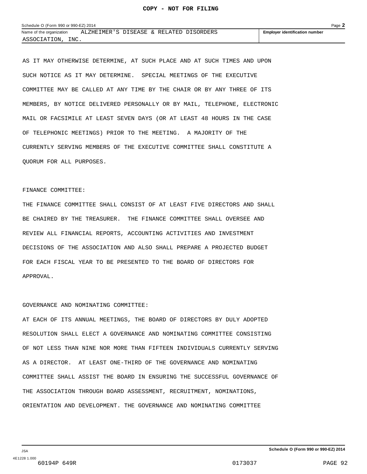| Schedule O (Form 990 or 990-EZ) 2014 |                                         |  |  |  |                                       | Page $\blacktriangle$ |
|--------------------------------------|-----------------------------------------|--|--|--|---------------------------------------|-----------------------|
| Name of the organization             | ALZHEIMER'S DISEASE & RELATED DISORDERS |  |  |  | <b>Employer identification number</b> |                       |
| INC.<br>ASSOCIATION                  |                                         |  |  |  |                                       |                       |

AS IT MAY OTHERWISE DETERMINE, AT SUCH PLACE AND AT SUCH TIMES AND UPON SUCH NOTICE AS IT MAY DETERMINE. SPECIAL MEETINGS OF THE EXECUTIVE COMMITTEE MAY BE CALLED AT ANY TIME BY THE CHAIR OR BY ANY THREE OF ITS MEMBERS, BY NOTICE DELIVERED PERSONALLY OR BY MAIL, TELEPHONE, ELECTRONIC MAIL OR FACSIMILE AT LEAST SEVEN DAYS (OR AT LEAST 48 HOURS IN THE CASE OF TELEPHONIC MEETINGS) PRIOR TO THE MEETING. A MAJORITY OF THE CURRENTLY SERVING MEMBERS OF THE EXECUTIVE COMMITTEE SHALL CONSTITUTE A QUORUM FOR ALL PURPOSES.

#### FINANCE COMMITTEE:

THE FINANCE COMMITTEE SHALL CONSIST OF AT LEAST FIVE DIRECTORS AND SHALL BE CHAIRED BY THE TREASURER. THE FINANCE COMMITTEE SHALL OVERSEE AND REVIEW ALL FINANCIAL REPORTS, ACCOUNTING ACTIVITIES AND INVESTMENT DECISIONS OF THE ASSOCIATION AND ALSO SHALL PREPARE A PROJECTED BUDGET FOR EACH FISCAL YEAR TO BE PRESENTED TO THE BOARD OF DIRECTORS FOR APPROVAL.

#### GOVERNANCE AND NOMINATING COMMITTEE:

AT EACH OF ITS ANNUAL MEETINGS, THE BOARD OF DIRECTORS BY DULY ADOPTED RESOLUTION SHALL ELECT A GOVERNANCE AND NOMINATING COMMITTEE CONSISTING OF NOT LESS THAN NINE NOR MORE THAN FIFTEEN INDIVIDUALS CURRENTLY SERVING AS A DIRECTOR. AT LEAST ONE-THIRD OF THE GOVERNANCE AND NOMINATING COMMITTEE SHALL ASSIST THE BOARD IN ENSURING THE SUCCESSFUL GOVERNANCE OF THE ASSOCIATION THROUGH BOARD ASSESSMENT, RECRUITMENT, NOMINATIONS, ORIENTATION AND DEVELOPMENT. THE GOVERNANCE AND NOMINATING COMMITTEE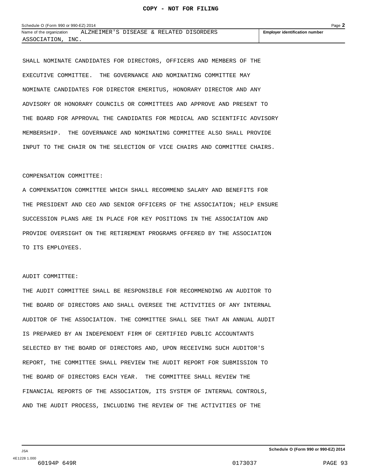| Schedule O (Form 990 or 990-EZ) 2014 |                                         |  |  |  |  | Page $\blacktriangle$                 |  |
|--------------------------------------|-----------------------------------------|--|--|--|--|---------------------------------------|--|
| Name of the organization             | ALZHEIMER'S DISEASE & RELATED DISORDERS |  |  |  |  | <b>Employer identification number</b> |  |
| INC.<br>ASSOCIATION                  |                                         |  |  |  |  |                                       |  |

SHALL NOMINATE CANDIDATES FOR DIRECTORS, OFFICERS AND MEMBERS OF THE EXECUTIVE COMMITTEE. THE GOVERNANCE AND NOMINATING COMMITTEE MAY NOMINATE CANDIDATES FOR DIRECTOR EMERITUS, HONORARY DIRECTOR AND ANY ADVISORY OR HONORARY COUNCILS OR COMMITTEES AND APPROVE AND PRESENT TO THE BOARD FOR APPROVAL THE CANDIDATES FOR MEDICAL AND SCIENTIFIC ADVISORY MEMBERSHIP. THE GOVERNANCE AND NOMINATING COMMITTEE ALSO SHALL PROVIDE INPUT TO THE CHAIR ON THE SELECTION OF VICE CHAIRS AND COMMITTEE CHAIRS.

#### COMPENSATION COMMITTEE:

A COMPENSATION COMMITTEE WHICH SHALL RECOMMEND SALARY AND BENEFITS FOR THE PRESIDENT AND CEO AND SENIOR OFFICERS OF THE ASSOCIATION; HELP ENSURE SUCCESSION PLANS ARE IN PLACE FOR KEY POSITIONS IN THE ASSOCIATION AND PROVIDE OVERSIGHT ON THE RETIREMENT PROGRAMS OFFERED BY THE ASSOCIATION TO ITS EMPLOYEES.

#### AUDIT COMMITTEE:

THE AUDIT COMMITTEE SHALL BE RESPONSIBLE FOR RECOMMENDING AN AUDITOR TO THE BOARD OF DIRECTORS AND SHALL OVERSEE THE ACTIVITIES OF ANY INTERNAL AUDITOR OF THE ASSOCIATION. THE COMMITTEE SHALL SEE THAT AN ANNUAL AUDIT IS PREPARED BY AN INDEPENDENT FIRM OF CERTIFIED PUBLIC ACCOUNTANTS SELECTED BY THE BOARD OF DIRECTORS AND, UPON RECEIVING SUCH AUDITOR'S REPORT, THE COMMITTEE SHALL PREVIEW THE AUDIT REPORT FOR SUBMISSION TO THE BOARD OF DIRECTORS EACH YEAR. THE COMMITTEE SHALL REVIEW THE FINANCIAL REPORTS OF THE ASSOCIATION, ITS SYSTEM OF INTERNAL CONTROLS, AND THE AUDIT PROCESS, INCLUDING THE REVIEW OF THE ACTIVITIES OF THE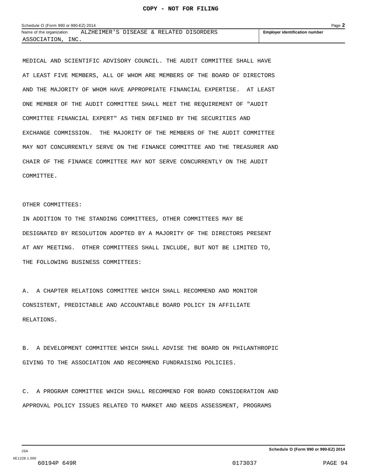| Schedule O (Form 990 or 990-EZ) 2014 |                                         |  |  |  |                                       | Page $\blacktriangle$ |
|--------------------------------------|-----------------------------------------|--|--|--|---------------------------------------|-----------------------|
| Name of the organization             | ALZHEIMER'S DISEASE & RELATED DISORDERS |  |  |  | <b>Employer identification number</b> |                       |
| INC.<br>ASSOCIATION                  |                                         |  |  |  |                                       |                       |

MEDICAL AND SCIENTIFIC ADVISORY COUNCIL. THE AUDIT COMMITTEE SHALL HAVE AT LEAST FIVE MEMBERS, ALL OF WHOM ARE MEMBERS OF THE BOARD OF DIRECTORS AND THE MAJORITY OF WHOM HAVE APPROPRIATE FINANCIAL EXPERTISE. AT LEAST ONE MEMBER OF THE AUDIT COMMITTEE SHALL MEET THE REQUIREMENT OF "AUDIT COMMITTEE FINANCIAL EXPERT" AS THEN DEFINED BY THE SECURITIES AND EXCHANGE COMMISSION. THE MAJORITY OF THE MEMBERS OF THE AUDIT COMMITTEE MAY NOT CONCURRENTLY SERVE ON THE FINANCE COMMITTEE AND THE TREASURER AND CHAIR OF THE FINANCE COMMITTEE MAY NOT SERVE CONCURRENTLY ON THE AUDIT COMMITTEE.

OTHER COMMITTEES:

IN ADDITION TO THE STANDING COMMITTEES, OTHER COMMITTEES MAY BE DESIGNATED BY RESOLUTION ADOPTED BY A MAJORITY OF THE DIRECTORS PRESENT AT ANY MEETING. OTHER COMMITTEES SHALL INCLUDE, BUT NOT BE LIMITED TO, THE FOLLOWING BUSINESS COMMITTEES:

A. A CHAPTER RELATIONS COMMITTEE WHICH SHALL RECOMMEND AND MONITOR CONSISTENT, PREDICTABLE AND ACCOUNTABLE BOARD POLICY IN AFFILIATE RELATIONS.

B. A DEVELOPMENT COMMITTEE WHICH SHALL ADVISE THE BOARD ON PHILANTHROPIC GIVING TO THE ASSOCIATION AND RECOMMEND FUNDRAISING POLICIES.

C. A PROGRAM COMMITTEE WHICH SHALL RECOMMEND FOR BOARD CONSIDERATION AND APPROVAL POLICY ISSUES RELATED TO MARKET AND NEEDS ASSESSMENT, PROGRAMS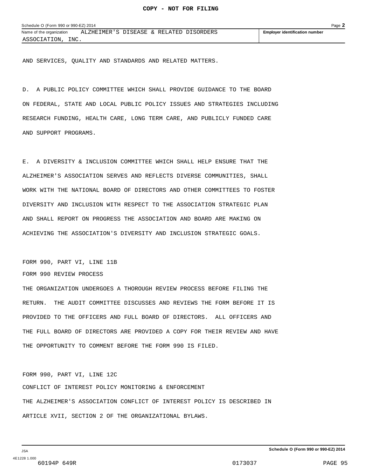AND SERVICES, QUALITY AND STANDARDS AND RELATED MATTERS.

D. A PUBLIC POLICY COMMITTEE WHICH SHALL PROVIDE GUIDANCE TO THE BOARD ON FEDERAL, STATE AND LOCAL PUBLIC POLICY ISSUES AND STRATEGIES INCLUDING RESEARCH FUNDING, HEALTH CARE, LONG TERM CARE, AND PUBLICLY FUNDED CARE AND SUPPORT PROGRAMS.

E. A DIVERSITY & INCLUSION COMMITTEE WHICH SHALL HELP ENSURE THAT THE ALZHEIMER'S ASSOCIATION SERVES AND REFLECTS DIVERSE COMMUNITIES, SHALL WORK WITH THE NATIONAL BOARD OF DIRECTORS AND OTHER COMMITTEES TO FOSTER DIVERSITY AND INCLUSION WITH RESPECT TO THE ASSOCIATION STRATEGIC PLAN AND SHALL REPORT ON PROGRESS THE ASSOCIATION AND BOARD ARE MAKING ON ACHIEVING THE ASSOCIATION'S DIVERSITY AND INCLUSION STRATEGIC GOALS.

FORM 990, PART VI, LINE 11B

FORM 990 REVIEW PROCESS

THE ORGANIZATION UNDERGOES A THOROUGH REVIEW PROCESS BEFORE FILING THE RETURN. THE AUDIT COMMITTEE DISCUSSES AND REVIEWS THE FORM BEFORE IT IS PROVIDED TO THE OFFICERS AND FULL BOARD OF DIRECTORS. ALL OFFICERS AND THE FULL BOARD OF DIRECTORS ARE PROVIDED A COPY FOR THEIR REVIEW AND HAVE THE OPPORTUNITY TO COMMENT BEFORE THE FORM 990 IS FILED.

FORM 990, PART VI, LINE 12C CONFLICT OF INTEREST POLICY MONITORING & ENFORCEMENT THE ALZHEIMER'S ASSOCIATION CONFLICT OF INTEREST POLICY IS DESCRIBED IN ARTICLE XVII, SECTION 2 OF THE ORGANIZATIONAL BYLAWS.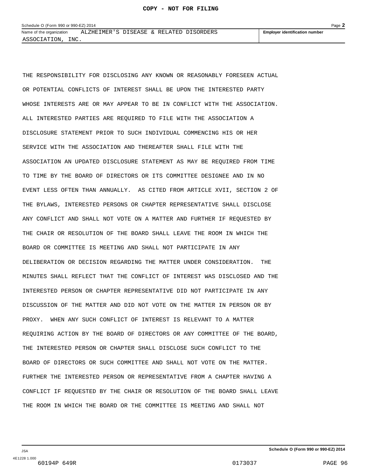THE RESPONSIBILITY FOR DISCLOSING ANY KNOWN OR REASONABLY FORESEEN ACTUAL OR POTENTIAL CONFLICTS OF INTEREST SHALL BE UPON THE INTERESTED PARTY WHOSE INTERESTS ARE OR MAY APPEAR TO BE IN CONFLICT WITH THE ASSOCIATION. ALL INTERESTED PARTIES ARE REQUIRED TO FILE WITH THE ASSOCIATION A DISCLOSURE STATEMENT PRIOR TO SUCH INDIVIDUAL COMMENCING HIS OR HER SERVICE WITH THE ASSOCIATION AND THEREAFTER SHALL FILE WITH THE ASSOCIATION AN UPDATED DISCLOSURE STATEMENT AS MAY BE REQUIRED FROM TIME TO TIME BY THE BOARD OF DIRECTORS OR ITS COMMITTEE DESIGNEE AND IN NO EVENT LESS OFTEN THAN ANNUALLY. AS CITED FROM ARTICLE XVII, SECTION 2 OF THE BYLAWS, INTERESTED PERSONS OR CHAPTER REPRESENTATIVE SHALL DISCLOSE ANY CONFLICT AND SHALL NOT VOTE ON A MATTER AND FURTHER IF REQUESTED BY THE CHAIR OR RESOLUTION OF THE BOARD SHALL LEAVE THE ROOM IN WHICH THE BOARD OR COMMITTEE IS MEETING AND SHALL NOT PARTICIPATE IN ANY DELIBERATION OR DECISION REGARDING THE MATTER UNDER CONSIDERATION. THE MINUTES SHALL REFLECT THAT THE CONFLICT OF INTEREST WAS DISCLOSED AND THE INTERESTED PERSON OR CHAPTER REPRESENTATIVE DID NOT PARTICIPATE IN ANY DISCUSSION OF THE MATTER AND DID NOT VOTE ON THE MATTER IN PERSON OR BY PROXY. WHEN ANY SUCH CONFLICT OF INTEREST IS RELEVANT TO A MATTER REQUIRING ACTION BY THE BOARD OF DIRECTORS OR ANY COMMITTEE OF THE BOARD, THE INTERESTED PERSON OR CHAPTER SHALL DISCLOSE SUCH CONFLICT TO THE BOARD OF DIRECTORS OR SUCH COMMITTEE AND SHALL NOT VOTE ON THE MATTER. FURTHER THE INTERESTED PERSON OR REPRESENTATIVE FROM A CHAPTER HAVING A CONFLICT IF REQUESTED BY THE CHAIR OR RESOLUTION OF THE BOARD SHALL LEAVE THE ROOM IN WHICH THE BOARD OR THE COMMITTEE IS MEETING AND SHALL NOT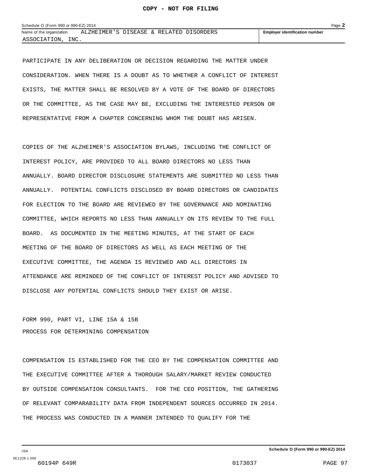| Schedule O (Form 990 or 990-EZ) 2014 |                                         |  |  |  |  | Page $\blacktriangle$                 |  |
|--------------------------------------|-----------------------------------------|--|--|--|--|---------------------------------------|--|
| Name of the organization             | ALZHEIMER'S DISEASE & RELATED DISORDERS |  |  |  |  | <b>Employer identification number</b> |  |
| INC.<br>ASSOCIATION                  |                                         |  |  |  |  |                                       |  |

PARTICIPATE IN ANY DELIBERATION OR DECISION REGARDING THE MATTER UNDER CONSIDERATION. WHEN THERE IS A DOUBT AS TO WHETHER A CONFLICT OF INTEREST EXISTS, THE MATTER SHALL BE RESOLVED BY A VOTE OF THE BOARD OF DIRECTORS OR THE COMMITTEE, AS THE CASE MAY BE, EXCLUDING THE INTERESTED PERSON OR REPRESENTATIVE FROM A CHAPTER CONCERNING WHOM THE DOUBT HAS ARISEN.

COPIES OF THE ALZHEIMER'S ASSOCIATION BYLAWS, INCLUDING THE CONFLICT OF INTEREST POLICY, ARE PROVIDED TO ALL BOARD DIRECTORS NO LESS THAN ANNUALLY. BOARD DIRECTOR DISCLOSURE STATEMENTS ARE SUBMITTED NO LESS THAN ANNUALLY. POTENTIAL CONFLICTS DISCLOSED BY BOARD DIRECTORS OR CANDIDATES FOR ELECTION TO THE BOARD ARE REVIEWED BY THE GOVERNANCE AND NOMINATING COMMITTEE, WHICH REPORTS NO LESS THAN ANNUALLY ON ITS REVIEW TO THE FULL BOARD. AS DOCUMENTED IN THE MEETING MINUTES, AT THE START OF EACH MEETING OF THE BOARD OF DIRECTORS AS WELL AS EACH MEETING OF THE EXECUTIVE COMMITTEE, THE AGENDA IS REVIEWED AND ALL DIRECTORS IN ATTENDANCE ARE REMINDED OF THE CONFLICT OF INTEREST POLICY AND ADVISED TO DISCLOSE ANY POTENTIAL CONFLICTS SHOULD THEY EXIST OR ARISE.

FORM 990, PART VI, LINE 15A & 15B PROCESS FOR DETERMINING COMPENSATION

COMPENSATION IS ESTABLISHED FOR THE CEO BY THE COMPENSATION COMMITTEE AND THE EXECUTIVE COMMITTEE AFTER A THOROUGH SALARY/MARKET REVIEW CONDUCTED BY OUTSIDE COMPENSATION CONSULTANTS. FOR THE CEO POSITION, THE GATHERING OF RELEVANT COMPARABILITY DATA FROM INDEPENDENT SOURCES OCCURRED IN 2014. THE PROCESS WAS CONDUCTED IN A MANNER INTENDED TO QUALIFY FOR THE

JSA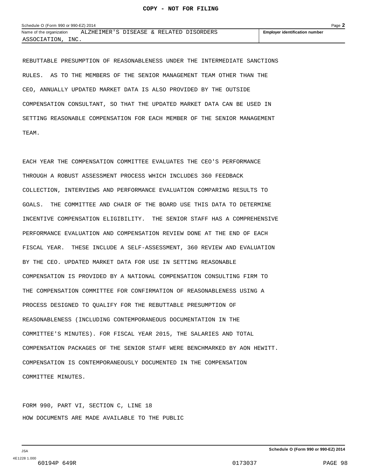| Schedule O (Form 990 or 990-EZ) 2014 |                     |  |          |         |           |                                       | Page $\blacktriangle$ |
|--------------------------------------|---------------------|--|----------|---------|-----------|---------------------------------------|-----------------------|
| Name of the organization             | ALZHEIMER'S DISEASE |  | $\kappa$ | RELATED | DISORDERS | <b>Employer identification number</b> |                       |
| INC.<br>ASSOCIATION                  |                     |  |          |         |           |                                       |                       |

REBUTTABLE PRESUMPTION OF REASONABLENESS UNDER THE INTERMEDIATE SANCTIONS RULES. AS TO THE MEMBERS OF THE SENIOR MANAGEMENT TEAM OTHER THAN THE CEO, ANNUALLY UPDATED MARKET DATA IS ALSO PROVIDED BY THE OUTSIDE COMPENSATION CONSULTANT, SO THAT THE UPDATED MARKET DATA CAN BE USED IN SETTING REASONABLE COMPENSATION FOR EACH MEMBER OF THE SENIOR MANAGEMENT TEAM.

EACH YEAR THE COMPENSATION COMMITTEE EVALUATES THE CEO'S PERFORMANCE THROUGH A ROBUST ASSESSMENT PROCESS WHICH INCLUDES 360 FEEDBACK COLLECTION, INTERVIEWS AND PERFORMANCE EVALUATION COMPARING RESULTS TO GOALS. THE COMMITTEE AND CHAIR OF THE BOARD USE THIS DATA TO DETERMINE INCENTIVE COMPENSATION ELIGIBILITY. THE SENIOR STAFF HAS A COMPREHENSIVE PERFORMANCE EVALUATION AND COMPENSATION REVIEW DONE AT THE END OF EACH FISCAL YEAR. THESE INCLUDE A SELF-ASSESSMENT, 360 REVIEW AND EVALUATION BY THE CEO. UPDATED MARKET DATA FOR USE IN SETTING REASONABLE COMPENSATION IS PROVIDED BY A NATIONAL COMPENSATION CONSULTING FIRM TO THE COMPENSATION COMMITTEE FOR CONFIRMATION OF REASONABLENESS USING A PROCESS DESIGNED TO QUALIFY FOR THE REBUTTABLE PRESUMPTION OF REASONABLENESS (INCLUDING CONTEMPORANEOUS DOCUMENTATION IN THE COMMITTEE'S MINUTES). FOR FISCAL YEAR 2015, THE SALARIES AND TOTAL COMPENSATION PACKAGES OF THE SENIOR STAFF WERE BENCHMARKED BY AON HEWITT. COMPENSATION IS CONTEMPORANEOUSLY DOCUMENTED IN THE COMPENSATION COMMITTEE MINUTES.

FORM 990, PART VI, SECTION C, LINE 18 HOW DOCUMENTS ARE MADE AVAILABLE TO THE PUBLIC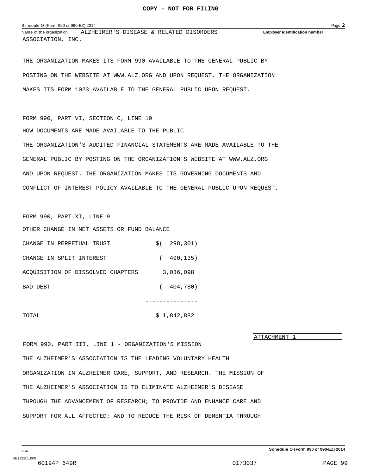THE ORGANIZATION MAKES ITS FORM 990 AVAILABLE TO THE GENERAL PUBLIC BY POSTING ON THE WEBSITE AT WWW.ALZ.ORG AND UPON REQUEST. THE ORGANIZATION MAKES ITS FORM 1023 AVAILABLE TO THE GENERAL PUBLIC UPON REQUEST.

FORM 990, PART VI, SECTION C, LINE 19 HOW DOCUMENTS ARE MADE AVAILABLE TO THE PUBLIC THE ORGANIZATION'S AUDITED FINANCIAL STATEMENTS ARE MADE AVAILABLE TO THE GENERAL PUBLIC BY POSTING ON THE ORGANIZATION'S WEBSITE AT WWW.ALZ.ORG AND UPON REQUEST. THE ORGANIZATION MAKES ITS GOVERNING DOCUMENTS AND CONFLICT OF INTEREST POLICY AVAILABLE TO THE GENERAL PUBLIC UPON REQUEST.

FORM 990, PART XI, LINE 9

OTHER CHANGE IN NET ASSETS OR FUND BALANCE

| CHANGE IN PERPETUAL TRUST         | \$() 298, 301) |
|-----------------------------------|----------------|
| CHANGE IN SPLIT INTEREST          | 490,135)       |
| ACOUISITION OF DISSOLVED CHAPTERS | 3,036,098      |
| BAD DEBT                          | 404,780)       |
|                                   |                |
| TOTAL                             | \$1,842,882    |

ATTACHMENT 1

#### FORM 990, PART III, LINE 1 - ORGANIZATION'S MISSION

THE ALZHEIMER'S ASSOCIATION IS THE LEADING VOLUNTARY HEALTH ORGANIZATION IN ALZHEIMER CARE, SUPPORT, AND RESEARCH. THE MISSION OF THE ALZHEIMER'S ASSOCIATION IS TO ELIMINATE ALZHEIMER'S DISEASE THROUGH THE ADVANCEMENT OF RESEARCH; TO PROVIDE AND ENHANCE CARE AND SUPPORT FOR ALL AFFECTED; AND TO REDUCE THE RISK OF DEMENTIA THROUGH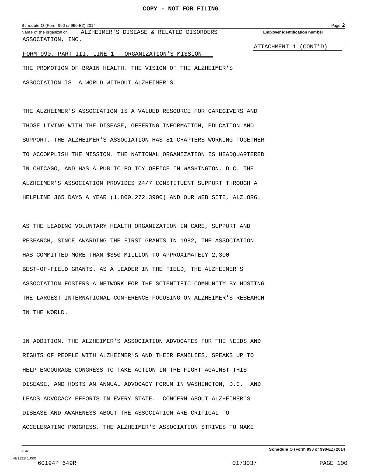Name of the organization **ALZHEIMER'S DISEASE & RELATED DISORDERS Fig. 1 Employer identification number** ASSOCIATION, INC.

ATTACHMENT 1 (CONT'D)

#### FORM 990, PART III, LINE 1 - ORGANIZATION'S MISSION

THE PROMOTION OF BRAIN HEALTH. THE VISION OF THE ALZHEIMER'S ASSOCIATION IS A WORLD WITHOUT ALZHEIMER'S.

THE ALZHEIMER'S ASSOCIATION IS A VALUED RESOURCE FOR CAREGIVERS AND THOSE LIVING WITH THE DISEASE, OFFERING INFORMATION, EDUCATION AND SUPPORT. THE ALZHEIMER'S ASSOCIATION HAS 81 CHAPTERS WORKING TOGETHER TO ACCOMPLISH THE MISSION. THE NATIONAL ORGANIZATION IS HEADQUARTERED IN CHICAGO, AND HAS A PUBLIC POLICY OFFICE IN WASHINGTON, D.C. THE ALZHEIMER'S ASSOCIATION PROVIDES 24/7 CONSTITUENT SUPPORT THROUGH A HELPLINE 365 DAYS A YEAR (1.800.272.3900) AND OUR WEB SITE, ALZ.ORG.

AS THE LEADING VOLUNTARY HEALTH ORGANIZATION IN CARE, SUPPORT AND RESEARCH, SINCE AWARDING THE FIRST GRANTS IN 1982, THE ASSOCIATION HAS COMMITTED MORE THAN \$350 MILLION TO APPROXIMATELY 2,300 BEST-OF-FIELD GRANTS. AS A LEADER IN THE FIELD, THE ALZHEIMER'S ASSOCIATION FOSTERS A NETWORK FOR THE SCIENTIFIC COMMUNITY BY HOSTING THE LARGEST INTERNATIONAL CONFERENCE FOCUSING ON ALZHEIMER'S RESEARCH IN THE WORLD.

IN ADDITION, THE ALZHEIMER'S ASSOCIATION ADVOCATES FOR THE NEEDS AND RIGHTS OF PEOPLE WITH ALZHEIMER'S AND THEIR FAMILIES, SPEAKS UP TO HELP ENCOURAGE CONGRESS TO TAKE ACTION IN THE FIGHT AGAINST THIS DISEASE, AND HOSTS AN ANNUAL ADVOCACY FORUM IN WASHINGTON, D.C. AND LEADS ADVOCACY EFFORTS IN EVERY STATE. CONCERN ABOUT ALZHEIMER'S DISEASE AND AWARENESS ABOUT THE ASSOCIATION ARE CRITICAL TO ACCELERATING PROGRESS. THE ALZHEIMER'S ASSOCIATION STRIVES TO MAKE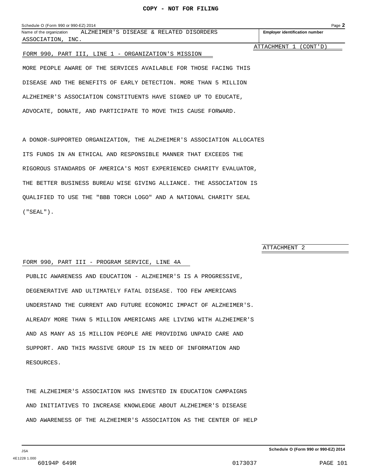| Schedule O (Form 990 or 990-EZ) 2014 |                                         |  |                                       | Page $\lambda$ |
|--------------------------------------|-----------------------------------------|--|---------------------------------------|----------------|
| Name of the organization             | ALZHEIMER'S DISEASE & RELATED DISORDERS |  | <b>Employer identification number</b> |                |
| ASSOCIATION,<br>INC.                 |                                         |  |                                       |                |
|                                      |                                         |  | ATTACHMENT 1<br>(CONT' D)             |                |

#### FORM 990, PART III, LINE 1 - ORGANIZATION'S MISSION

MORE PEOPLE AWARE OF THE SERVICES AVAILABLE FOR THOSE FACING THIS DISEASE AND THE BENEFITS OF EARLY DETECTION. MORE THAN 5 MILLION ALZHEIMER'S ASSOCIATION CONSTITUENTS HAVE SIGNED UP TO EDUCATE, ADVOCATE, DONATE, AND PARTICIPATE TO MOVE THIS CAUSE FORWARD.

A DONOR-SUPPORTED ORGANIZATION, THE ALZHEIMER'S ASSOCIATION ALLOCATES ITS FUNDS IN AN ETHICAL AND RESPONSIBLE MANNER THAT EXCEEDS THE RIGOROUS STANDARDS OF AMERICA'S MOST EXPERIENCED CHARITY EVALUATOR, THE BETTER BUSINESS BUREAU WISE GIVING ALLIANCE. THE ASSOCIATION IS QUALIFIED TO USE THE "BBB TORCH LOGO" AND A NATIONAL CHARITY SEAL ("SEAL").

ATTACHMENT 2

#### FORM 990, PART III - PROGRAM SERVICE, LINE 4A

PUBLIC AWARENESS AND EDUCATION - ALZHEIMER'S IS A PROGRESSIVE, DEGENERATIVE AND ULTIMATELY FATAL DISEASE. TOO FEW AMERICANS UNDERSTAND THE CURRENT AND FUTURE ECONOMIC IMPACT OF ALZHEIMER'S. ALREADY MORE THAN 5 MILLION AMERICANS ARE LIVING WITH ALZHEIMER'S AND AS MANY AS 15 MILLION PEOPLE ARE PROVIDING UNPAID CARE AND SUPPORT. AND THIS MASSIVE GROUP IS IN NEED OF INFORMATION AND RESOURCES.

THE ALZHEIMER'S ASSOCIATION HAS INVESTED IN EDUCATION CAMPAIGNS AND INITIATIVES TO INCREASE KNOWLEDGE ABOUT ALZHEIMER'S DISEASE AND AWARENESS OF THE ALZHEIMER'S ASSOCIATION AS THE CENTER OF HELP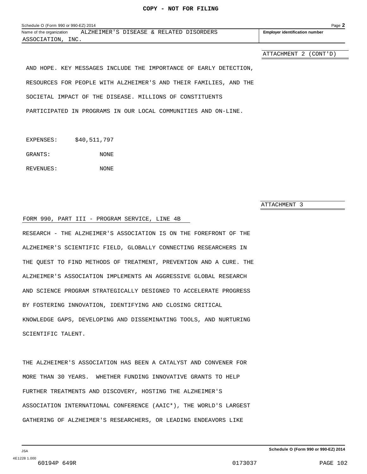ATTACHMENT 2 (CONT'D)

AND HOPE. KEY MESSAGES INCLUDE THE IMPORTANCE OF EARLY DETECTION, RESOURCES FOR PEOPLE WITH ALZHEIMER'S AND THEIR FAMILIES, AND THE SOCIETAL IMPACT OF THE DISEASE. MILLIONS OF CONSTITUENTS PARTICIPATED IN PROGRAMS IN OUR LOCAL COMMUNITIES AND ON-LINE.

EXPENSES: \$40,511,797

GRANTS: NONE

REVENUES: NONE

ATTACHMENT 3

#### FORM 990, PART III - PROGRAM SERVICE, LINE 4B

RESEARCH - THE ALZHEIMER'S ASSOCIATION IS ON THE FOREFRONT OF THE ALZHEIMER'S SCIENTIFIC FIELD, GLOBALLY CONNECTING RESEARCHERS IN THE QUEST TO FIND METHODS OF TREATMENT, PREVENTION AND A CURE. THE ALZHEIMER'S ASSOCIATION IMPLEMENTS AN AGGRESSIVE GLOBAL RESEARCH AND SCIENCE PROGRAM STRATEGICALLY DESIGNED TO ACCELERATE PROGRESS BY FOSTERING INNOVATION, IDENTIFYING AND CLOSING CRITICAL KNOWLEDGE GAPS, DEVELOPING AND DISSEMINATING TOOLS, AND NURTURING SCIENTIFIC TALENT.

THE ALZHEIMER'S ASSOCIATION HAS BEEN A CATALYST AND CONVENER FOR MORE THAN 30 YEARS. WHETHER FUNDING INNOVATIVE GRANTS TO HELP FURTHER TREATMENTS AND DISCOVERY, HOSTING THE ALZHEIMER'S ASSOCIATION INTERNATIONAL CONFERENCE (AAIC\*), THE WORLD'S LARGEST GATHERING OF ALZHEIMER'S RESEARCHERS, OR LEADING ENDEAVORS LIKE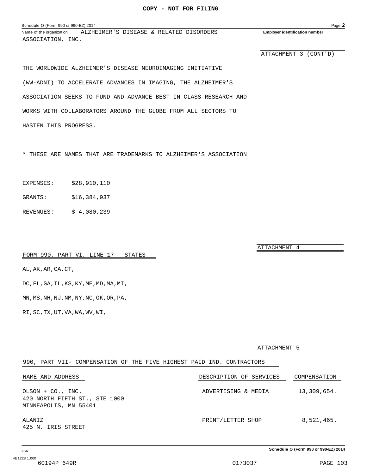| Schedule O (Form 990 or 990-EZ) 2014 |                               |  |           |                                       | $P$ age $\blacksquare$ |
|--------------------------------------|-------------------------------|--|-----------|---------------------------------------|------------------------|
| Name of the organization             | ALZHEIMER'S DISEASE & RELATED |  | DISORDERS | <b>Employer identification number</b> |                        |
| INC.<br>ASSOCIATION                  |                               |  |           |                                       |                        |

ATTACHMENT 3 (CONT'D)

THE WORLDWIDE ALZHEIMER'S DISEASE NEUROIMAGING INITIATIVE (WW-ADNI) TO ACCELERATE ADVANCES IN IMAGING, THE ALZHEIMER'S ASSOCIATION SEEKS TO FUND AND ADVANCE BEST-IN-CLASS RESEARCH AND WORKS WITH COLLABORATORS AROUND THE GLOBE FROM ALL SECTORS TO HASTEN THIS PROGRESS.

\* THESE ARE NAMES THAT ARE TRADEMARKS TO ALZHEIMER'S ASSOCIATION

| EXPENSES: | \$28,910,110 |
|-----------|--------------|
|-----------|--------------|

GRANTS: \$16,384,937

REVENUES: \$ 4,080,239

#### FORM 990, PART VI, LINE 17 - STATES

 $\mathtt{AL}$  ,  $\mathtt{AK}$  ,  $\mathtt{AR}$  ,  $\mathtt{CA}$  ,  $\mathtt{CT}$  ,

DC,FL,GA,IL,KS,KY,ME,MD,MA,MI,

MN,MS,NH,NJ,NM,NY,NC,OK,OR,PA,

RI,SC,TX,UT,VA,WA,WV,WI,

|                                                                       |                         | ATTACHMENT 5 |              |
|-----------------------------------------------------------------------|-------------------------|--------------|--------------|
|                                                                       |                         |              |              |
| 990, PART VII- COMPENSATION OF THE FIVE HIGHEST PAID IND. CONTRACTORS |                         |              |              |
| NAME AND ADDRESS                                                      | DESCRIPTION OF SERVICES |              | COMPENSATION |
| OLSON + CO., INC.                                                     | ADVERTISING & MEDIA     |              | 13,309,654.  |
| 420 NORTH FIFTH ST., STE 1000                                         |                         |              |              |
| MINNEAPOLIS, MN 55401                                                 |                         |              |              |
| ALANIZ                                                                | PRINT/LETTER SHOP       |              | 8,521,465.   |
| 425 N. IRIS STREET                                                    |                         |              |              |

ATTACHMENT 4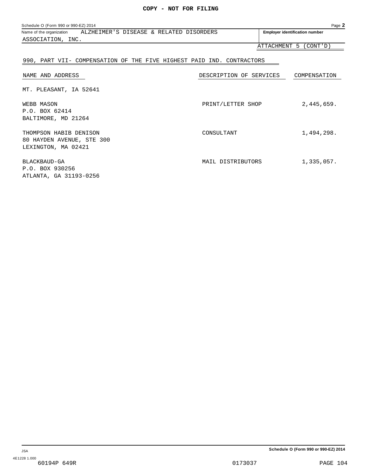| Schedule O (Form 990 or 990-EZ) 2014 |  |  |  |                                         |                                       |
|--------------------------------------|--|--|--|-----------------------------------------|---------------------------------------|
| Name of the organization             |  |  |  | ALZHEIMER'S DISEASE & RELATED DISORDERS | <b>Employer identification number</b> |
| INC.<br>ASSOCIATION,                 |  |  |  |                                         |                                       |
|                                      |  |  |  |                                         | ATTACHMENT 5<br>(CONT'D)              |

990, PART VII- COMPENSATION OF THE FIVE HIGHEST PAID IND. CONTRACTORS

| NAME AND ADDRESS                                                           | DESCRIPTION OF SERVICES | COMPENSATION |
|----------------------------------------------------------------------------|-------------------------|--------------|
| MT. PLEASANT, IA 52641                                                     |                         |              |
| WEBB MASON<br>P.O. BOX 62414<br>BALTIMORE, MD 21264                        | PRINT/LETTER SHOP       | 2,445,659.   |
| THOMPSON HABIB DENISON<br>80 HAYDEN AVENUE, STE 300<br>LEXINGTON, MA 02421 | CONSULTANT              | 1,494,298.   |
| BLACKBAUD-GA<br>P.O. BOX 930256<br>ATLANTA, GA 31193-0256                  | MAIL DISTRIBUTORS       | 1,335,057.   |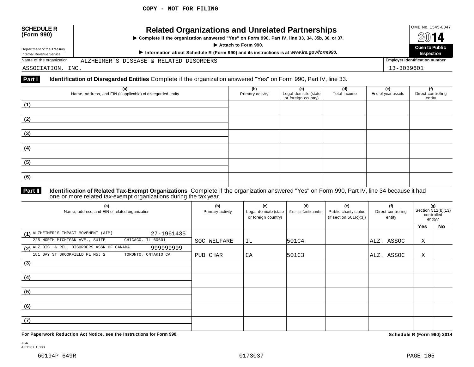| <b>SCHEDULE R</b><br>(Form 990)                                                                                     | <b>Related Organizations and Unrelated Partnerships</b><br>► Complete if the organization answered "Yes" on Form 990, Part IV, line 33, 34, 35b, 36, or 37. | OMB No. 1545-0047<br>2014             |
|---------------------------------------------------------------------------------------------------------------------|-------------------------------------------------------------------------------------------------------------------------------------------------------------|---------------------------------------|
| Attach to Form 990.<br>Department of the Treasury                                                                   |                                                                                                                                                             | Open to Public                        |
| Information about Schedule R (Form 990) and its instructions is at www.irs.gov/form990.<br>Internal Revenue Service |                                                                                                                                                             | Inspection                            |
| Name of the organization<br>ALZHEIMER'S DISEASE & RELATED DISORDERS                                                 |                                                                                                                                                             | <b>Employer identification number</b> |
|                                                                                                                     | ASSOCIATION, INC.                                                                                                                                           |                                       |
| Part I                                                                                                              | Identification of Disregarded Entities Complete if the organization answered "Yes" on Form 990, Part IV, line 33.                                           |                                       |

| ັ                                                                   |                         |                                                     |                     |                           |                                     |
|---------------------------------------------------------------------|-------------------------|-----------------------------------------------------|---------------------|---------------------------|-------------------------------------|
| (a)<br>Name, address, and EIN (if applicable) of disregarded entity | (b)<br>Primary activity | (c)<br>Legal domicile (state<br>or foreign country) | (d)<br>Total income | (e)<br>End-of-year assets | (f)<br>Direct controlling<br>entity |
| (1)                                                                 |                         |                                                     |                     |                           |                                     |
| (2)                                                                 |                         |                                                     |                     |                           |                                     |
| (3)                                                                 |                         |                                                     |                     |                           |                                     |
| (4)                                                                 |                         |                                                     |                     |                           |                                     |
| (5)                                                                 |                         |                                                     |                     |                           |                                     |
| (6)                                                                 |                         |                                                     |                     |                           |                                     |

### **Part II** Identification of Related Tax-Exempt Organizations Complete if the organization answered "Yes" on Form 990, Part IV, line 34 because it had<br>one or more related tax-exempt organizations during the tax year.

| (a)<br>Name, address, and EIN of related organization     | (b)<br>Primary activity | (c)<br>Legal domicile (state<br>or foreign country) | (d)<br><b>Exempt Code section</b> | (e)<br>Public charity status<br>(if section $501(c)(3)$ ) | (f)<br>Direct controlling<br>entity | (g)<br>Section 512(b)(13)<br>controlled<br>entity? |    |
|-----------------------------------------------------------|-------------------------|-----------------------------------------------------|-----------------------------------|-----------------------------------------------------------|-------------------------------------|----------------------------------------------------|----|
|                                                           |                         |                                                     |                                   |                                                           |                                     | <b>Yes</b>                                         | No |
| (1) ALZHEIMER'S IMPACT MOVEMENT (AIM)<br>27-1961435       |                         |                                                     |                                   |                                                           |                                     |                                                    |    |
| 225 NORTH MICHIGAN AVE., SUITE<br>CHICAGO, IL 60601       | SOC WELFARE             | ΙL                                                  | 501C4                             |                                                           | ALZ. ASSOC                          | Χ                                                  |    |
| (2) ALZ DIS. & REL. DISORDERS ASSN OF CANADA<br>999999999 |                         |                                                     |                                   |                                                           |                                     |                                                    |    |
| 181 BAY ST BROOKFIELD PL M5J 2<br>TORONTO, ONTARIO CA     | PUB CHAR                | CA                                                  | 501C3                             |                                                           | ALZ. ASSOC                          | Χ                                                  |    |
| (3)                                                       |                         |                                                     |                                   |                                                           |                                     |                                                    |    |
|                                                           |                         |                                                     |                                   |                                                           |                                     |                                                    |    |
| (4)                                                       |                         |                                                     |                                   |                                                           |                                     |                                                    |    |
|                                                           |                         |                                                     |                                   |                                                           |                                     |                                                    |    |
| (5)                                                       |                         |                                                     |                                   |                                                           |                                     |                                                    |    |
|                                                           |                         |                                                     |                                   |                                                           |                                     |                                                    |    |
| (6)                                                       |                         |                                                     |                                   |                                                           |                                     |                                                    |    |
|                                                           |                         |                                                     |                                   |                                                           |                                     |                                                    |    |
| (7)                                                       |                         |                                                     |                                   |                                                           |                                     |                                                    |    |
|                                                           |                         |                                                     |                                   |                                                           |                                     |                                                    |    |

**For Paperwork Reduction Act Notice, see the Instructions for Form 990. Schedule R (Form 990) 2014**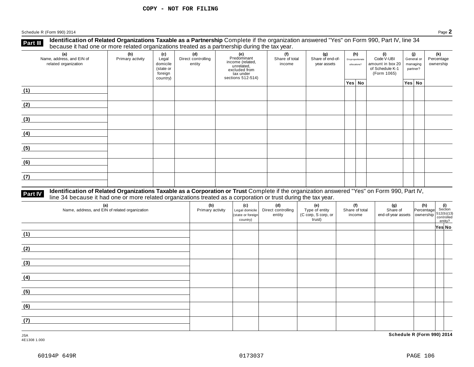**Part III** Identification of Related Organizations Taxable as a Partnership Complete if the organization answered "Yes" on Form 990, Part IV, line 34<br>because it had one or more related organizations treated as a partnershi

| (a)<br>Name, address, and EIN of<br>related organization | (b)<br>Primary activity | (c)<br>Legal<br>domicile<br>(state or<br>foreign<br>country) | (d)<br>Direct controlling<br>entity | (e)<br>Predominant<br>income (related,<br>unrelated,<br>excluded from<br>tax under<br>sections 512-514) | (f)<br>Share of total<br>income | (g)<br>Share of end-of-<br>year assets | (h)<br>Disproportionate<br>allocations? | (i)<br>Code V-UBI<br>amount in box 20<br>of Schedule K-1<br>(Form 1065) | (i)<br>General or<br>managing<br>partner? | (k)<br>Percentage<br>ownership |
|----------------------------------------------------------|-------------------------|--------------------------------------------------------------|-------------------------------------|---------------------------------------------------------------------------------------------------------|---------------------------------|----------------------------------------|-----------------------------------------|-------------------------------------------------------------------------|-------------------------------------------|--------------------------------|
|                                                          |                         |                                                              |                                     |                                                                                                         |                                 |                                        | Yes No                                  |                                                                         | Yes No                                    |                                |
| (1)                                                      |                         |                                                              |                                     |                                                                                                         |                                 |                                        |                                         |                                                                         |                                           |                                |
| (2)                                                      |                         |                                                              |                                     |                                                                                                         |                                 |                                        |                                         |                                                                         |                                           |                                |
| (3)                                                      |                         |                                                              |                                     |                                                                                                         |                                 |                                        |                                         |                                                                         |                                           |                                |
| (4)                                                      |                         |                                                              |                                     |                                                                                                         |                                 |                                        |                                         |                                                                         |                                           |                                |
| (5)                                                      |                         |                                                              |                                     |                                                                                                         |                                 |                                        |                                         |                                                                         |                                           |                                |
| (6)                                                      |                         |                                                              |                                     |                                                                                                         |                                 |                                        |                                         |                                                                         |                                           |                                |
| (7)                                                      |                         |                                                              |                                     |                                                                                                         |                                 |                                        |                                         |                                                                         |                                           |                                |

## **Part IV** Identification of Related Organizations Taxable as a Corporation or Trust Complete if the organization answered "Yes" on Form 990, Part IV,<br>line 34 because it had one or more related organizations treated as a co

| (a)<br>Name, address, and EIN of related organization | (b)<br>Primary activity | (c)<br>Legal domicile<br>(state or foreign<br>country) | (d)<br>Direct controlling<br>entity | (e)<br>Type of entity<br>(C corp, S corp, or<br>trust) | (f)<br>Share of total<br>income | (g)<br>Share of<br>end-of-year assets   ownership | $\left \text{Percentage}\right _{\substack{\text{Section}\\ \text{pwreship}}}\n \begin{array}{c}\n \text{(i)} \\  \text{Section}\\ \text{four rolled}\n \end{array}$ | entity? |
|-------------------------------------------------------|-------------------------|--------------------------------------------------------|-------------------------------------|--------------------------------------------------------|---------------------------------|---------------------------------------------------|----------------------------------------------------------------------------------------------------------------------------------------------------------------------|---------|
|                                                       |                         |                                                        |                                     |                                                        |                                 |                                                   |                                                                                                                                                                      | Yes No  |
| (1)                                                   |                         |                                                        |                                     |                                                        |                                 |                                                   |                                                                                                                                                                      |         |
| (2)                                                   |                         |                                                        |                                     |                                                        |                                 |                                                   |                                                                                                                                                                      |         |
| (3)                                                   |                         |                                                        |                                     |                                                        |                                 |                                                   |                                                                                                                                                                      |         |
| (4)                                                   |                         |                                                        |                                     |                                                        |                                 |                                                   |                                                                                                                                                                      |         |
| (5)                                                   |                         |                                                        |                                     |                                                        |                                 |                                                   |                                                                                                                                                                      |         |
| (6)                                                   |                         |                                                        |                                     |                                                        |                                 |                                                   |                                                                                                                                                                      |         |
| (7)                                                   |                         |                                                        |                                     |                                                        |                                 |                                                   |                                                                                                                                                                      |         |
| <b>JSA</b>                                            |                         |                                                        |                                     |                                                        |                                 | Schedule R (Form 990) 2014                        |                                                                                                                                                                      |         |

4E1308 1.000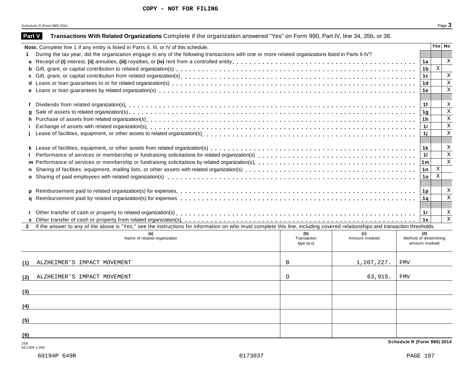Schedule R (Form 990) 2014 **Page**  $3$ 

| <b>Part V</b>       | Transactions With Related Organizations Complete if the organization answered "Yes" on Form 990, Part IV, line 34, 35b, or 36.                                                                                                   |             |                 |                            |                                                      |                              |
|---------------------|----------------------------------------------------------------------------------------------------------------------------------------------------------------------------------------------------------------------------------|-------------|-----------------|----------------------------|------------------------------------------------------|------------------------------|
|                     | Note. Complete line 1 if any entity is listed in Parts II, III, or IV of this schedule.                                                                                                                                          |             |                 |                            |                                                      | Yes No                       |
|                     | During the tax year, did the organization engage in any of the following transactions with one or more related organizations listed in Parts II-IV?                                                                              |             |                 |                            |                                                      |                              |
|                     |                                                                                                                                                                                                                                  |             |                 | 1a                         |                                                      | Χ                            |
|                     |                                                                                                                                                                                                                                  |             |                 | 1 <sub>b</sub>             | $\boldsymbol{\mathrm{X}}$                            |                              |
|                     |                                                                                                                                                                                                                                  |             |                 | 1 <sub>c</sub>             |                                                      | Χ                            |
|                     |                                                                                                                                                                                                                                  |             |                 | 1 <sub>d</sub>             |                                                      | $\mathbf X$                  |
|                     |                                                                                                                                                                                                                                  |             |                 | 1e                         |                                                      | $\mathbf X$                  |
|                     |                                                                                                                                                                                                                                  |             |                 |                            |                                                      |                              |
| f                   | Dividends from related organization(s) enterpresent research resources resources resources resources resources                                                                                                                   |             |                 | 1f                         |                                                      | Χ<br>$\mathbf X$             |
| g                   | 1g<br>1 <sub>h</sub>                                                                                                                                                                                                             |             |                 |                            |                                                      |                              |
| h.                  | Purchase of assets from related organization(s)<br>interaction by content to content the content of assets from the content or contract of the content of the content of the content of the content of the content of the conten |             |                 |                            |                                                      | $\mathbf X$                  |
|                     |                                                                                                                                                                                                                                  |             |                 |                            | 11                                                   | $\mathbf X$                  |
|                     |                                                                                                                                                                                                                                  |             |                 | 1j                         |                                                      | $\mathbf X$                  |
|                     |                                                                                                                                                                                                                                  |             |                 |                            |                                                      |                              |
|                     |                                                                                                                                                                                                                                  |             |                 | 1 <sub>k</sub>             |                                                      | X<br>$\overline{\mathbf{x}}$ |
|                     |                                                                                                                                                                                                                                  |             |                 | 11                         |                                                      | $\mathbf X$                  |
|                     |                                                                                                                                                                                                                                  |             |                 | 1 <sub>m</sub>             |                                                      |                              |
|                     |                                                                                                                                                                                                                                  |             |                 | 1n                         | $\boldsymbol{\mathrm{X}}$<br>$\overline{\mathbf{x}}$ |                              |
|                     |                                                                                                                                                                                                                                  |             |                 | 1 <sub>o</sub>             |                                                      |                              |
|                     |                                                                                                                                                                                                                                  |             |                 |                            |                                                      |                              |
| p                   |                                                                                                                                                                                                                                  |             |                 | 1p<br>1 <sub>q</sub>       |                                                      | Х<br>$\mathbf X$             |
|                     |                                                                                                                                                                                                                                  |             |                 |                            |                                                      |                              |
|                     | Other transfer of cash or property to related organization(s)<br>interacts: interact: interact: interact: interact: interact: interact: interact: interact: interact: interact: interact: interact: interact: interact: interact |             |                 | 1r                         |                                                      | Χ                            |
|                     |                                                                                                                                                                                                                                  |             |                 | 1s                         |                                                      | $\mathbf X$                  |
| $\mathbf{2}$        | If the answer to any of the above is "Yes," see the instructions for information on who must complete this line, including covered relationships and transaction thresholds.                                                     |             |                 |                            |                                                      |                              |
|                     | (a)                                                                                                                                                                                                                              | (b)         | (c)             | (d)                        |                                                      |                              |
|                     | Name of related organization                                                                                                                                                                                                     | Transaction | Amount involved | Method of determining      |                                                      |                              |
|                     |                                                                                                                                                                                                                                  | $type(a-s)$ |                 | amount involved            |                                                      |                              |
|                     | ALZHEIMER'S IMPACT MOVEMENT                                                                                                                                                                                                      | B           | 1,207,227.      | <b>FMV</b>                 |                                                      |                              |
| (1)                 |                                                                                                                                                                                                                                  |             |                 |                            |                                                      |                              |
| (2)                 | ALZHEIMER'S IMPACT MOVEMENT                                                                                                                                                                                                      | $\circ$     | 63,915.         | <b>FMV</b>                 |                                                      |                              |
|                     |                                                                                                                                                                                                                                  |             |                 |                            |                                                      |                              |
| (3)                 |                                                                                                                                                                                                                                  |             |                 |                            |                                                      |                              |
| (4)                 |                                                                                                                                                                                                                                  |             |                 |                            |                                                      |                              |
| (5)                 |                                                                                                                                                                                                                                  |             |                 |                            |                                                      |                              |
|                     |                                                                                                                                                                                                                                  |             |                 |                            |                                                      |                              |
| (6)                 |                                                                                                                                                                                                                                  |             |                 |                            |                                                      |                              |
| JSA<br>4E1309 1.000 |                                                                                                                                                                                                                                  |             |                 | Schedule R (Form 990) 2014 |                                                      |                              |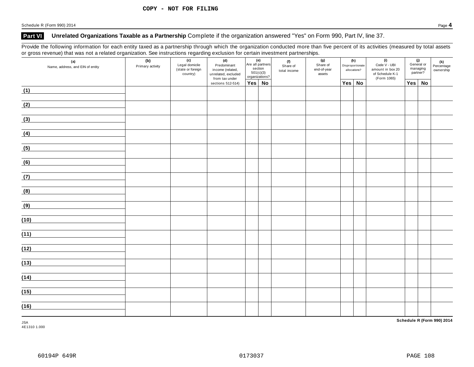Schedule <sup>R</sup> (Form 990) <sup>2014</sup> Page **4**

## **Part VI Unrelated Organizations Taxable as a Partnership** Complete if the organization answered "Yes" on Form 990, Part IV, line 37.

Provide the following information for each entity taxed as a partnership through which the organization conducted more than five percent of its activities (measured by total assets or gross revenue) that was not a related organization. See instructions regarding exclusion for certain investment partnerships.

| (a)<br>Name, address, and EIN of entity | (e)<br>(c)<br>(b)<br>(d)<br>Are all partners<br>Legal domicile<br>Predominant<br>Primary activity<br>section<br>(state or foreign<br>income (related,<br>501(c)(3)<br>country)<br>unrelated, excluded<br>organizations?<br>from tax under |  | (f)<br>Share of<br>total income | (g)<br>Share of<br>end-of-year<br>assets | (h)<br>Disproportionate<br>allocations? |  | (i)<br>Code V - UBI<br>amount in box 20<br>of Schedule K-1<br>(Form 1065) | (j)<br>General or<br>managing<br>partner? |  | $(k)$<br>Percentage<br>ownership |     |           |  |
|-----------------------------------------|-------------------------------------------------------------------------------------------------------------------------------------------------------------------------------------------------------------------------------------------|--|---------------------------------|------------------------------------------|-----------------------------------------|--|---------------------------------------------------------------------------|-------------------------------------------|--|----------------------------------|-----|-----------|--|
|                                         |                                                                                                                                                                                                                                           |  | sections 512-514)               | Yes No                                   |                                         |  |                                                                           | Yes No                                    |  |                                  | Yes | <b>No</b> |  |
| (1)                                     |                                                                                                                                                                                                                                           |  |                                 |                                          |                                         |  |                                                                           |                                           |  |                                  |     |           |  |
| (2)                                     |                                                                                                                                                                                                                                           |  |                                 |                                          |                                         |  |                                                                           |                                           |  |                                  |     |           |  |
| (3)                                     |                                                                                                                                                                                                                                           |  |                                 |                                          |                                         |  |                                                                           |                                           |  |                                  |     |           |  |
| (4)                                     |                                                                                                                                                                                                                                           |  |                                 |                                          |                                         |  |                                                                           |                                           |  |                                  |     |           |  |
| (5)                                     |                                                                                                                                                                                                                                           |  |                                 |                                          |                                         |  |                                                                           |                                           |  |                                  |     |           |  |
| (6)                                     |                                                                                                                                                                                                                                           |  |                                 |                                          |                                         |  |                                                                           |                                           |  |                                  |     |           |  |
| (7)                                     |                                                                                                                                                                                                                                           |  |                                 |                                          |                                         |  |                                                                           |                                           |  |                                  |     |           |  |
| (8)                                     |                                                                                                                                                                                                                                           |  |                                 |                                          |                                         |  |                                                                           |                                           |  |                                  |     |           |  |
| (9)                                     |                                                                                                                                                                                                                                           |  |                                 |                                          |                                         |  |                                                                           |                                           |  |                                  |     |           |  |
| (10)                                    |                                                                                                                                                                                                                                           |  |                                 |                                          |                                         |  |                                                                           |                                           |  |                                  |     |           |  |
| (11)                                    |                                                                                                                                                                                                                                           |  |                                 |                                          |                                         |  |                                                                           |                                           |  |                                  |     |           |  |
| (12)                                    |                                                                                                                                                                                                                                           |  |                                 |                                          |                                         |  |                                                                           |                                           |  |                                  |     |           |  |
| (13)                                    |                                                                                                                                                                                                                                           |  |                                 |                                          |                                         |  |                                                                           |                                           |  |                                  |     |           |  |
| (14)                                    |                                                                                                                                                                                                                                           |  |                                 |                                          |                                         |  |                                                                           |                                           |  |                                  |     |           |  |
| (15)                                    |                                                                                                                                                                                                                                           |  |                                 |                                          |                                         |  |                                                                           |                                           |  |                                  |     |           |  |
| (16)                                    |                                                                                                                                                                                                                                           |  |                                 |                                          |                                         |  |                                                                           |                                           |  |                                  |     |           |  |

JSA 4E1310 1.000 **Schedule R (Form 990) 2014**